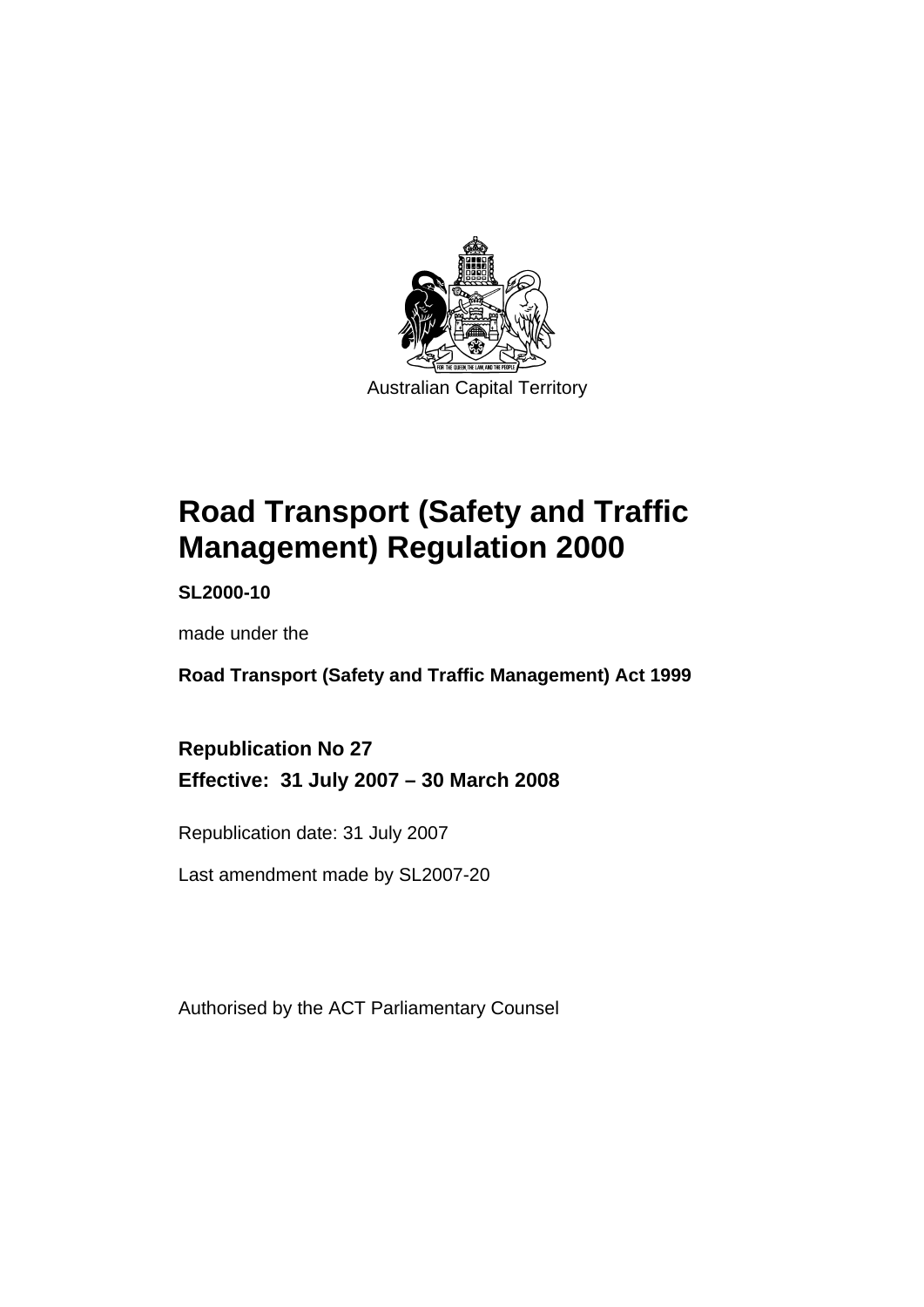

# **[Road Transport \(Safety and Traffic](#page-10-0)  [Management\) Regulation 2000](#page-10-0)**

**SL2000-10** 

made under the

**[Road Transport \(Safety and Traffic Management\) Act 1999](#page-10-0)** 

**Republication No 27 Effective: 31 July 2007 – 30 March 2008** 

Republication date: 31 July 2007

Last amendment made by SL2007-20

Authorised by the ACT Parliamentary Counsel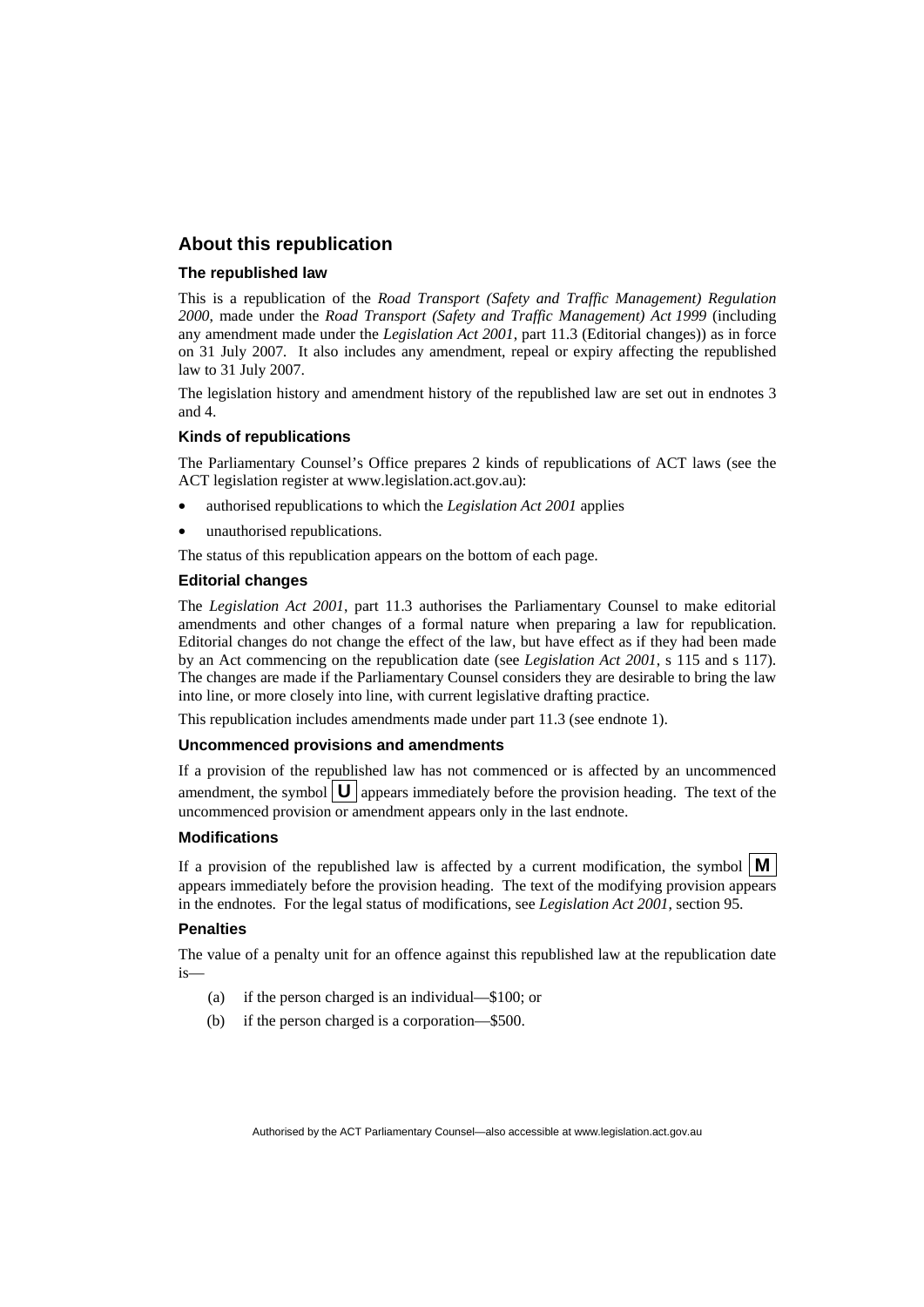#### **About this republication**

#### **The republished law**

This is a republication of the *Road Transport (Safety and Traffic Management) Regulation 2000*, made under the *[Road Transport \(Safety and Traffic Management\) Act 1999](#page-10-0)* (including any amendment made under the *Legislation Act 2001*, part 11.3 (Editorial changes)) as in force on 31 July 2007*.* It also includes any amendment, repeal or expiry affecting the republished law to 31 July 2007.

The legislation history and amendment history of the republished law are set out in endnotes 3 and 4.

#### **Kinds of republications**

The Parliamentary Counsel's Office prepares 2 kinds of republications of ACT laws (see the ACT legislation register at www.legislation.act.gov.au):

- authorised republications to which the *Legislation Act 2001* applies
- unauthorised republications.

The status of this republication appears on the bottom of each page.

#### **Editorial changes**

The *Legislation Act 2001*, part 11.3 authorises the Parliamentary Counsel to make editorial amendments and other changes of a formal nature when preparing a law for republication. Editorial changes do not change the effect of the law, but have effect as if they had been made by an Act commencing on the republication date (see *Legislation Act 2001*, s 115 and s 117). The changes are made if the Parliamentary Counsel considers they are desirable to bring the law into line, or more closely into line, with current legislative drafting practice.

This republication includes amendments made under part 11.3 (see endnote 1).

#### **Uncommenced provisions and amendments**

If a provision of the republished law has not commenced or is affected by an uncommenced amendment, the symbol  $\mathbf{U}$  appears immediately before the provision heading. The text of the uncommenced provision or amendment appears only in the last endnote.

#### **Modifications**

If a provision of the republished law is affected by a current modification, the symbol  $\vert \mathbf{M} \vert$ appears immediately before the provision heading. The text of the modifying provision appears in the endnotes. For the legal status of modifications, see *Legislation Act 2001*, section 95.

#### **Penalties**

The value of a penalty unit for an offence against this republished law at the republication date  $i<sub>s</sub>$ 

- (a) if the person charged is an individual—\$100; or
- (b) if the person charged is a corporation—\$500.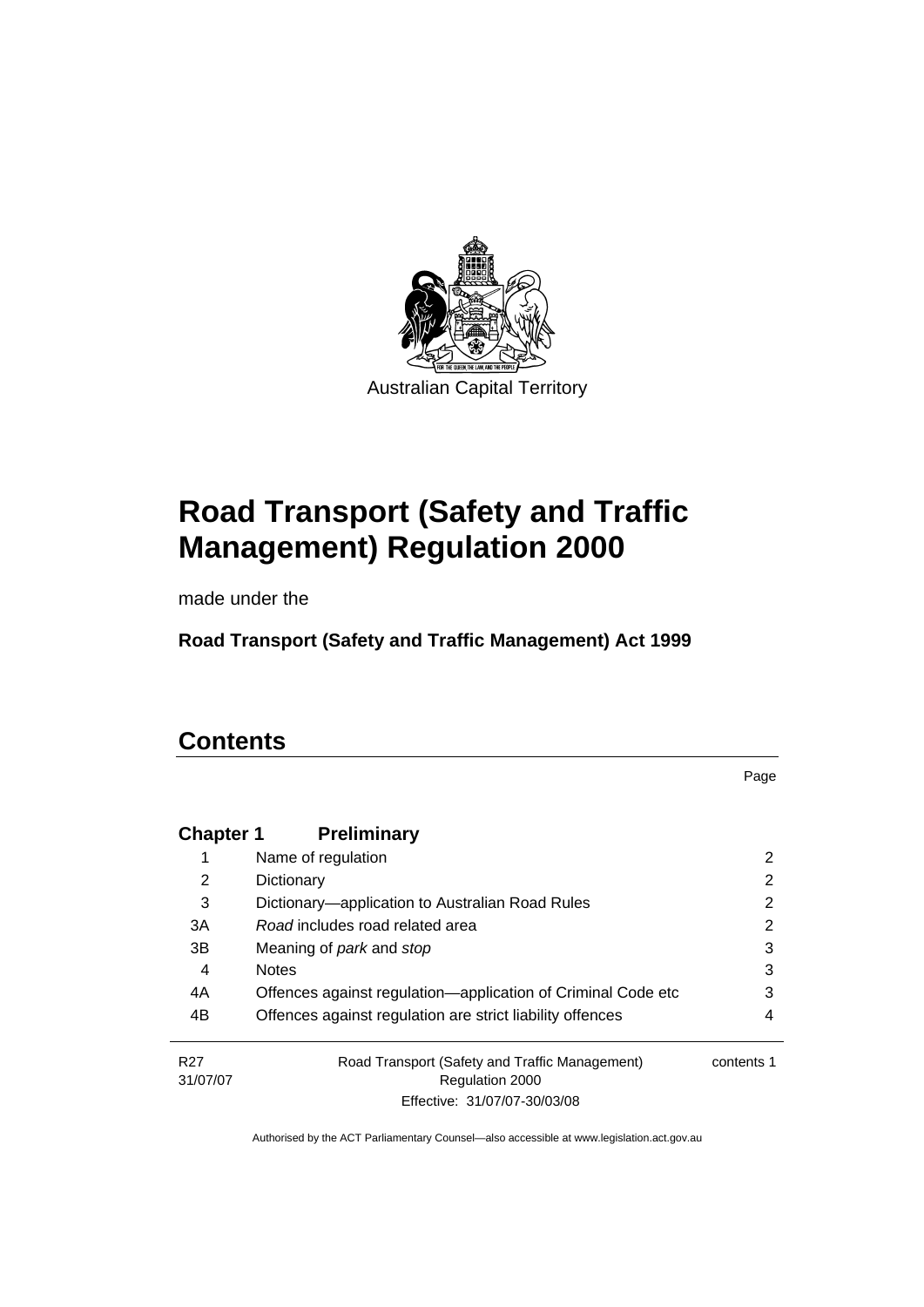

# **[Road Transport \(Safety and Traffic](#page-10-0)  [Management\) Regulation 2000](#page-10-0)**

made under the

**[Road Transport \(Safety and Traffic Management\) Act 1999](#page-10-0)** 

# **Contents**

Page

| <b>Chapter 1</b>            | <b>Preliminary</b>                                                |            |
|-----------------------------|-------------------------------------------------------------------|------------|
|                             | Name of regulation                                                | 2          |
| 2                           | Dictionary                                                        | 2          |
| 3                           | Dictionary-application to Australian Road Rules                   | 2          |
| 3A                          | Road includes road related area                                   | 2          |
| 3B                          | Meaning of <i>park</i> and <i>stop</i>                            | 3          |
| 4                           | <b>Notes</b>                                                      | 3          |
| 4A                          | Offences against regulation—application of Criminal Code etc      | 3          |
| 4B                          | Offences against regulation are strict liability offences         | 4          |
| R <sub>27</sub><br>31/07/07 | Road Transport (Safety and Traffic Management)<br>Regulation 2000 | contents 1 |
|                             | Effective: 31/07/07-30/03/08                                      |            |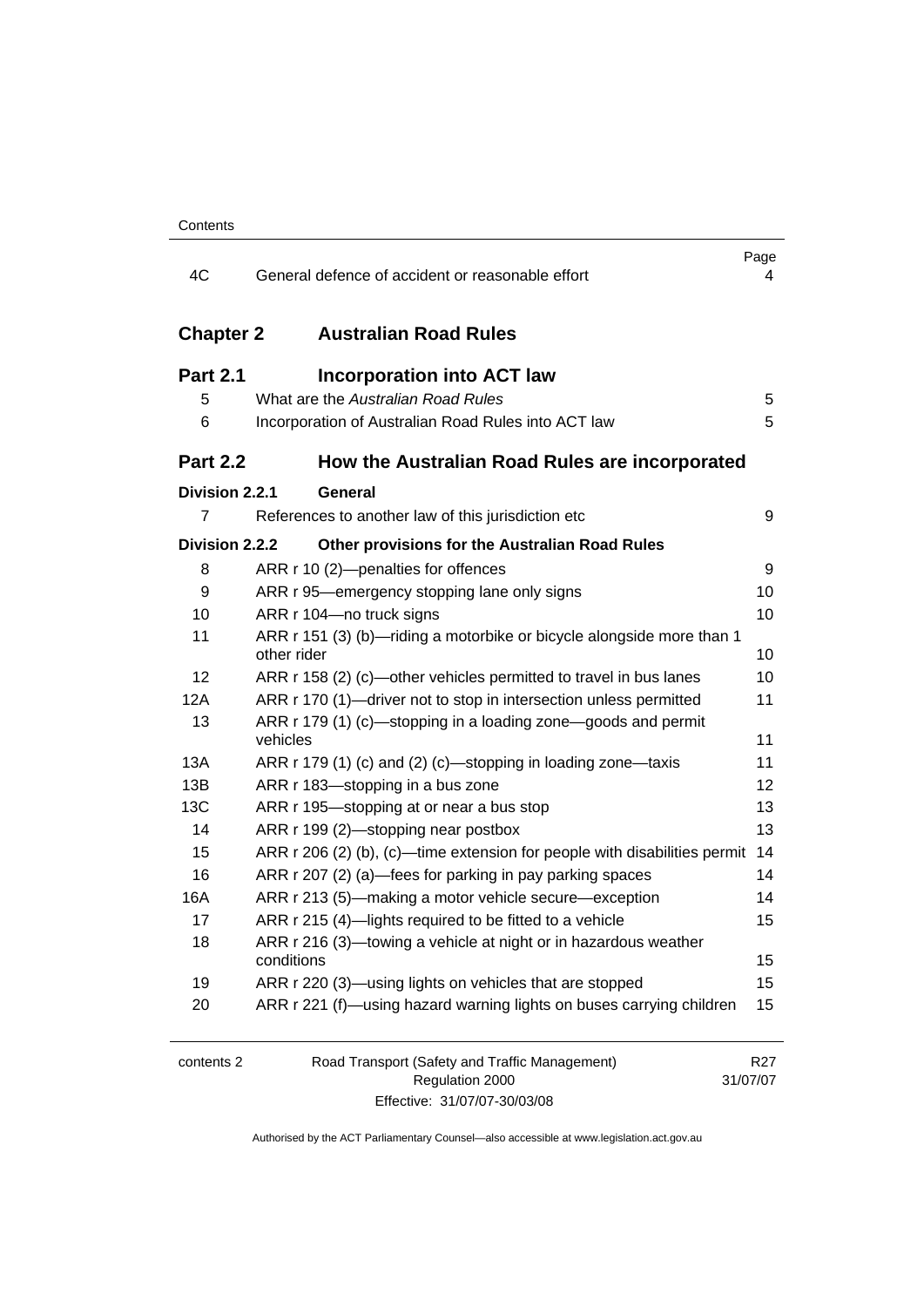| 4C               | General defence of accident or reasonable effort                                     | Page<br>4                   |
|------------------|--------------------------------------------------------------------------------------|-----------------------------|
| <b>Chapter 2</b> | <b>Australian Road Rules</b>                                                         |                             |
| <b>Part 2.1</b>  | <b>Incorporation into ACT law</b>                                                    |                             |
| 5                | What are the Australian Road Rules                                                   | 5                           |
| 6                | Incorporation of Australian Road Rules into ACT law                                  | 5                           |
| <b>Part 2.2</b>  | How the Australian Road Rules are incorporated                                       |                             |
| Division 2.2.1   | General                                                                              |                             |
| $\overline{7}$   | References to another law of this jurisdiction etc                                   | 9                           |
| Division 2.2.2   | Other provisions for the Australian Road Rules                                       |                             |
| 8                | ARR r 10 (2)-penalties for offences                                                  | 9                           |
| 9                | ARR r 95—emergency stopping lane only signs                                          | 10                          |
| 10               | ARR r 104-no truck signs                                                             | 10                          |
| 11               | ARR r 151 (3) (b)-riding a motorbike or bicycle alongside more than 1<br>other rider | 10                          |
| 12               | ARR r 158 (2) (c)—other vehicles permitted to travel in bus lanes                    | 10                          |
| 12A              | ARR r 170 (1)—driver not to stop in intersection unless permitted                    | 11                          |
| 13               | ARR r 179 (1) (c)—stopping in a loading zone—goods and permit<br>vehicles            | 11                          |
| 13A              | ARR r 179 (1) (c) and (2) (c)—stopping in loading zone—taxis                         | 11                          |
| 13B              | ARR r 183-stopping in a bus zone                                                     | 12                          |
| 13C              | ARR r 195-stopping at or near a bus stop                                             | 13                          |
| 14               | ARR r 199 (2)-stopping near postbox                                                  | 13                          |
| 15               | ARR r 206 (2) (b), (c)—time extension for people with disabilities permit            | 14                          |
| 16               | ARR r 207 (2) (a)—fees for parking in pay parking spaces                             | 14                          |
| 16A              | ARR r 213 (5)—making a motor vehicle secure—exception                                | 14                          |
| 17               | ARR r 215 (4)-lights required to be fitted to a vehicle                              | 15                          |
| 18               | ARR r 216 (3)—towing a vehicle at night or in hazardous weather<br>conditions        | 15                          |
| 19               | ARR r 220 (3)—using lights on vehicles that are stopped                              | 15                          |
| 20               | ARR r 221 (f)—using hazard warning lights on buses carrying children                 | 15                          |
| contents 2       | Road Transport (Safety and Traffic Management)<br>Regulation 2000                    | R <sub>27</sub><br>31/07/07 |

| Effective: 31/07/07-30/03/08 |
|------------------------------|

31/07/07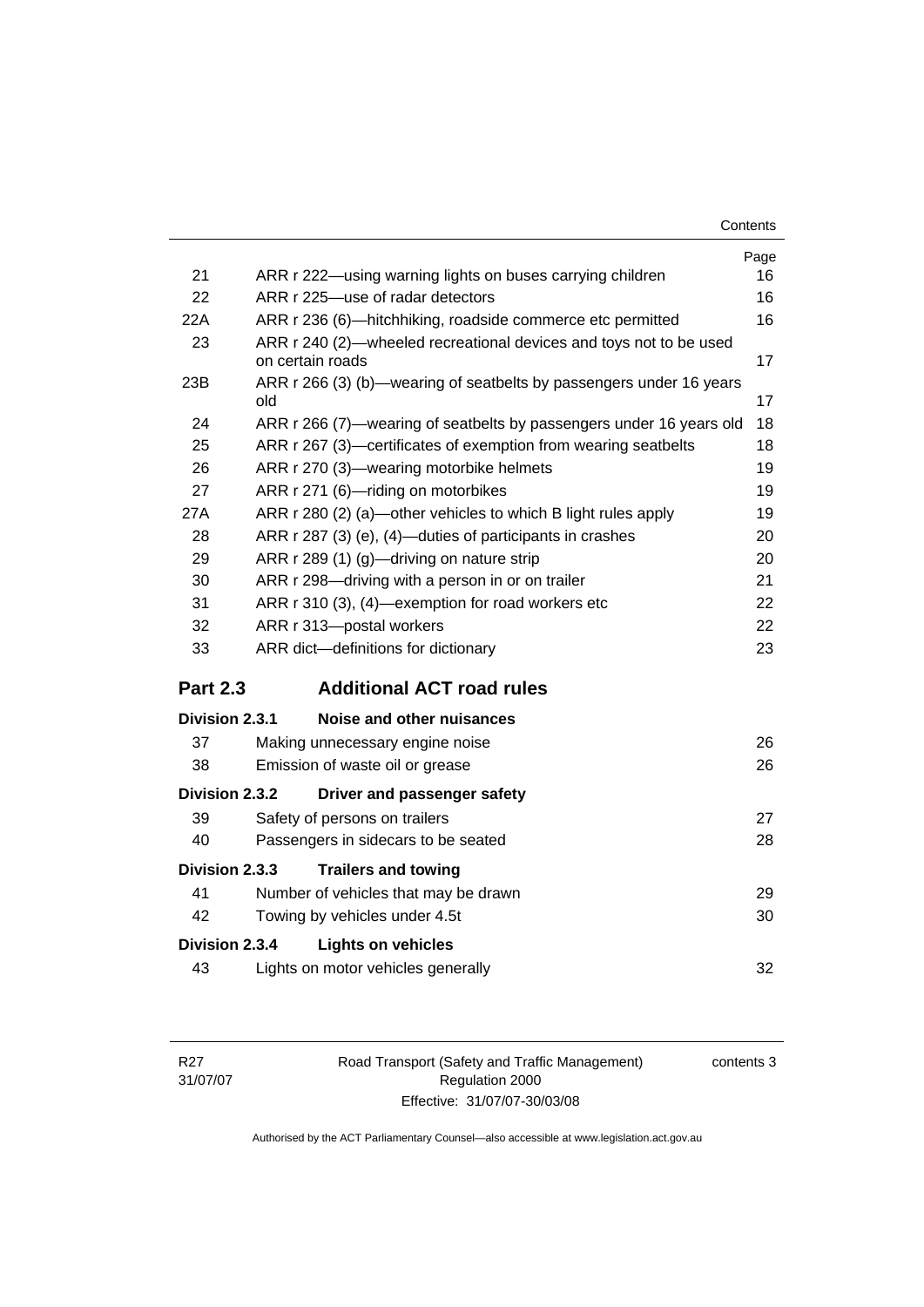| Contents |
|----------|
|----------|

|                 |                                                                                        | Page |
|-----------------|----------------------------------------------------------------------------------------|------|
| 21              | ARR r 222-using warning lights on buses carrying children                              | 16   |
| 22              | ARR r 225-use of radar detectors                                                       | 16   |
| 22A             | ARR r 236 (6)—hitchhiking, roadside commerce etc permitted                             | 16   |
| 23              | ARR r 240 (2)-wheeled recreational devices and toys not to be used<br>on certain roads | 17   |
| 23B             | ARR r 266 (3) (b)—wearing of seatbelts by passengers under 16 years<br>old             | 17   |
| 24              | ARR r 266 (7)—wearing of seatbelts by passengers under 16 years old                    | 18   |
| 25              | ARR r 267 (3)-certificates of exemption from wearing seatbelts                         | 18   |
| 26              | ARR r 270 (3)-wearing motorbike helmets                                                | 19   |
| 27              | ARR r 271 (6)-riding on motorbikes                                                     | 19   |
| 27A             | ARR r 280 (2) (a)—other vehicles to which B light rules apply                          | 19   |
| 28              | ARR r 287 (3) (e), (4)—duties of participants in crashes                               | 20   |
| 29              | ARR r 289 (1) (g)-driving on nature strip                                              | 20   |
| 30              | ARR r 298-driving with a person in or on trailer                                       | 21   |
| 31              | ARR r 310 (3), (4)—exemption for road workers etc                                      | 22   |
| 32              | ARR r 313-postal workers                                                               | 22   |
| 33              | ARR dict-definitions for dictionary                                                    | 23   |
| <b>Part 2.3</b> | <b>Additional ACT road rules</b>                                                       |      |
| Division 2.3.1  | Noise and other nuisances                                                              |      |
| 37              | Making unnecessary engine noise                                                        | 26   |
| 38              | Emission of waste oil or grease                                                        | 26   |
| Division 2.3.2  | Driver and passenger safety                                                            |      |
| 39              | Safety of persons on trailers                                                          | 27   |
| 40              | Passengers in sidecars to be seated                                                    | 28   |
| Division 2.3.3  | <b>Trailers and towing</b>                                                             |      |
| 41              | Number of vehicles that may be drawn                                                   | 29   |
| 42              | Towing by vehicles under 4.5t                                                          | 30   |
| Division 2.3.4  | <b>Lights on vehicles</b>                                                              |      |
| 43              | Lights on motor vehicles generally                                                     | 32   |
|                 |                                                                                        |      |

Road Transport (Safety and Traffic Management) Regulation 2000 Effective: 31/07/07-30/03/08

contents 3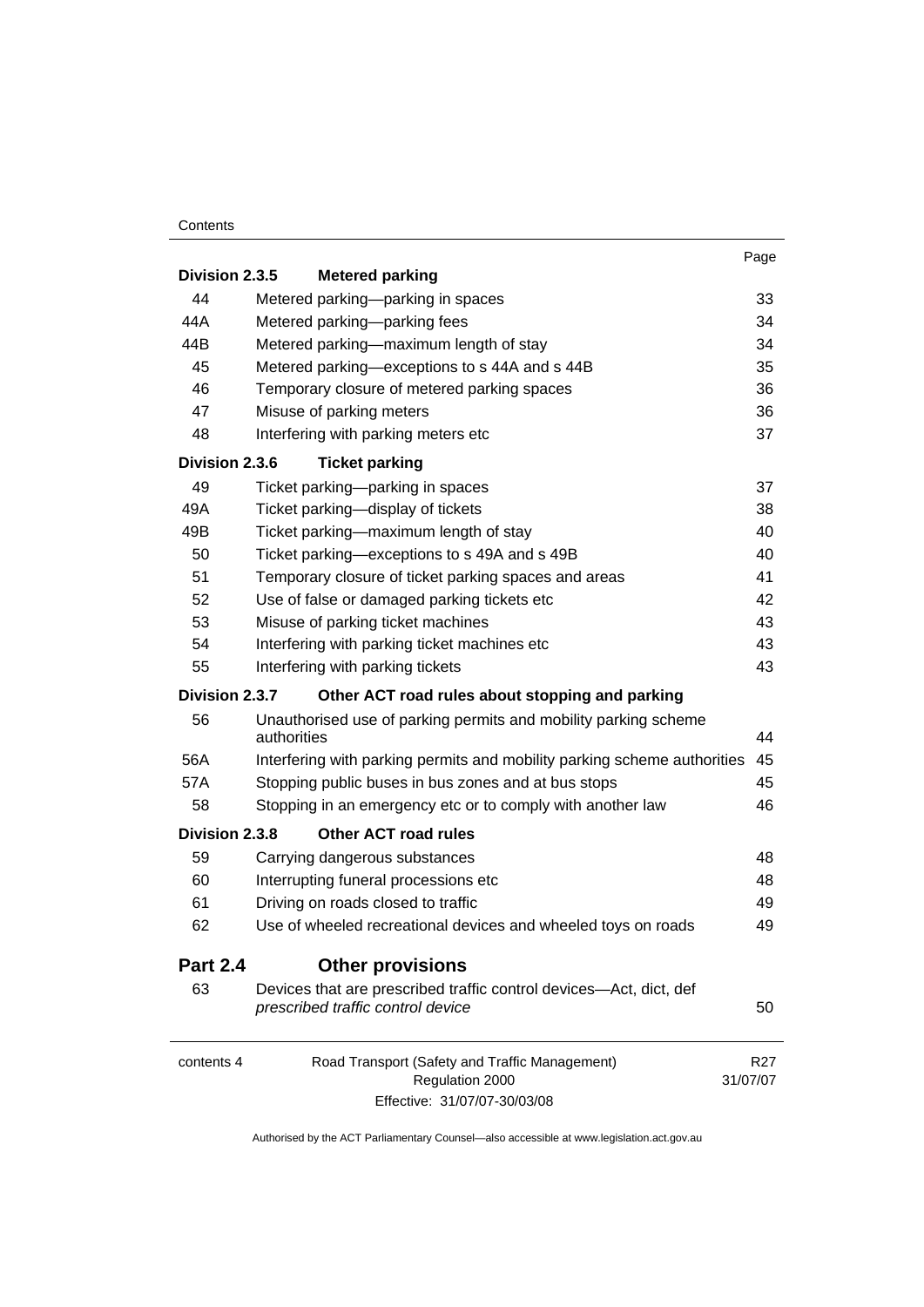#### **Contents**

| Division 2.3.5  | <b>Metered parking</b>                                                                                  | Page                        |
|-----------------|---------------------------------------------------------------------------------------------------------|-----------------------------|
| 44              | Metered parking-parking in spaces                                                                       | 33                          |
| 44A             | Metered parking-parking fees                                                                            | 34                          |
| 44B             | Metered parking-maximum length of stay                                                                  | 34                          |
| 45              | Metered parking-exceptions to s 44A and s 44B                                                           | 35                          |
| 46              | Temporary closure of metered parking spaces                                                             | 36                          |
| 47              | Misuse of parking meters                                                                                | 36                          |
| 48              | Interfering with parking meters etc                                                                     | 37                          |
| Division 2.3.6  | <b>Ticket parking</b>                                                                                   |                             |
| 49              | Ticket parking-parking in spaces                                                                        | 37                          |
| 49A             | Ticket parking-display of tickets                                                                       | 38                          |
| 49B             | Ticket parking-maximum length of stay                                                                   | 40                          |
| 50              | Ticket parking-exceptions to s 49A and s 49B                                                            | 40                          |
| 51              | Temporary closure of ticket parking spaces and areas                                                    | 41                          |
| 52              | Use of false or damaged parking tickets etc                                                             | 42                          |
| 53              | Misuse of parking ticket machines                                                                       | 43                          |
| 54              | Interfering with parking ticket machines etc                                                            | 43                          |
| 55              | Interfering with parking tickets                                                                        | 43                          |
| Division 2.3.7  | Other ACT road rules about stopping and parking                                                         |                             |
| 56              | Unauthorised use of parking permits and mobility parking scheme<br>authorities                          | 44                          |
| 56A             | Interfering with parking permits and mobility parking scheme authorities                                | 45                          |
| 57A             | Stopping public buses in bus zones and at bus stops                                                     | 45                          |
| 58              | Stopping in an emergency etc or to comply with another law                                              | 46                          |
| Division 2.3.8  | <b>Other ACT road rules</b>                                                                             |                             |
| 59              | Carrying dangerous substances                                                                           | 48                          |
| 60              | Interrupting funeral processions etc                                                                    | 48                          |
| 61              | Driving on roads closed to traffic                                                                      | 49                          |
| 62              | Use of wheeled recreational devices and wheeled toys on roads                                           | 49                          |
| <b>Part 2.4</b> | <b>Other provisions</b>                                                                                 |                             |
| 63              | Devices that are prescribed traffic control devices—Act, dict, def<br>prescribed traffic control device | 50                          |
| contents 4      | Road Transport (Safety and Traffic Management)<br>Regulation 2000                                       | R <sub>27</sub><br>31/07/07 |

Effective: 31/07/07-30/03/08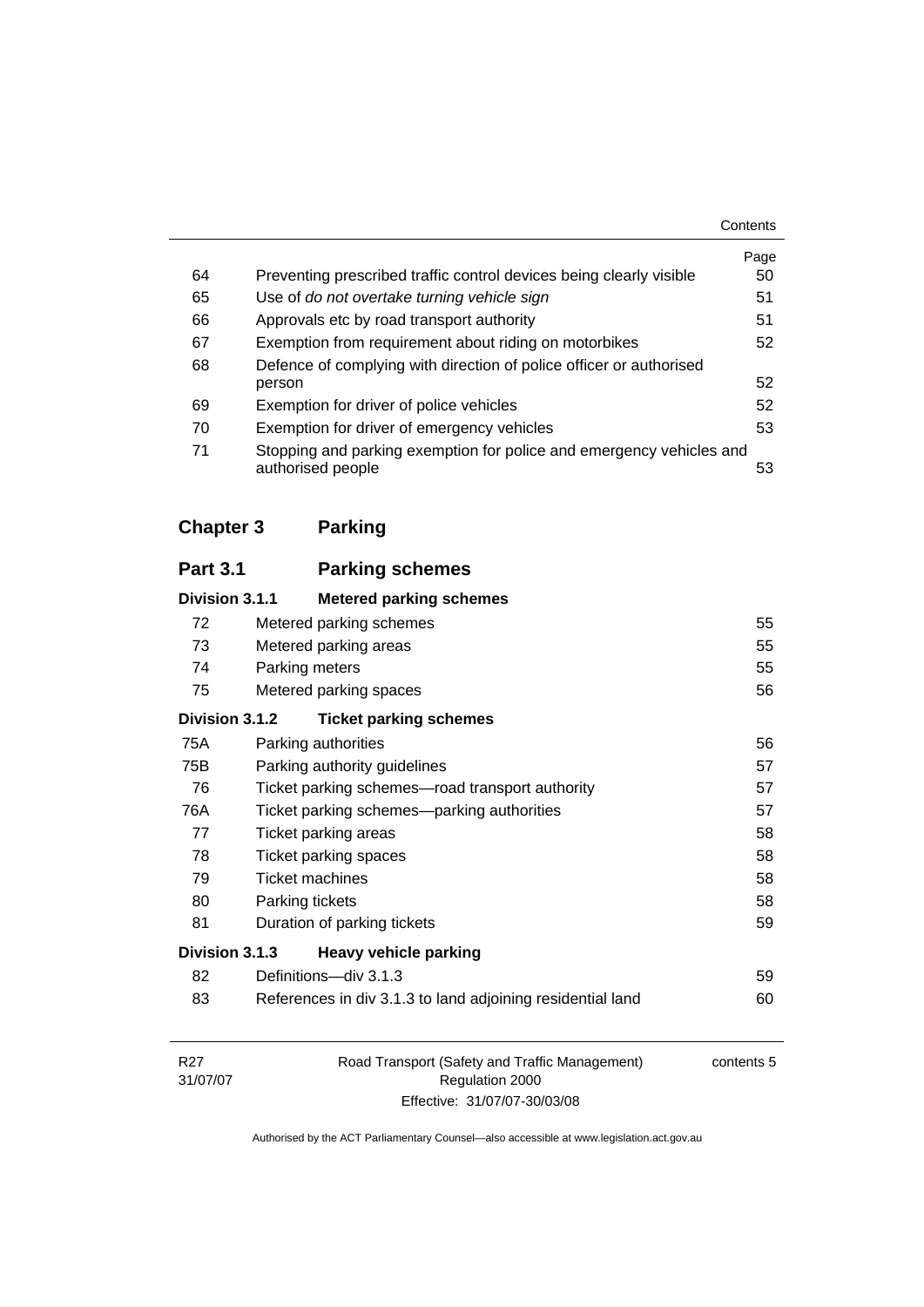|    |                                                                                           | Contents |
|----|-------------------------------------------------------------------------------------------|----------|
|    |                                                                                           | Page     |
| 64 | Preventing prescribed traffic control devices being clearly visible                       | 50       |
| 65 | Use of do not overtake turning vehicle sign                                               | 51       |
| 66 | Approvals etc by road transport authority                                                 | 51       |
| 67 | Exemption from requirement about riding on motorbikes                                     | 52       |
| 68 | Defence of complying with direction of police officer or authorised                       |          |
|    | person                                                                                    | 52       |
| 69 | Exemption for driver of police vehicles                                                   | 52       |
| 70 | Exemption for driver of emergency vehicles                                                | 53       |
| 71 | Stopping and parking exemption for police and emergency vehicles and<br>authorised people | 53       |

# **Chapter 3 Parking**

# **Part 3.1 Parking schemes Division 3.1.1 Metered parking schemes** 72 Metered parking schemes 65 73 Metered parking areas [55](#page-64-0) 74 Parking meters [55](#page-64-0) 75 Metered parking spaces [56](#page-65-0) **Division 3.1.2 Ticket parking schemes** 75A Parking authorities [56](#page-65-0) 75B Parking authority guidelines **[57](#page-66-0)**  76 Ticket parking schemes—road transport authority [57](#page-66-0) 76A Ticket parking schemes—parking authorities 67 77 Ticket parking areas [58](#page-67-0) 78 Ticket parking spaces [58](#page-67-0) 79 Ticket machines **[58](#page-67-0)** 80 Parking tickets [58](#page-67-0) 81 Duration of parking tickets **[59](#page-68-0) Division 3.1.3 Heavy vehicle parking** 82 Definitions—div 3.1.3 [59](#page-68-0) 83 References in div 3.1.3 to land adjoining residential land [60](#page-69-0)

| R27      | Road Transport (Safety and Traffic Management) | contents 5 |
|----------|------------------------------------------------|------------|
| 31/07/07 | Regulation 2000                                |            |
|          | Effective: 31/07/07-30/03/08                   |            |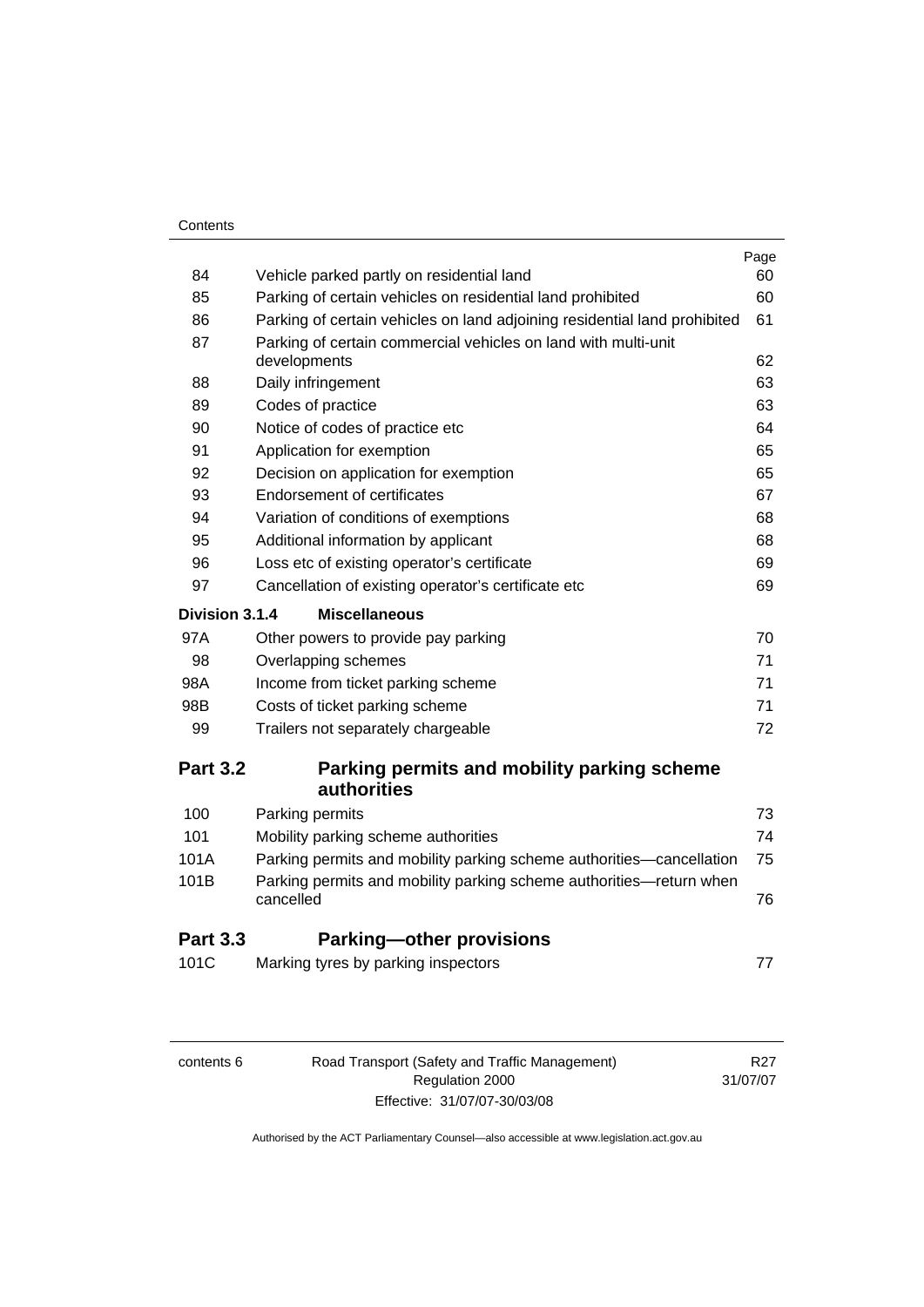| Contents |
|----------|
|----------|

| <b>Part 3.3</b><br>101C | <b>Parking-other provisions</b><br>Marking tyres by parking inspectors           | 77         |
|-------------------------|----------------------------------------------------------------------------------|------------|
|                         |                                                                                  |            |
| 101B                    | Parking permits and mobility parking scheme authorities-return when<br>cancelled | 76         |
| 101A                    | Parking permits and mobility parking scheme authorities-cancellation             | 75         |
| 101                     | Mobility parking scheme authorities                                              | 74         |
| 100                     | Parking permits                                                                  | 73         |
|                         | Parking permits and mobility parking scheme<br><b>authorities</b>                |            |
| <b>Part 3.2</b>         |                                                                                  |            |
| 99                      | Trailers not separately chargeable                                               | 72         |
| 98B                     | Costs of ticket parking scheme                                                   | 71         |
| 98A                     | Income from ticket parking scheme                                                | 71         |
| 98                      | Overlapping schemes                                                              | 71         |
| 97A                     | Other powers to provide pay parking                                              | 70         |
| Division 3.1.4          | <b>Miscellaneous</b>                                                             |            |
| 97                      | Cancellation of existing operator's certificate etc                              | 69         |
| 96                      | Loss etc of existing operator's certificate                                      | 69         |
| 95                      | Additional information by applicant                                              | 68         |
| 94                      | Variation of conditions of exemptions                                            | 68         |
| 93                      | <b>Endorsement of certificates</b>                                               | 67         |
| 92                      | Decision on application for exemption                                            | 65         |
| 91                      | Application for exemption                                                        | 65         |
| 90                      | Notice of codes of practice etc                                                  | 64         |
| 89                      | Codes of practice                                                                | 63         |
| 88                      | Daily infringement                                                               | 63         |
| 87                      | Parking of certain commercial vehicles on land with multi-unit<br>developments   | 62         |
| 86                      | Parking of certain vehicles on land adjoining residential land prohibited        | 61         |
| 85                      | Parking of certain vehicles on residential land prohibited                       | 60         |
| 84                      | Vehicle parked partly on residential land                                        | Page<br>60 |

| contents 6 |
|------------|
|------------|

R27 31/07/07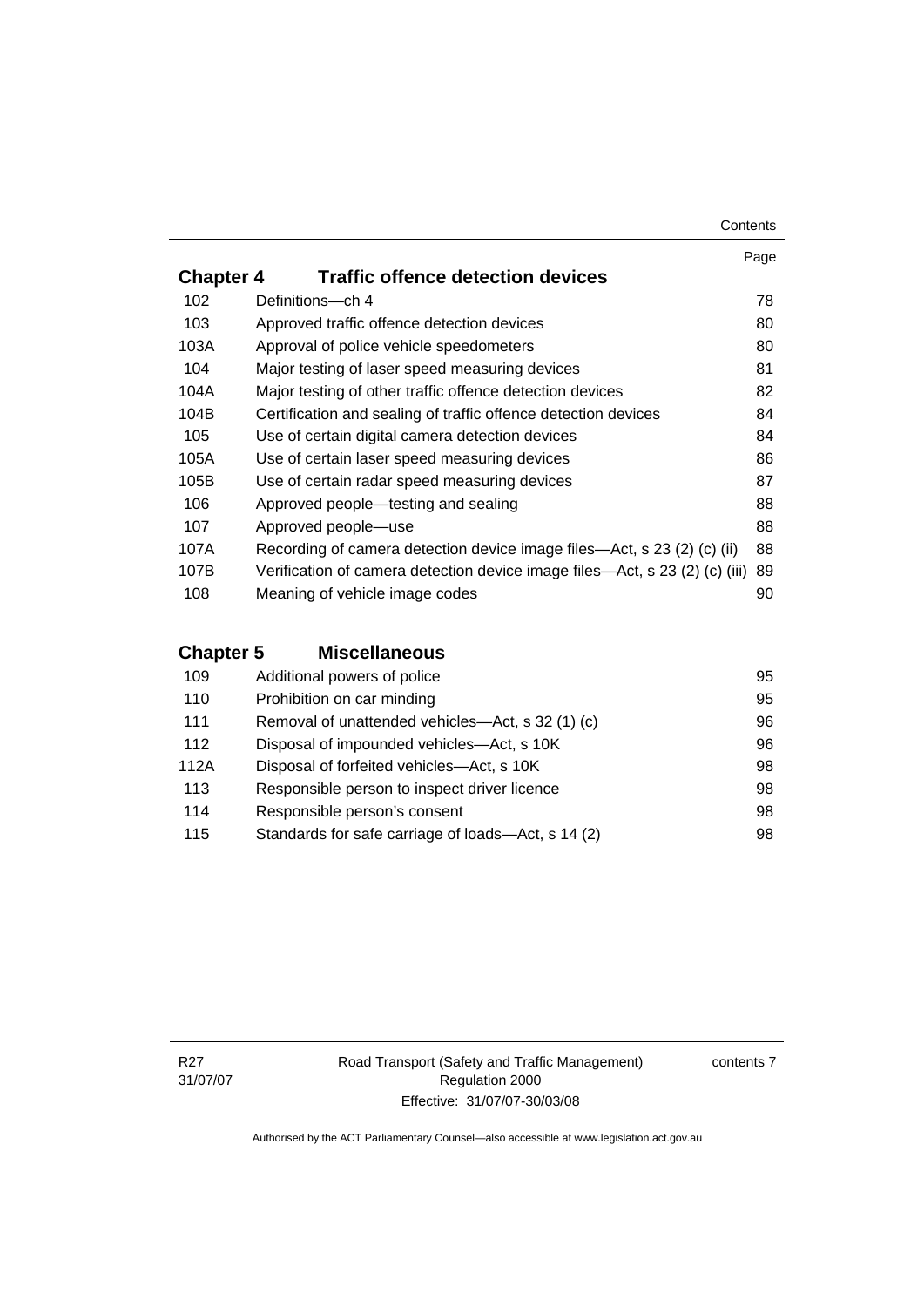#### **Contents**

|                  |                                                                             | Page |
|------------------|-----------------------------------------------------------------------------|------|
| <b>Chapter 4</b> | <b>Traffic offence detection devices</b>                                    |      |
| 102              | Definitions-ch 4                                                            | 78   |
| 103              | Approved traffic offence detection devices                                  | 80   |
| 103A             | Approval of police vehicle speedometers                                     | 80   |
| 104              | Major testing of laser speed measuring devices                              | 81   |
| 104A             | Major testing of other traffic offence detection devices                    | 82   |
| 104B             | Certification and sealing of traffic offence detection devices              | 84   |
| 105              | Use of certain digital camera detection devices                             | 84   |
| 105A             | Use of certain laser speed measuring devices                                | 86   |
| 105B             | Use of certain radar speed measuring devices                                | 87   |
| 106              | Approved people—testing and sealing                                         | 88   |
| 107              | Approved people-use                                                         | 88   |
| 107A             | Recording of camera detection device image files—Act, s 23 (2) (c) (ii)     | 88   |
| 107B             | Verification of camera detection device image files—Act, s 23 (2) (c) (iii) | 89   |
| 108              | Meaning of vehicle image codes                                              | 90   |

# **Chapter 5 Miscellaneous**

| 109  | Additional powers of police                        | 95 |
|------|----------------------------------------------------|----|
| 110  | Prohibition on car minding                         | 95 |
| 111  | Removal of unattended vehicles—Act, s 32 (1) (c)   | 96 |
| 112  | Disposal of impounded vehicles—Act, s 10K          | 96 |
| 112A | Disposal of forfeited vehicles—Act, s 10K          | 98 |
| 113  | Responsible person to inspect driver licence       | 98 |
| 114  | Responsible person's consent                       | 98 |
| 115  | Standards for safe carriage of loads—Act, s 14 (2) | 98 |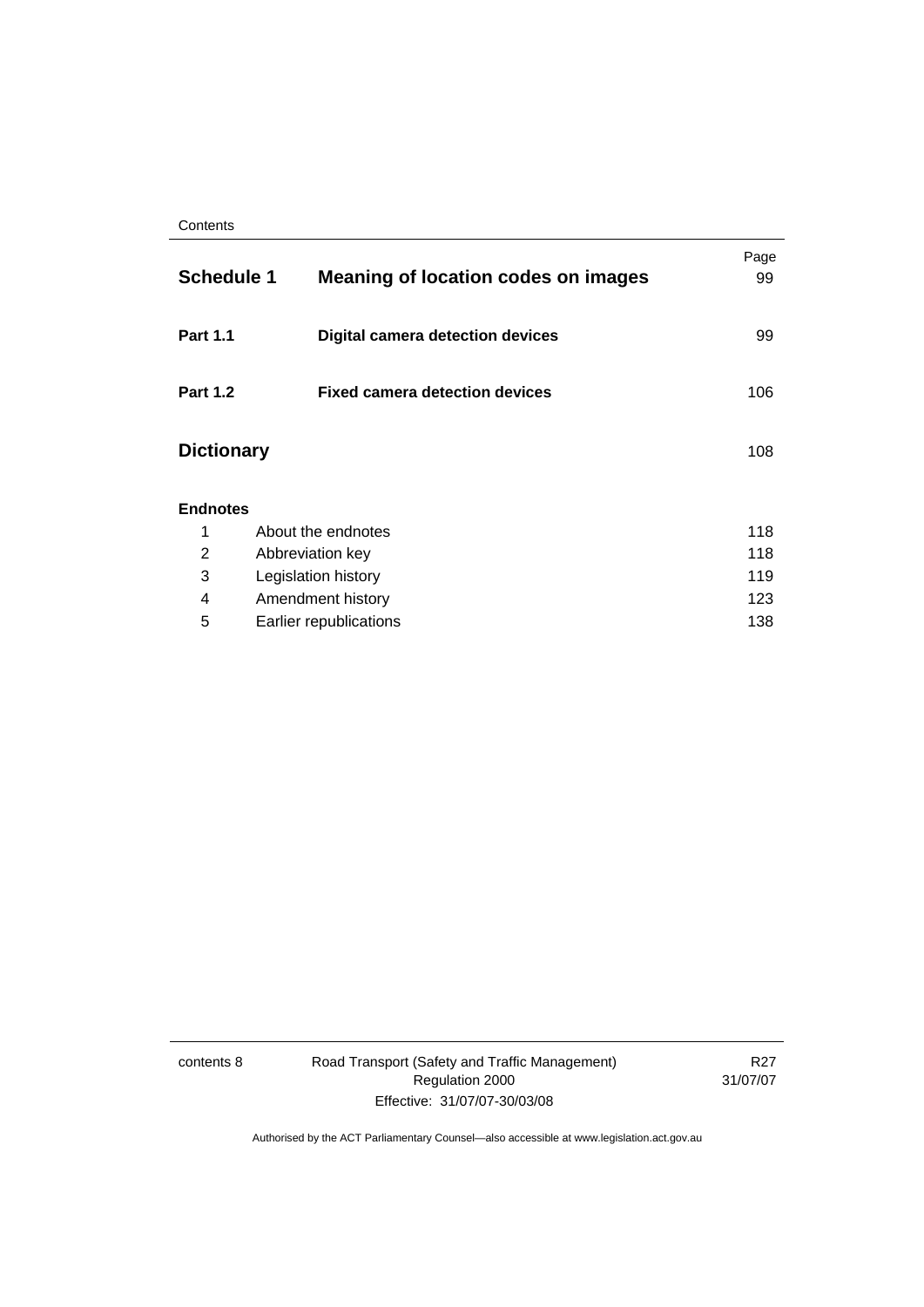| <b>Schedule 1</b> | <b>Meaning of location codes on images</b> | Page<br>99 |
|-------------------|--------------------------------------------|------------|
| <b>Part 1.1</b>   | <b>Digital camera detection devices</b>    | 99         |
| <b>Part 1.2</b>   | <b>Fixed camera detection devices</b>      | 106        |
| <b>Dictionary</b> |                                            | 108        |
| <b>Endnotes</b>   |                                            |            |
| 1                 | About the endnotes                         | 118        |
| 2                 | Abbreviation key                           | 118        |
| 3                 | Legislation history                        | 119        |
| 4                 | Amendment history                          | 123        |
| 5                 | Earlier republications                     | 138        |

contents 8 Road Transport (Safety and Traffic Management) Regulation 2000 Effective: 31/07/07-30/03/08

R27 31/07/07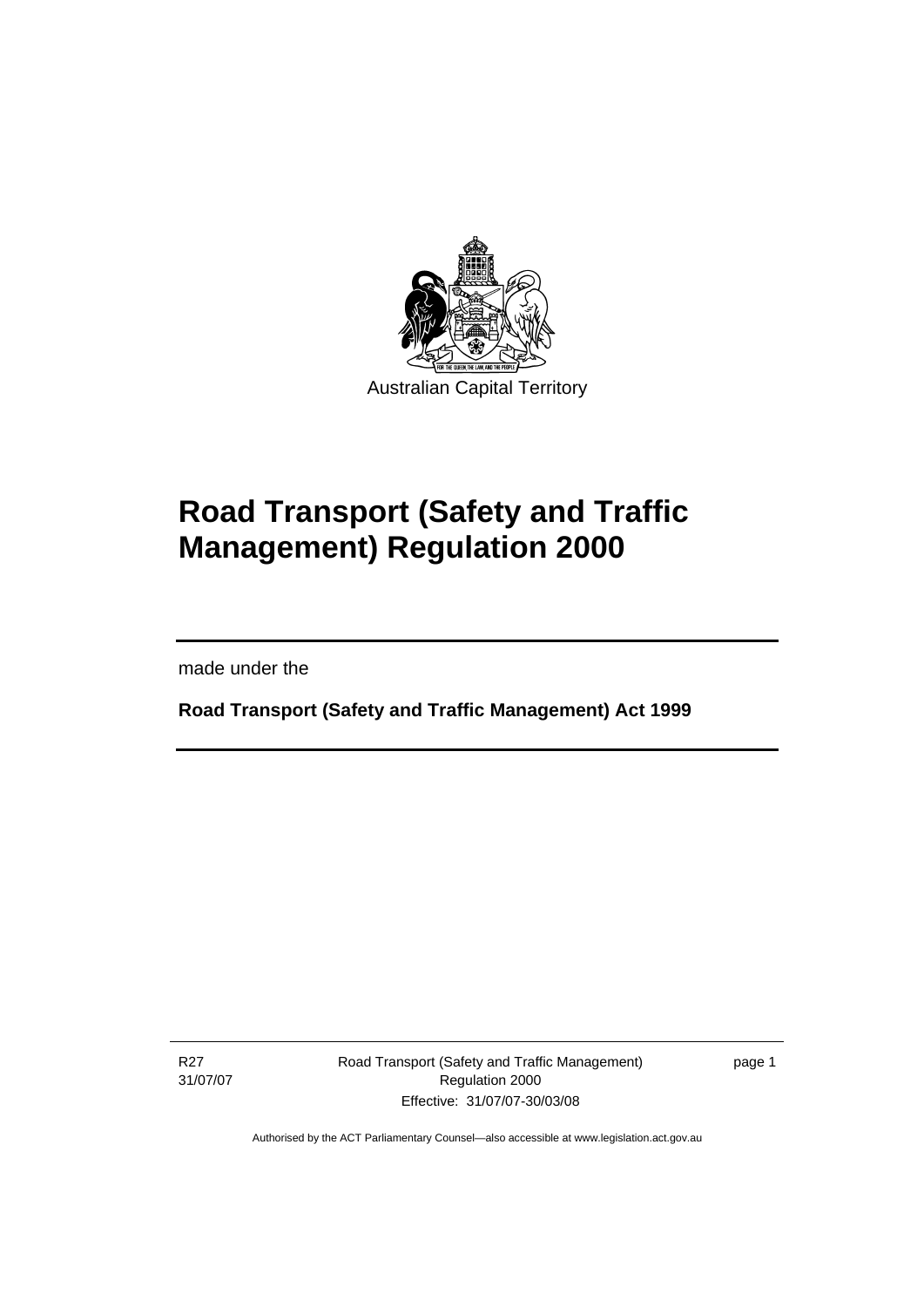<span id="page-10-0"></span>

# **Road Transport (Safety and Traffic Management) Regulation 2000**

made under the

I

**Road Transport (Safety and Traffic Management) Act 1999** 

R27 31/07/07 Road Transport (Safety and Traffic Management) Regulation 2000 Effective: 31/07/07-30/03/08

page 1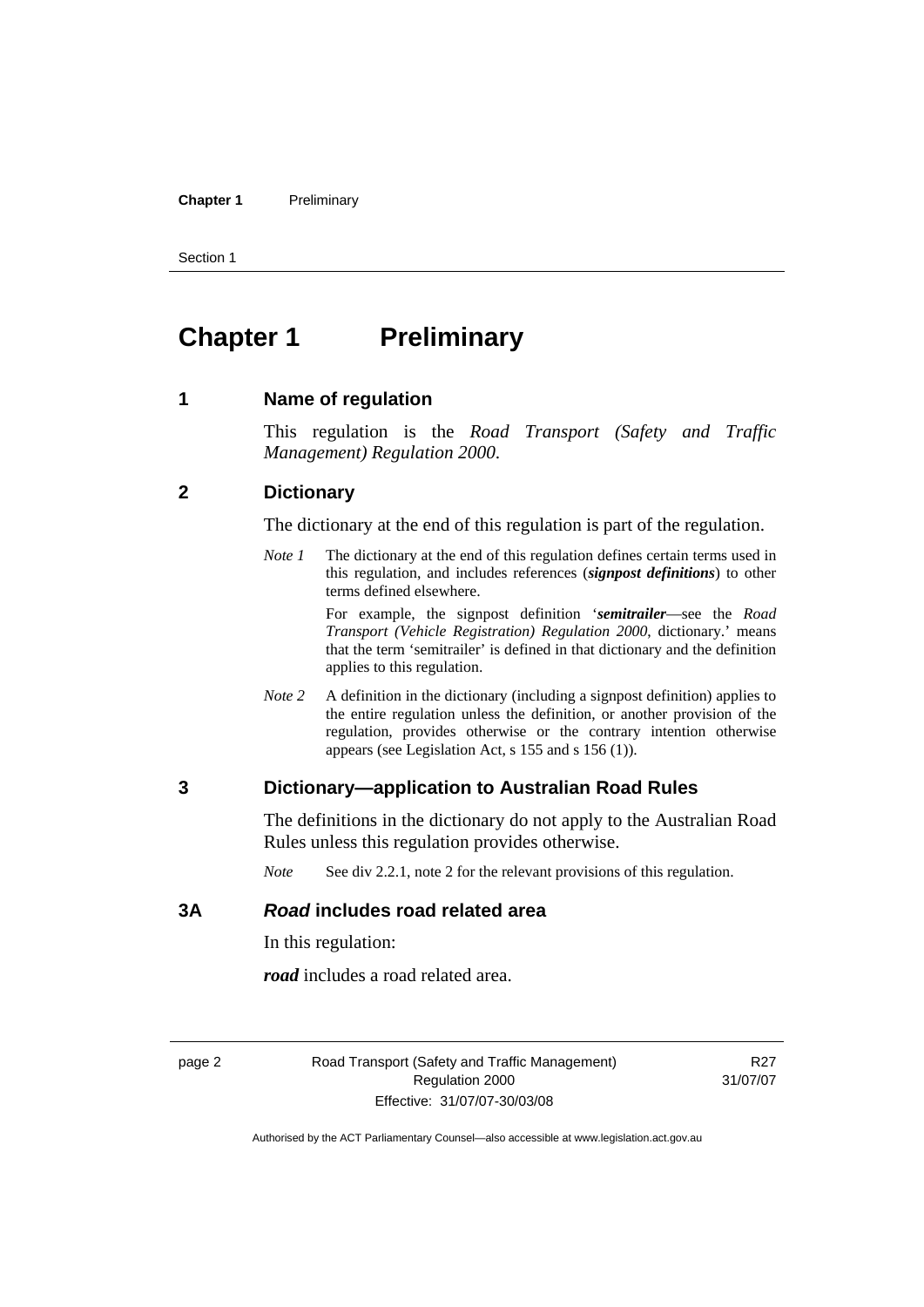#### <span id="page-11-0"></span>**Chapter 1** Preliminary

Section 1

# **Chapter 1** Preliminary

**1 Name of regulation** 

This regulation is the *Road Transport (Safety and Traffic Management) Regulation 2000*.

#### **2 Dictionary**

The dictionary at the end of this regulation is part of the regulation.

*Note 1* The dictionary at the end of this regulation defines certain terms used in this regulation, and includes references (*signpost definitions*) to other terms defined elsewhere.

> For example, the signpost definition '*semitrailer*—see the *Road Transport (Vehicle Registration) Regulation 2000*, dictionary.' means that the term 'semitrailer' is defined in that dictionary and the definition applies to this regulation.

*Note 2* A definition in the dictionary (including a signpost definition) applies to the entire regulation unless the definition, or another provision of the regulation, provides otherwise or the contrary intention otherwise appears (see Legislation Act, s 155 and s 156 (1)).

#### **3 Dictionary—application to Australian Road Rules**

The definitions in the dictionary do not apply to the Australian Road Rules unless this regulation provides otherwise.

*Note* See div 2.2.1, note 2 for the relevant provisions of this regulation.

#### **3A** *Road* **includes road related area**

In this regulation:

*road* includes a road related area.

page 2 Road Transport (Safety and Traffic Management) Regulation 2000 Effective: 31/07/07-30/03/08

R<sub>27</sub> 31/07/07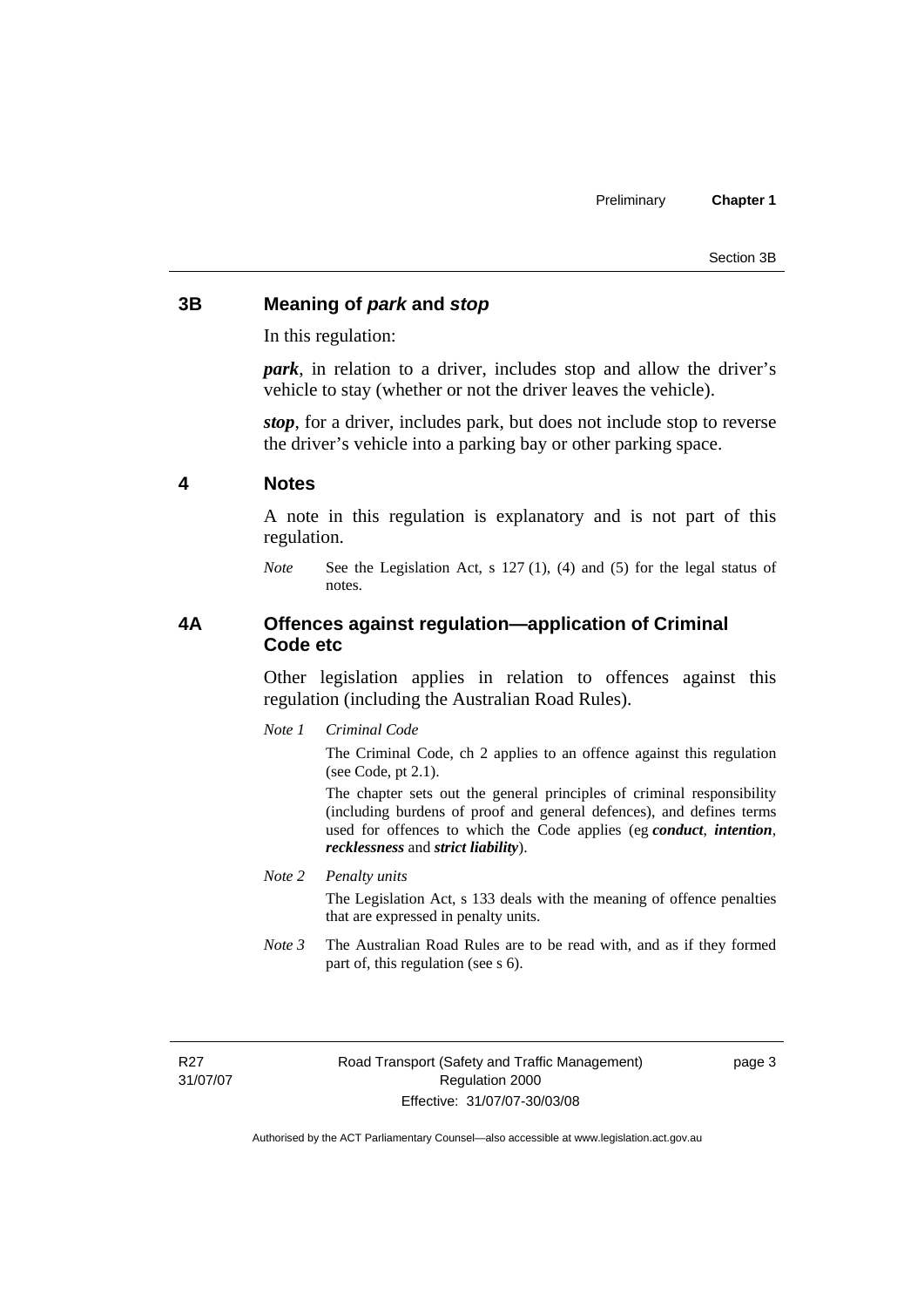### <span id="page-12-0"></span>**3B Meaning of** *park* **and** *stop*

In this regulation:

*park*, in relation to a driver, includes stop and allow the driver's vehicle to stay (whether or not the driver leaves the vehicle).

*stop*, for a driver, includes park, but does not include stop to reverse the driver's vehicle into a parking bay or other parking space.

#### **4 Notes**

A note in this regulation is explanatory and is not part of this regulation.

*Note* See the Legislation Act, s 127 (1), (4) and (5) for the legal status of notes.

### **4A Offences against regulation—application of Criminal Code etc**

Other legislation applies in relation to offences against this regulation (including the Australian Road Rules).

*Note 1 Criminal Code*

The Criminal Code, ch 2 applies to an offence against this regulation (see Code, pt 2.1).

The chapter sets out the general principles of criminal responsibility (including burdens of proof and general defences), and defines terms used for offences to which the Code applies (eg *conduct*, *intention*, *recklessness* and *strict liability*).

#### *Note 2 Penalty units*

The Legislation Act, s 133 deals with the meaning of offence penalties that are expressed in penalty units.

*Note 3* The Australian Road Rules are to be read with, and as if they formed part of, this regulation (see s 6).

R27 31/07/07 Road Transport (Safety and Traffic Management) Regulation 2000 Effective: 31/07/07-30/03/08

page 3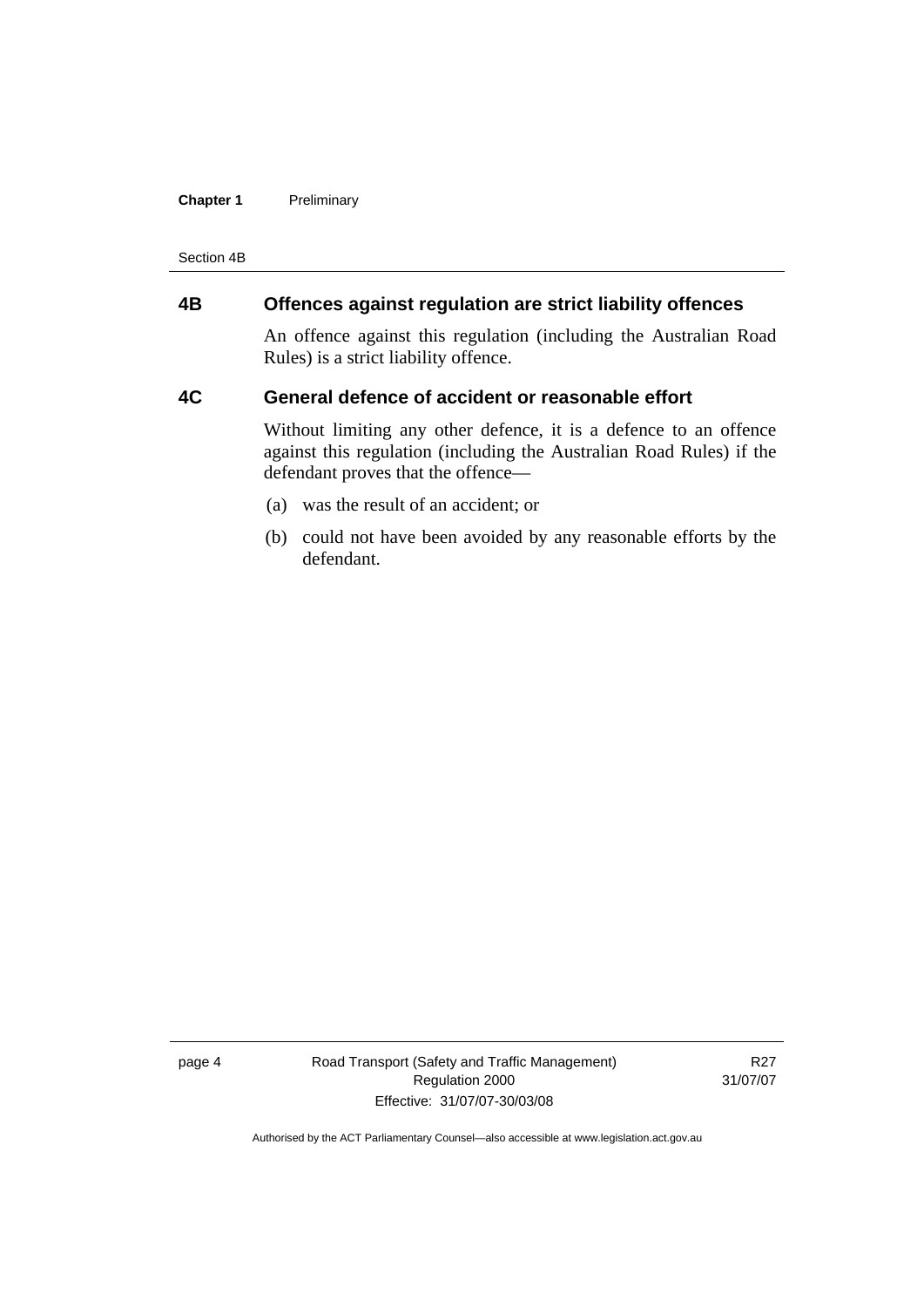#### <span id="page-13-0"></span>**Chapter 1** Preliminary

Section 4B

# **4B Offences against regulation are strict liability offences**

An offence against this regulation (including the Australian Road Rules) is a strict liability offence.

#### **4C General defence of accident or reasonable effort**

Without limiting any other defence, it is a defence to an offence against this regulation (including the Australian Road Rules) if the defendant proves that the offence—

- (a) was the result of an accident; or
- (b) could not have been avoided by any reasonable efforts by the defendant.

page 4 Road Transport (Safety and Traffic Management) Regulation 2000 Effective: 31/07/07-30/03/08

R27 31/07/07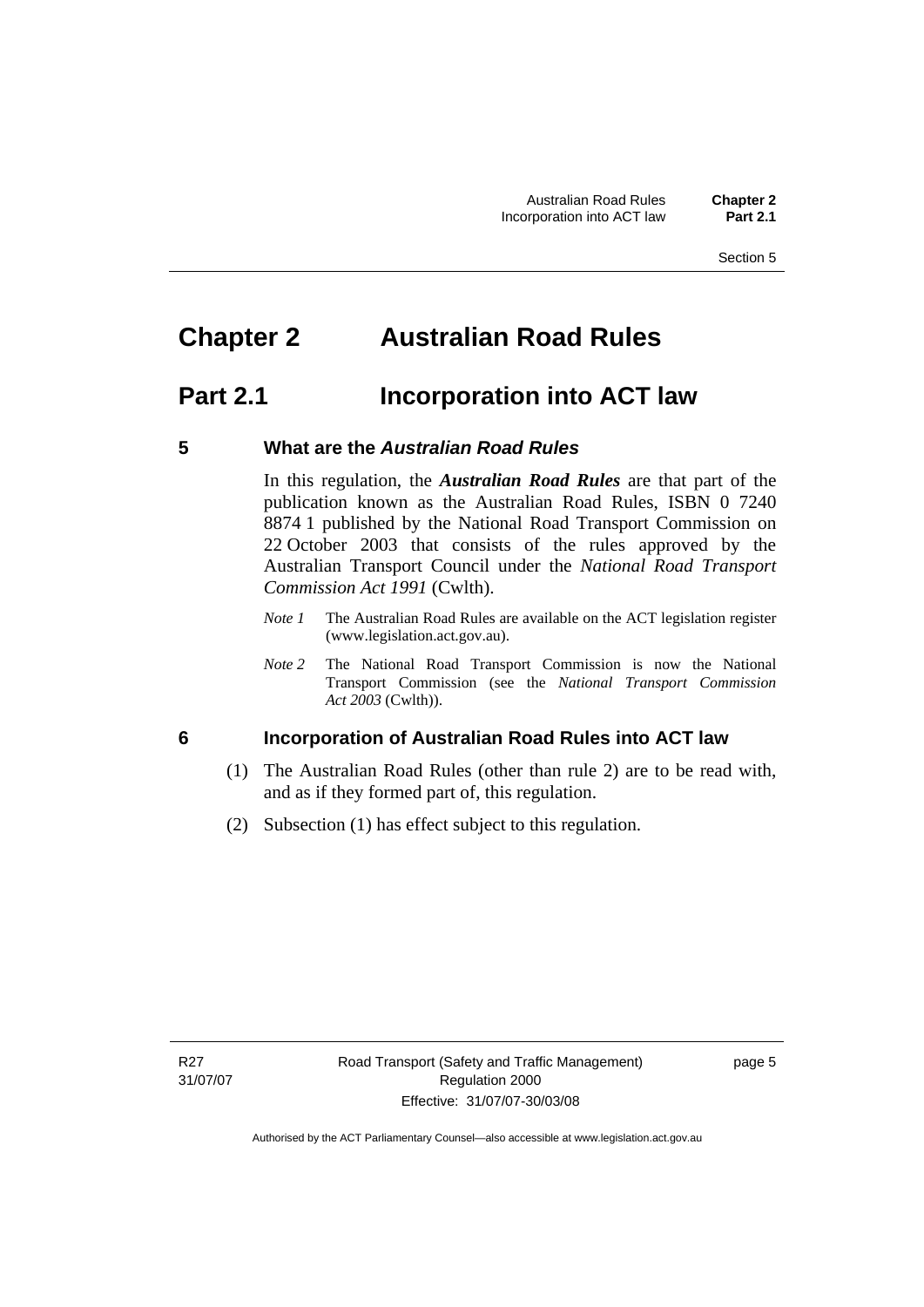# <span id="page-14-0"></span>**Chapter 2 Australian Road Rules**

# **Part 2.1 Incorporation into ACT law**

# **5 What are the** *Australian Road Rules*

In this regulation, the *Australian Road Rules* are that part of the publication known as the Australian Road Rules, ISBN 0 7240 8874 1 published by the National Road Transport Commission on 22 October 2003 that consists of the rules approved by the Australian Transport Council under the *National Road Transport Commission Act 1991* (Cwlth).

- *Note 1* The Australian Road Rules are available on the ACT legislation register (www.legislation.act.gov.au).
- *Note 2* The National Road Transport Commission is now the National Transport Commission (see the *National Transport Commission Act 2003* (Cwlth)).

# **6 Incorporation of Australian Road Rules into ACT law**

- (1) The Australian Road Rules (other than rule 2) are to be read with, and as if they formed part of, this regulation.
- (2) Subsection (1) has effect subject to this regulation.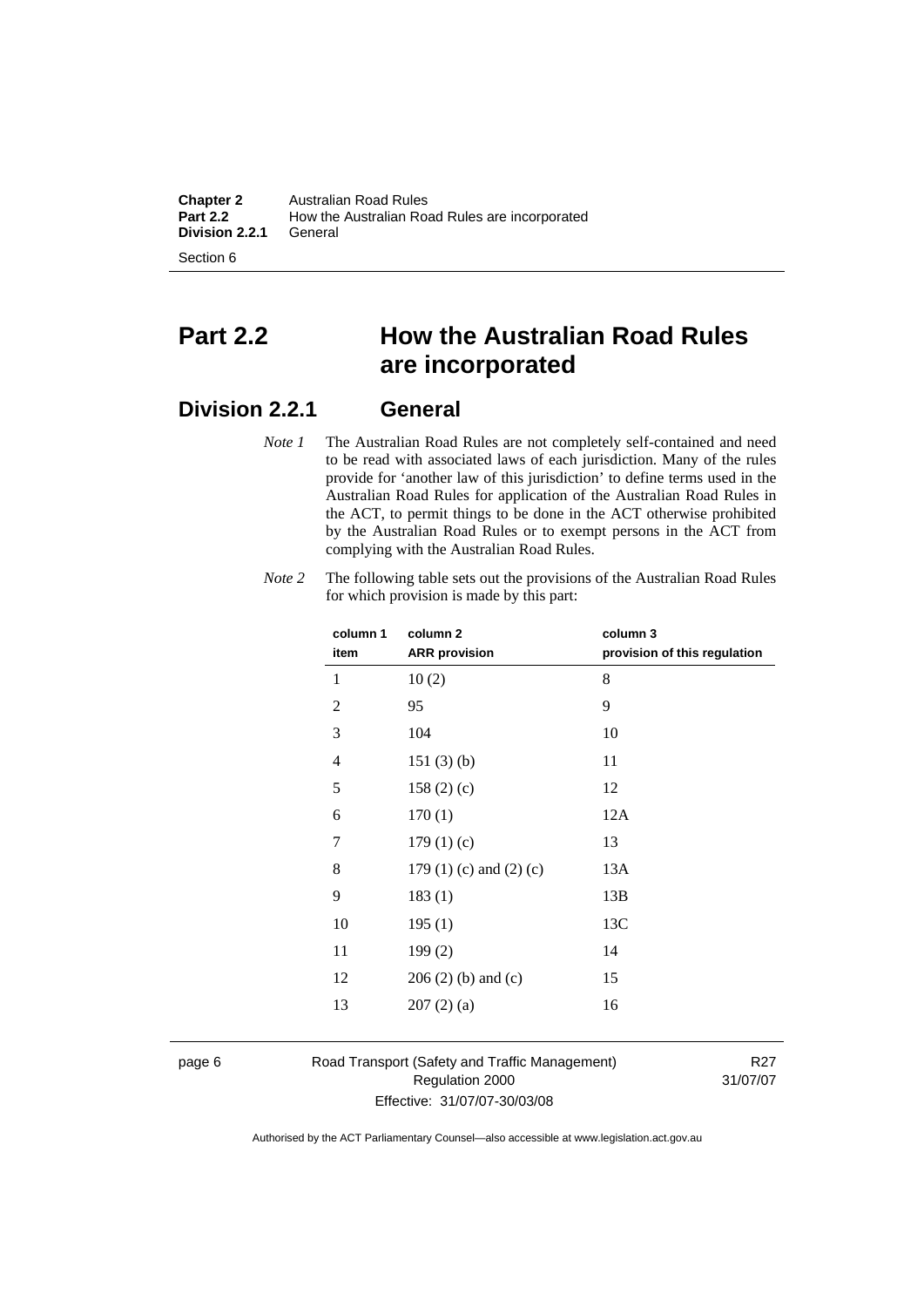**Chapter 2** Australian Road Rules<br>**Part 2.2** How the Australian Road How the Australian Road Rules are incorporated<br>General **Division 2.2.1** 

Section 6

# **Part 2.2 How the Australian Road Rules are incorporated**

# **Division 2.2.1 General**

*Note 1* The Australian Road Rules are not completely self-contained and need to be read with associated laws of each jurisdiction. Many of the rules provide for 'another law of this jurisdiction' to define terms used in the Australian Road Rules for application of the Australian Road Rules in the ACT, to permit things to be done in the ACT otherwise prohibited by the Australian Road Rules or to exempt persons in the ACT from complying with the Australian Road Rules.

| column 1       | column <sub>2</sub>             | column 3                     |
|----------------|---------------------------------|------------------------------|
| item           | <b>ARR</b> provision            | provision of this regulation |
| 1              | 10(2)                           | 8                            |
| $\overline{c}$ | 95                              | 9                            |
| 3              | 104                             | 10                           |
| $\overline{4}$ | 151(3)(b)                       | 11                           |
| 5              | 158(2)(c)                       | 12                           |
| 6              | 170(1)                          | 12A                          |
| 7              | 179(1)(c)                       | 13                           |
| 8              | 179 $(1)$ $(c)$ and $(2)$ $(c)$ | 13A                          |
| 9              | 183(1)                          | 13B                          |
| 10             | 195(1)                          | 13C                          |
| 11             | 199(2)                          | 14                           |
| 12             | $206(2)$ (b) and (c)            | 15                           |
| 13             | 207(2)(a)                       | 16                           |
|                |                                 |                              |

*Note 2* The following table sets out the provisions of the Australian Road Rules for which provision is made by this part:

page 6 Road Transport (Safety and Traffic Management) Regulation 2000 Effective: 31/07/07-30/03/08

R27 31/07/07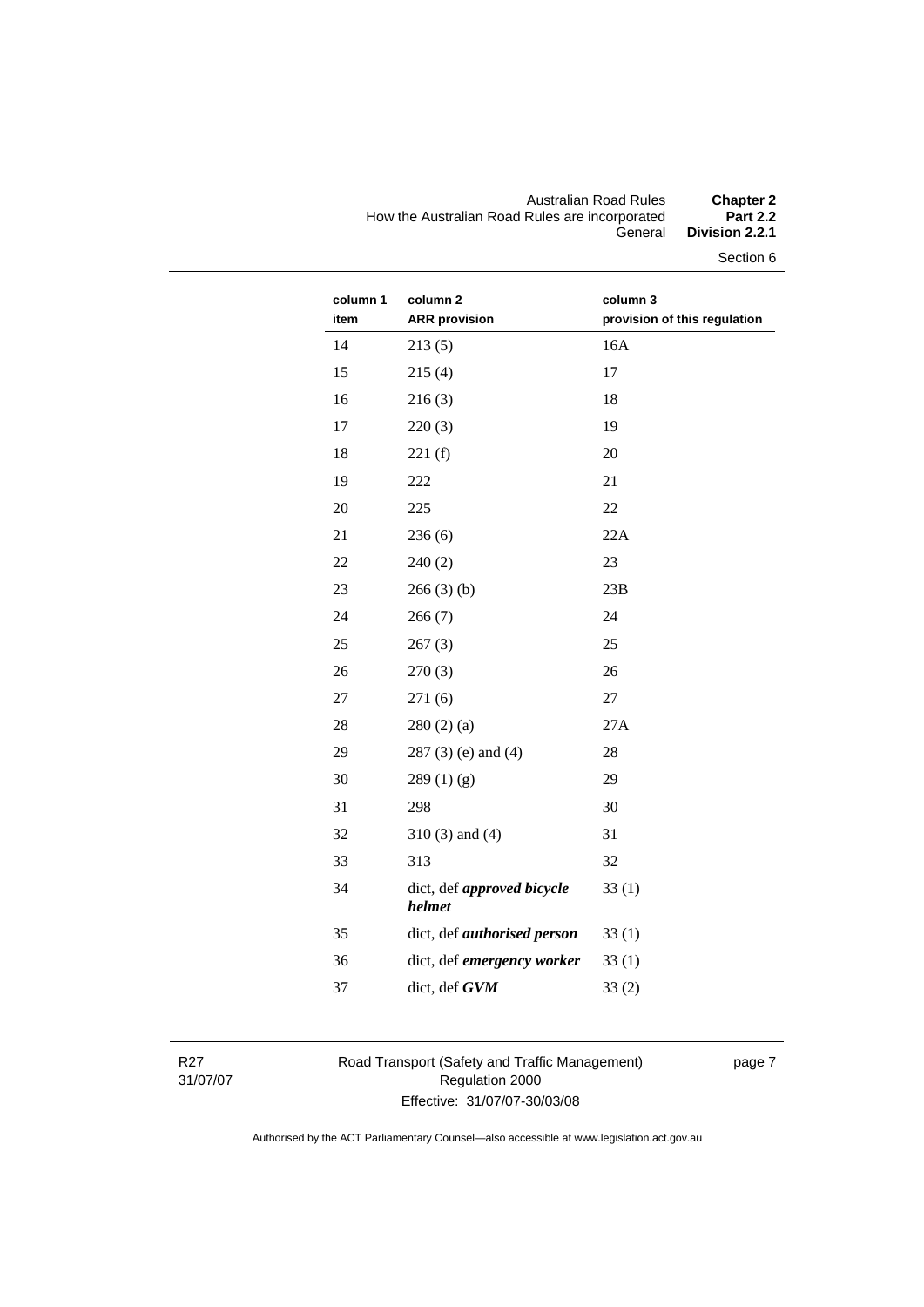#### Australian Road Rules **Chapter 2**  How the Australian Road Rules are incorporated **Part 2.2**  General **Division 2.2.1**

Section 6

| column 1<br>item | column 2<br><b>ARR</b> provision     | column 3<br>provision of this regulation |
|------------------|--------------------------------------|------------------------------------------|
| 14               | 213(5)                               | 16A                                      |
| 15               | 215(4)                               | 17                                       |
| 16               | 216(3)                               | 18                                       |
| 17               | 220(3)                               | 19                                       |
| 18               | 221(f)                               | 20                                       |
| 19               | 222                                  | 21                                       |
| 20               | 225                                  | 22                                       |
| 21               | 236(6)                               | 22A                                      |
| 22               | 240(2)                               | 23                                       |
| 23               | 266(3)(b)                            | 23B                                      |
| 24               | 266(7)                               | 24                                       |
| 25               | 267(3)                               | 25                                       |
| 26               | 270(3)                               | 26                                       |
| 27               | 271(6)                               | 27                                       |
| 28               | 280(2)(a)                            | 27A                                      |
| 29               | $287(3)$ (e) and (4)                 | 28                                       |
| 30               | 289(1)(g)                            | 29                                       |
| 31               | 298                                  | 30                                       |
| 32               | $310(3)$ and $(4)$                   | 31                                       |
| 33               | 313                                  | 32                                       |
| 34               | dict, def approved bicycle<br>helmet | 33(1)                                    |
| 35               | dict, def <i>authorised</i> person   | 33(1)                                    |
| 36               | dict, def emergency worker           | 33(1)                                    |
| 37               | dict, def GVM                        | 33(2)                                    |
|                  |                                      |                                          |

R27 31/07/07 Road Transport (Safety and Traffic Management) Regulation 2000 Effective: 31/07/07-30/03/08

page 7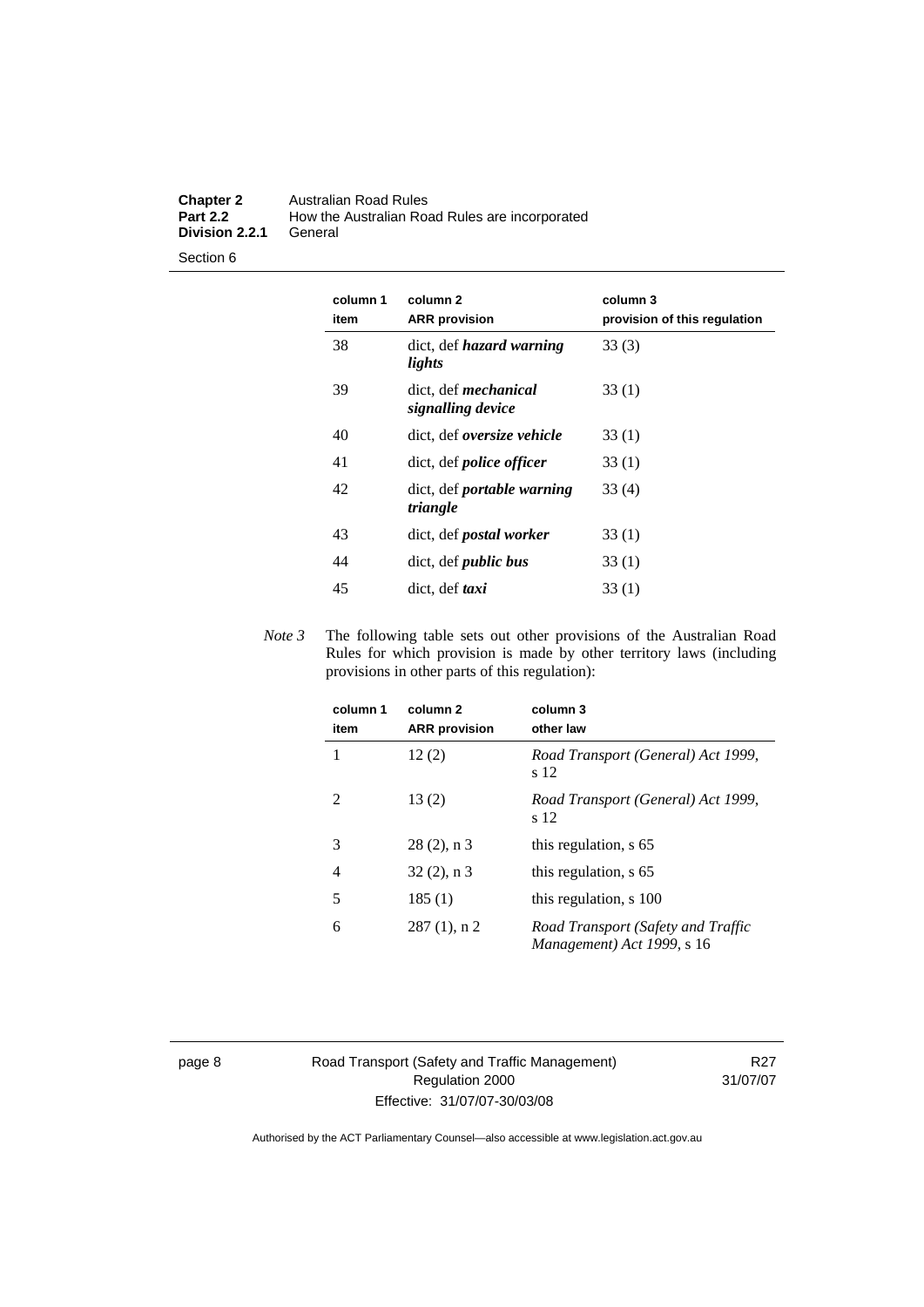#### **Chapter 2** Australian Road Rules<br>**Part 2.2** How the Australian Road **Part 2.2** How the Australian Road Rules are incorporated **Division 2.2.1**

Section 6

| column 1<br>item | column <sub>2</sub><br><b>ARR</b> provision      | column 3<br>provision of this regulation |
|------------------|--------------------------------------------------|------------------------------------------|
| 38               | dict, def <i>hazard</i> warning<br>lights        | 33(3)                                    |
| 39               | dict, def <i>mechanical</i><br>signalling device | 33(1)                                    |
| 40               | dict, def oversize vehicle                       | 33(1)                                    |
| 41               | dict, def <i>police</i> officer                  | 33(1)                                    |
| 42               | dict, def <i>portable</i> warning<br>triangle    | 33(4)                                    |
| 43               | dict, def <i>postal</i> worker                   | 33(1)                                    |
| 44               | dict, def <i>public</i> bus                      | 33(1)                                    |
| 45               | dict, def taxi                                   | 33(1)                                    |

*Note 3* The following table sets out other provisions of the Australian Road Rules for which provision is made by other territory laws (including provisions in other parts of this regulation):

| column 1<br>item | column 2<br><b>ARR</b> provision | column 3<br>other law                                            |
|------------------|----------------------------------|------------------------------------------------------------------|
| 1                | 12(2)                            | Road Transport (General) Act 1999,<br>s 12                       |
| $\mathfrak{D}$   | 13(2)                            | Road Transport (General) Act 1999,<br>s 12                       |
| 3                | $28(2)$ , n 3                    | this regulation, s 65                                            |
| 4                | $32(2)$ , n 3                    | this regulation, s 65                                            |
| 5                | 185(1)                           | this regulation, s 100                                           |
| 6                | $287(1)$ , n 2                   | Road Transport (Safety and Traffic<br>Management) Act 1999, s 16 |

page 8 Road Transport (Safety and Traffic Management) Regulation 2000 Effective: 31/07/07-30/03/08

R27 31/07/07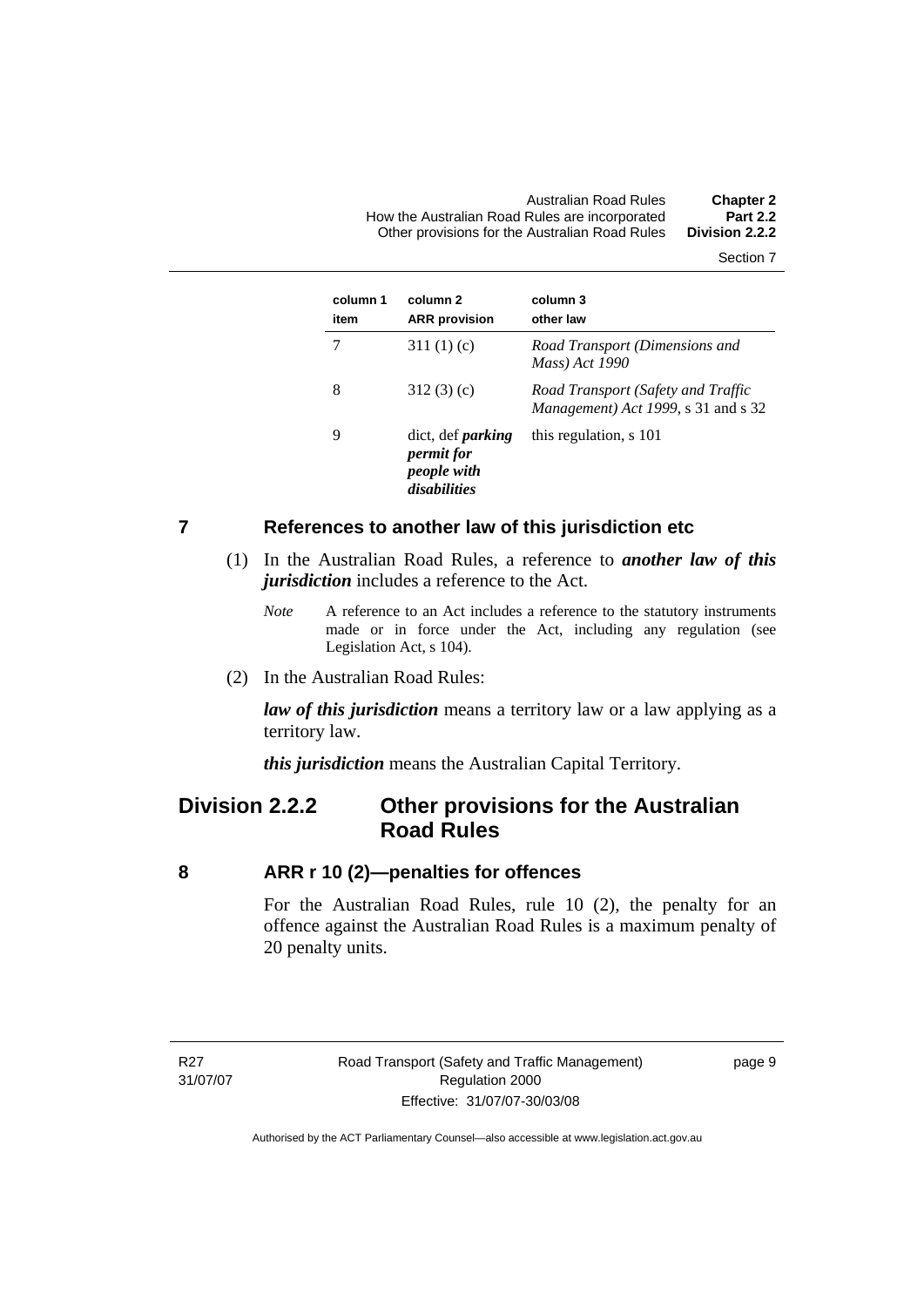<span id="page-18-0"></span>Australian Road Rules **Chapter 2**  How the Australian Road Rules are incorporated **Part 2.2**  Other provisions for the Australian Road Rules **Division 2.2.2** 

Section 7

| column 1<br>item | column 2<br><b>ARR</b> provision                                             | column 3<br>other law                                                     |
|------------------|------------------------------------------------------------------------------|---------------------------------------------------------------------------|
|                  | 311 $(1)(c)$                                                                 | Road Transport (Dimensions and<br>Mass) Act 1990                          |
| 8                | 312(3)(c)                                                                    | Road Transport (Safety and Traffic<br>Management) Act 1999, s 31 and s 32 |
| 9                | dict, def <i>parking</i><br><i>permit for</i><br>people with<br>disabilities | this regulation, s 101                                                    |

#### **7 References to another law of this jurisdiction etc**

- (1) In the Australian Road Rules, a reference to *another law of this jurisdiction* includes a reference to the Act.
	- *Note* A reference to an Act includes a reference to the statutory instruments made or in force under the Act, including any regulation (see Legislation Act, s 104).
- (2) In the Australian Road Rules:

*law of this jurisdiction* means a territory law or a law applying as a territory law.

*this jurisdiction* means the Australian Capital Territory.

# **Division 2.2.2 Other provisions for the Australian Road Rules**

#### **8 ARR r 10 (2)—penalties for offences**

For the Australian Road Rules, rule 10 (2), the penalty for an offence against the Australian Road Rules is a maximum penalty of 20 penalty units.

R<sub>27</sub> 31/07/07 page 9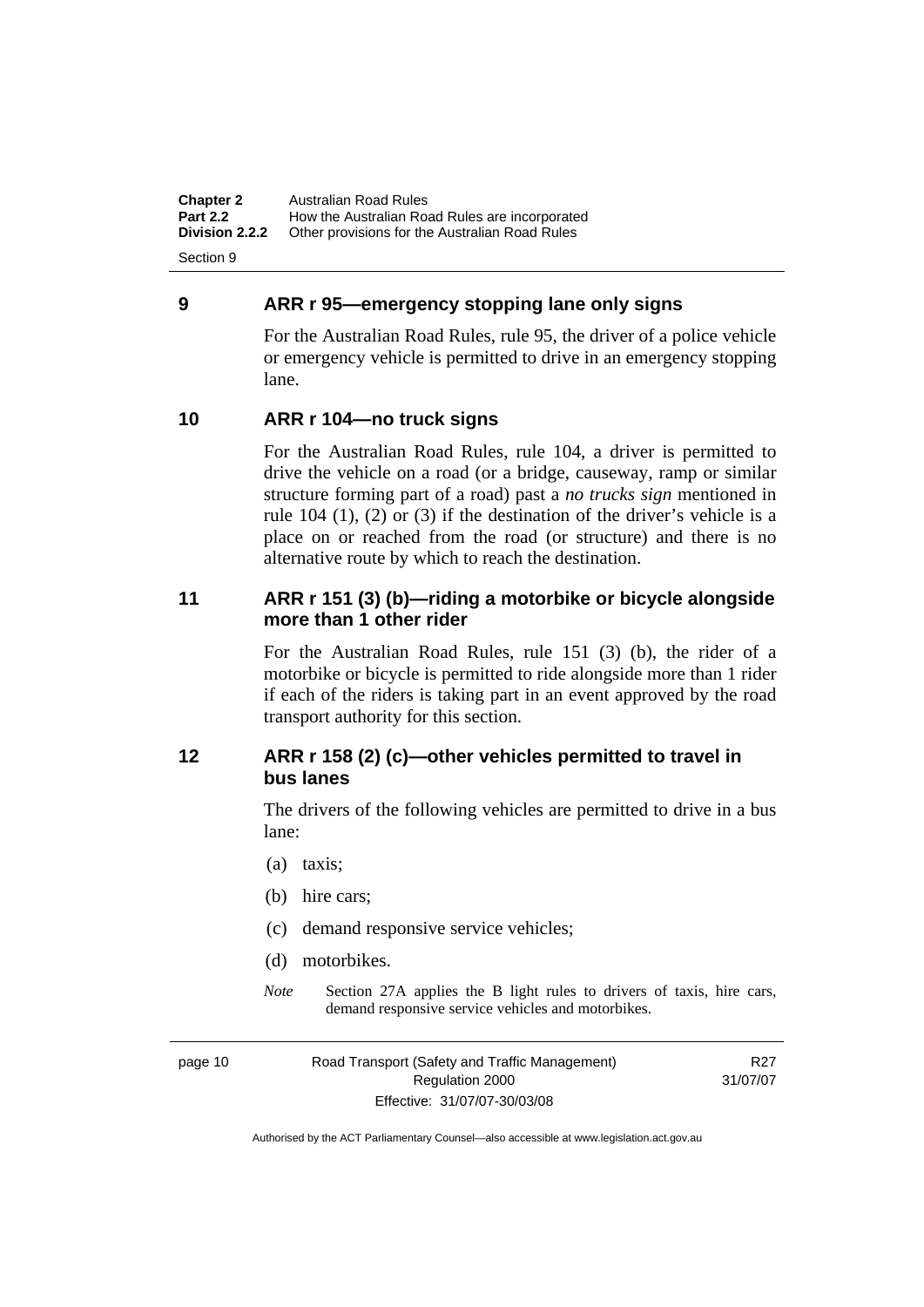<span id="page-19-0"></span>**Chapter 2** Australian Road Rules<br>**Part 2.2** How the Australian Road **Part 2.2 How the Australian Road Rules are incorporated Division 2.2.2** Other provisions for the Australian Road Rules **Other provisions for the Australian Road Rules** 

Section 9

### **9 ARR r 95—emergency stopping lane only signs**

For the Australian Road Rules, rule 95, the driver of a police vehicle or emergency vehicle is permitted to drive in an emergency stopping lane.

# **10 ARR r 104—no truck signs**

For the Australian Road Rules, rule 104, a driver is permitted to drive the vehicle on a road (or a bridge, causeway, ramp or similar structure forming part of a road) past a *no trucks sign* mentioned in rule 104 (1), (2) or (3) if the destination of the driver's vehicle is a place on or reached from the road (or structure) and there is no alternative route by which to reach the destination.

# **11 ARR r 151 (3) (b)—riding a motorbike or bicycle alongside more than 1 other rider**

For the Australian Road Rules, rule 151 (3) (b), the rider of a motorbike or bicycle is permitted to ride alongside more than 1 rider if each of the riders is taking part in an event approved by the road transport authority for this section.

# **12 ARR r 158 (2) (c)—other vehicles permitted to travel in bus lanes**

The drivers of the following vehicles are permitted to drive in a bus lane:

- (a) taxis;
- (b) hire cars;
- (c) demand responsive service vehicles;
- (d) motorbikes.
- *Note* Section 27A applies the B light rules to drivers of taxis, hire cars, demand responsive service vehicles and motorbikes.

page 10 Road Transport (Safety and Traffic Management) Regulation 2000 Effective: 31/07/07-30/03/08

R27 31/07/07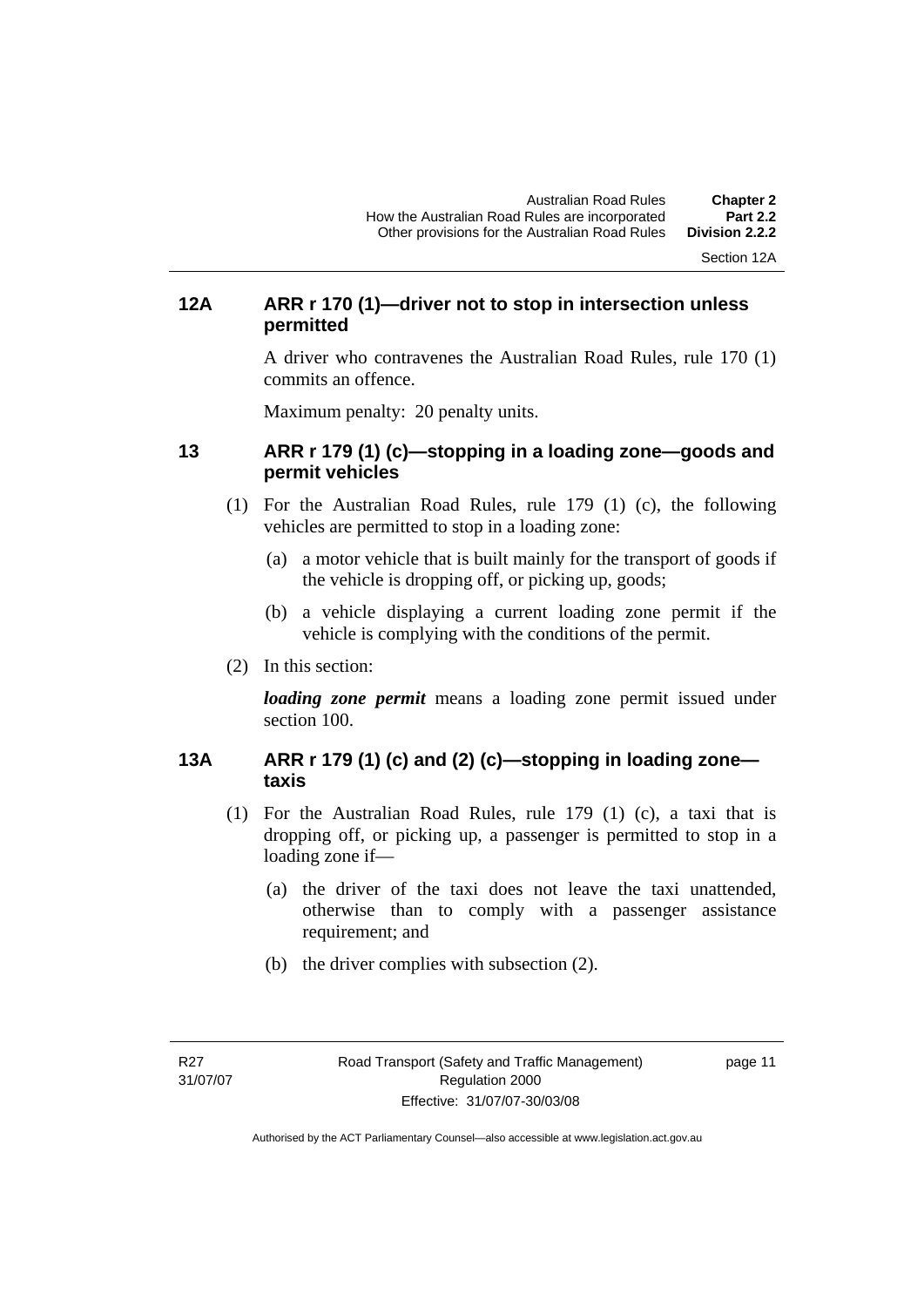Section 12A

# <span id="page-20-0"></span>**12A ARR r 170 (1)—driver not to stop in intersection unless permitted**

A driver who contravenes the Australian Road Rules, rule 170 (1) commits an offence.

Maximum penalty: 20 penalty units.

# **13 ARR r 179 (1) (c)—stopping in a loading zone—goods and permit vehicles**

- (1) For the Australian Road Rules, rule 179 (1) (c), the following vehicles are permitted to stop in a loading zone:
	- (a) a motor vehicle that is built mainly for the transport of goods if the vehicle is dropping off, or picking up, goods;
	- (b) a vehicle displaying a current loading zone permit if the vehicle is complying with the conditions of the permit.
- (2) In this section:

*loading zone permit* means a loading zone permit issued under section 100.

# **13A ARR r 179 (1) (c) and (2) (c)—stopping in loading zone taxis**

- (1) For the Australian Road Rules, rule 179 (1) (c), a taxi that is dropping off, or picking up, a passenger is permitted to stop in a loading zone if—
	- (a) the driver of the taxi does not leave the taxi unattended, otherwise than to comply with a passenger assistance requirement; and
	- (b) the driver complies with subsection (2).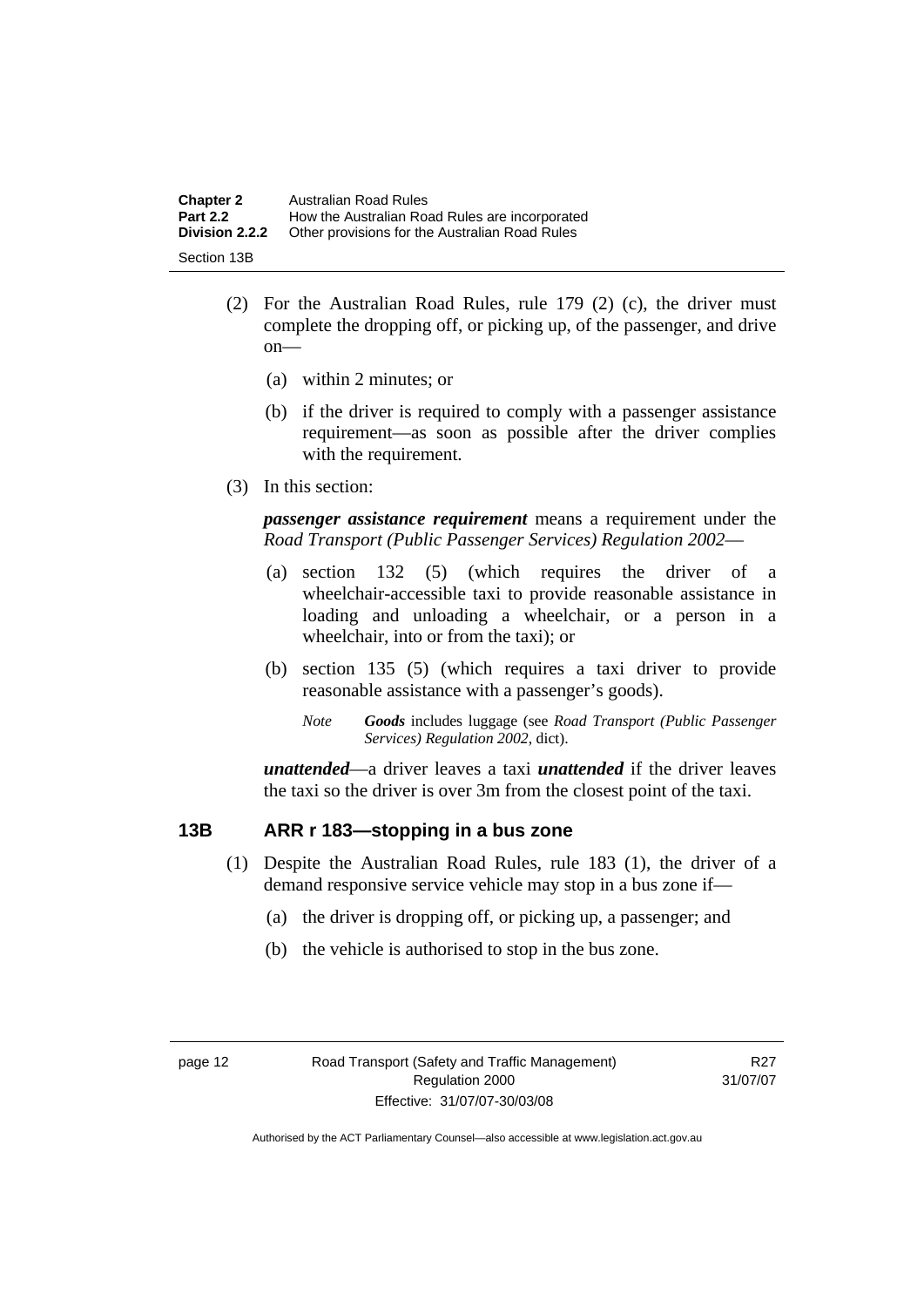<span id="page-21-0"></span>

| <b>Chapter 2</b> | <b>Australian Road Rules</b>                   |
|------------------|------------------------------------------------|
| <b>Part 2.2</b>  | How the Australian Road Rules are incorporated |
| Division 2.2.2   | Other provisions for the Australian Road Rules |
| Section 13B      |                                                |

- (2) For the Australian Road Rules, rule 179 (2) (c), the driver must complete the dropping off, or picking up, of the passenger, and drive on—
	- (a) within 2 minutes; or
	- (b) if the driver is required to comply with a passenger assistance requirement—as soon as possible after the driver complies with the requirement.
- (3) In this section:

*passenger assistance requirement* means a requirement under the *Road Transport (Public Passenger Services) Regulation 2002*—

- (a) section 132 (5) (which requires the driver of a wheelchair-accessible taxi to provide reasonable assistance in loading and unloading a wheelchair, or a person in a wheelchair, into or from the taxi); or
- (b) section 135 (5) (which requires a taxi driver to provide reasonable assistance with a passenger's goods).
	- *Note Goods* includes luggage (see *Road Transport (Public Passenger Services) Regulation 2002*, dict).

*unattended*—a driver leaves a taxi *unattended* if the driver leaves the taxi so the driver is over 3m from the closest point of the taxi.

#### **13B ARR r 183—stopping in a bus zone**

- (1) Despite the Australian Road Rules, rule 183 (1), the driver of a demand responsive service vehicle may stop in a bus zone if—
	- (a) the driver is dropping off, or picking up, a passenger; and
	- (b) the vehicle is authorised to stop in the bus zone.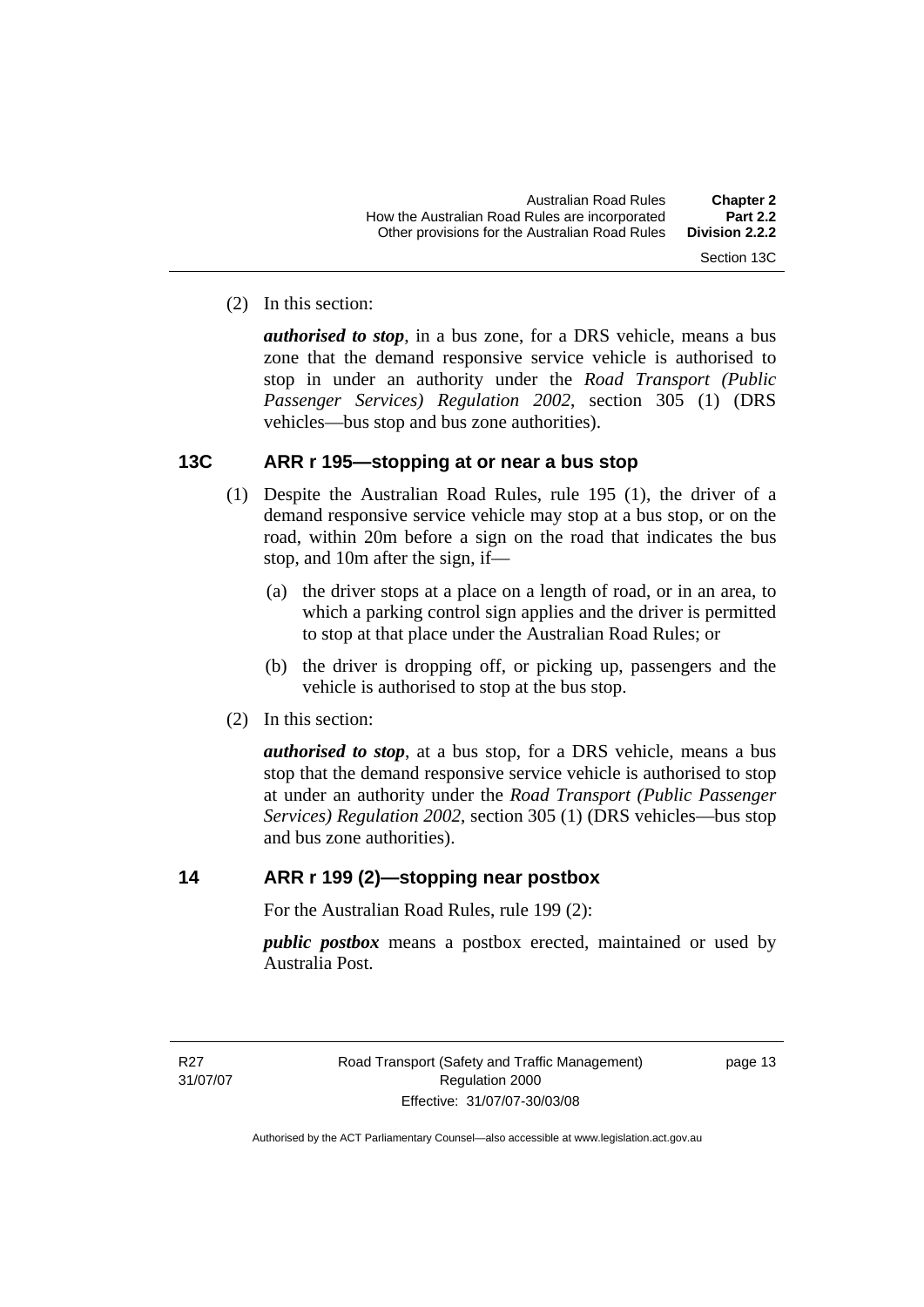<span id="page-22-0"></span>(2) In this section:

*authorised to stop*, in a bus zone, for a DRS vehicle, means a bus zone that the demand responsive service vehicle is authorised to stop in under an authority under the *Road Transport (Public Passenger Services) Regulation 2002*, section 305 (1) (DRS vehicles—bus stop and bus zone authorities).

### **13C ARR r 195—stopping at or near a bus stop**

- (1) Despite the Australian Road Rules, rule 195 (1), the driver of a demand responsive service vehicle may stop at a bus stop, or on the road, within 20m before a sign on the road that indicates the bus stop, and 10m after the sign, if—
	- (a) the driver stops at a place on a length of road, or in an area, to which a parking control sign applies and the driver is permitted to stop at that place under the Australian Road Rules; or
	- (b) the driver is dropping off, or picking up, passengers and the vehicle is authorised to stop at the bus stop.
- (2) In this section:

*authorised to stop*, at a bus stop, for a DRS vehicle, means a bus stop that the demand responsive service vehicle is authorised to stop at under an authority under the *Road Transport (Public Passenger Services) Regulation 2002*, section 305 (1) (DRS vehicles—bus stop and bus zone authorities).

# **14 ARR r 199 (2)—stopping near postbox**

For the Australian Road Rules, rule 199 (2):

*public postbox* means a postbox erected, maintained or used by Australia Post.

page 13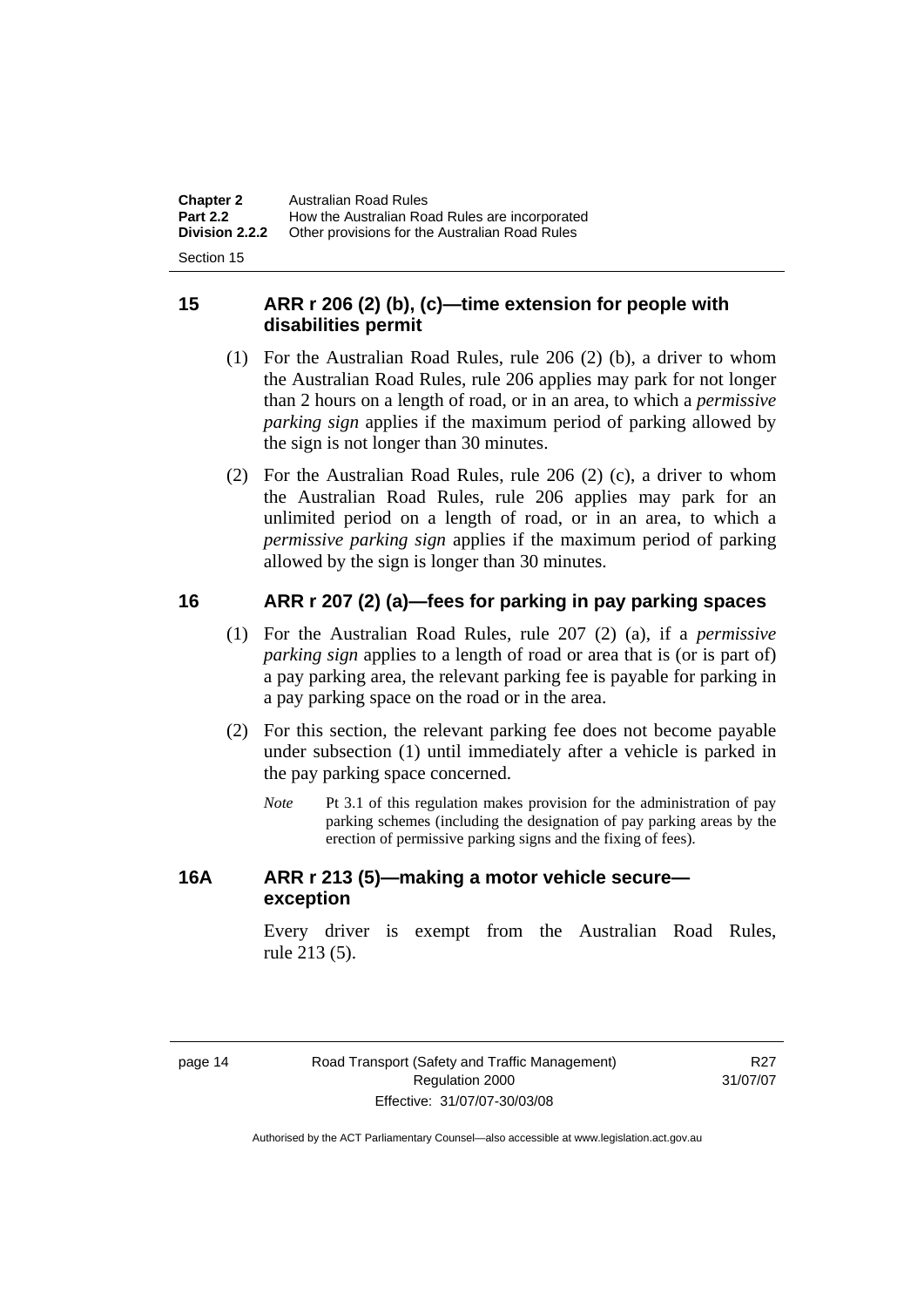<span id="page-23-0"></span>

| <b>Chapter 2</b> | <b>Australian Road Rules</b>                   |
|------------------|------------------------------------------------|
| <b>Part 2.2</b>  | How the Australian Road Rules are incorporated |
| Division 2.2.2   | Other provisions for the Australian Road Rules |
|                  |                                                |

Section 15

# **15 ARR r 206 (2) (b), (c)—time extension for people with disabilities permit**

- (1) For the Australian Road Rules, rule 206 (2) (b), a driver to whom the Australian Road Rules, rule 206 applies may park for not longer than 2 hours on a length of road, or in an area, to which a *permissive parking sign* applies if the maximum period of parking allowed by the sign is not longer than 30 minutes.
- (2) For the Australian Road Rules, rule 206 (2) (c), a driver to whom the Australian Road Rules, rule 206 applies may park for an unlimited period on a length of road, or in an area, to which a *permissive parking sign* applies if the maximum period of parking allowed by the sign is longer than 30 minutes.

# **16 ARR r 207 (2) (a)—fees for parking in pay parking spaces**

- (1) For the Australian Road Rules, rule 207 (2) (a), if a *permissive parking sign* applies to a length of road or area that is (or is part of) a pay parking area, the relevant parking fee is payable for parking in a pay parking space on the road or in the area.
- (2) For this section, the relevant parking fee does not become payable under subsection (1) until immediately after a vehicle is parked in the pay parking space concerned.
	- *Note* Pt 3.1 of this regulation makes provision for the administration of pay parking schemes (including the designation of pay parking areas by the erection of permissive parking signs and the fixing of fees).

# **16A ARR r 213 (5)—making a motor vehicle secure exception**

Every driver is exempt from the Australian Road Rules, rule 213 (5).

R<sub>27</sub> 31/07/07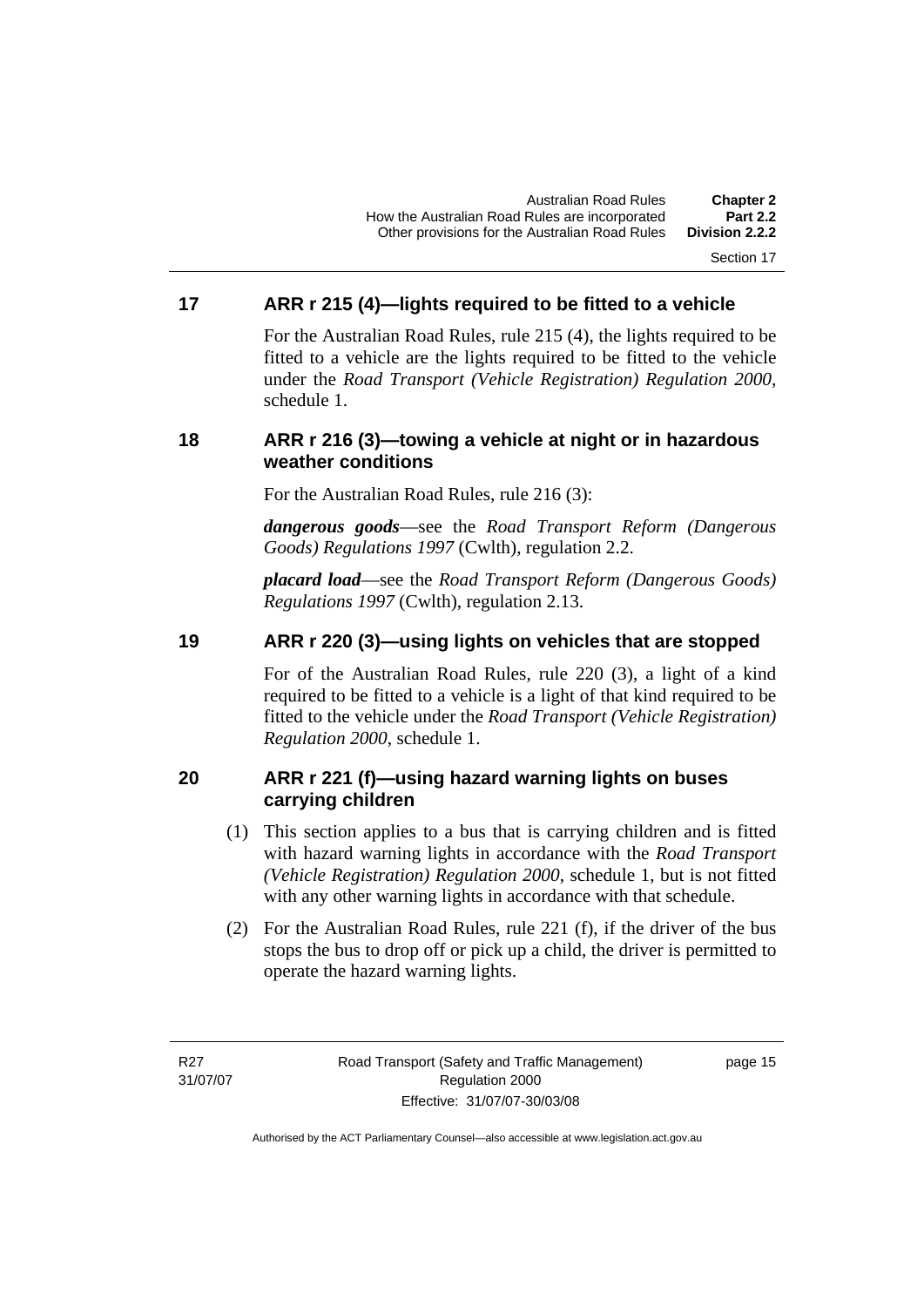#### Section 17

# <span id="page-24-0"></span>**17 ARR r 215 (4)—lights required to be fitted to a vehicle**

For the Australian Road Rules, rule 215 (4), the lights required to be fitted to a vehicle are the lights required to be fitted to the vehicle under the *Road Transport (Vehicle Registration) Regulation 2000,*  schedule 1.

### **18 ARR r 216 (3)—towing a vehicle at night or in hazardous weather conditions**

For the Australian Road Rules, rule 216 (3):

*dangerous goods*—see the *Road Transport Reform (Dangerous Goods) Regulations 1997* (Cwlth), regulation 2.2.

*placard load*—see the *Road Transport Reform (Dangerous Goods) Regulations 1997* (Cwlth), regulation 2.13.

# **19 ARR r 220 (3)—using lights on vehicles that are stopped**

For of the Australian Road Rules, rule 220 (3), a light of a kind required to be fitted to a vehicle is a light of that kind required to be fitted to the vehicle under the *Road Transport (Vehicle Registration) Regulation 2000*, schedule 1.

# **20 ARR r 221 (f)—using hazard warning lights on buses carrying children**

- (1) This section applies to a bus that is carrying children and is fitted with hazard warning lights in accordance with the *Road Transport (Vehicle Registration) Regulation 2000*, schedule 1, but is not fitted with any other warning lights in accordance with that schedule.
- (2) For the Australian Road Rules, rule 221 (f), if the driver of the bus stops the bus to drop off or pick up a child, the driver is permitted to operate the hazard warning lights.

R27 31/07/07

page 15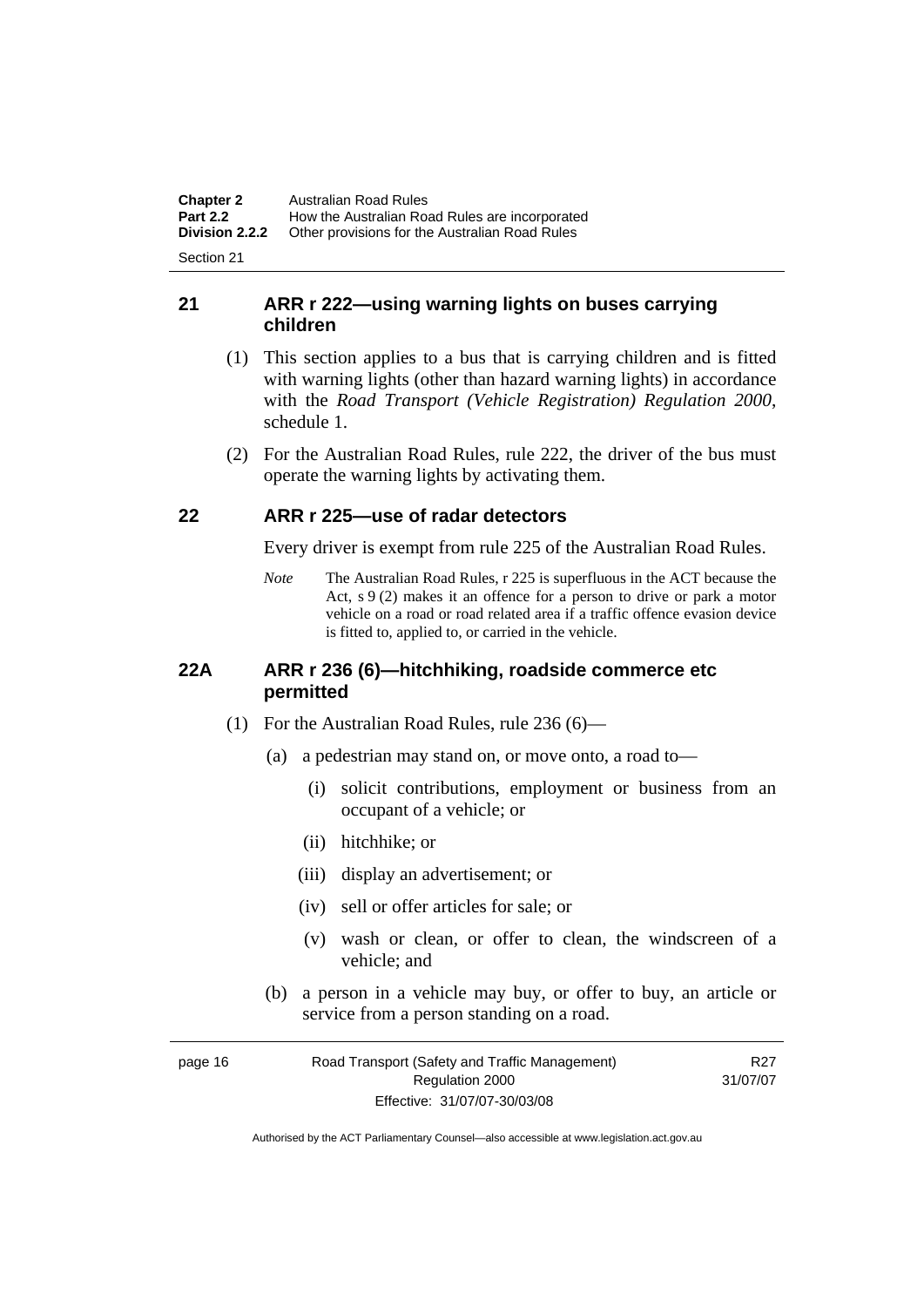<span id="page-25-0"></span>**Chapter 2** Australian Road Rules<br>**Part 2.2** How the Australian Road **Part 2.2 How the Australian Road Rules are incorporated Division 2.2.2** Other provisions for the Australian Road Rules **Other provisions for the Australian Road Rules** 

Section 21

# **21 ARR r 222—using warning lights on buses carrying children**

- (1) This section applies to a bus that is carrying children and is fitted with warning lights (other than hazard warning lights) in accordance with the *Road Transport (Vehicle Registration) Regulation 2000*, schedule 1.
- (2) For the Australian Road Rules, rule 222, the driver of the bus must operate the warning lights by activating them.

# **22 ARR r 225—use of radar detectors**

Every driver is exempt from rule 225 of the Australian Road Rules.

*Note* The Australian Road Rules, r 225 is superfluous in the ACT because the Act, s 9 (2) makes it an offence for a person to drive or park a motor vehicle on a road or road related area if a traffic offence evasion device is fitted to, applied to, or carried in the vehicle.

### **22A ARR r 236 (6)—hitchhiking, roadside commerce etc permitted**

- (1) For the Australian Road Rules, rule 236 (6)—
	- (a) a pedestrian may stand on, or move onto, a road to—
		- (i) solicit contributions, employment or business from an occupant of a vehicle; or
		- (ii) hitchhike; or
		- (iii) display an advertisement; or
		- (iv) sell or offer articles for sale; or
		- (v) wash or clean, or offer to clean, the windscreen of a vehicle; and
	- (b) a person in a vehicle may buy, or offer to buy, an article or service from a person standing on a road.

| page 16 | Road Transport (Safety and Traffic Management) | R27      |
|---------|------------------------------------------------|----------|
|         | Regulation 2000                                | 31/07/07 |
|         | Effective: 31/07/07-30/03/08                   |          |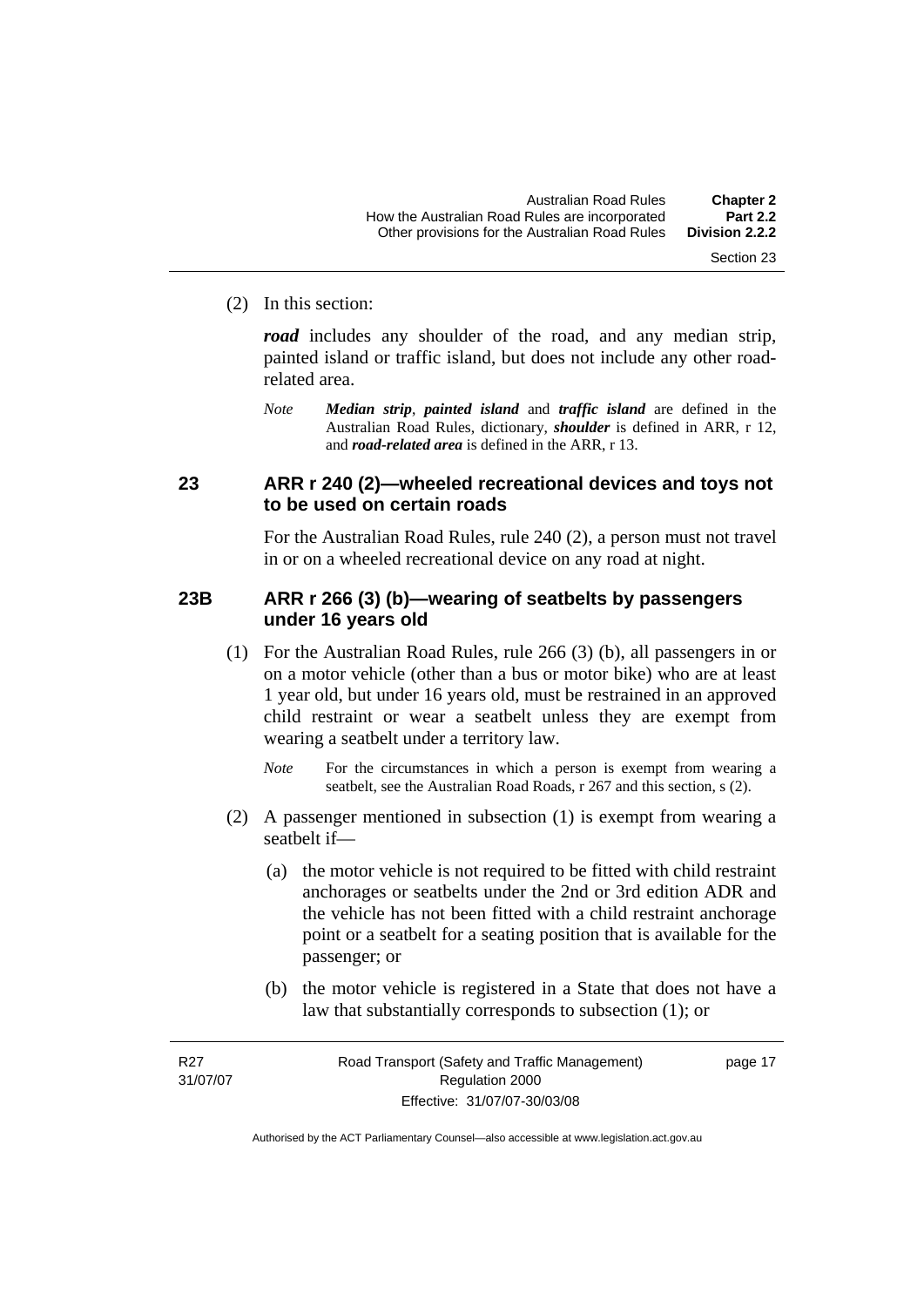#### <span id="page-26-0"></span>(2) In this section:

*road* includes any shoulder of the road, and any median strip, painted island or traffic island, but does not include any other roadrelated area.

*Note Median strip*, *painted island* and *traffic island* are defined in the Australian Road Rules, dictionary, *shoulder* is defined in ARR, r 12, and *road-related area* is defined in the ARR, r 13.

### **23 ARR r 240 (2)—wheeled recreational devices and toys not to be used on certain roads**

For the Australian Road Rules, rule 240 (2), a person must not travel in or on a wheeled recreational device on any road at night.

#### **23B ARR r 266 (3) (b)—wearing of seatbelts by passengers under 16 years old**

- (1) For the Australian Road Rules, rule 266 (3) (b), all passengers in or on a motor vehicle (other than a bus or motor bike) who are at least 1 year old, but under 16 years old, must be restrained in an approved child restraint or wear a seatbelt unless they are exempt from wearing a seatbelt under a territory law.
	- *Note* For the circumstances in which a person is exempt from wearing a seatbelt, see the Australian Road Roads, r 267 and this section, s (2).
- (2) A passenger mentioned in subsection (1) is exempt from wearing a seatbelt if—
	- (a) the motor vehicle is not required to be fitted with child restraint anchorages or seatbelts under the 2nd or 3rd edition ADR and the vehicle has not been fitted with a child restraint anchorage point or a seatbelt for a seating position that is available for the passenger; or
	- (b) the motor vehicle is registered in a State that does not have a law that substantially corresponds to subsection (1); or

R<sub>27</sub> 31/07/07

page 17

Section 23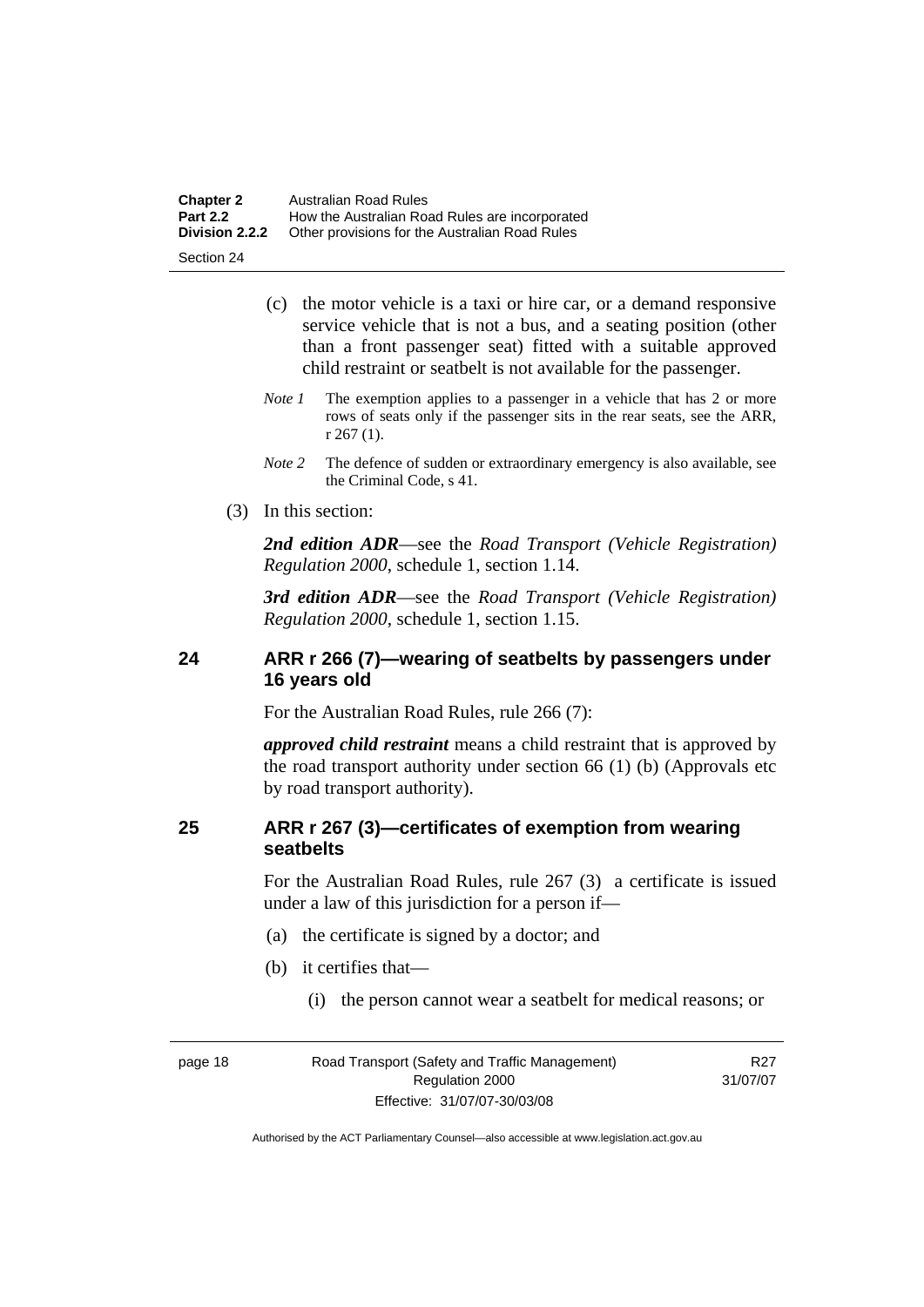<span id="page-27-0"></span>

| <b>Chapter 2</b> | Australian Road Rules                          |
|------------------|------------------------------------------------|
| <b>Part 2.2</b>  | How the Australian Road Rules are incorporated |
| Division 2.2.2   | Other provisions for the Australian Road Rules |

Section 24

- (c) the motor vehicle is a taxi or hire car, or a demand responsive service vehicle that is not a bus, and a seating position (other than a front passenger seat) fitted with a suitable approved child restraint or seatbelt is not available for the passenger.
- *Note 1* The exemption applies to a passenger in a vehicle that has 2 or more rows of seats only if the passenger sits in the rear seats, see the ARR, r 267 (1).
- *Note 2* The defence of sudden or extraordinary emergency is also available, see the Criminal Code, s 41.
- (3) In this section:

*2nd edition ADR*—see the *Road Transport (Vehicle Registration) Regulation 2000*, schedule 1, section 1.14.

*3rd edition ADR*—see the *Road Transport (Vehicle Registration) Regulation 2000*, schedule 1, section 1.15.

# **24 ARR r 266 (7)—wearing of seatbelts by passengers under 16 years old**

For the Australian Road Rules, rule 266 (7):

*approved child restraint* means a child restraint that is approved by the road transport authority under section 66 (1) (b) (Approvals etc by road transport authority).

### **25 ARR r 267 (3)—certificates of exemption from wearing seatbelts**

For the Australian Road Rules, rule 267 (3) a certificate is issued under a law of this jurisdiction for a person if—

- (a) the certificate is signed by a doctor; and
- (b) it certifies that—
	- (i) the person cannot wear a seatbelt for medical reasons; or

R27 31/07/07

| page 18 | Road Transport (Safety and Traffic Management) |  |
|---------|------------------------------------------------|--|
|         | Regulation 2000                                |  |
|         | Effective: 31/07/07-30/03/08                   |  |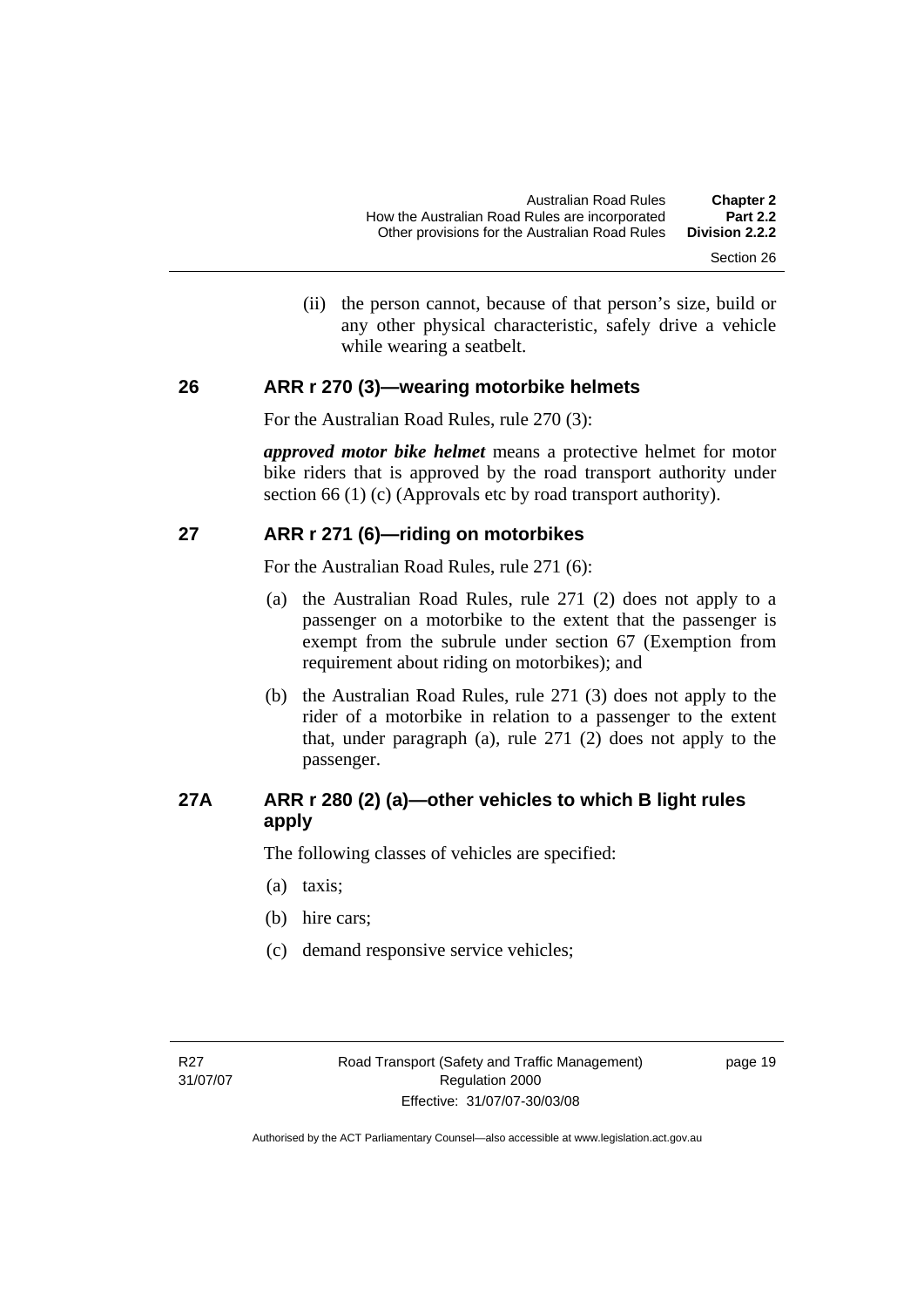(ii) the person cannot, because of that person's size, build or any other physical characteristic, safely drive a vehicle while wearing a seatbelt.

#### <span id="page-28-0"></span>**26 ARR r 270 (3)—wearing motorbike helmets**

For the Australian Road Rules, rule 270 (3):

*approved motor bike helmet* means a protective helmet for motor bike riders that is approved by the road transport authority under section 66 (1) (c) (Approvals etc by road transport authority).

#### **27 ARR r 271 (6)—riding on motorbikes**

For the Australian Road Rules, rule 271 (6):

- (a) the Australian Road Rules, rule 271 (2) does not apply to a passenger on a motorbike to the extent that the passenger is exempt from the subrule under section 67 (Exemption from requirement about riding on motorbikes); and
- (b) the Australian Road Rules, rule 271 (3) does not apply to the rider of a motorbike in relation to a passenger to the extent that, under paragraph (a), rule 271 (2) does not apply to the passenger.

# **27A ARR r 280 (2) (a)—other vehicles to which B light rules apply**

The following classes of vehicles are specified:

- (a) taxis;
- (b) hire cars;
- (c) demand responsive service vehicles;

page 19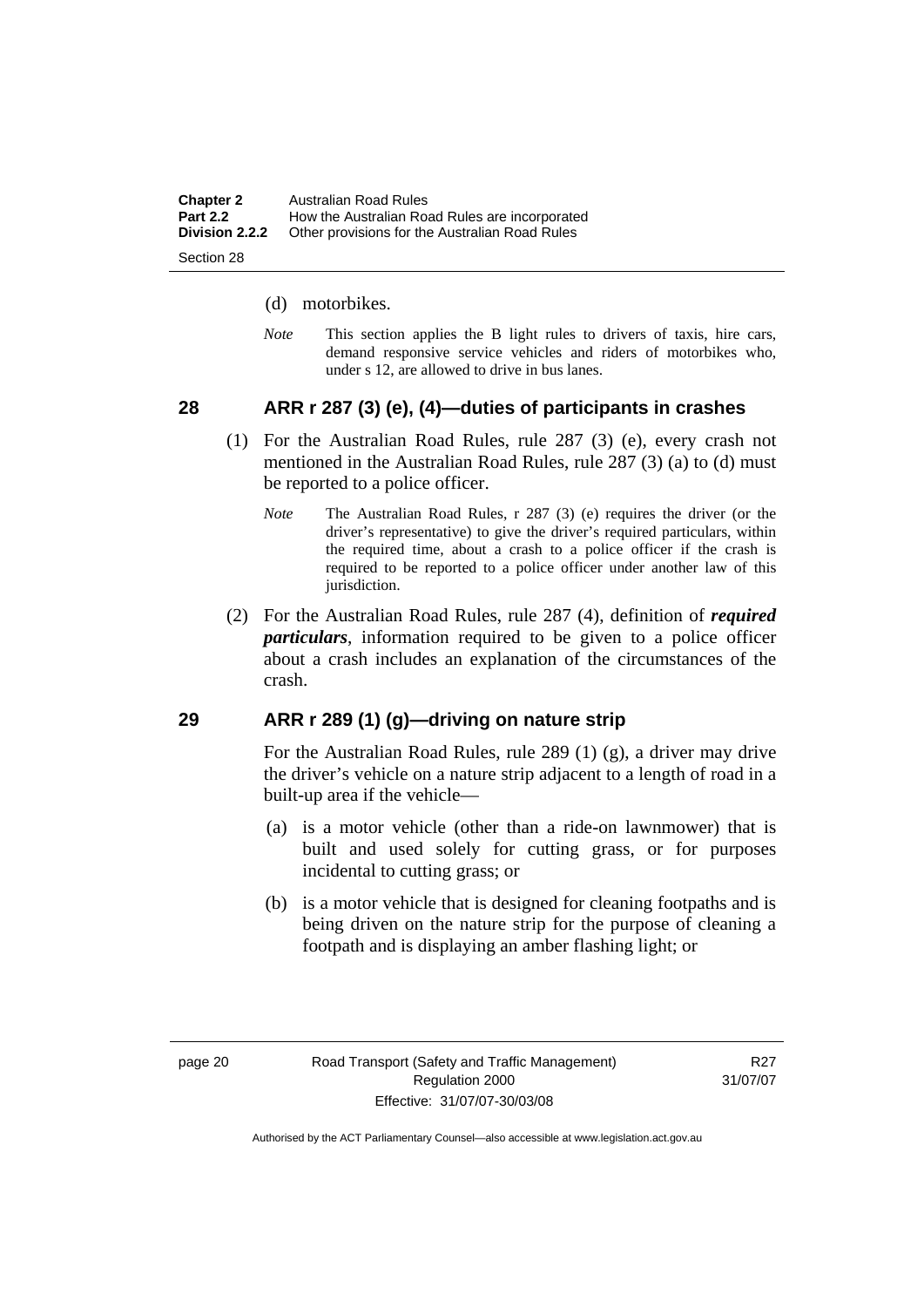<span id="page-29-0"></span>

| <b>Chapter 2</b> | Australian Road Rules                          |
|------------------|------------------------------------------------|
| <b>Part 2.2</b>  | How the Australian Road Rules are incorporated |
| Division 2.2.2   | Other provisions for the Australian Road Rules |
|                  |                                                |

Section 28

#### (d) motorbikes.

*Note* This section applies the B light rules to drivers of taxis, hire cars, demand responsive service vehicles and riders of motorbikes who, under s 12, are allowed to drive in bus lanes.

# **28 ARR r 287 (3) (e), (4)—duties of participants in crashes**

- (1) For the Australian Road Rules, rule 287 (3) (e), every crash not mentioned in the Australian Road Rules, rule 287 (3) (a) to (d) must be reported to a police officer.
	- *Note* The Australian Road Rules, r 287 (3) (e) requires the driver (or the driver's representative) to give the driver's required particulars, within the required time, about a crash to a police officer if the crash is required to be reported to a police officer under another law of this jurisdiction.
- (2) For the Australian Road Rules, rule 287 (4), definition of *required particulars*, information required to be given to a police officer about a crash includes an explanation of the circumstances of the crash.

#### **29 ARR r 289 (1) (g)—driving on nature strip**

For the Australian Road Rules, rule 289 (1) (g), a driver may drive the driver's vehicle on a nature strip adjacent to a length of road in a built-up area if the vehicle—

- (a) is a motor vehicle (other than a ride-on lawnmower) that is built and used solely for cutting grass, or for purposes incidental to cutting grass; or
- (b) is a motor vehicle that is designed for cleaning footpaths and is being driven on the nature strip for the purpose of cleaning a footpath and is displaying an amber flashing light; or

R<sub>27</sub> 31/07/07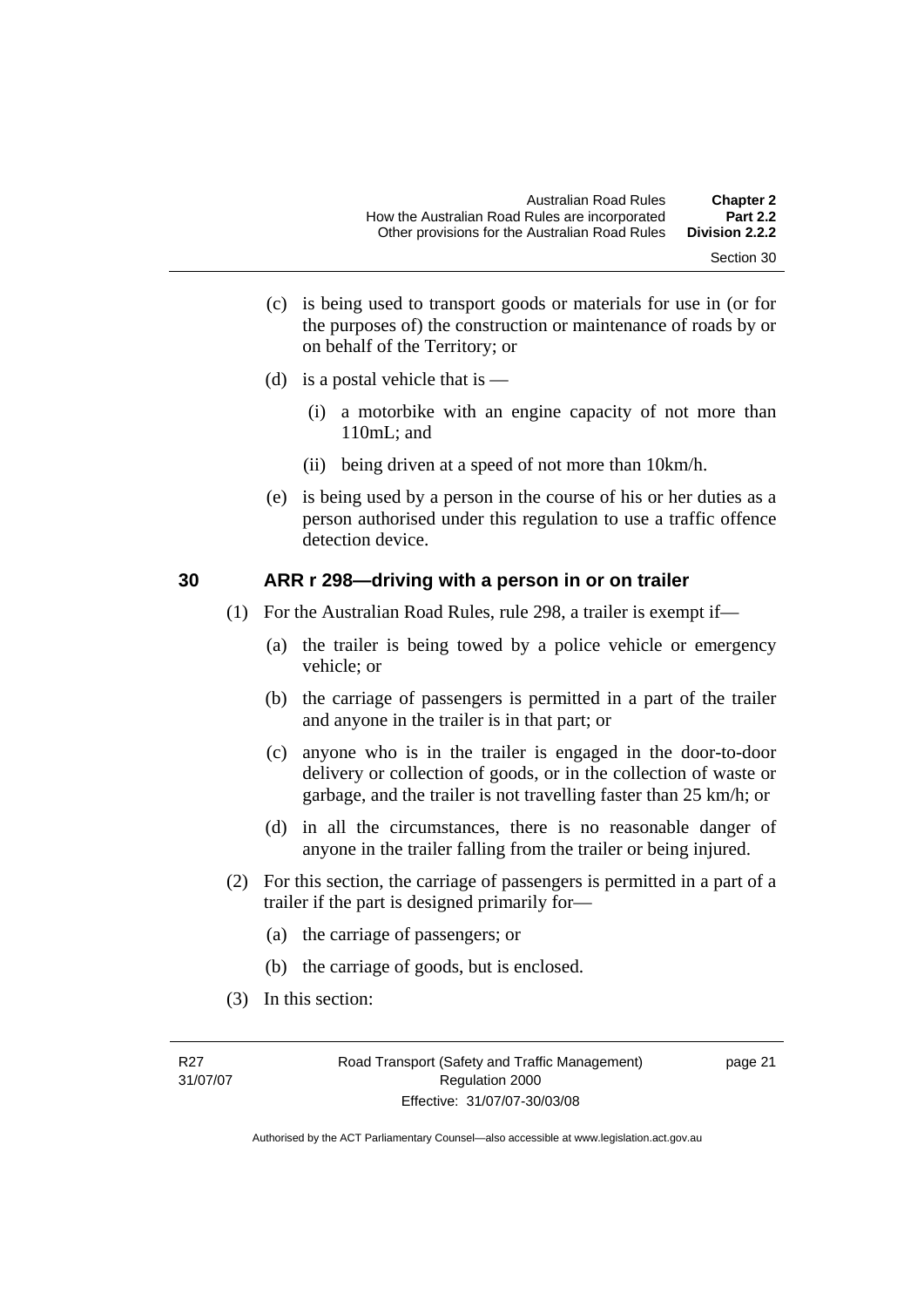- Section 30
- <span id="page-30-0"></span> (c) is being used to transport goods or materials for use in (or for the purposes of) the construction or maintenance of roads by or on behalf of the Territory; or
- (d) is a postal vehicle that is  $-$ 
	- (i) a motorbike with an engine capacity of not more than 110mL; and
	- (ii) being driven at a speed of not more than 10km/h.
- (e) is being used by a person in the course of his or her duties as a person authorised under this regulation to use a traffic offence detection device.

#### **30 ARR r 298—driving with a person in or on trailer**

- (1) For the Australian Road Rules, rule 298, a trailer is exempt if—
	- (a) the trailer is being towed by a police vehicle or emergency vehicle; or
	- (b) the carriage of passengers is permitted in a part of the trailer and anyone in the trailer is in that part; or
	- (c) anyone who is in the trailer is engaged in the door-to-door delivery or collection of goods, or in the collection of waste or garbage, and the trailer is not travelling faster than 25 km/h; or
	- (d) in all the circumstances, there is no reasonable danger of anyone in the trailer falling from the trailer or being injured.
- (2) For this section, the carriage of passengers is permitted in a part of a trailer if the part is designed primarily for—
	- (a) the carriage of passengers; or
	- (b) the carriage of goods, but is enclosed.
- (3) In this section: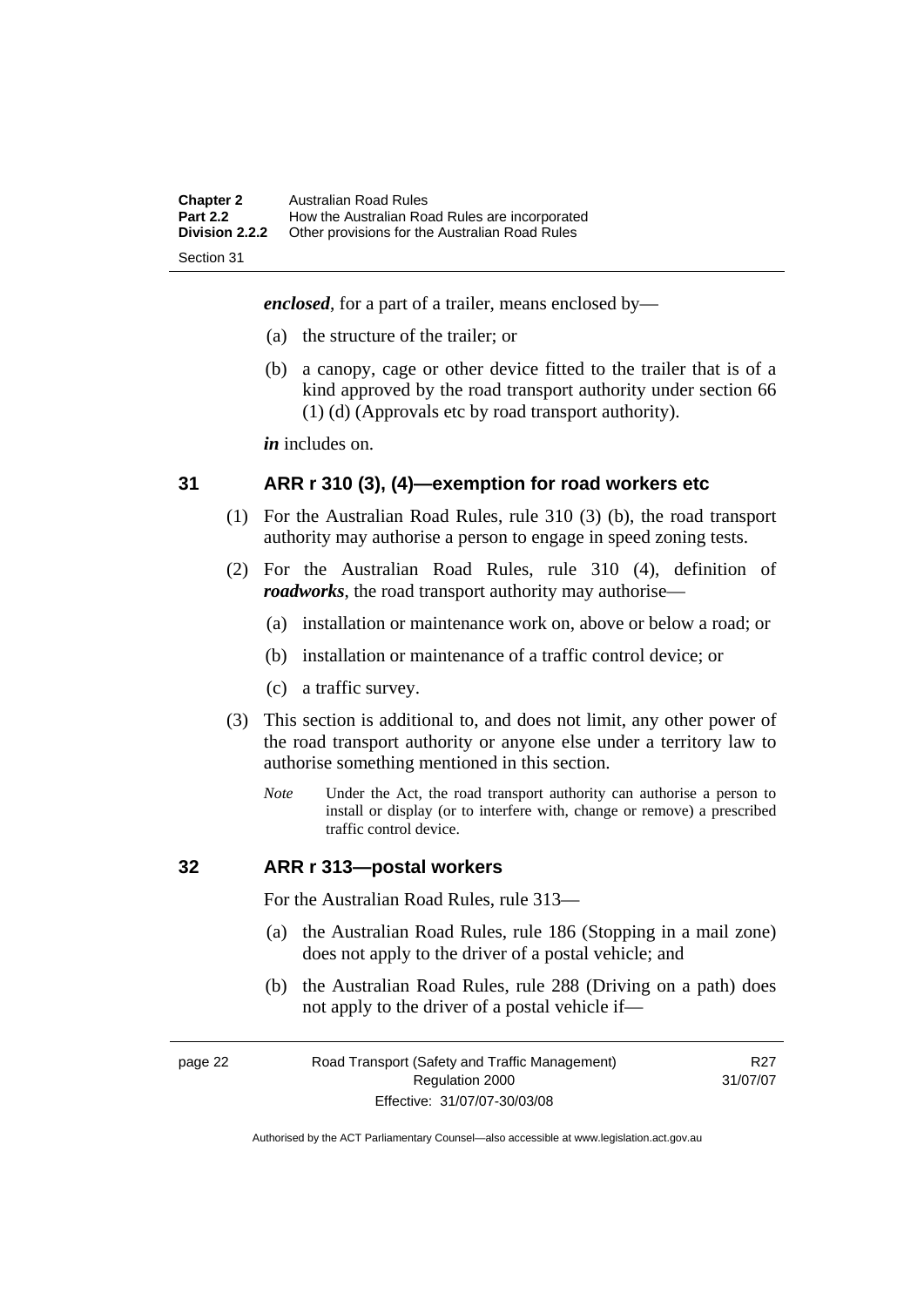<span id="page-31-0"></span>

| <b>Chapter 2</b><br><b>Part 2.2</b> | <b>Australian Road Rules</b><br>How the Australian Road Rules are incorporated |
|-------------------------------------|--------------------------------------------------------------------------------|
| <b>Division 2.2.2</b>               | Other provisions for the Australian Road Rules                                 |
| Section 31                          |                                                                                |

*enclosed*, for a part of a trailer, means enclosed by—

- (a) the structure of the trailer; or
- (b) a canopy, cage or other device fitted to the trailer that is of a kind approved by the road transport authority under section 66 (1) (d) (Approvals etc by road transport authority).

*in* includes on.

#### **31 ARR r 310 (3), (4)—exemption for road workers etc**

- (1) For the Australian Road Rules, rule 310 (3) (b), the road transport authority may authorise a person to engage in speed zoning tests.
- (2) For the Australian Road Rules, rule 310 (4), definition of *roadworks*, the road transport authority may authorise—
	- (a) installation or maintenance work on, above or below a road; or
	- (b) installation or maintenance of a traffic control device; or
	- (c) a traffic survey.
- (3) This section is additional to, and does not limit, any other power of the road transport authority or anyone else under a territory law to authorise something mentioned in this section.
	- *Note* Under the Act, the road transport authority can authorise a person to install or display (or to interfere with, change or remove) a prescribed traffic control device.

#### **32 ARR r 313—postal workers**

For the Australian Road Rules, rule 313—

- (a) the Australian Road Rules, rule 186 (Stopping in a mail zone) does not apply to the driver of a postal vehicle; and
- (b) the Australian Road Rules, rule 288 (Driving on a path) does not apply to the driver of a postal vehicle if—

#### page 22 Road Transport (Safety and Traffic Management) Regulation 2000 Effective: 31/07/07-30/03/08

R27 31/07/07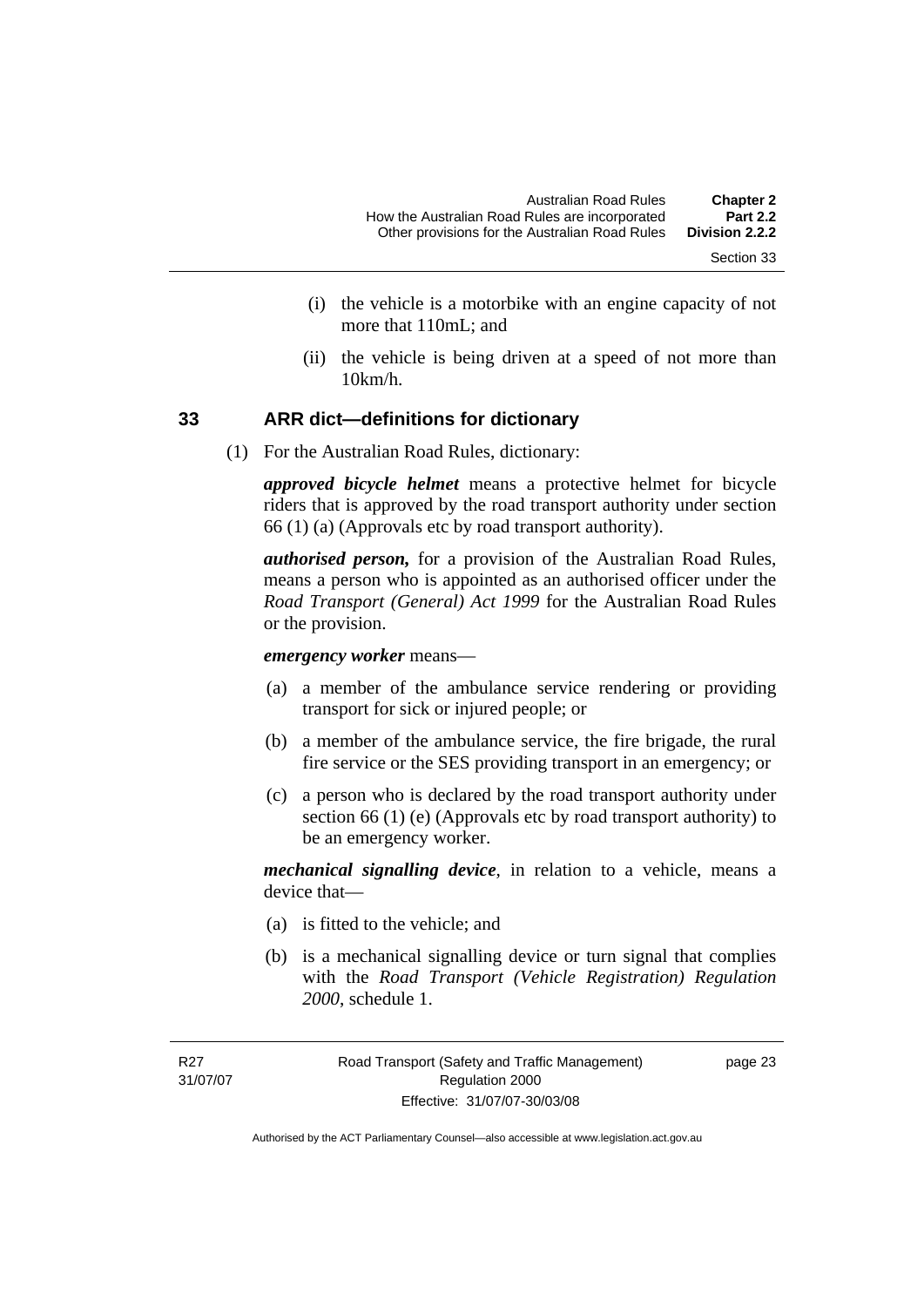- Section 33
- <span id="page-32-0"></span> (i) the vehicle is a motorbike with an engine capacity of not more that 110mL; and
- (ii) the vehicle is being driven at a speed of not more than 10km/h.

#### **33 ARR dict—definitions for dictionary**

(1) For the Australian Road Rules, dictionary:

*approved bicycle helmet* means a protective helmet for bicycle riders that is approved by the road transport authority under section 66 (1) (a) (Approvals etc by road transport authority).

*authorised person,* for a provision of the Australian Road Rules, means a person who is appointed as an authorised officer under the *Road Transport (General) Act 1999* for the Australian Road Rules or the provision.

*emergency worker* means—

- (a) a member of the ambulance service rendering or providing transport for sick or injured people; or
- (b) a member of the ambulance service, the fire brigade, the rural fire service or the SES providing transport in an emergency; or
- (c) a person who is declared by the road transport authority under section 66 (1) (e) (Approvals etc by road transport authority) to be an emergency worker.

*mechanical signalling device*, in relation to a vehicle, means a device that—

- (a) is fitted to the vehicle; and
- (b) is a mechanical signalling device or turn signal that complies with the *Road Transport (Vehicle Registration) Regulation 2000*, schedule 1.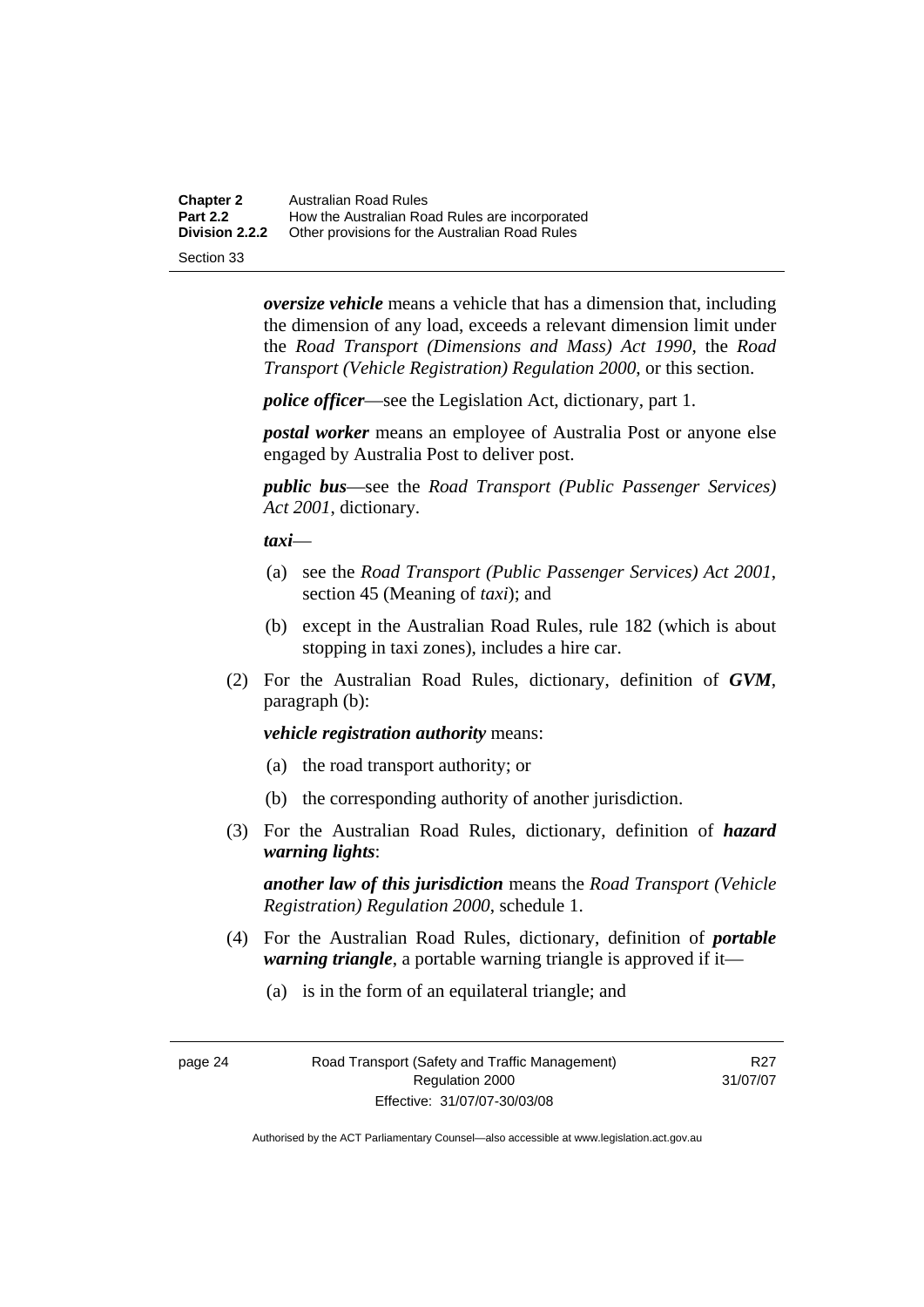**Chapter 2** Australian Road Rules<br>**Part 2.2** How the Australian Road **Part 2.2 How the Australian Road Rules are incorporated Division 2.2.2** Other provisions for the Australian Road Rules **Other provisions for the Australian Road Rules** 

Section 33

*oversize vehicle* means a vehicle that has a dimension that, including the dimension of any load, exceeds a relevant dimension limit under the *Road Transport (Dimensions and Mass) Act 1990*, the *Road Transport (Vehicle Registration) Regulation 2000*, or this section.

*police officer*—see the Legislation Act, dictionary, part 1.

*postal worker* means an employee of Australia Post or anyone else engaged by Australia Post to deliver post.

*public bus*—see the *Road Transport (Public Passenger Services) Act 2001*, dictionary.

*taxi*—

- (a) see the *Road Transport (Public Passenger Services) Act 2001*, section 45 (Meaning of *taxi*); and
- (b) except in the Australian Road Rules, rule 182 (which is about stopping in taxi zones), includes a hire car.
- (2) For the Australian Road Rules, dictionary, definition of *GVM*, paragraph (b):

#### *vehicle registration authority* means:

- (a) the road transport authority; or
- (b) the corresponding authority of another jurisdiction.
- (3) For the Australian Road Rules, dictionary, definition of *hazard warning lights*:

*another law of this jurisdiction* means the *Road Transport (Vehicle Registration) Regulation 2000*, schedule 1.

- (4) For the Australian Road Rules, dictionary, definition of *portable warning triangle*, a portable warning triangle is approved if it—
	- (a) is in the form of an equilateral triangle; and

page 24 Road Transport (Safety and Traffic Management) Regulation 2000 Effective: 31/07/07-30/03/08

R27 31/07/07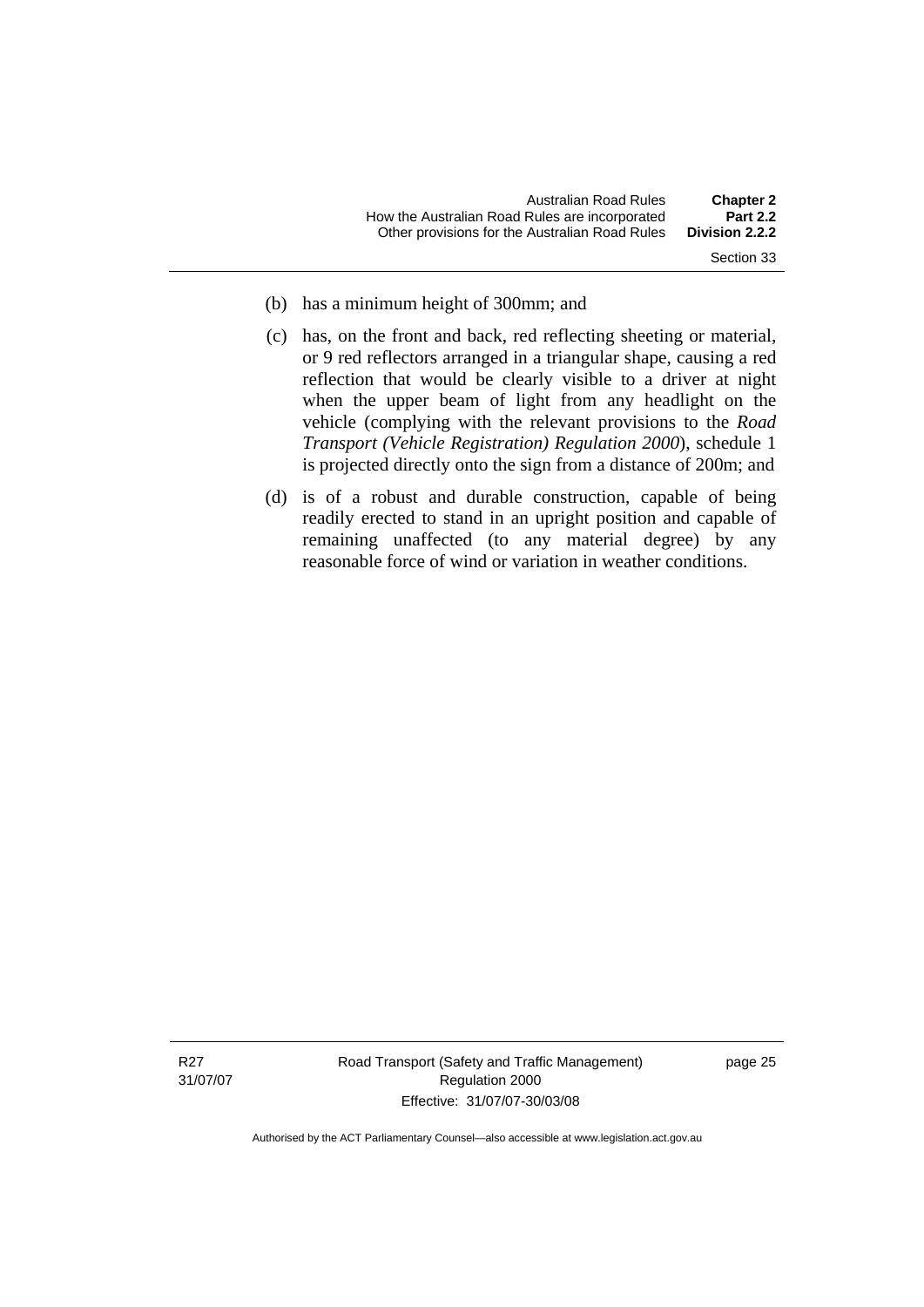- 
- (b) has a minimum height of 300mm; and
- (c) has, on the front and back, red reflecting sheeting or material, or 9 red reflectors arranged in a triangular shape, causing a red reflection that would be clearly visible to a driver at night when the upper beam of light from any headlight on the vehicle (complying with the relevant provisions to the *Road Transport (Vehicle Registration) Regulation 2000*), schedule 1 is projected directly onto the sign from a distance of 200m; and
- (d) is of a robust and durable construction, capable of being readily erected to stand in an upright position and capable of remaining unaffected (to any material degree) by any reasonable force of wind or variation in weather conditions.

Road Transport (Safety and Traffic Management) Regulation 2000 Effective: 31/07/07-30/03/08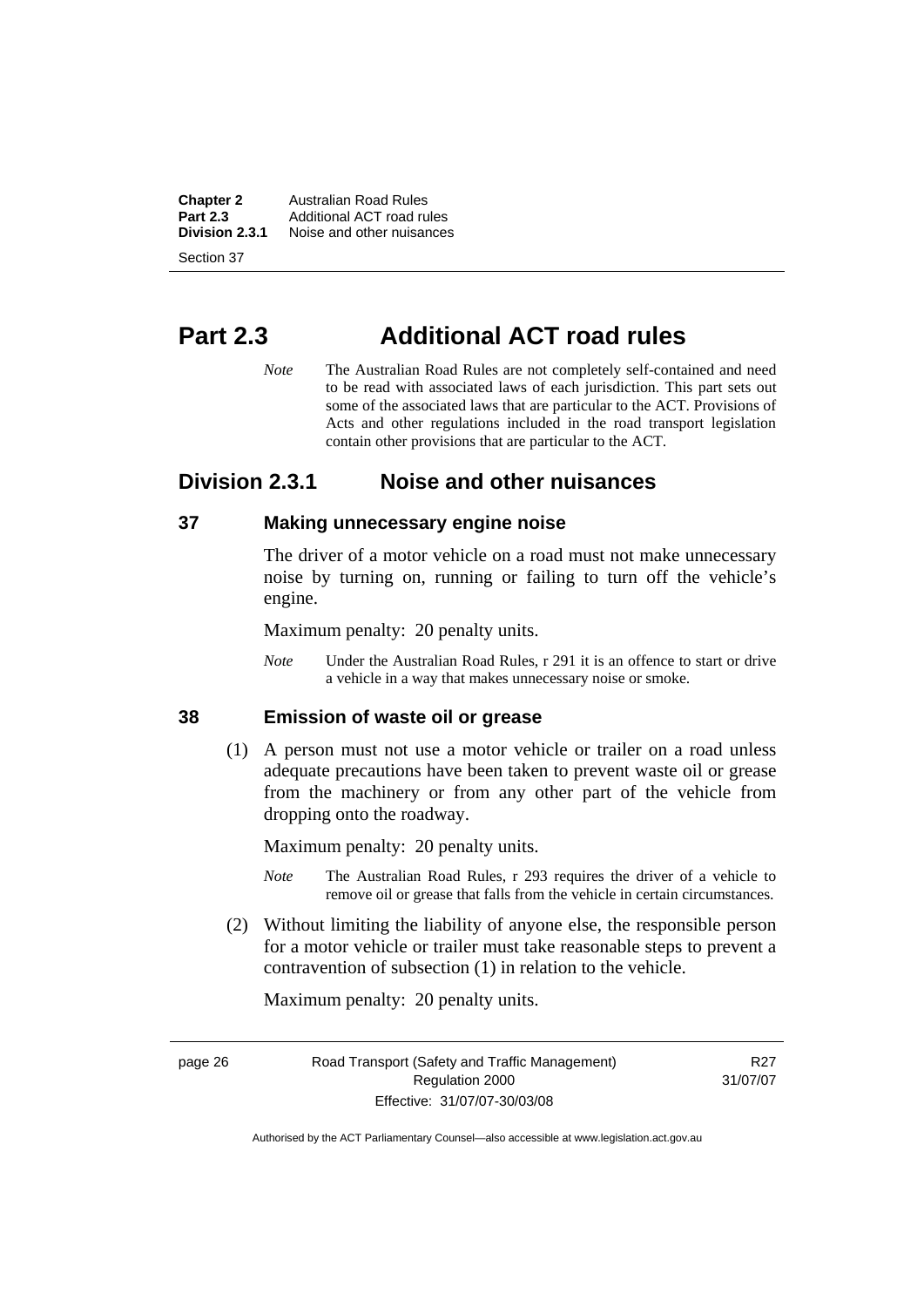<span id="page-35-0"></span>**Chapter 2 Australian Road Rules**<br>**Part 2.3 Additional ACT road rules Part 2.3** Additional ACT road rules<br>**Division 2.3.1** Noise and other nuisances **Division 2.3.1** Noise and other nuisances

Section 37

# **Part 2.3 Additional ACT road rules**

*Note* The Australian Road Rules are not completely self-contained and need to be read with associated laws of each jurisdiction. This part sets out some of the associated laws that are particular to the ACT. Provisions of Acts and other regulations included in the road transport legislation contain other provisions that are particular to the ACT.

# **Division 2.3.1 Noise and other nuisances**

### **37 Making unnecessary engine noise**

The driver of a motor vehicle on a road must not make unnecessary noise by turning on, running or failing to turn off the vehicle's engine.

Maximum penalty: 20 penalty units.

*Note* Under the Australian Road Rules, r 291 it is an offence to start or drive a vehicle in a way that makes unnecessary noise or smoke.

### **38 Emission of waste oil or grease**

 (1) A person must not use a motor vehicle or trailer on a road unless adequate precautions have been taken to prevent waste oil or grease from the machinery or from any other part of the vehicle from dropping onto the roadway.

Maximum penalty: 20 penalty units.

- *Note* The Australian Road Rules, r 293 requires the driver of a vehicle to remove oil or grease that falls from the vehicle in certain circumstances.
- (2) Without limiting the liability of anyone else, the responsible person for a motor vehicle or trailer must take reasonable steps to prevent a contravention of subsection (1) in relation to the vehicle.

Maximum penalty: 20 penalty units.

page 26 Road Transport (Safety and Traffic Management) Regulation 2000 Effective: 31/07/07-30/03/08

R<sub>27</sub> 31/07/07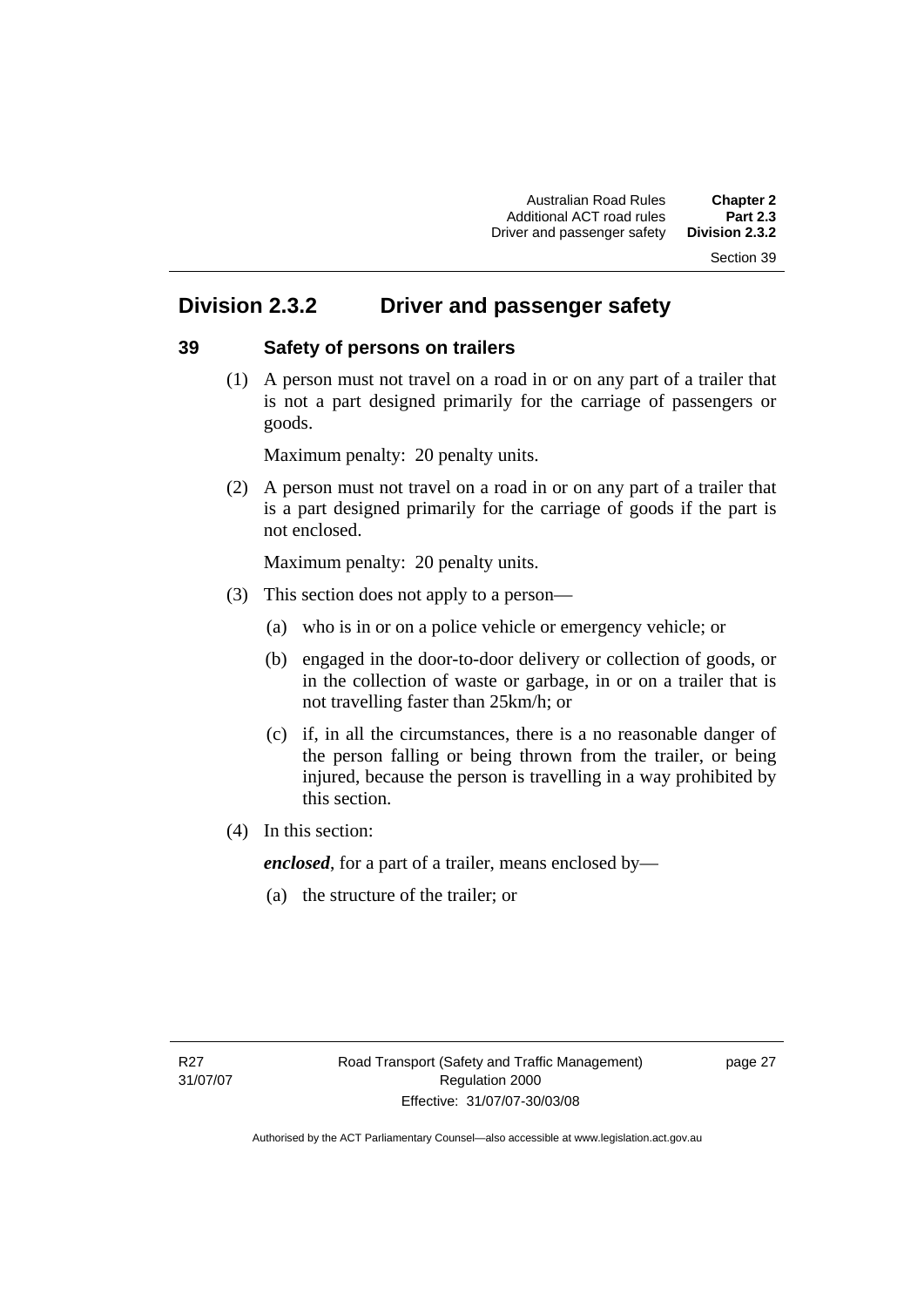# **Division 2.3.2 Driver and passenger safety**

#### **39 Safety of persons on trailers**

 (1) A person must not travel on a road in or on any part of a trailer that is not a part designed primarily for the carriage of passengers or goods.

Maximum penalty: 20 penalty units.

 (2) A person must not travel on a road in or on any part of a trailer that is a part designed primarily for the carriage of goods if the part is not enclosed.

Maximum penalty: 20 penalty units.

- (3) This section does not apply to a person—
	- (a) who is in or on a police vehicle or emergency vehicle; or
	- (b) engaged in the door-to-door delivery or collection of goods, or in the collection of waste or garbage, in or on a trailer that is not travelling faster than 25km/h; or
	- (c) if, in all the circumstances, there is a no reasonable danger of the person falling or being thrown from the trailer, or being injured, because the person is travelling in a way prohibited by this section.
- (4) In this section:

*enclosed*, for a part of a trailer, means enclosed by—

(a) the structure of the trailer; or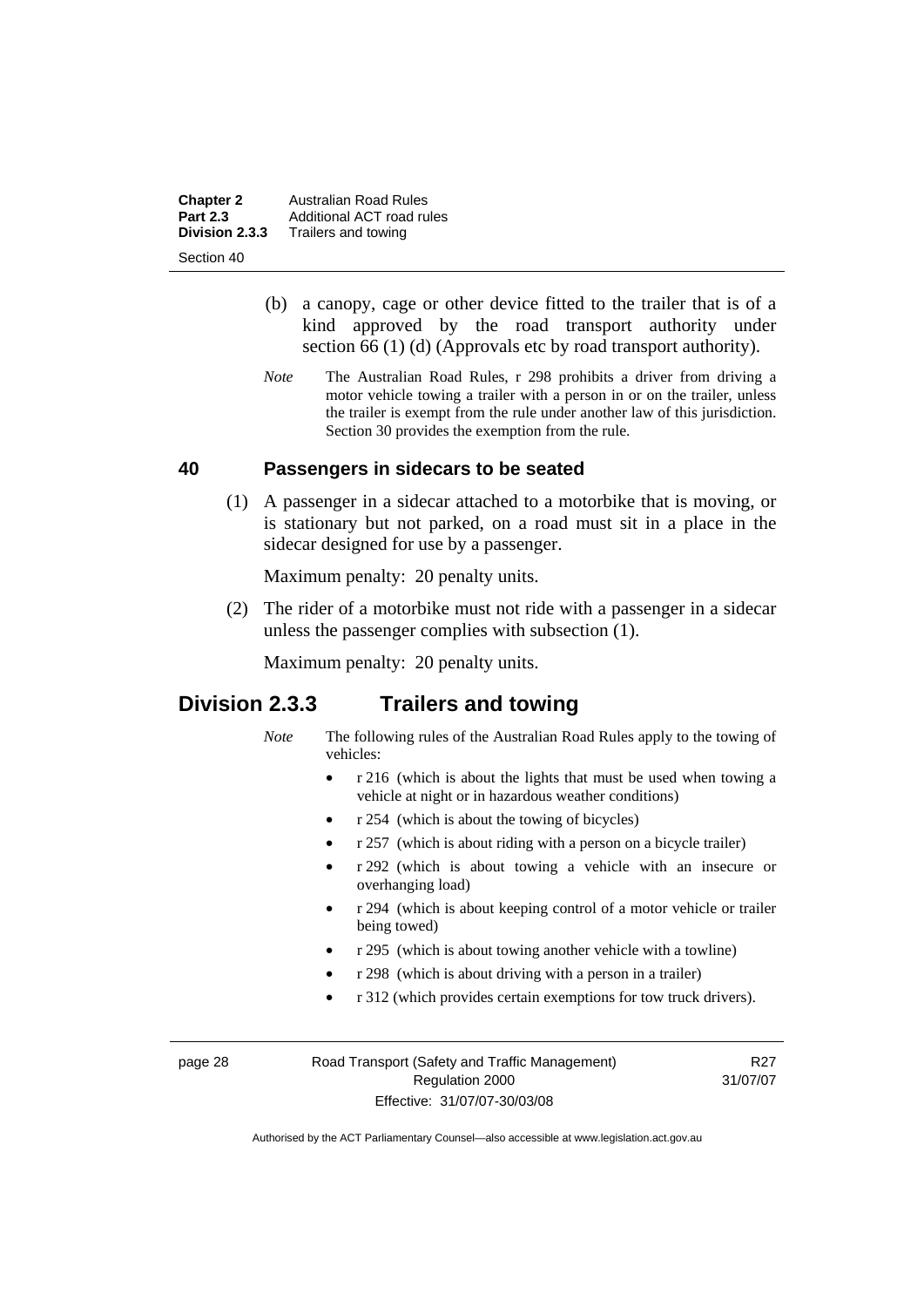**Chapter 2 Australian Road Rules**<br>**Part 2.3 Additional ACT road rules Part 2.3** Additional ACT road rules<br>**Division 2.3.3** Trailers and towing **Division 2.3.3** Trailers and towing

Section 40

- (b) a canopy, cage or other device fitted to the trailer that is of a kind approved by the road transport authority under section 66 (1) (d) (Approvals etc by road transport authority).
- *Note* The Australian Road Rules, r 298 prohibits a driver from driving a motor vehicle towing a trailer with a person in or on the trailer, unless the trailer is exempt from the rule under another law of this jurisdiction. Section 30 provides the exemption from the rule.

#### **40 Passengers in sidecars to be seated**

 (1) A passenger in a sidecar attached to a motorbike that is moving, or is stationary but not parked, on a road must sit in a place in the sidecar designed for use by a passenger.

Maximum penalty: 20 penalty units.

 (2) The rider of a motorbike must not ride with a passenger in a sidecar unless the passenger complies with subsection (1).

Maximum penalty: 20 penalty units.

## **Division 2.3.3 Trailers and towing**

- *Note* The following rules of the Australian Road Rules apply to the towing of vehicles:
	- r 216 (which is about the lights that must be used when towing a vehicle at night or in hazardous weather conditions)
	- r 254 (which is about the towing of bicycles)
	- r 257 (which is about riding with a person on a bicycle trailer)
	- r 292 (which is about towing a vehicle with an insecure or overhanging load)
	- r 294 (which is about keeping control of a motor vehicle or trailer being towed)
	- r 295 (which is about towing another vehicle with a towline)
	- r 298 (which is about driving with a person in a trailer)
	- r 312 (which provides certain exemptions for tow truck drivers).

page 28 Road Transport (Safety and Traffic Management) Regulation 2000 Effective: 31/07/07-30/03/08

R27 31/07/07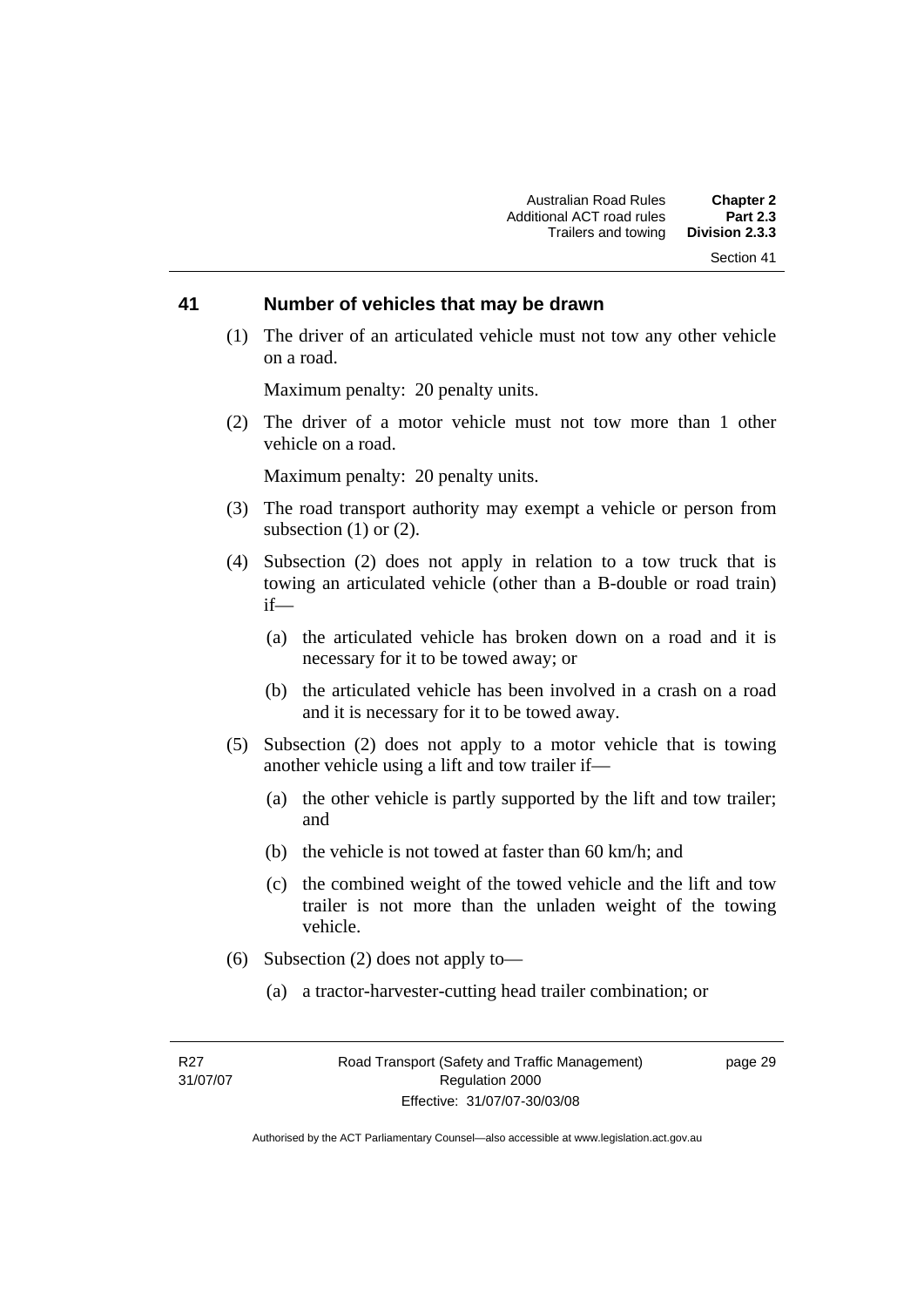#### **41 Number of vehicles that may be drawn**

 (1) The driver of an articulated vehicle must not tow any other vehicle on a road.

Maximum penalty: 20 penalty units.

 (2) The driver of a motor vehicle must not tow more than 1 other vehicle on a road.

Maximum penalty: 20 penalty units.

- (3) The road transport authority may exempt a vehicle or person from subsection  $(1)$  or  $(2)$ .
- (4) Subsection (2) does not apply in relation to a tow truck that is towing an articulated vehicle (other than a B-double or road train) if—
	- (a) the articulated vehicle has broken down on a road and it is necessary for it to be towed away; or
	- (b) the articulated vehicle has been involved in a crash on a road and it is necessary for it to be towed away.
- (5) Subsection (2) does not apply to a motor vehicle that is towing another vehicle using a lift and tow trailer if—
	- (a) the other vehicle is partly supported by the lift and tow trailer; and
	- (b) the vehicle is not towed at faster than 60 km/h; and
	- (c) the combined weight of the towed vehicle and the lift and tow trailer is not more than the unladen weight of the towing vehicle.
- (6) Subsection (2) does not apply to—
	- (a) a tractor-harvester-cutting head trailer combination; or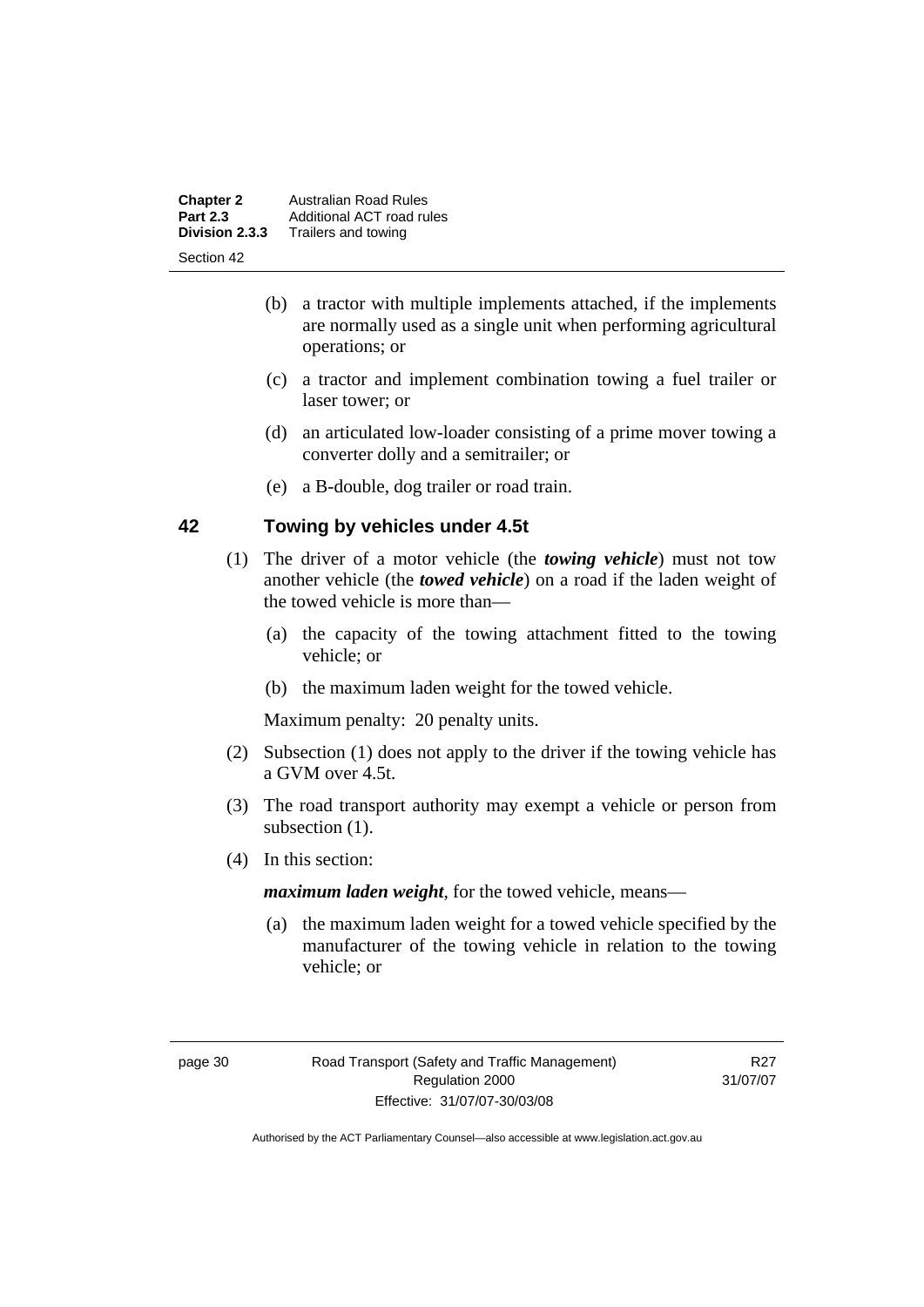| <b>Chapter 2</b>                  | <b>Australian Road Rules</b>                     |
|-----------------------------------|--------------------------------------------------|
| <b>Part 2.3</b><br>Division 2.3.3 | Additional ACT road rules<br>Trailers and towing |
| Section 42                        |                                                  |

- (b) a tractor with multiple implements attached, if the implements are normally used as a single unit when performing agricultural operations; or
- (c) a tractor and implement combination towing a fuel trailer or laser tower; or
- (d) an articulated low-loader consisting of a prime mover towing a converter dolly and a semitrailer; or
- (e) a B-double, dog trailer or road train.

#### **42 Towing by vehicles under 4.5t**

- (1) The driver of a motor vehicle (the *towing vehicle*) must not tow another vehicle (the *towed vehicle*) on a road if the laden weight of the towed vehicle is more than—
	- (a) the capacity of the towing attachment fitted to the towing vehicle; or
	- (b) the maximum laden weight for the towed vehicle.

Maximum penalty: 20 penalty units.

- (2) Subsection (1) does not apply to the driver if the towing vehicle has a GVM over 4.5t.
- (3) The road transport authority may exempt a vehicle or person from subsection  $(1)$ .
- (4) In this section:

*maximum laden weight*, for the towed vehicle, means—

 (a) the maximum laden weight for a towed vehicle specified by the manufacturer of the towing vehicle in relation to the towing vehicle; or

R27 31/07/07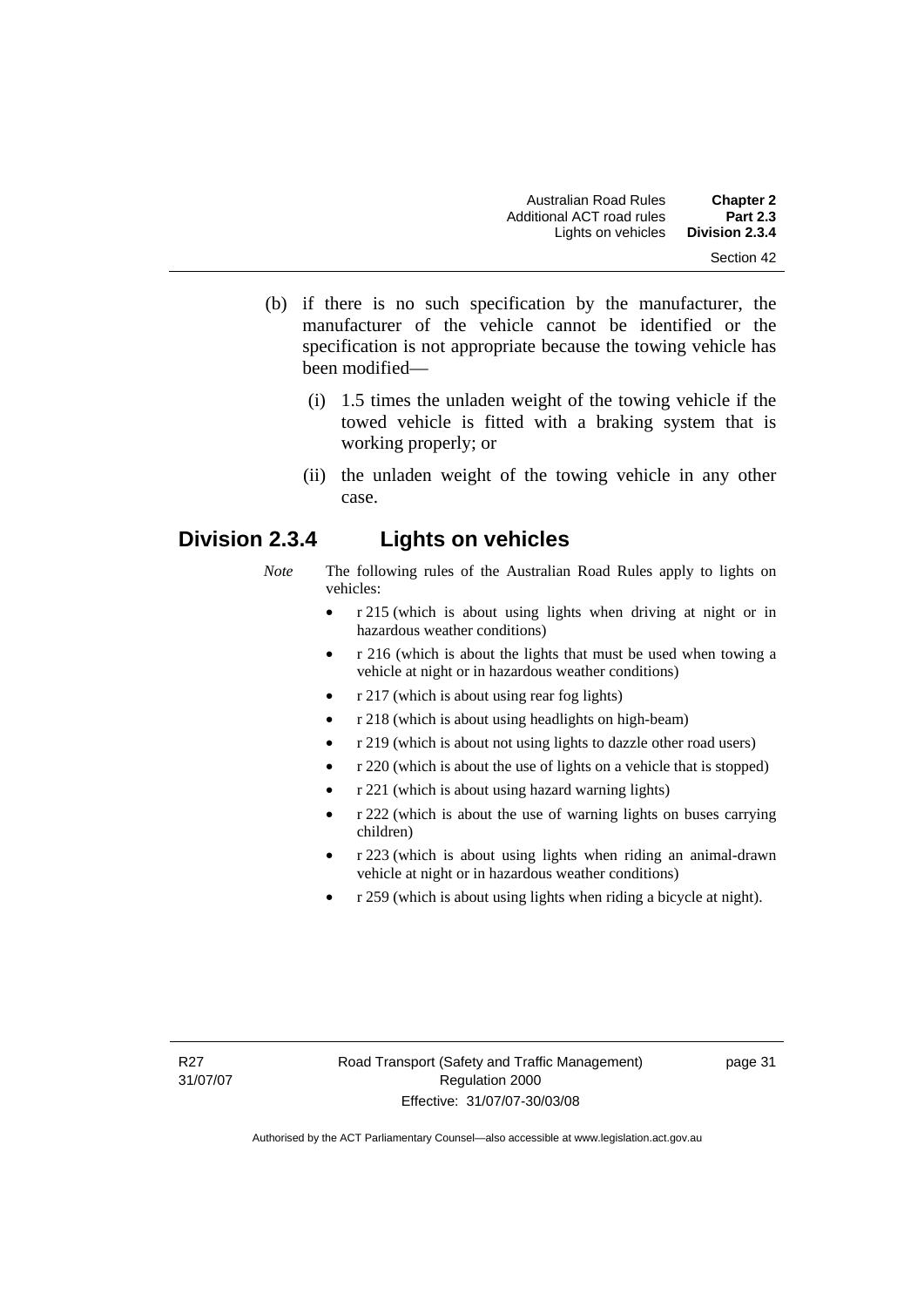- (b) if there is no such specification by the manufacturer, the manufacturer of the vehicle cannot be identified or the specification is not appropriate because the towing vehicle has been modified—
	- (i) 1.5 times the unladen weight of the towing vehicle if the towed vehicle is fitted with a braking system that is working properly; or
	- (ii) the unladen weight of the towing vehicle in any other case.

# **Division 2.3.4 Lights on vehicles**

- *Note* The following rules of the Australian Road Rules apply to lights on vehicles:
	- r 215 (which is about using lights when driving at night or in hazardous weather conditions)
	- r 216 (which is about the lights that must be used when towing a vehicle at night or in hazardous weather conditions)
	- r 217 (which is about using rear fog lights)
	- r 218 (which is about using headlights on high-beam)
	- r 219 (which is about not using lights to dazzle other road users)
	- r 220 (which is about the use of lights on a vehicle that is stopped)
	- r 221 (which is about using hazard warning lights)
	- r 222 (which is about the use of warning lights on buses carrying children)
	- r 223 (which is about using lights when riding an animal-drawn vehicle at night or in hazardous weather conditions)
	- r 259 (which is about using lights when riding a bicycle at night).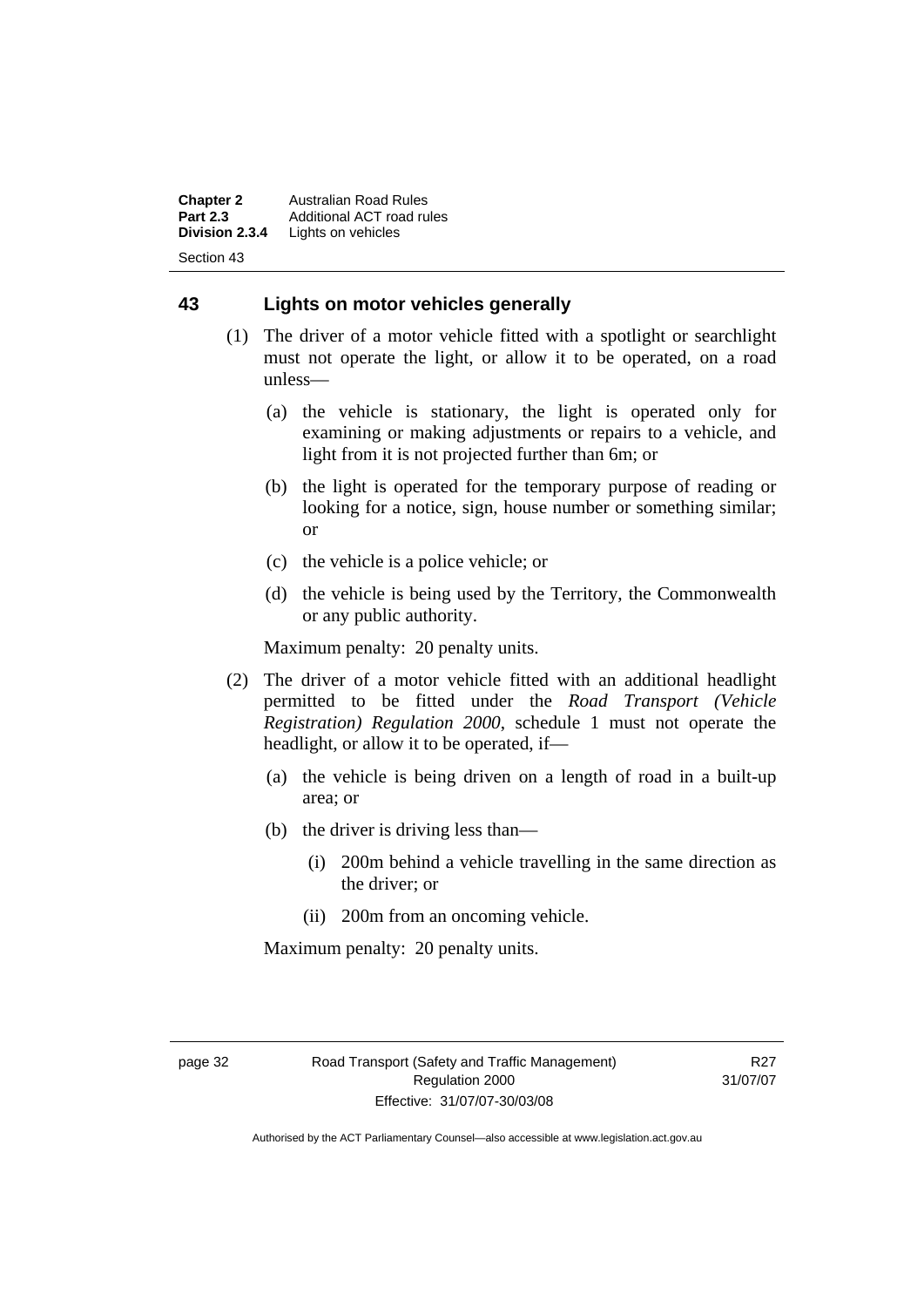**Chapter 2** Australian Road Rules<br>**Part 2.3** Additional ACT road ru **Part 2.3** Additional ACT road rules<br>**Division 2.3.4** Lights on vehicles Lights on vehicles Section 43

#### **43 Lights on motor vehicles generally**

- (1) The driver of a motor vehicle fitted with a spotlight or searchlight must not operate the light, or allow it to be operated, on a road unless—
	- (a) the vehicle is stationary, the light is operated only for examining or making adjustments or repairs to a vehicle, and light from it is not projected further than 6m; or
	- (b) the light is operated for the temporary purpose of reading or looking for a notice, sign, house number or something similar; or
	- (c) the vehicle is a police vehicle; or
	- (d) the vehicle is being used by the Territory, the Commonwealth or any public authority.

Maximum penalty: 20 penalty units.

- (2) The driver of a motor vehicle fitted with an additional headlight permitted to be fitted under the *Road Transport (Vehicle Registration) Regulation 2000*, schedule 1 must not operate the headlight, or allow it to be operated, if—
	- (a) the vehicle is being driven on a length of road in a built-up area; or
	- (b) the driver is driving less than—
		- (i) 200m behind a vehicle travelling in the same direction as the driver; or
		- (ii) 200m from an oncoming vehicle.

Maximum penalty: 20 penalty units.

R27 31/07/07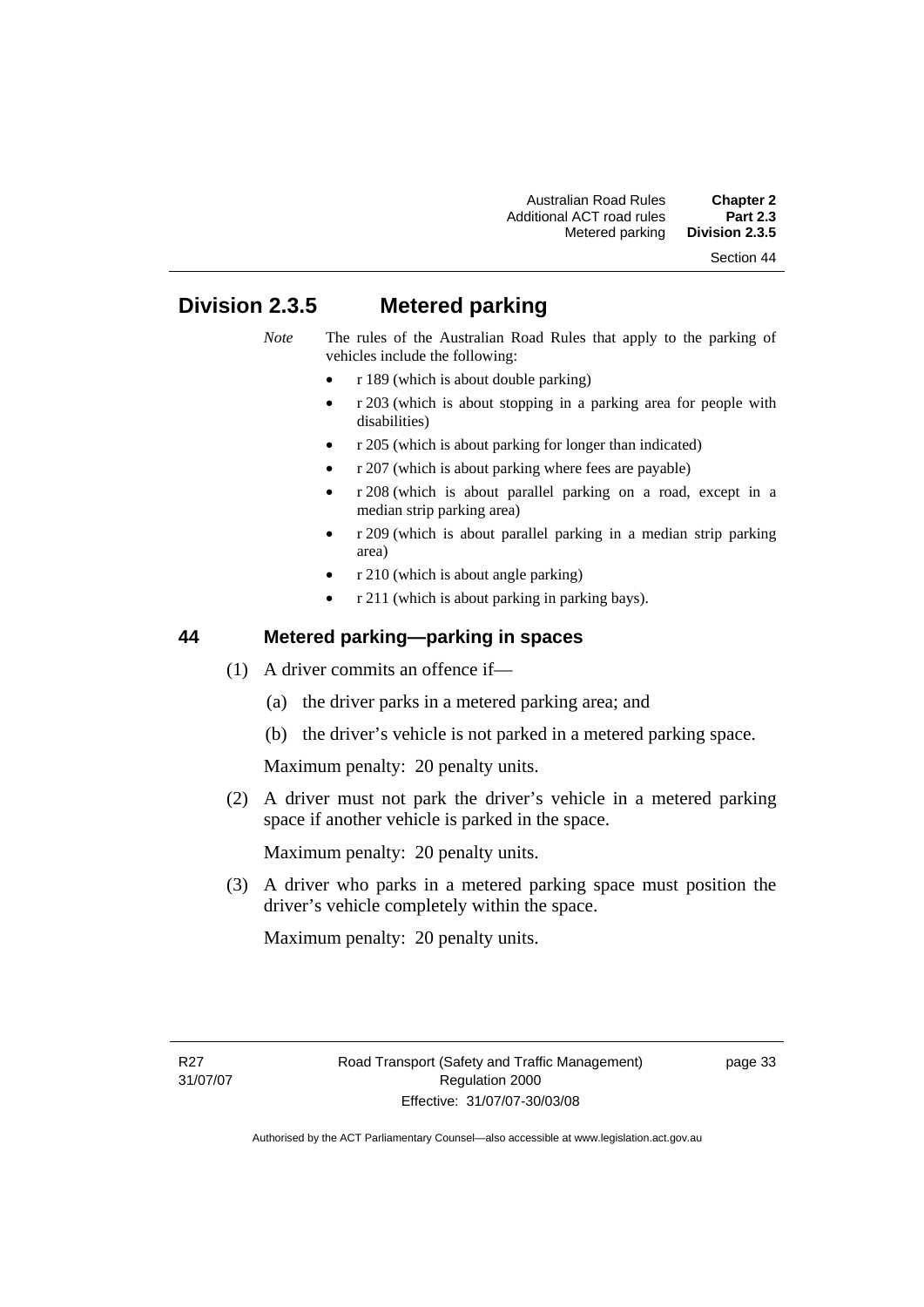# **Division 2.3.5 Metered parking**

- *Note* The rules of the Australian Road Rules that apply to the parking of vehicles include the following:
	- r 189 (which is about double parking)
	- r 203 (which is about stopping in a parking area for people with disabilities)
	- r 205 (which is about parking for longer than indicated)
	- r 207 (which is about parking where fees are payable)
	- r 208 (which is about parallel parking on a road, except in a median strip parking area)
	- r 209 (which is about parallel parking in a median strip parking area)
	- r 210 (which is about angle parking)
	- r 211 (which is about parking in parking bays).

#### **44 Metered parking—parking in spaces**

- (1) A driver commits an offence if—
	- (a) the driver parks in a metered parking area; and
	- (b) the driver's vehicle is not parked in a metered parking space.

Maximum penalty: 20 penalty units.

 (2) A driver must not park the driver's vehicle in a metered parking space if another vehicle is parked in the space.

Maximum penalty: 20 penalty units.

 (3) A driver who parks in a metered parking space must position the driver's vehicle completely within the space.

Maximum penalty: 20 penalty units.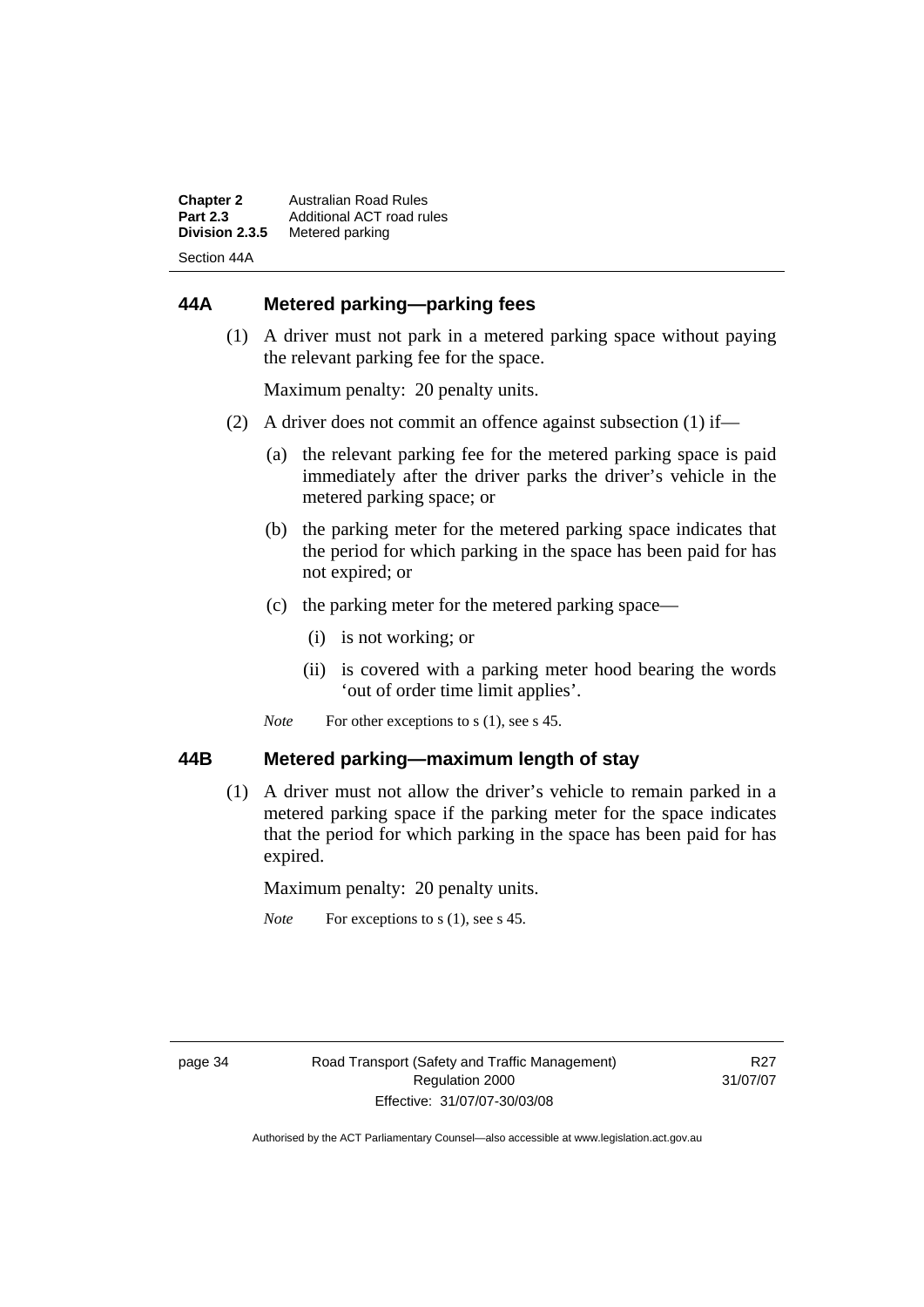| <b>Chapter 2</b> | Australian Road Rules     |
|------------------|---------------------------|
| <b>Part 2.3</b>  | Additional ACT road rules |
| Division 2.3.5   | Metered parking           |
| Section 44A      |                           |

## **44A Metered parking—parking fees**

 (1) A driver must not park in a metered parking space without paying the relevant parking fee for the space.

Maximum penalty: 20 penalty units.

- (2) A driver does not commit an offence against subsection (1) if—
	- (a) the relevant parking fee for the metered parking space is paid immediately after the driver parks the driver's vehicle in the metered parking space; or
	- (b) the parking meter for the metered parking space indicates that the period for which parking in the space has been paid for has not expired; or
	- (c) the parking meter for the metered parking space—
		- (i) is not working; or
		- (ii) is covered with a parking meter hood bearing the words 'out of order time limit applies'.
	- *Note* For other exceptions to s (1), see s 45.

#### **44B Metered parking—maximum length of stay**

 (1) A driver must not allow the driver's vehicle to remain parked in a metered parking space if the parking meter for the space indicates that the period for which parking in the space has been paid for has expired.

Maximum penalty: 20 penalty units.

*Note* For exceptions to s (1), see s 45.

R<sub>27</sub> 31/07/07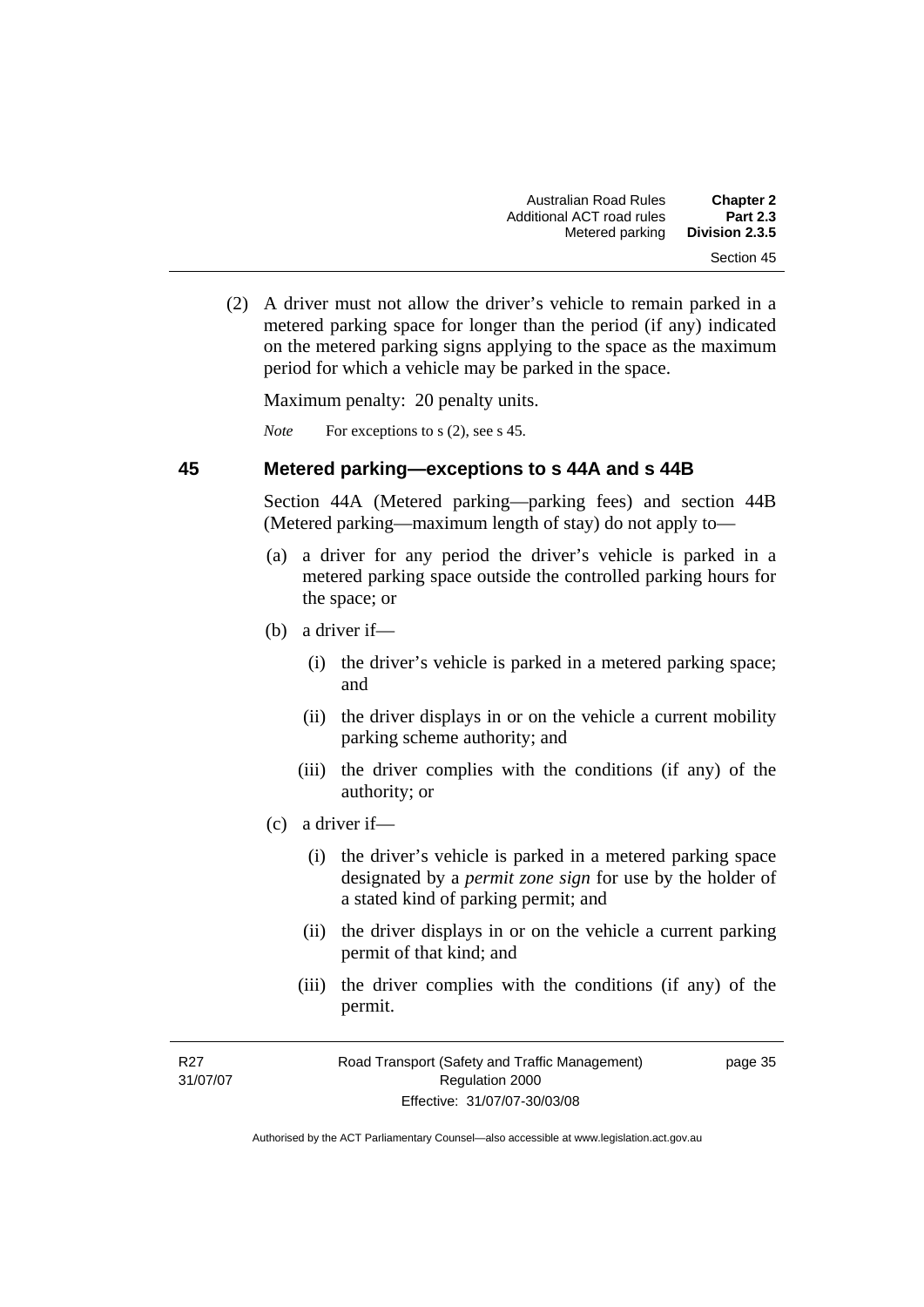(2) A driver must not allow the driver's vehicle to remain parked in a metered parking space for longer than the period (if any) indicated on the metered parking signs applying to the space as the maximum period for which a vehicle may be parked in the space.

Maximum penalty: 20 penalty units.

*Note* For exceptions to s (2), see s 45.

#### **45 Metered parking—exceptions to s 44A and s 44B**

Section 44A (Metered parking—parking fees) and section 44B (Metered parking—maximum length of stay) do not apply to—

- (a) a driver for any period the driver's vehicle is parked in a metered parking space outside the controlled parking hours for the space; or
- (b) a driver if—
	- (i) the driver's vehicle is parked in a metered parking space; and
	- (ii) the driver displays in or on the vehicle a current mobility parking scheme authority; and
	- (iii) the driver complies with the conditions (if any) of the authority; or
- (c) a driver if—
	- (i) the driver's vehicle is parked in a metered parking space designated by a *permit zone sign* for use by the holder of a stated kind of parking permit; and
	- (ii) the driver displays in or on the vehicle a current parking permit of that kind; and
	- (iii) the driver complies with the conditions (if any) of the permit.

page 35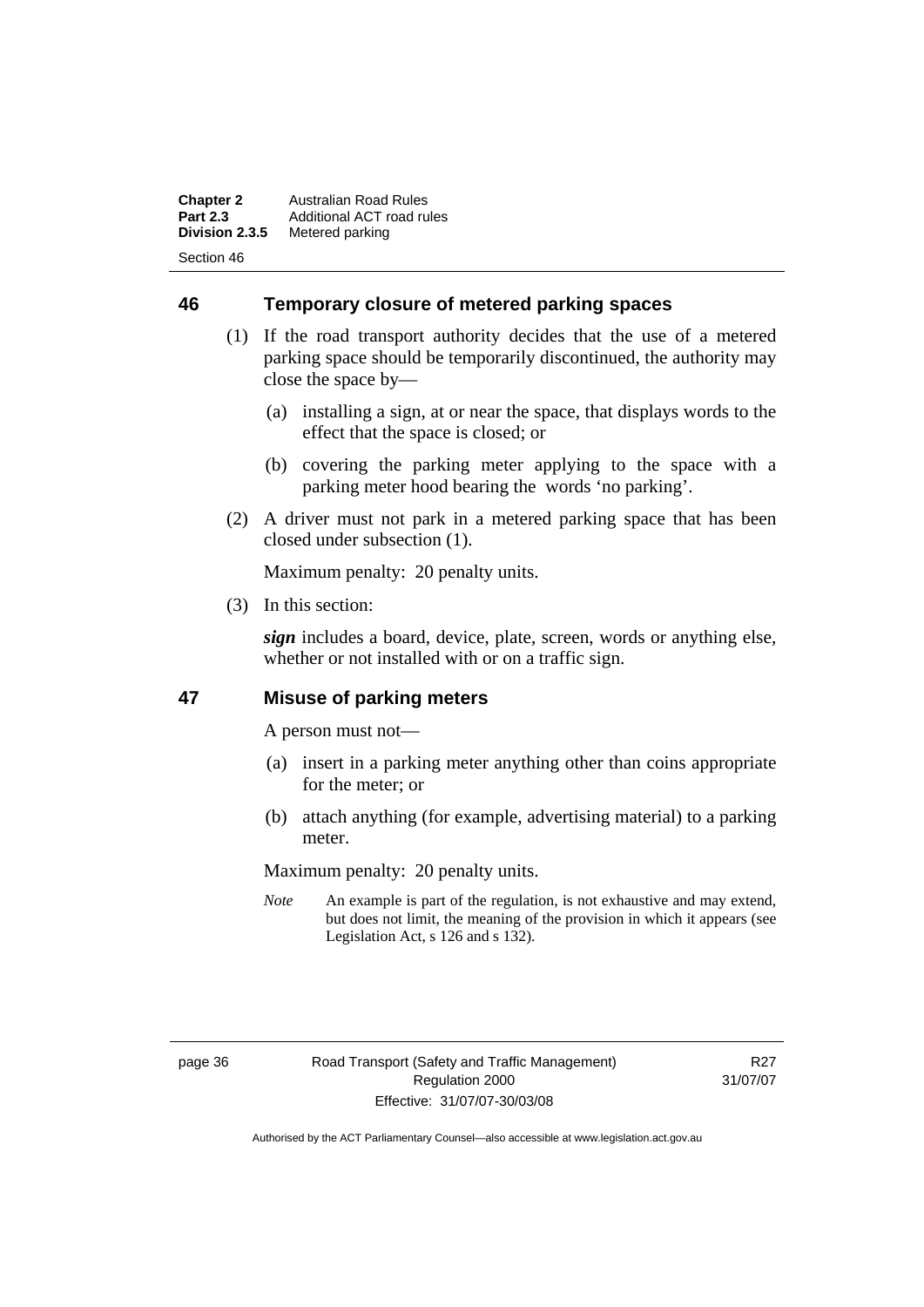**Chapter 2** Australian Road Rules<br>**Part 2.3** Additional ACT road ru **Part 2.3** Additional ACT road rules<br>**Division 2.3.5** Metered parking **Metered parking** Section 46

**46 Temporary closure of metered parking spaces**

- (1) If the road transport authority decides that the use of a metered parking space should be temporarily discontinued, the authority may close the space by—
	- (a) installing a sign, at or near the space, that displays words to the effect that the space is closed; or
	- (b) covering the parking meter applying to the space with a parking meter hood bearing the words 'no parking'.
- (2) A driver must not park in a metered parking space that has been closed under subsection (1).

Maximum penalty: 20 penalty units.

(3) In this section:

*sign* includes a board, device, plate, screen, words or anything else, whether or not installed with or on a traffic sign.

## **47 Misuse of parking meters**

A person must not—

- (a) insert in a parking meter anything other than coins appropriate for the meter; or
- (b) attach anything (for example, advertising material) to a parking meter.

Maximum penalty: 20 penalty units.

*Note* An example is part of the regulation, is not exhaustive and may extend, but does not limit, the meaning of the provision in which it appears (see Legislation Act, s 126 and s 132).

R27 31/07/07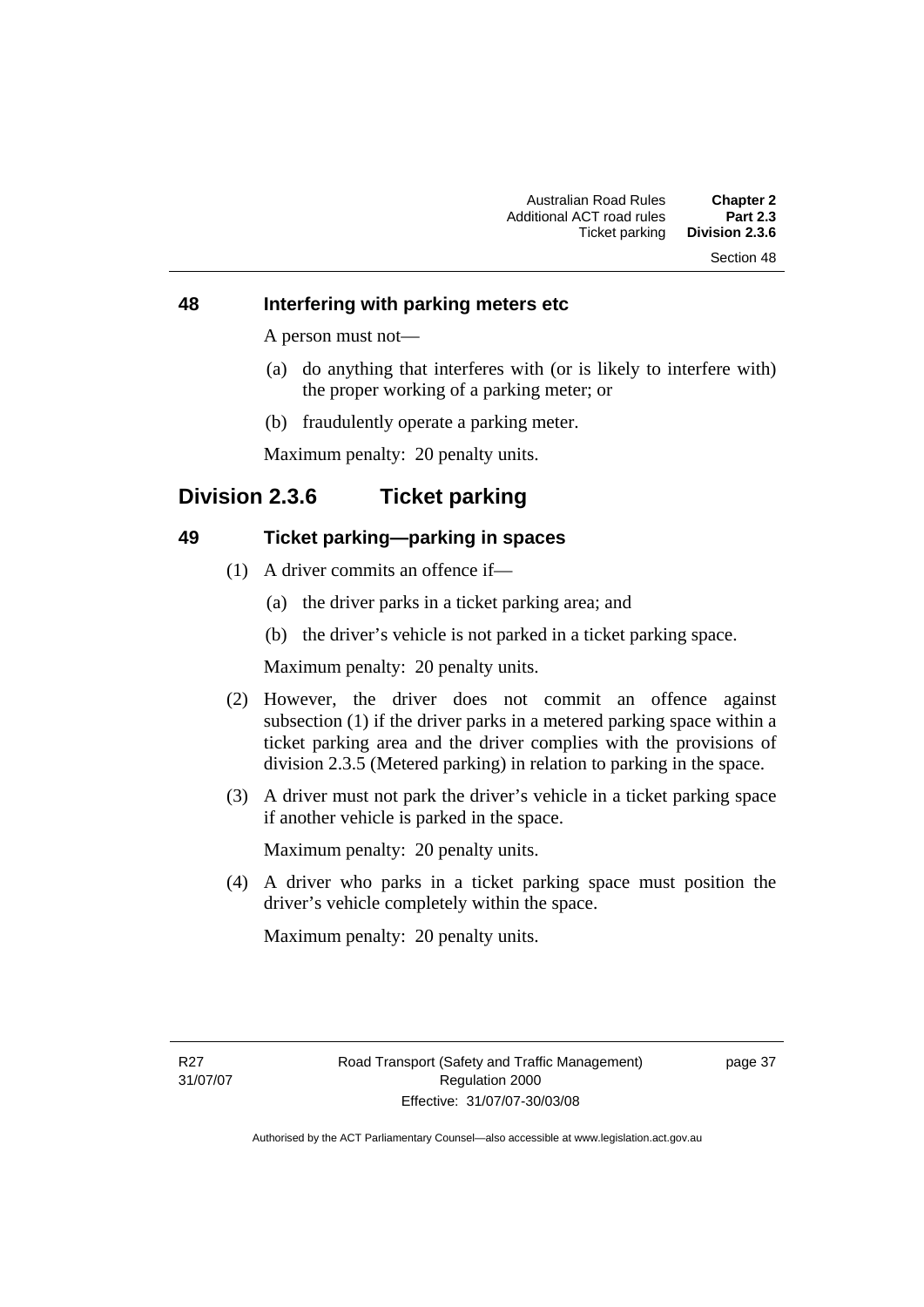#### **48 Interfering with parking meters etc**

A person must not—

- (a) do anything that interferes with (or is likely to interfere with) the proper working of a parking meter; or
- (b) fraudulently operate a parking meter.

Maximum penalty: 20 penalty units.

# **Division 2.3.6 Ticket parking**

#### **49 Ticket parking—parking in spaces**

- (1) A driver commits an offence if—
	- (a) the driver parks in a ticket parking area; and
	- (b) the driver's vehicle is not parked in a ticket parking space.

Maximum penalty: 20 penalty units.

- (2) However, the driver does not commit an offence against subsection (1) if the driver parks in a metered parking space within a ticket parking area and the driver complies with the provisions of division 2.3.5 (Metered parking) in relation to parking in the space.
- (3) A driver must not park the driver's vehicle in a ticket parking space if another vehicle is parked in the space.

Maximum penalty: 20 penalty units.

 (4) A driver who parks in a ticket parking space must position the driver's vehicle completely within the space.

Maximum penalty: 20 penalty units.

page 37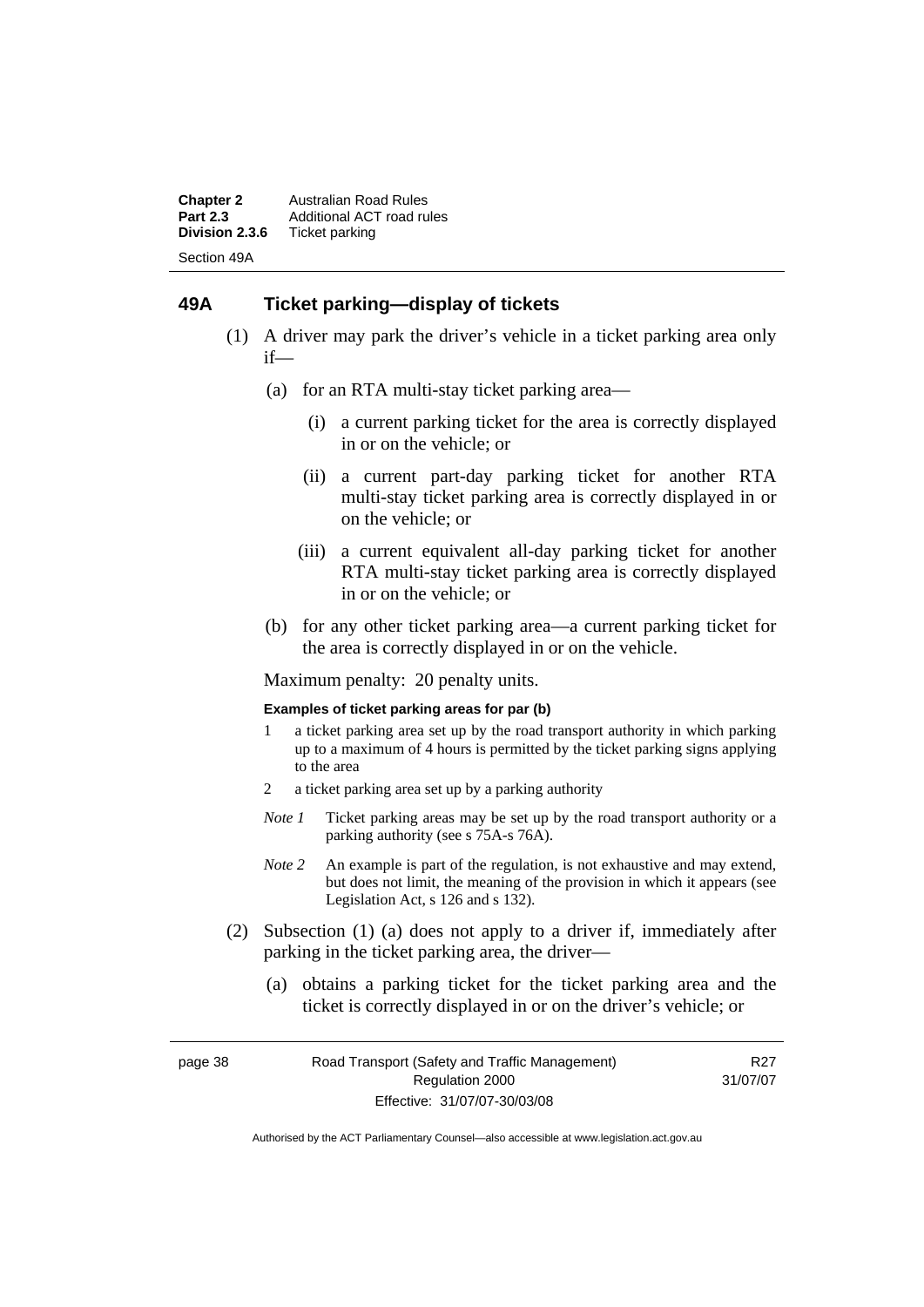**Chapter 2** Australian Road Rules<br>**Part 2.3** Additional ACT road ru **Part 2.3** Additional ACT road rules<br>**Division 2.3.6** Ticket parking **Ticket parking** Section 49A

#### **49A Ticket parking—display of tickets**

- (1) A driver may park the driver's vehicle in a ticket parking area only if—
	- (a) for an RTA multi-stay ticket parking area—
		- (i) a current parking ticket for the area is correctly displayed in or on the vehicle; or
		- (ii) a current part-day parking ticket for another RTA multi-stay ticket parking area is correctly displayed in or on the vehicle; or
		- (iii) a current equivalent all-day parking ticket for another RTA multi-stay ticket parking area is correctly displayed in or on the vehicle; or
	- (b) for any other ticket parking area—a current parking ticket for the area is correctly displayed in or on the vehicle.

Maximum penalty: 20 penalty units.

#### **Examples of ticket parking areas for par (b)**

- 1 a ticket parking area set up by the road transport authority in which parking up to a maximum of 4 hours is permitted by the ticket parking signs applying to the area
- 2 a ticket parking area set up by a parking authority
- *Note 1* Ticket parking areas may be set up by the road transport authority or a parking authority (see s 75A-s 76A).
- *Note 2* An example is part of the regulation, is not exhaustive and may extend, but does not limit, the meaning of the provision in which it appears (see Legislation Act, s 126 and s 132).
- (2) Subsection (1) (a) does not apply to a driver if, immediately after parking in the ticket parking area, the driver—
	- (a) obtains a parking ticket for the ticket parking area and the ticket is correctly displayed in or on the driver's vehicle; or

page 38 Road Transport (Safety and Traffic Management) Regulation 2000 Effective: 31/07/07-30/03/08

R27 31/07/07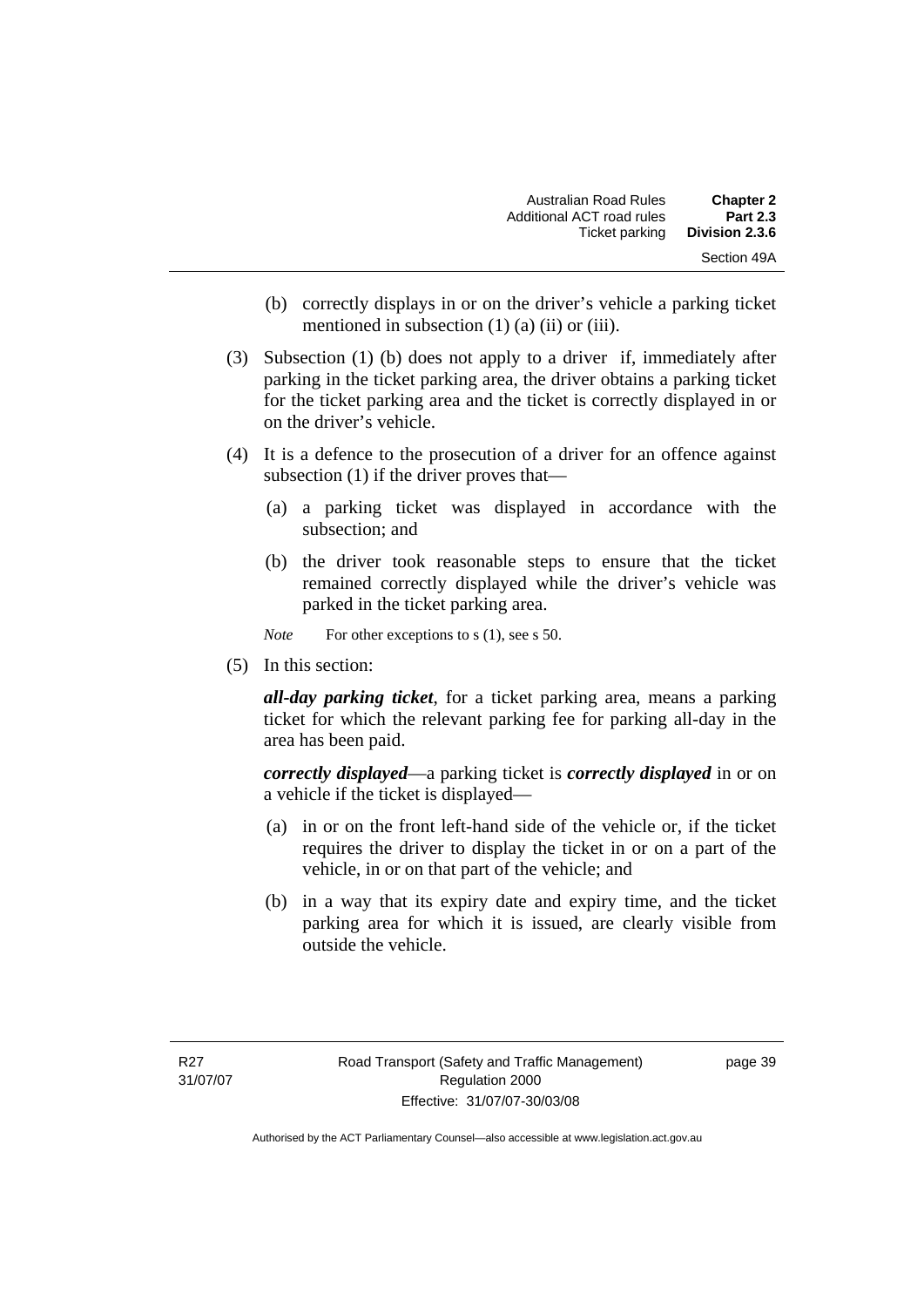| <b>Chapter 2</b> | Australian Road Rules     |
|------------------|---------------------------|
| <b>Part 2.3</b>  | Additional ACT road rules |
| Division 2.3.6   | Ticket parking            |
| Section 49A      |                           |

- (b) correctly displays in or on the driver's vehicle a parking ticket mentioned in subsection (1) (a) (ii) or (iii).
- (3) Subsection (1) (b) does not apply to a driver if, immediately after parking in the ticket parking area, the driver obtains a parking ticket for the ticket parking area and the ticket is correctly displayed in or on the driver's vehicle.
- (4) It is a defence to the prosecution of a driver for an offence against subsection (1) if the driver proves that—
	- (a) a parking ticket was displayed in accordance with the subsection; and
	- (b) the driver took reasonable steps to ensure that the ticket remained correctly displayed while the driver's vehicle was parked in the ticket parking area.

*Note* For other exceptions to s (1), see s 50.

(5) In this section:

*all-day parking ticket*, for a ticket parking area, means a parking ticket for which the relevant parking fee for parking all-day in the area has been paid.

*correctly displayed*—a parking ticket is *correctly displayed* in or on a vehicle if the ticket is displayed—

- (a) in or on the front left-hand side of the vehicle or, if the ticket requires the driver to display the ticket in or on a part of the vehicle, in or on that part of the vehicle; and
- (b) in a way that its expiry date and expiry time, and the ticket parking area for which it is issued, are clearly visible from outside the vehicle.

page 39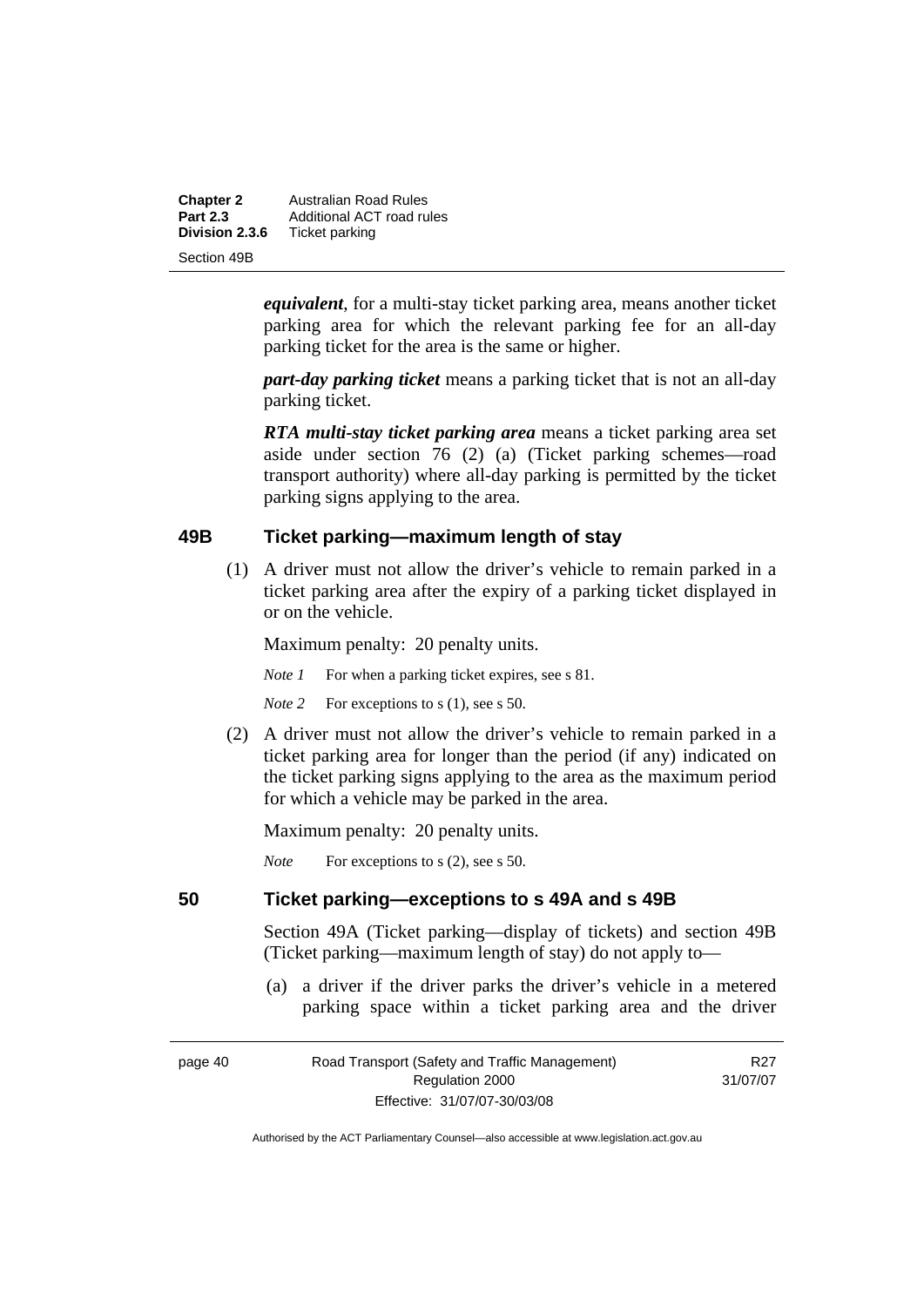| <b>Chapter 2</b> | Australian Road Rules     |
|------------------|---------------------------|
| <b>Part 2.3</b>  | Additional ACT road rules |
| Division 2.3.6   | Ticket parking            |
| Section 49B      |                           |

*equivalent*, for a multi-stay ticket parking area, means another ticket parking area for which the relevant parking fee for an all-day parking ticket for the area is the same or higher.

*part-day parking ticket* means a parking ticket that is not an all-day parking ticket.

*RTA multi-stay ticket parking area* means a ticket parking area set aside under section 76 (2) (a) (Ticket parking schemes—road transport authority) where all-day parking is permitted by the ticket parking signs applying to the area.

#### **49B Ticket parking—maximum length of stay**

 (1) A driver must not allow the driver's vehicle to remain parked in a ticket parking area after the expiry of a parking ticket displayed in or on the vehicle.

Maximum penalty: 20 penalty units.

*Note 1* For when a parking ticket expires, see s 81.

*Note* 2 For exceptions to s (1), see s 50.

 (2) A driver must not allow the driver's vehicle to remain parked in a ticket parking area for longer than the period (if any) indicated on the ticket parking signs applying to the area as the maximum period for which a vehicle may be parked in the area.

Maximum penalty: 20 penalty units.

*Note* For exceptions to s (2), see s 50.

#### **50 Ticket parking—exceptions to s 49A and s 49B**

Section 49A (Ticket parking—display of tickets) and section 49B (Ticket parking—maximum length of stay) do not apply to—

 (a) a driver if the driver parks the driver's vehicle in a metered parking space within a ticket parking area and the driver

| page 40 | Road Transport (Safety and Traffic Management) | R <sub>27</sub> |
|---------|------------------------------------------------|-----------------|
|         | Regulation 2000                                | 31/07/07        |
|         | Effective: 31/07/07-30/03/08                   |                 |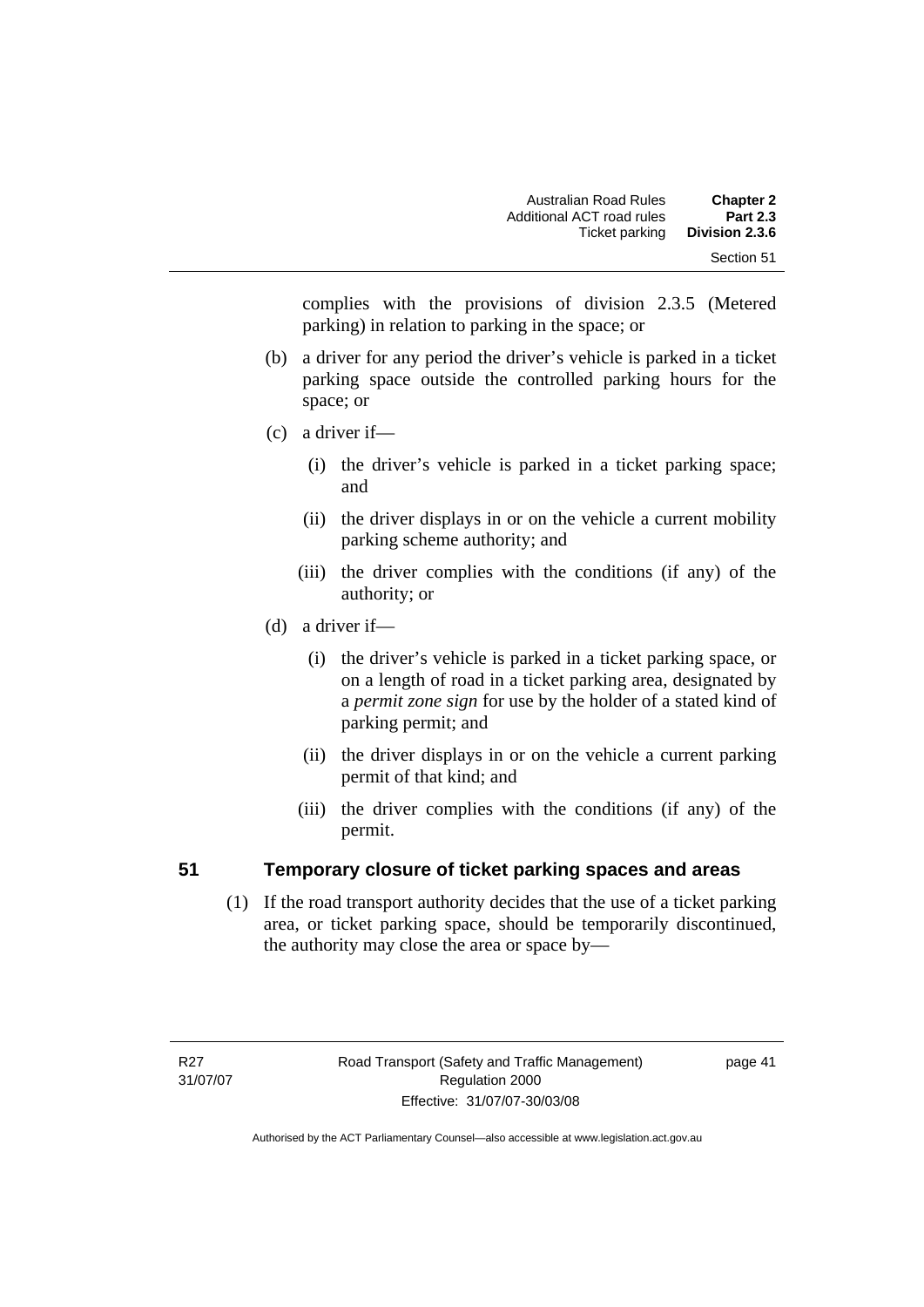complies with the provisions of division 2.3.5 (Metered parking) in relation to parking in the space; or

- (b) a driver for any period the driver's vehicle is parked in a ticket parking space outside the controlled parking hours for the space; or
- (c) a driver if—
	- (i) the driver's vehicle is parked in a ticket parking space; and
	- (ii) the driver displays in or on the vehicle a current mobility parking scheme authority; and
	- (iii) the driver complies with the conditions (if any) of the authority; or
- (d) a driver if—
	- (i) the driver's vehicle is parked in a ticket parking space, or on a length of road in a ticket parking area, designated by a *permit zone sign* for use by the holder of a stated kind of parking permit; and
	- (ii) the driver displays in or on the vehicle a current parking permit of that kind; and
	- (iii) the driver complies with the conditions (if any) of the permit.

# **51 Temporary closure of ticket parking spaces and areas**

 (1) If the road transport authority decides that the use of a ticket parking area, or ticket parking space, should be temporarily discontinued, the authority may close the area or space by—

page 41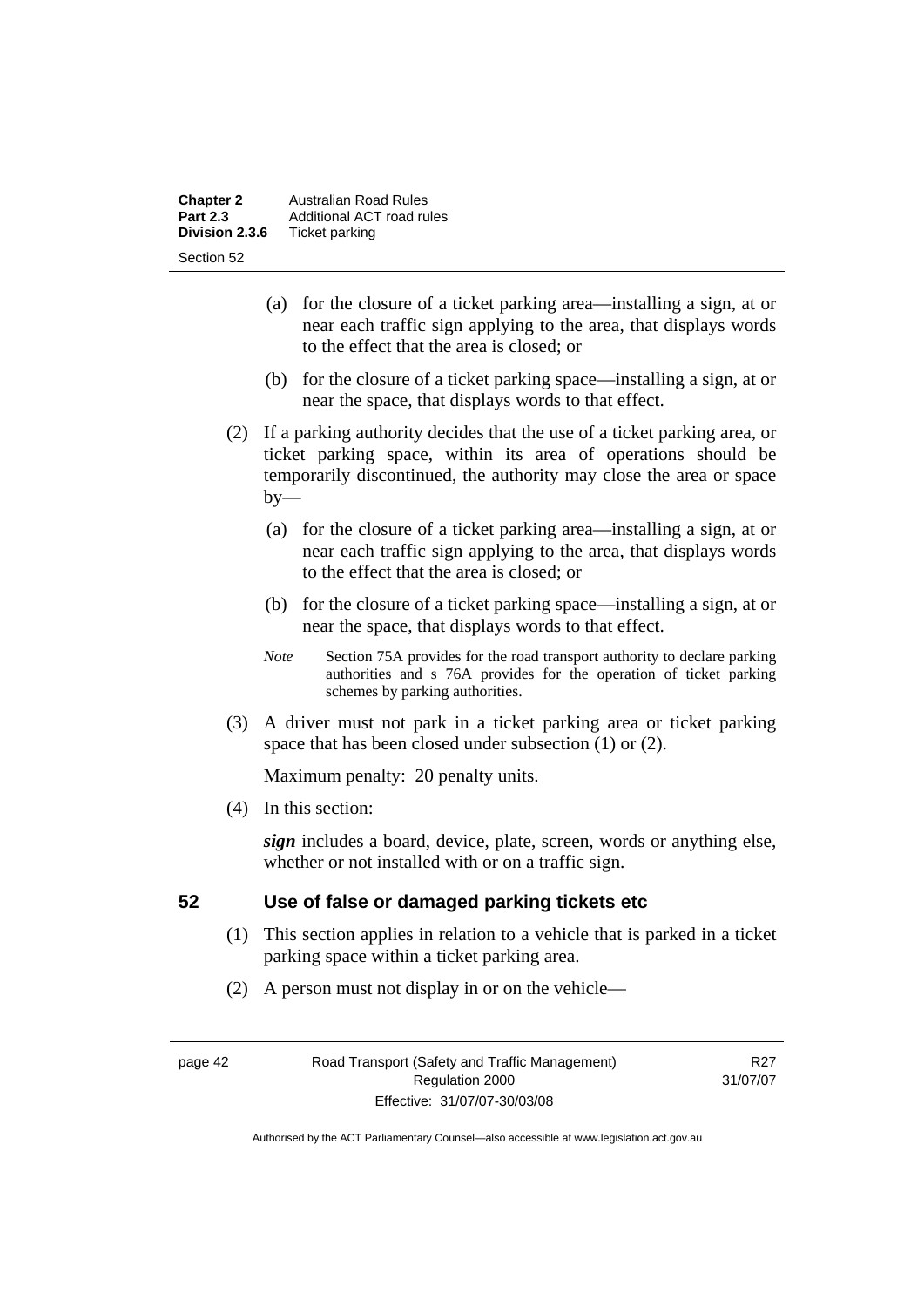| <b>Chapter 2</b> | Australian Road Rules     |  |
|------------------|---------------------------|--|
| <b>Part 2.3</b>  | Additional ACT road rules |  |
| Division 2.3.6   | Ticket parking            |  |
| Section 52       |                           |  |

- (a) for the closure of a ticket parking area—installing a sign, at or near each traffic sign applying to the area, that displays words to the effect that the area is closed; or
- (b) for the closure of a ticket parking space—installing a sign, at or near the space, that displays words to that effect.
- (2) If a parking authority decides that the use of a ticket parking area, or ticket parking space, within its area of operations should be temporarily discontinued, the authority may close the area or space  $by-$ 
	- (a) for the closure of a ticket parking area—installing a sign, at or near each traffic sign applying to the area, that displays words to the effect that the area is closed; or
	- (b) for the closure of a ticket parking space—installing a sign, at or near the space, that displays words to that effect.
	- *Note* Section 75A provides for the road transport authority to declare parking authorities and s 76A provides for the operation of ticket parking schemes by parking authorities.
- (3) A driver must not park in a ticket parking area or ticket parking space that has been closed under subsection (1) or (2).

(4) In this section:

*sign* includes a board, device, plate, screen, words or anything else, whether or not installed with or on a traffic sign.

### **52 Use of false or damaged parking tickets etc**

- (1) This section applies in relation to a vehicle that is parked in a ticket parking space within a ticket parking area.
- (2) A person must not display in or on the vehicle—

page 42 Road Transport (Safety and Traffic Management) Regulation 2000 Effective: 31/07/07-30/03/08

R<sub>27</sub> 31/07/07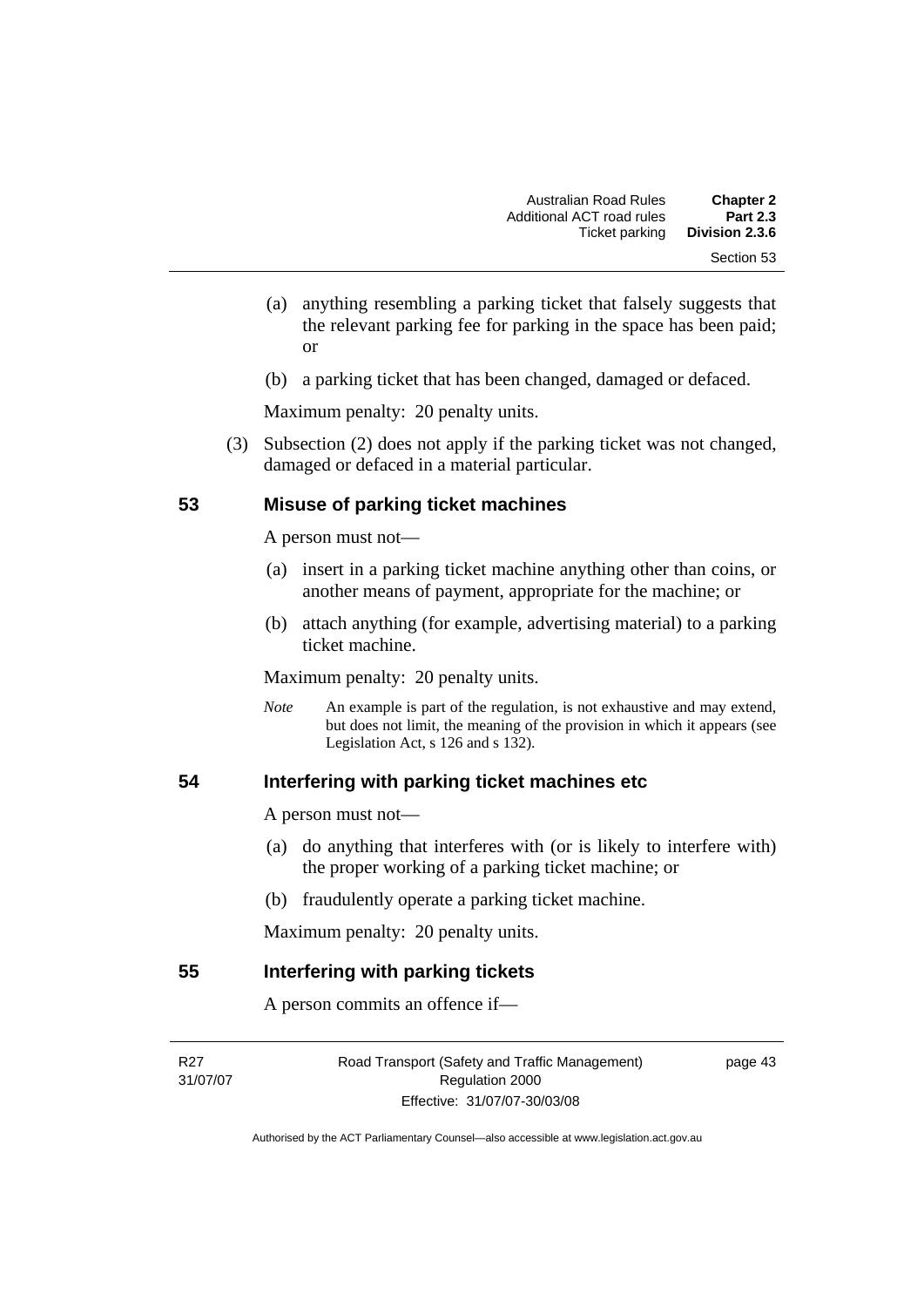- (a) anything resembling a parking ticket that falsely suggests that the relevant parking fee for parking in the space has been paid; or
- (b) a parking ticket that has been changed, damaged or defaced.

 (3) Subsection (2) does not apply if the parking ticket was not changed, damaged or defaced in a material particular.

#### **53 Misuse of parking ticket machines**

A person must not—

- (a) insert in a parking ticket machine anything other than coins, or another means of payment, appropriate for the machine; or
- (b) attach anything (for example, advertising material) to a parking ticket machine.

Maximum penalty: 20 penalty units.

*Note* An example is part of the regulation, is not exhaustive and may extend, but does not limit, the meaning of the provision in which it appears (see Legislation Act, s  $126$  and s  $132$ ).

#### **54 Interfering with parking ticket machines etc**

A person must not—

- (a) do anything that interferes with (or is likely to interfere with) the proper working of a parking ticket machine; or
- (b) fraudulently operate a parking ticket machine.

Maximum penalty: 20 penalty units.

#### **55 Interfering with parking tickets**

A person commits an offence if—

R<sub>27</sub> 31/07/07

Road Transport (Safety and Traffic Management) Regulation 2000 Effective: 31/07/07-30/03/08

page 43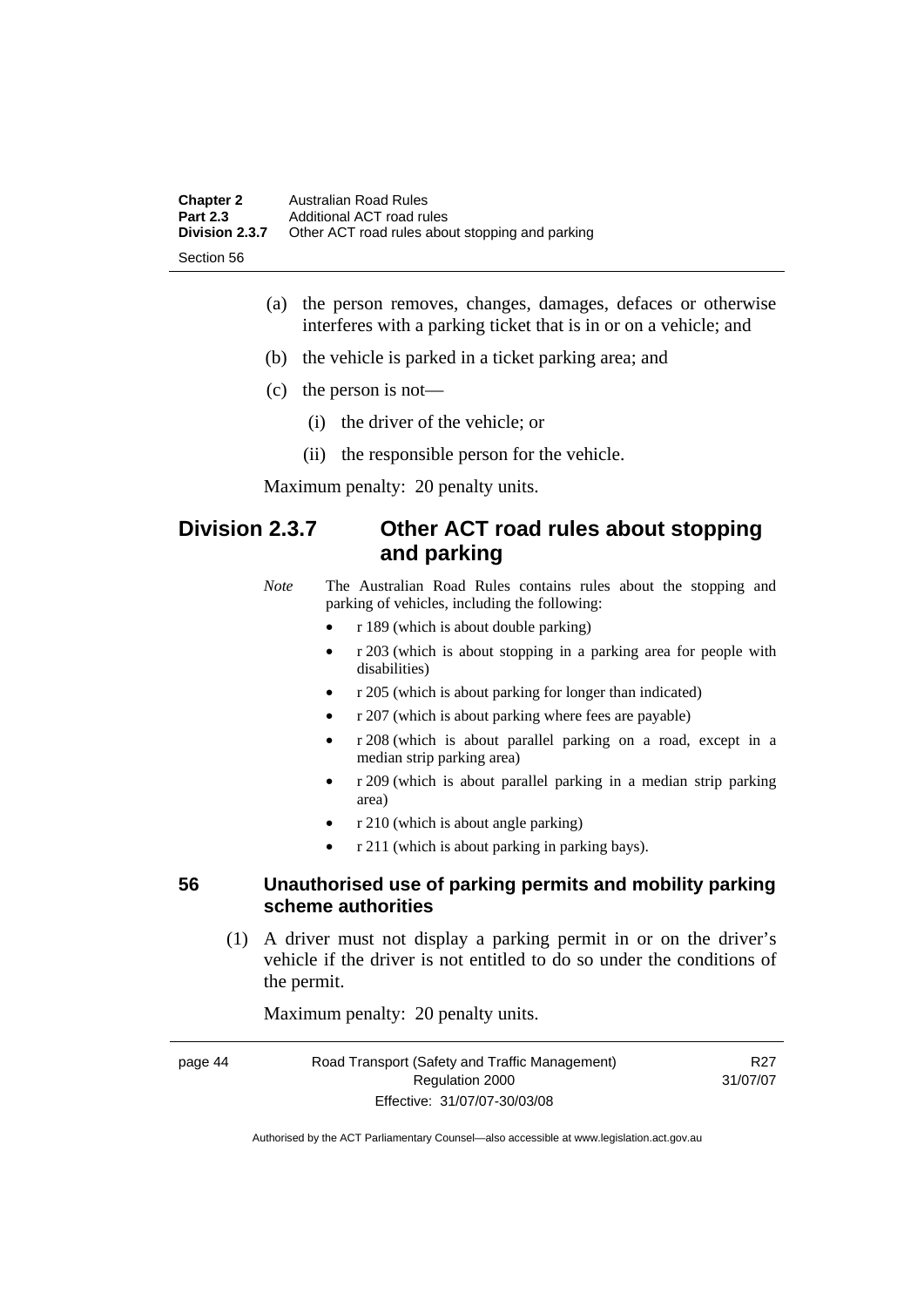| <b>Chapter 2</b> | Australian Road Rules                           |
|------------------|-------------------------------------------------|
| <b>Part 2.3</b>  | Additional ACT road rules                       |
| Division 2.3.7   | Other ACT road rules about stopping and parking |
| -Section 56      |                                                 |

- (a) the person removes, changes, damages, defaces or otherwise interferes with a parking ticket that is in or on a vehicle; and
- (b) the vehicle is parked in a ticket parking area; and
- (c) the person is not—
	- (i) the driver of the vehicle; or
	- (ii) the responsible person for the vehicle.

# **Division 2.3.7 Other ACT road rules about stopping and parking**

*Note* The Australian Road Rules contains rules about the stopping and parking of vehicles, including the following:

- r 189 (which is about double parking)
- r 203 (which is about stopping in a parking area for people with disabilities)
- r 205 (which is about parking for longer than indicated)
- r 207 (which is about parking where fees are payable)
- r 208 (which is about parallel parking on a road, except in a median strip parking area)
- r 209 (which is about parallel parking in a median strip parking area)
- r 210 (which is about angle parking)
- r 211 (which is about parking in parking bays).

#### **56 Unauthorised use of parking permits and mobility parking scheme authorities**

 (1) A driver must not display a parking permit in or on the driver's vehicle if the driver is not entitled to do so under the conditions of the permit.

Maximum penalty: 20 penalty units.

| page 44 | Road Transport (Safety and Traffic Management) | R27      |
|---------|------------------------------------------------|----------|
|         | Regulation 2000                                | 31/07/07 |
|         | Effective: 31/07/07-30/03/08                   |          |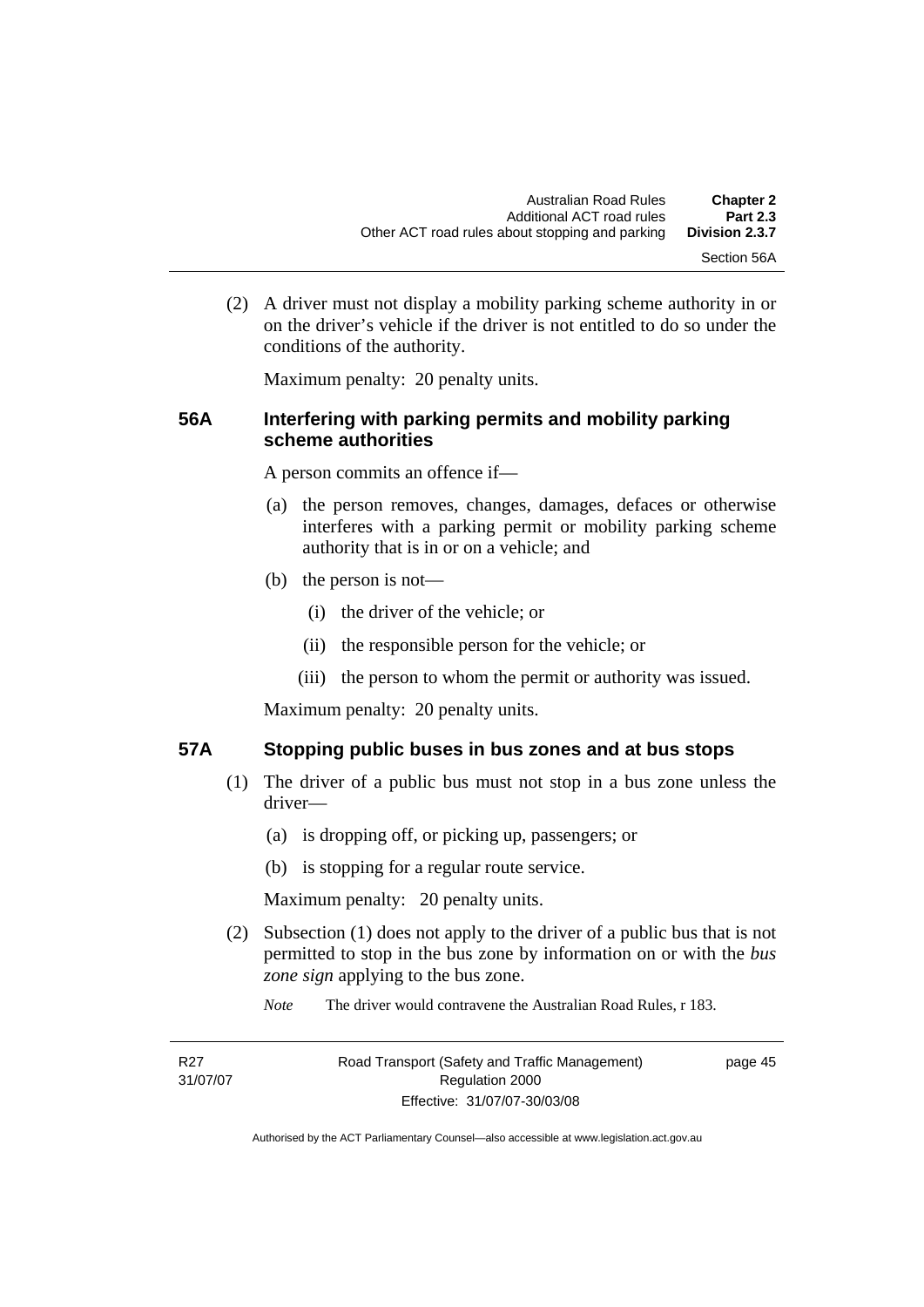(2) A driver must not display a mobility parking scheme authority in or on the driver's vehicle if the driver is not entitled to do so under the conditions of the authority.

Maximum penalty: 20 penalty units.

#### **56A Interfering with parking permits and mobility parking scheme authorities**

A person commits an offence if—

- (a) the person removes, changes, damages, defaces or otherwise interferes with a parking permit or mobility parking scheme authority that is in or on a vehicle; and
- (b) the person is not—
	- (i) the driver of the vehicle; or
	- (ii) the responsible person for the vehicle; or
	- (iii) the person to whom the permit or authority was issued.

Maximum penalty: 20 penalty units.

#### **57A Stopping public buses in bus zones and at bus stops**

- (1) The driver of a public bus must not stop in a bus zone unless the driver—
	- (a) is dropping off, or picking up, passengers; or
	- (b) is stopping for a regular route service.

Maximum penalty: 20 penalty units.

- (2) Subsection (1) does not apply to the driver of a public bus that is not permitted to stop in the bus zone by information on or with the *bus zone sign* applying to the bus zone.
	- *Note* The driver would contravene the Australian Road Rules, r 183.

| R <sub>27</sub> | Road Transport (Safety and Traffic Management) | page 45 |
|-----------------|------------------------------------------------|---------|
| 31/07/07        | Regulation 2000                                |         |
|                 | Effective: 31/07/07-30/03/08                   |         |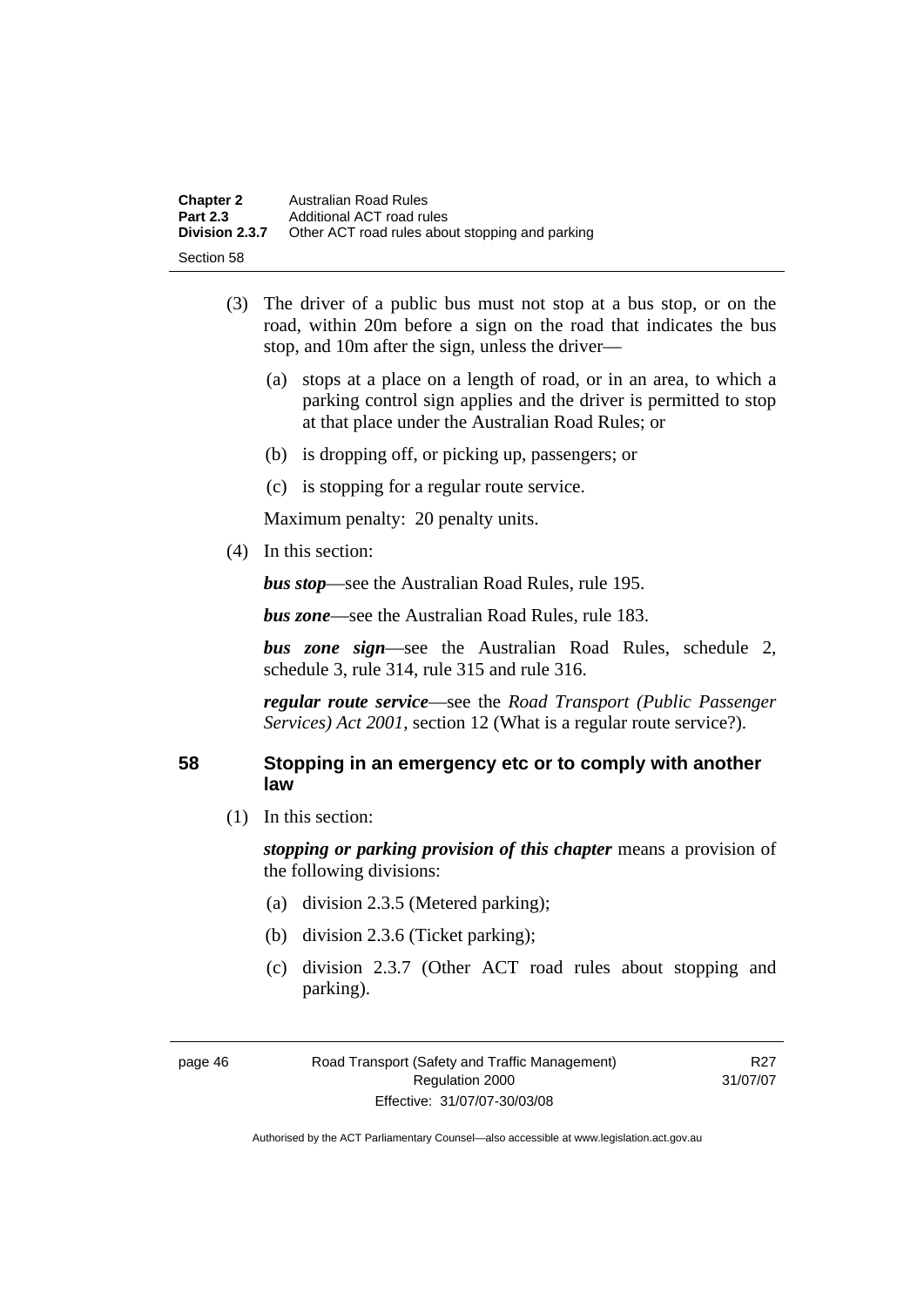| <b>Chapter 2</b> | Australian Road Rules                           |
|------------------|-------------------------------------------------|
| <b>Part 2.3</b>  | Additional ACT road rules                       |
| Division 2.3.7   | Other ACT road rules about stopping and parking |
| Section 58       |                                                 |

- (3) The driver of a public bus must not stop at a bus stop, or on the road, within 20m before a sign on the road that indicates the bus stop, and 10m after the sign, unless the driver—
	- (a) stops at a place on a length of road, or in an area, to which a parking control sign applies and the driver is permitted to stop at that place under the Australian Road Rules; or
	- (b) is dropping off, or picking up, passengers; or
	- (c) is stopping for a regular route service.

(4) In this section:

*bus stop*—see the Australian Road Rules, rule 195.

*bus zone*—see the Australian Road Rules, rule 183.

*bus zone sign*—see the Australian Road Rules, schedule 2, schedule 3, rule 314, rule 315 and rule 316.

*regular route service*—see the *Road Transport (Public Passenger Services) Act 2001*, section 12 (What is a regular route service?).

#### **58 Stopping in an emergency etc or to comply with another law**

(1) In this section:

*stopping or parking provision of this chapter* means a provision of the following divisions:

- (a) division 2.3.5 (Metered parking);
- (b) division 2.3.6 (Ticket parking);
- (c) division 2.3.7 (Other ACT road rules about stopping and parking).

R<sub>27</sub> 31/07/07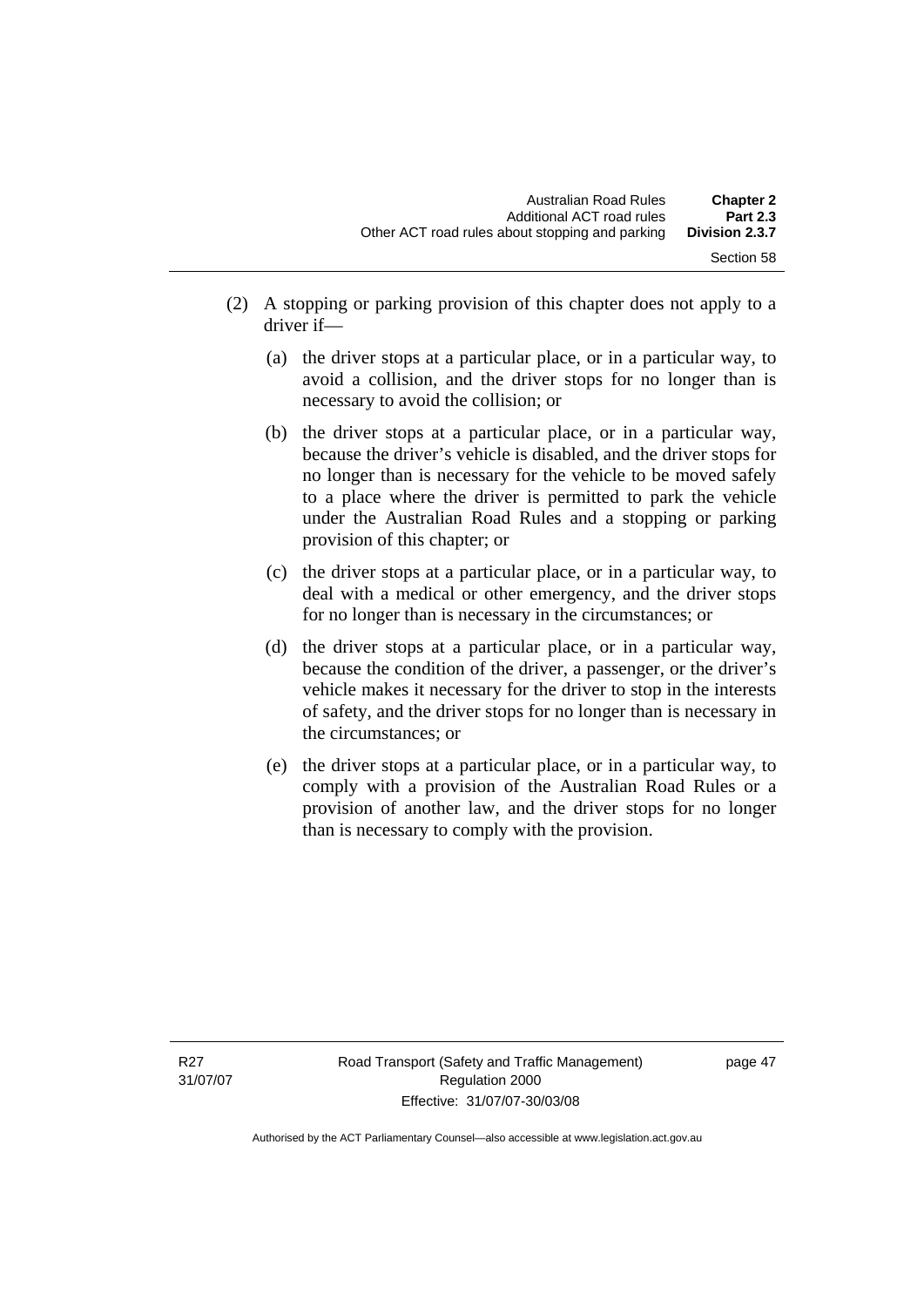- (2) A stopping or parking provision of this chapter does not apply to a driver if—
	- (a) the driver stops at a particular place, or in a particular way, to avoid a collision, and the driver stops for no longer than is necessary to avoid the collision; or
	- (b) the driver stops at a particular place, or in a particular way, because the driver's vehicle is disabled, and the driver stops for no longer than is necessary for the vehicle to be moved safely to a place where the driver is permitted to park the vehicle under the Australian Road Rules and a stopping or parking provision of this chapter; or
	- (c) the driver stops at a particular place, or in a particular way, to deal with a medical or other emergency, and the driver stops for no longer than is necessary in the circumstances; or
	- (d) the driver stops at a particular place, or in a particular way, because the condition of the driver, a passenger, or the driver's vehicle makes it necessary for the driver to stop in the interests of safety, and the driver stops for no longer than is necessary in the circumstances; or
	- (e) the driver stops at a particular place, or in a particular way, to comply with a provision of the Australian Road Rules or a provision of another law, and the driver stops for no longer than is necessary to comply with the provision.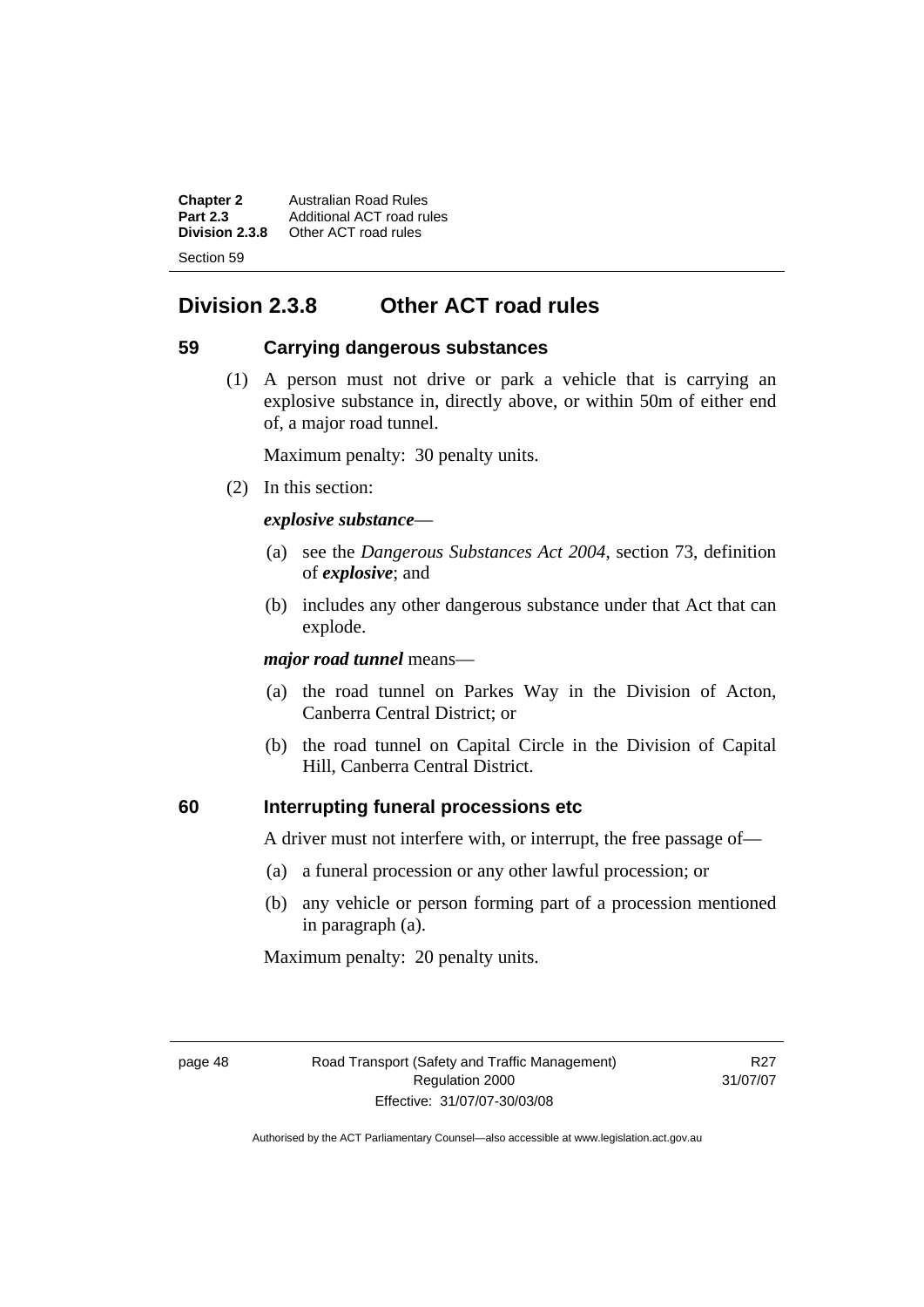**Chapter 2** Australian Road Rules<br>**Part 2.3** Additional ACT road ru **Part 2.3** Additional ACT road rules<br>**Division 2.3.8** Other ACT road rules **Division 2.3.8** Other ACT road rules Section 59

# **Division 2.3.8 Other ACT road rules**

#### **59 Carrying dangerous substances**

 (1) A person must not drive or park a vehicle that is carrying an explosive substance in, directly above, or within 50m of either end of, a major road tunnel.

Maximum penalty: 30 penalty units.

(2) In this section:

#### *explosive substance*—

- (a) see the *Dangerous Substances Act 2004*, section 73, definition of *explosive*; and
- (b) includes any other dangerous substance under that Act that can explode.

*major road tunnel* means—

- (a) the road tunnel on Parkes Way in the Division of Acton, Canberra Central District; or
- (b) the road tunnel on Capital Circle in the Division of Capital Hill, Canberra Central District.

### **60 Interrupting funeral processions etc**

A driver must not interfere with, or interrupt, the free passage of—

- (a) a funeral procession or any other lawful procession; or
- (b) any vehicle or person forming part of a procession mentioned in paragraph (a).

Maximum penalty: 20 penalty units.

R27 31/07/07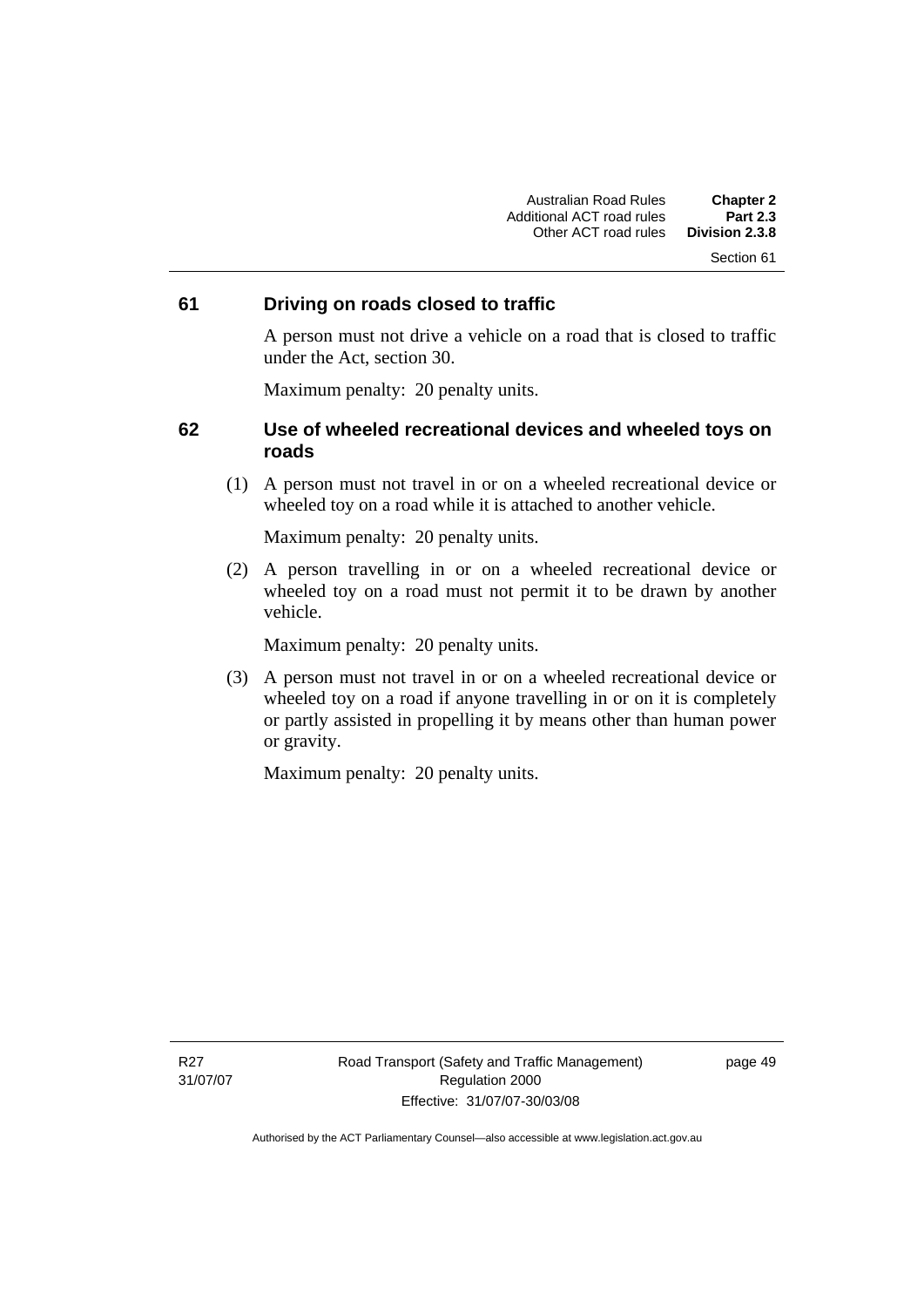#### **61 Driving on roads closed to traffic**

A person must not drive a vehicle on a road that is closed to traffic under the Act, section 30.

Maximum penalty: 20 penalty units.

#### **62 Use of wheeled recreational devices and wheeled toys on roads**

 (1) A person must not travel in or on a wheeled recreational device or wheeled toy on a road while it is attached to another vehicle.

Maximum penalty: 20 penalty units.

 (2) A person travelling in or on a wheeled recreational device or wheeled toy on a road must not permit it to be drawn by another vehicle.

Maximum penalty: 20 penalty units.

 (3) A person must not travel in or on a wheeled recreational device or wheeled toy on a road if anyone travelling in or on it is completely or partly assisted in propelling it by means other than human power or gravity.

Maximum penalty: 20 penalty units.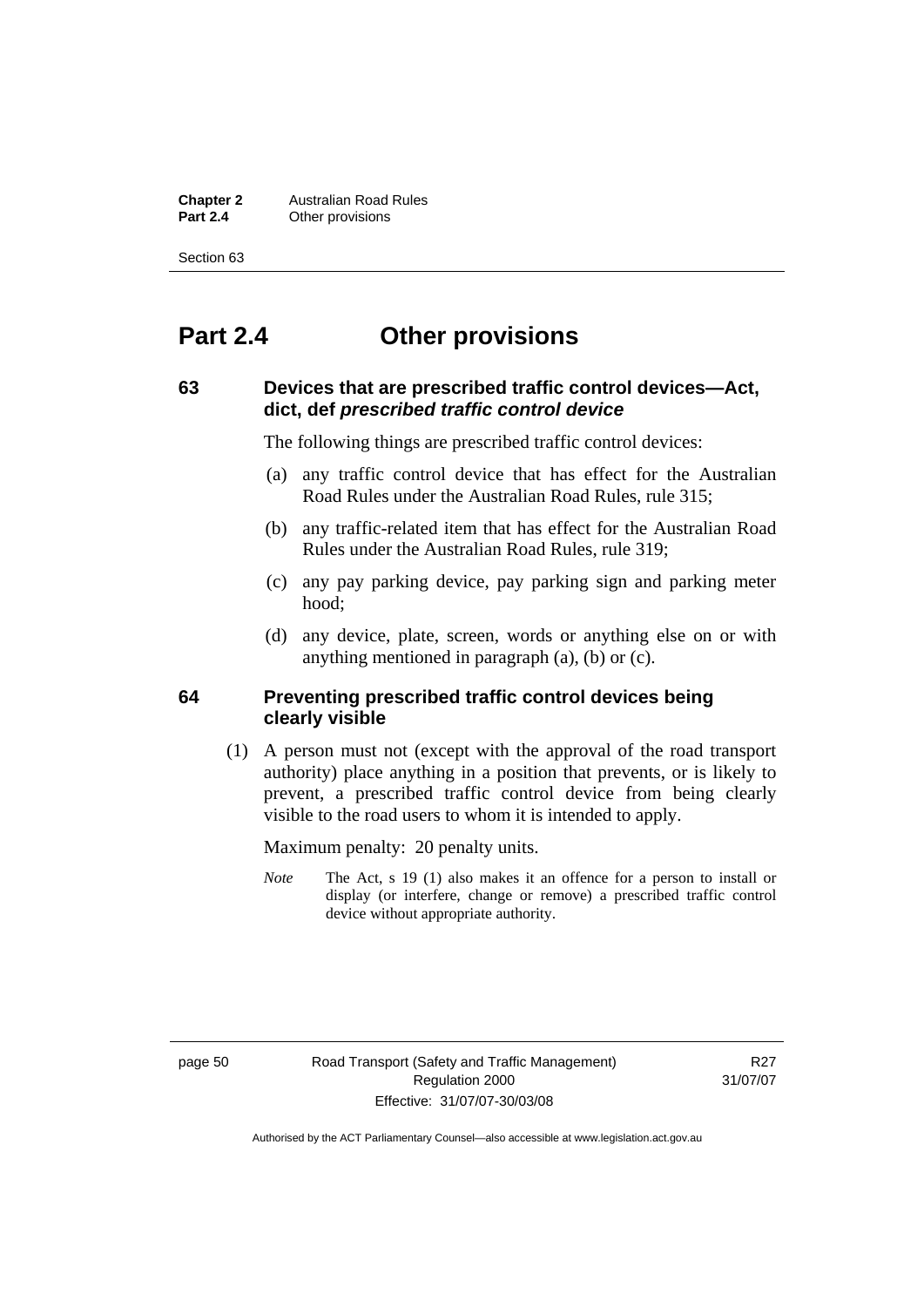**Chapter 2** Australian Road Rules<br>**Part 2.4** Other provisions **Other provisions** 

Section 63

# **Part 2.4 Other provisions**

#### **63 Devices that are prescribed traffic control devices—Act, dict, def** *prescribed traffic control device*

The following things are prescribed traffic control devices:

- (a) any traffic control device that has effect for the Australian Road Rules under the Australian Road Rules, rule 315;
- (b) any traffic-related item that has effect for the Australian Road Rules under the Australian Road Rules, rule 319;
- (c) any pay parking device, pay parking sign and parking meter hood;
- (d) any device, plate, screen, words or anything else on or with anything mentioned in paragraph (a), (b) or (c).

#### **64 Preventing prescribed traffic control devices being clearly visible**

 (1) A person must not (except with the approval of the road transport authority) place anything in a position that prevents, or is likely to prevent, a prescribed traffic control device from being clearly visible to the road users to whom it is intended to apply.

Maximum penalty: 20 penalty units.

*Note* The Act, s 19 (1) also makes it an offence for a person to install or display (or interfere, change or remove) a prescribed traffic control device without appropriate authority.

page 50 Road Transport (Safety and Traffic Management) Regulation 2000 Effective: 31/07/07-30/03/08

R<sub>27</sub> 31/07/07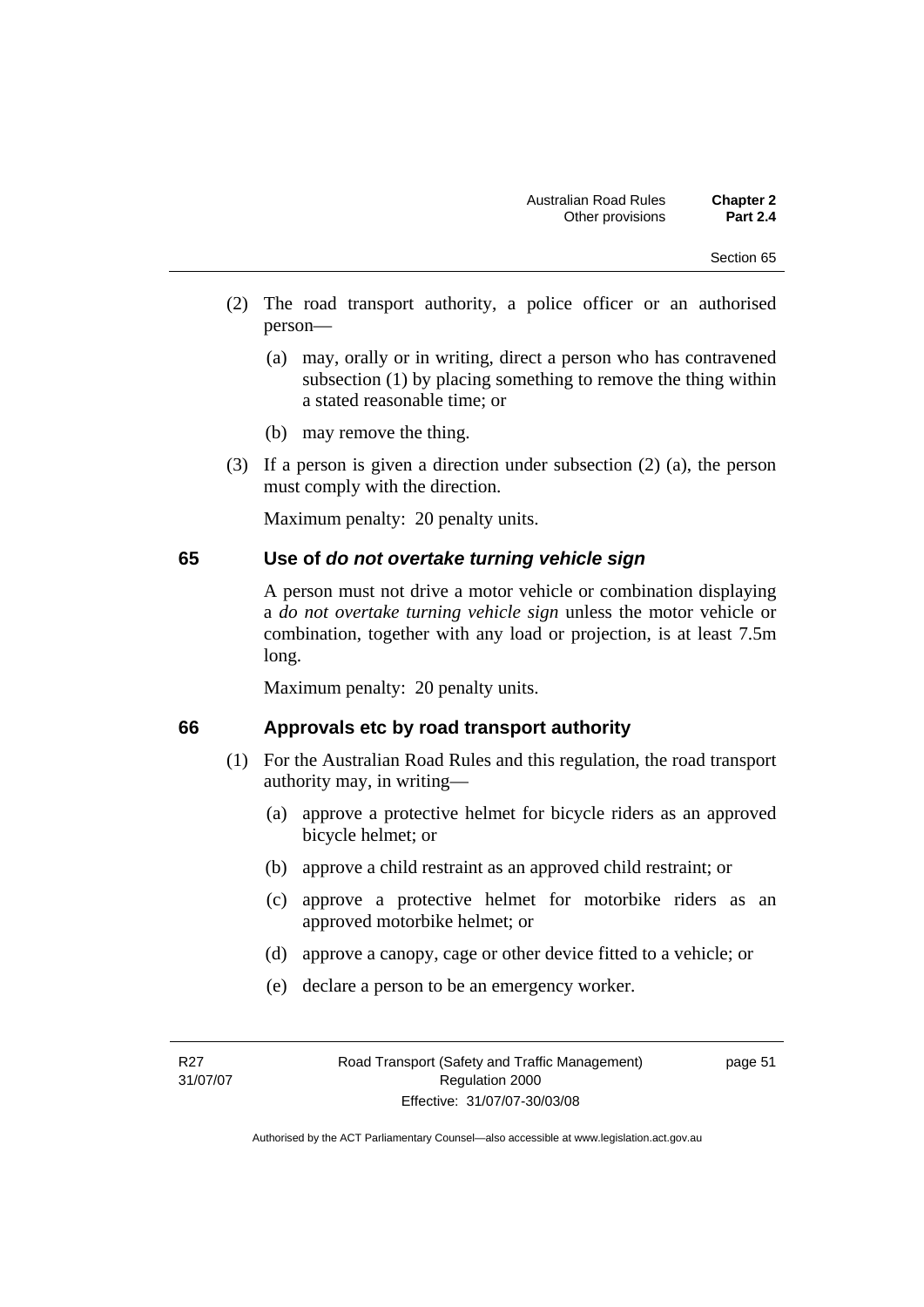- (2) The road transport authority, a police officer or an authorised person—
	- (a) may, orally or in writing, direct a person who has contravened subsection (1) by placing something to remove the thing within a stated reasonable time; or
	- (b) may remove the thing.
- (3) If a person is given a direction under subsection (2) (a), the person must comply with the direction.

#### **65 Use of** *do not overtake turning vehicle sign*

A person must not drive a motor vehicle or combination displaying a *do not overtake turning vehicle sign* unless the motor vehicle or combination, together with any load or projection, is at least 7.5m long.

Maximum penalty: 20 penalty units.

#### **66 Approvals etc by road transport authority**

- (1) For the Australian Road Rules and this regulation, the road transport authority may, in writing—
	- (a) approve a protective helmet for bicycle riders as an approved bicycle helmet; or
	- (b) approve a child restraint as an approved child restraint; or
	- (c) approve a protective helmet for motorbike riders as an approved motorbike helmet; or
	- (d) approve a canopy, cage or other device fitted to a vehicle; or
	- (e) declare a person to be an emergency worker.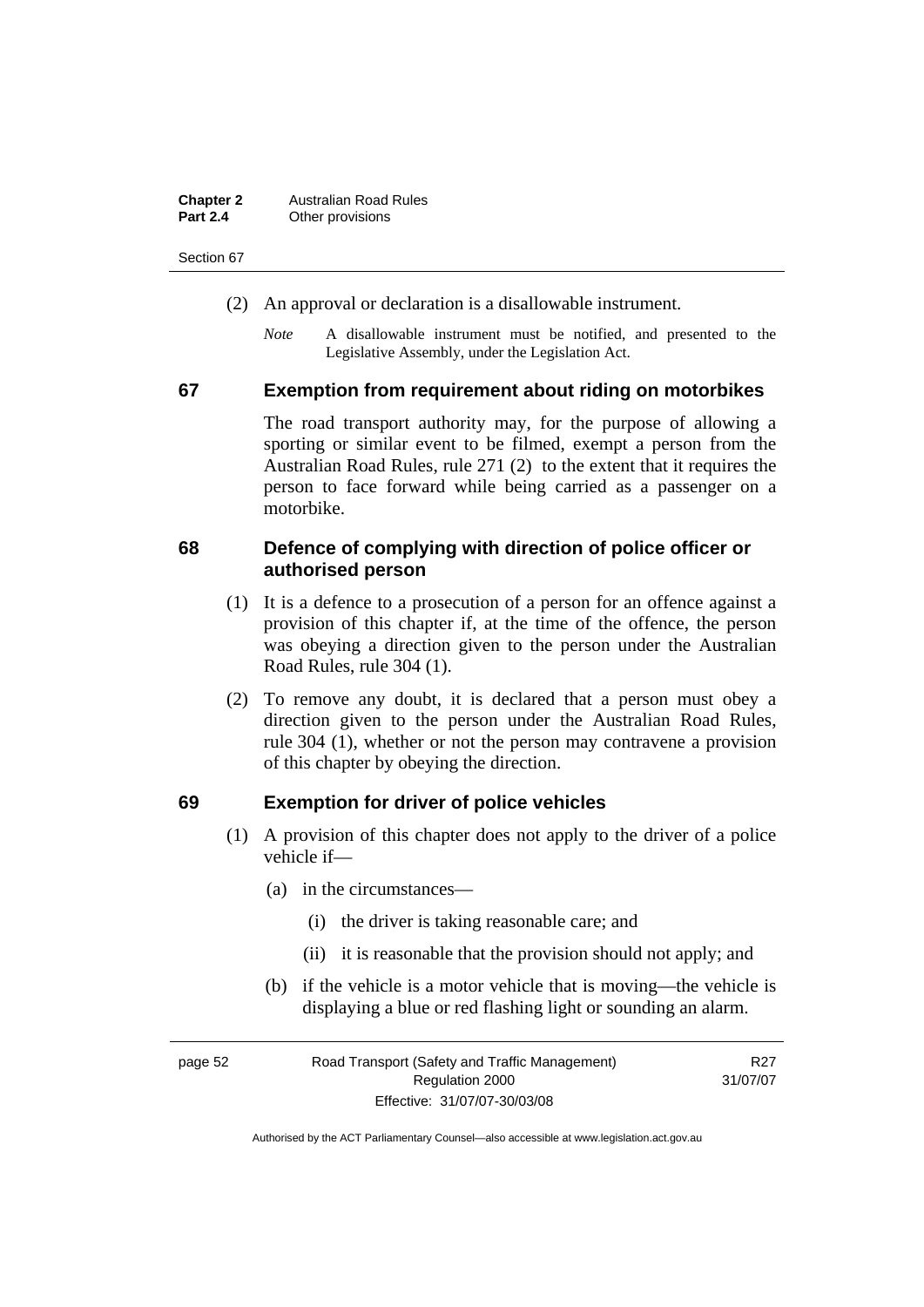| <b>Chapter 2</b> | <b>Australian Road Rules</b> |
|------------------|------------------------------|
| <b>Part 2.4</b>  | Other provisions             |

- (2) An approval or declaration is a disallowable instrument.
	- *Note* A disallowable instrument must be notified, and presented to the Legislative Assembly, under the Legislation Act.

#### **67 Exemption from requirement about riding on motorbikes**

The road transport authority may, for the purpose of allowing a sporting or similar event to be filmed, exempt a person from the Australian Road Rules, rule 271 (2) to the extent that it requires the person to face forward while being carried as a passenger on a motorbike.

#### **68 Defence of complying with direction of police officer or authorised person**

- (1) It is a defence to a prosecution of a person for an offence against a provision of this chapter if, at the time of the offence, the person was obeying a direction given to the person under the Australian Road Rules, rule 304 (1).
- (2) To remove any doubt, it is declared that a person must obey a direction given to the person under the Australian Road Rules, rule 304 (1), whether or not the person may contravene a provision of this chapter by obeying the direction.

#### **69 Exemption for driver of police vehicles**

- (1) A provision of this chapter does not apply to the driver of a police vehicle if—
	- (a) in the circumstances—
		- (i) the driver is taking reasonable care; and
		- (ii) it is reasonable that the provision should not apply; and
	- (b) if the vehicle is a motor vehicle that is moving—the vehicle is displaying a blue or red flashing light or sounding an alarm.

| page 52 | Road Transport (Safety and Traffic Management) | R27      |
|---------|------------------------------------------------|----------|
|         | Regulation 2000                                | 31/07/07 |
|         | Effective: 31/07/07-30/03/08                   |          |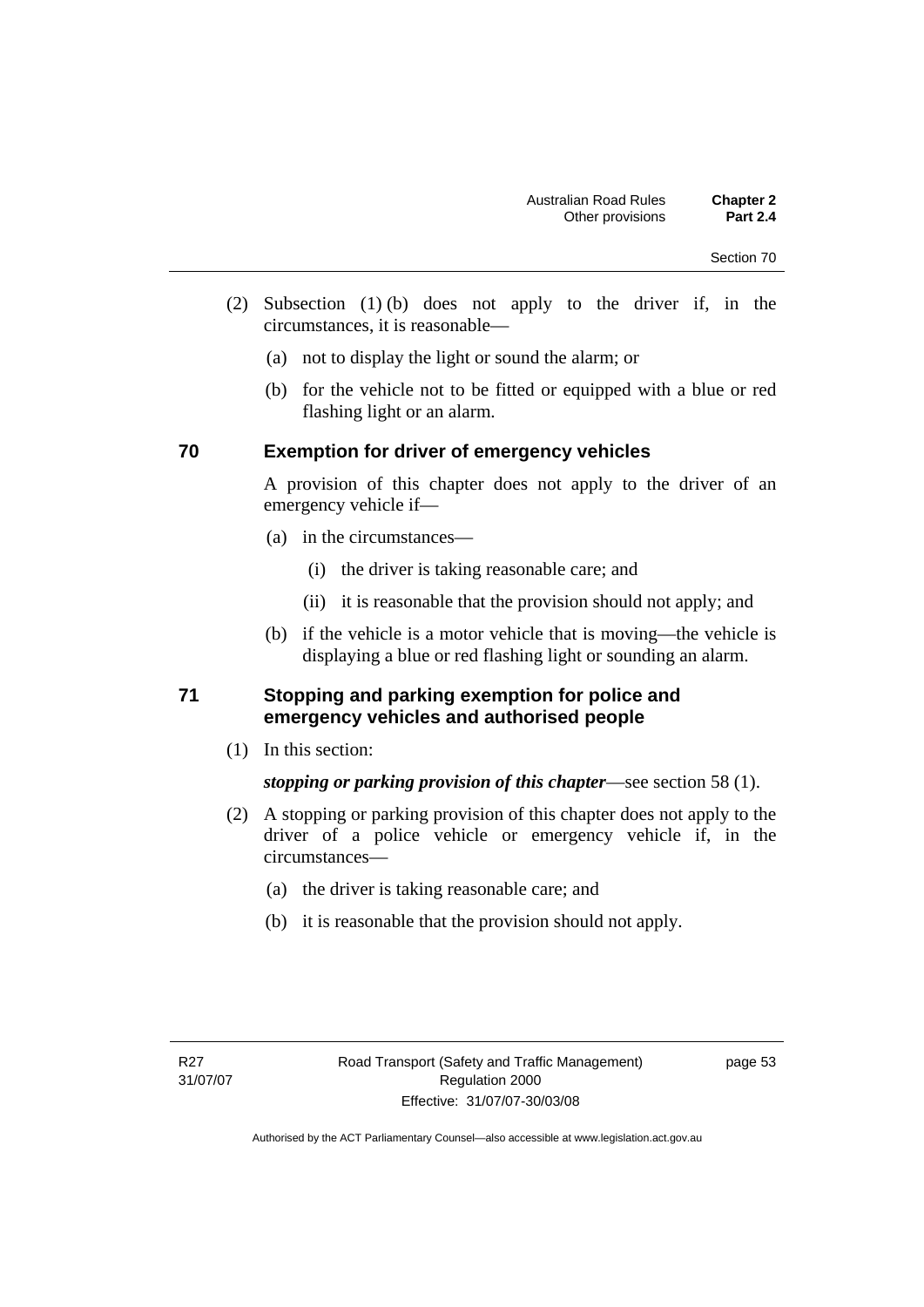- (2) Subsection (1) (b) does not apply to the driver if, in the circumstances, it is reasonable—
	- (a) not to display the light or sound the alarm; or
	- (b) for the vehicle not to be fitted or equipped with a blue or red flashing light or an alarm.

#### **70 Exemption for driver of emergency vehicles**

A provision of this chapter does not apply to the driver of an emergency vehicle if—

- (a) in the circumstances—
	- (i) the driver is taking reasonable care; and
	- (ii) it is reasonable that the provision should not apply; and
- (b) if the vehicle is a motor vehicle that is moving—the vehicle is displaying a blue or red flashing light or sounding an alarm.

#### **71 Stopping and parking exemption for police and emergency vehicles and authorised people**

(1) In this section:

*stopping or parking provision of this chapter*—see section 58 (1).

- (2) A stopping or parking provision of this chapter does not apply to the driver of a police vehicle or emergency vehicle if, in the circumstances—
	- (a) the driver is taking reasonable care; and
	- (b) it is reasonable that the provision should not apply.

page 53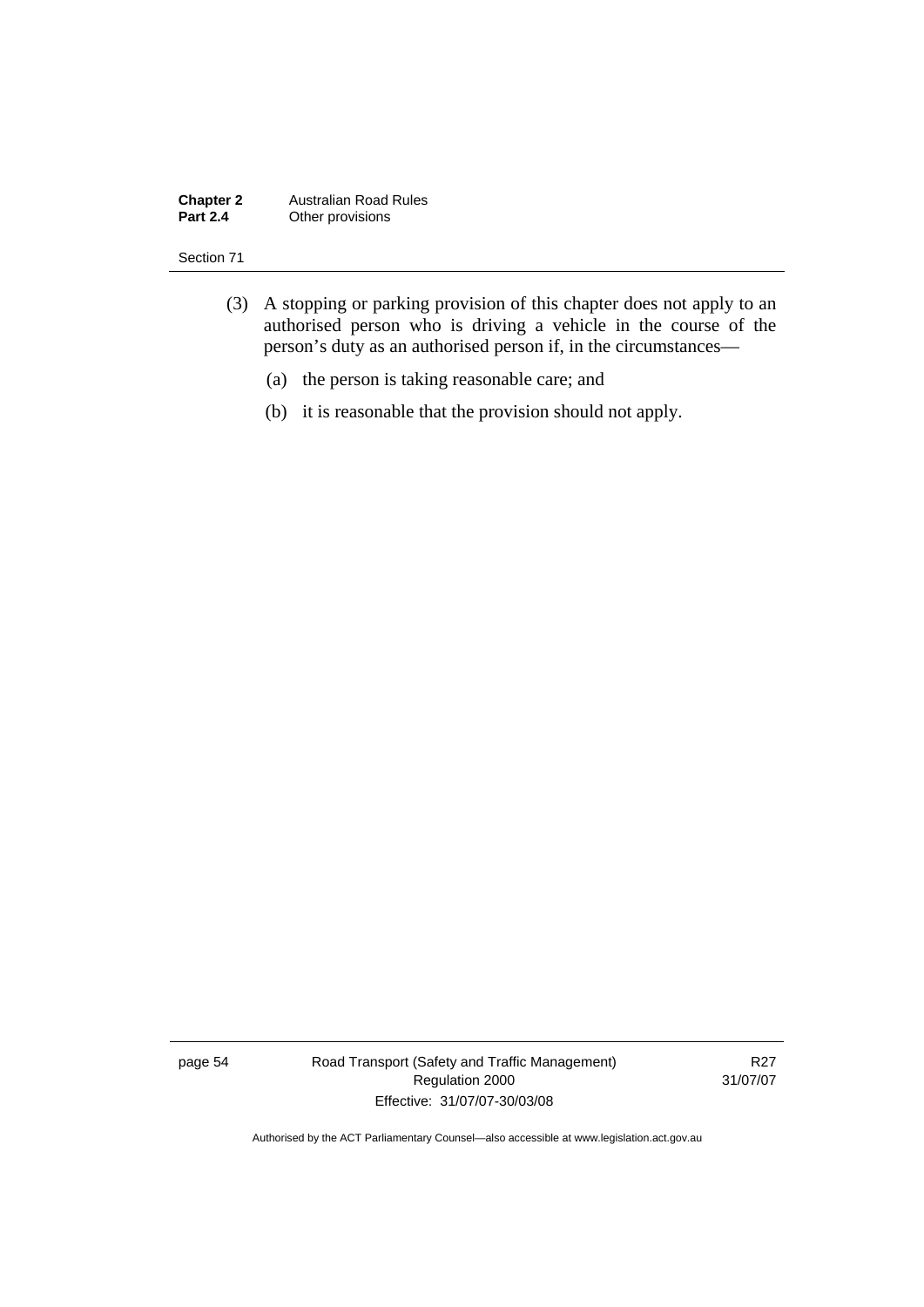#### **Chapter 2** Australian Road Rules<br>**Part 2.4** Other provisions **Other provisions**

#### Section 71

- (3) A stopping or parking provision of this chapter does not apply to an authorised person who is driving a vehicle in the course of the person's duty as an authorised person if, in the circumstances—
	- (a) the person is taking reasonable care; and
	- (b) it is reasonable that the provision should not apply.

page 54 Road Transport (Safety and Traffic Management) Regulation 2000 Effective: 31/07/07-30/03/08

R27 31/07/07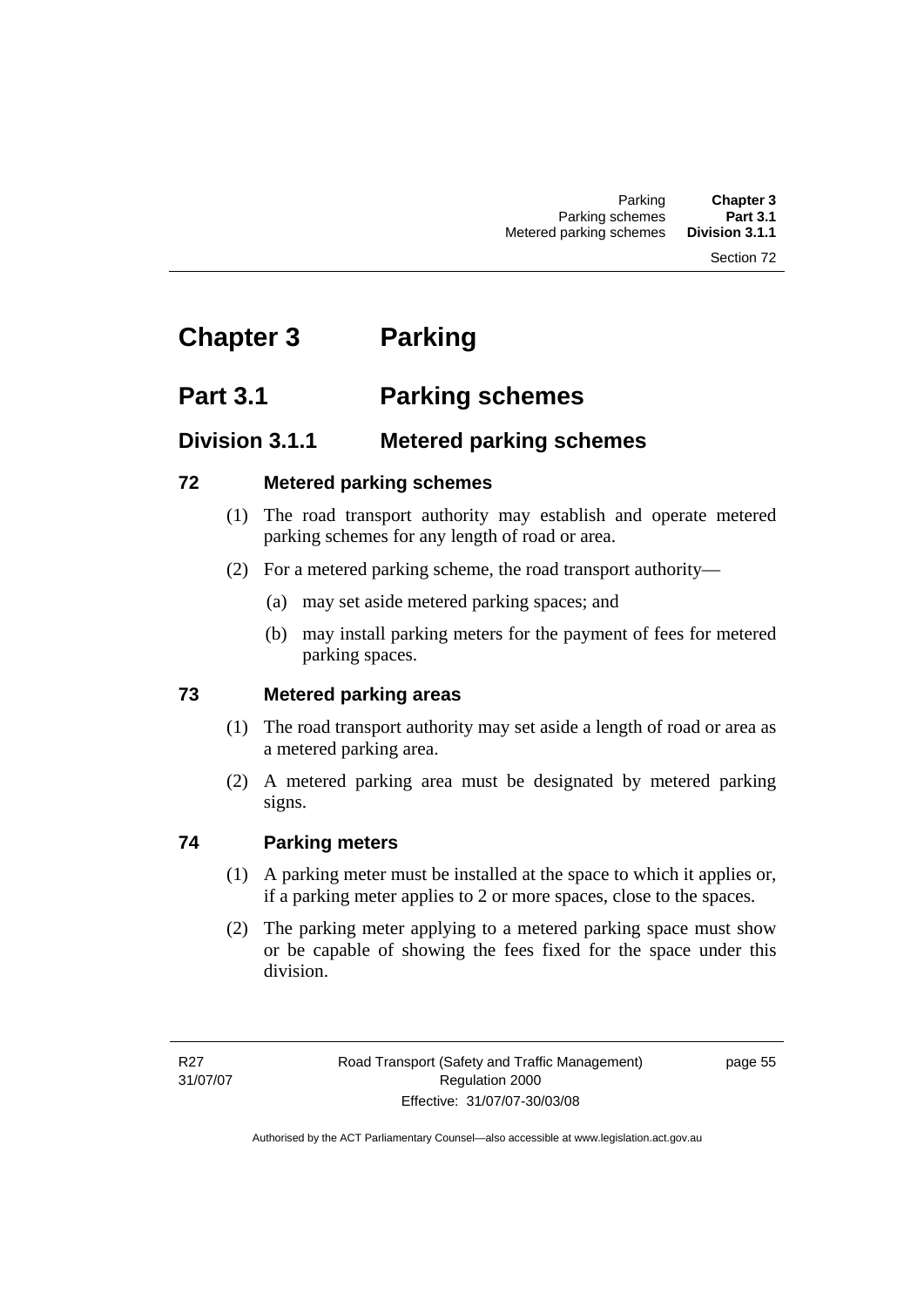# **Chapter 3 Parking**

# **Part 3.1 Parking schemes**

# **Division 3.1.1 Metered parking schemes**

### **72 Metered parking schemes**

- (1) The road transport authority may establish and operate metered parking schemes for any length of road or area.
- (2) For a metered parking scheme, the road transport authority—
	- (a) may set aside metered parking spaces; and
	- (b) may install parking meters for the payment of fees for metered parking spaces.

## **73 Metered parking areas**

- (1) The road transport authority may set aside a length of road or area as a metered parking area.
- (2) A metered parking area must be designated by metered parking signs.

## **74 Parking meters**

- (1) A parking meter must be installed at the space to which it applies or, if a parking meter applies to 2 or more spaces, close to the spaces.
- (2) The parking meter applying to a metered parking space must show or be capable of showing the fees fixed for the space under this division.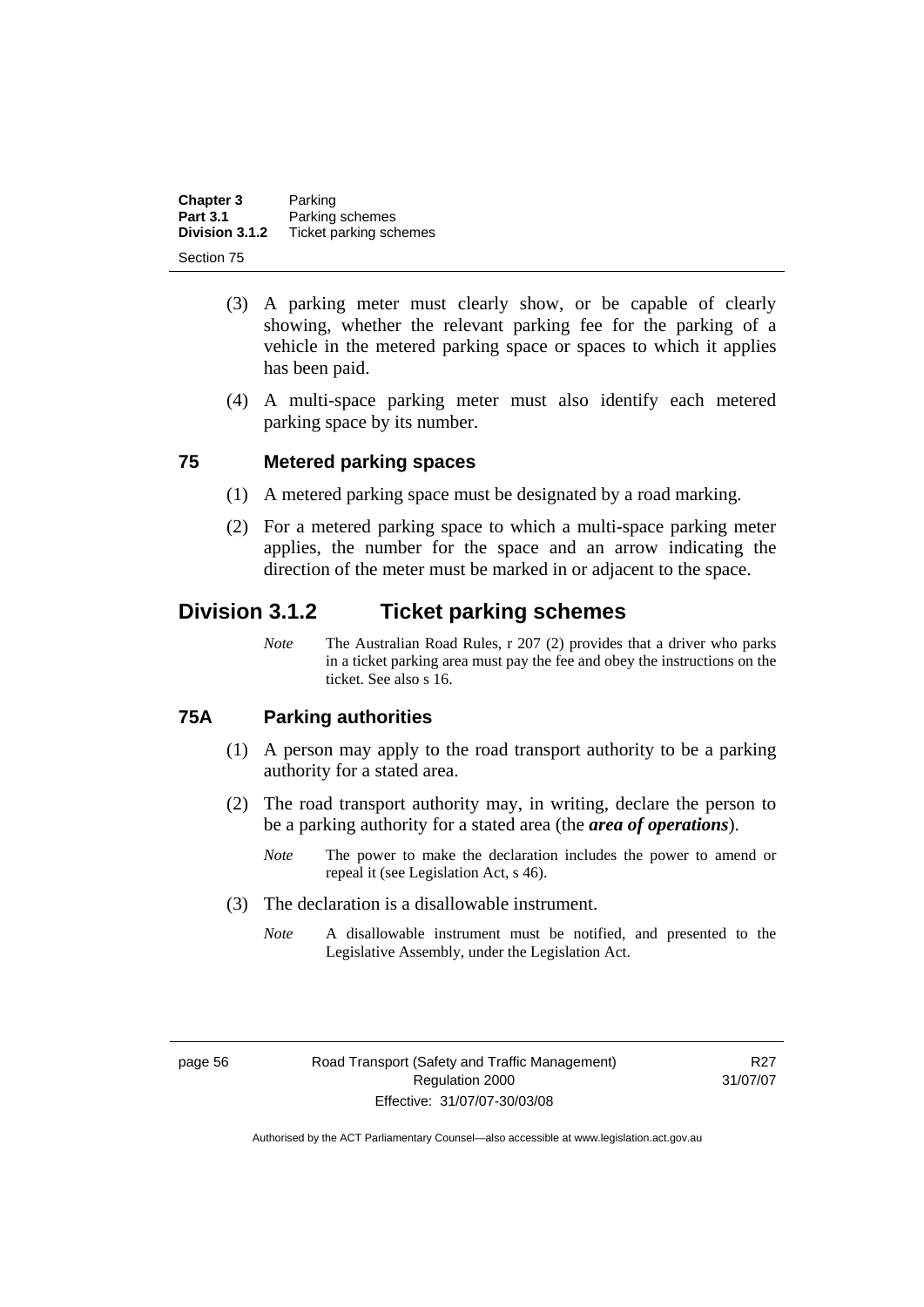| Chapter 3       | Parking                |
|-----------------|------------------------|
| <b>Part 3.1</b> | Parking schemes        |
| Division 3.1.2  | Ticket parking schemes |
| Section 75      |                        |

- (3) A parking meter must clearly show, or be capable of clearly showing, whether the relevant parking fee for the parking of a vehicle in the metered parking space or spaces to which it applies has been paid.
- (4) A multi-space parking meter must also identify each metered parking space by its number.

#### **75 Metered parking spaces**

- (1) A metered parking space must be designated by a road marking.
- (2) For a metered parking space to which a multi-space parking meter applies, the number for the space and an arrow indicating the direction of the meter must be marked in or adjacent to the space.

# **Division 3.1.2 Ticket parking schemes**

*Note* The Australian Road Rules, r 207 (2) provides that a driver who parks in a ticket parking area must pay the fee and obey the instructions on the ticket. See also s 16.

#### **75A Parking authorities**

- (1) A person may apply to the road transport authority to be a parking authority for a stated area.
- (2) The road transport authority may, in writing, declare the person to be a parking authority for a stated area (the *area of operations*).
	- *Note* The power to make the declaration includes the power to amend or repeal it (see Legislation Act, s 46).
- (3) The declaration is a disallowable instrument.
	- *Note* A disallowable instrument must be notified, and presented to the Legislative Assembly, under the Legislation Act.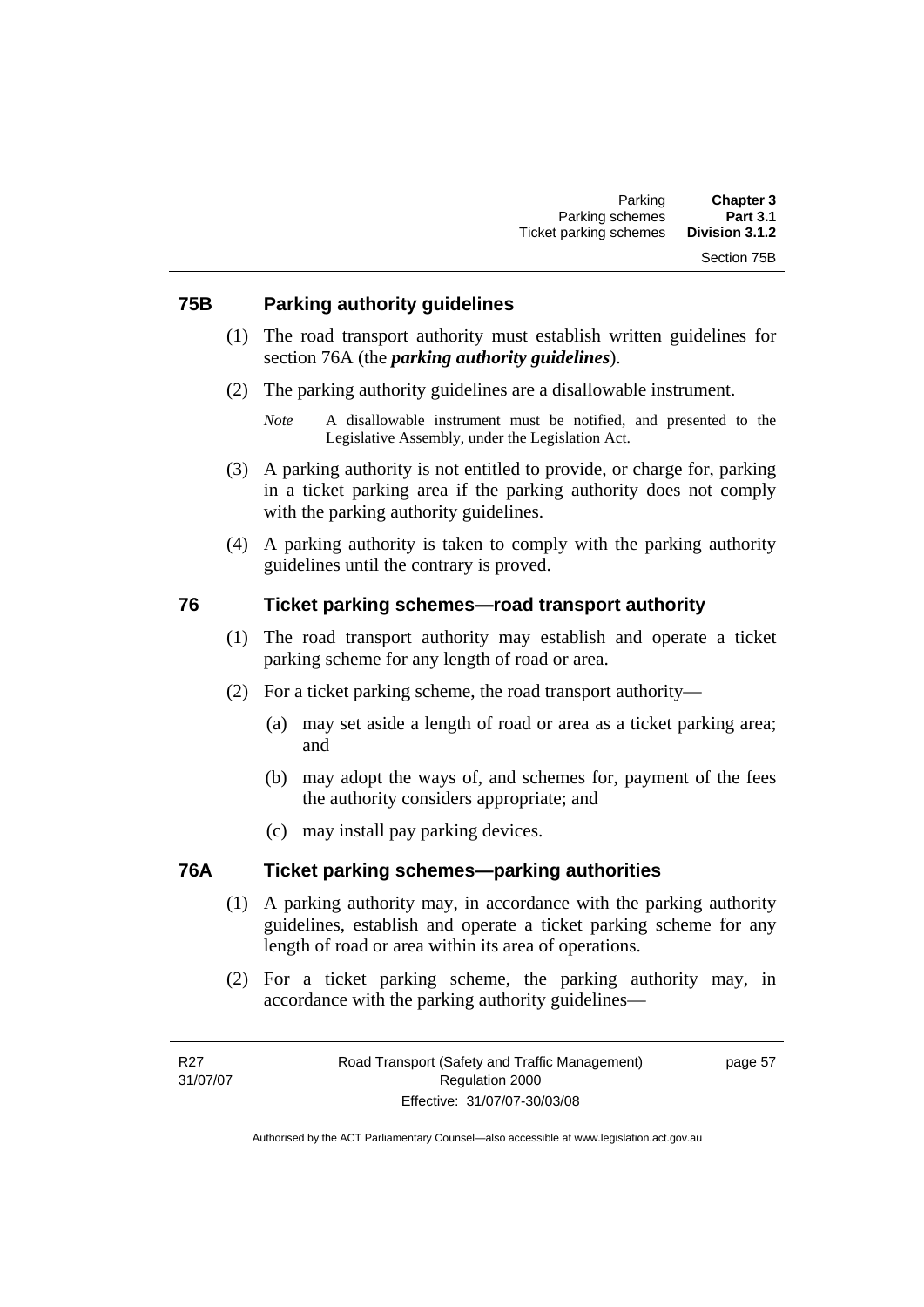#### **75B Parking authority guidelines**

- (1) The road transport authority must establish written guidelines for section 76A (the *parking authority guidelines*).
- (2) The parking authority guidelines are a disallowable instrument.

- (3) A parking authority is not entitled to provide, or charge for, parking in a ticket parking area if the parking authority does not comply with the parking authority guidelines.
- (4) A parking authority is taken to comply with the parking authority guidelines until the contrary is proved.

#### **76 Ticket parking schemes—road transport authority**

- (1) The road transport authority may establish and operate a ticket parking scheme for any length of road or area.
- (2) For a ticket parking scheme, the road transport authority—
	- (a) may set aside a length of road or area as a ticket parking area; and
	- (b) may adopt the ways of, and schemes for, payment of the fees the authority considers appropriate; and
	- (c) may install pay parking devices.

#### **76A Ticket parking schemes—parking authorities**

- (1) A parking authority may, in accordance with the parking authority guidelines, establish and operate a ticket parking scheme for any length of road or area within its area of operations.
- (2) For a ticket parking scheme, the parking authority may, in accordance with the parking authority guidelines—

*Note* A disallowable instrument must be notified, and presented to the Legislative Assembly, under the Legislation Act.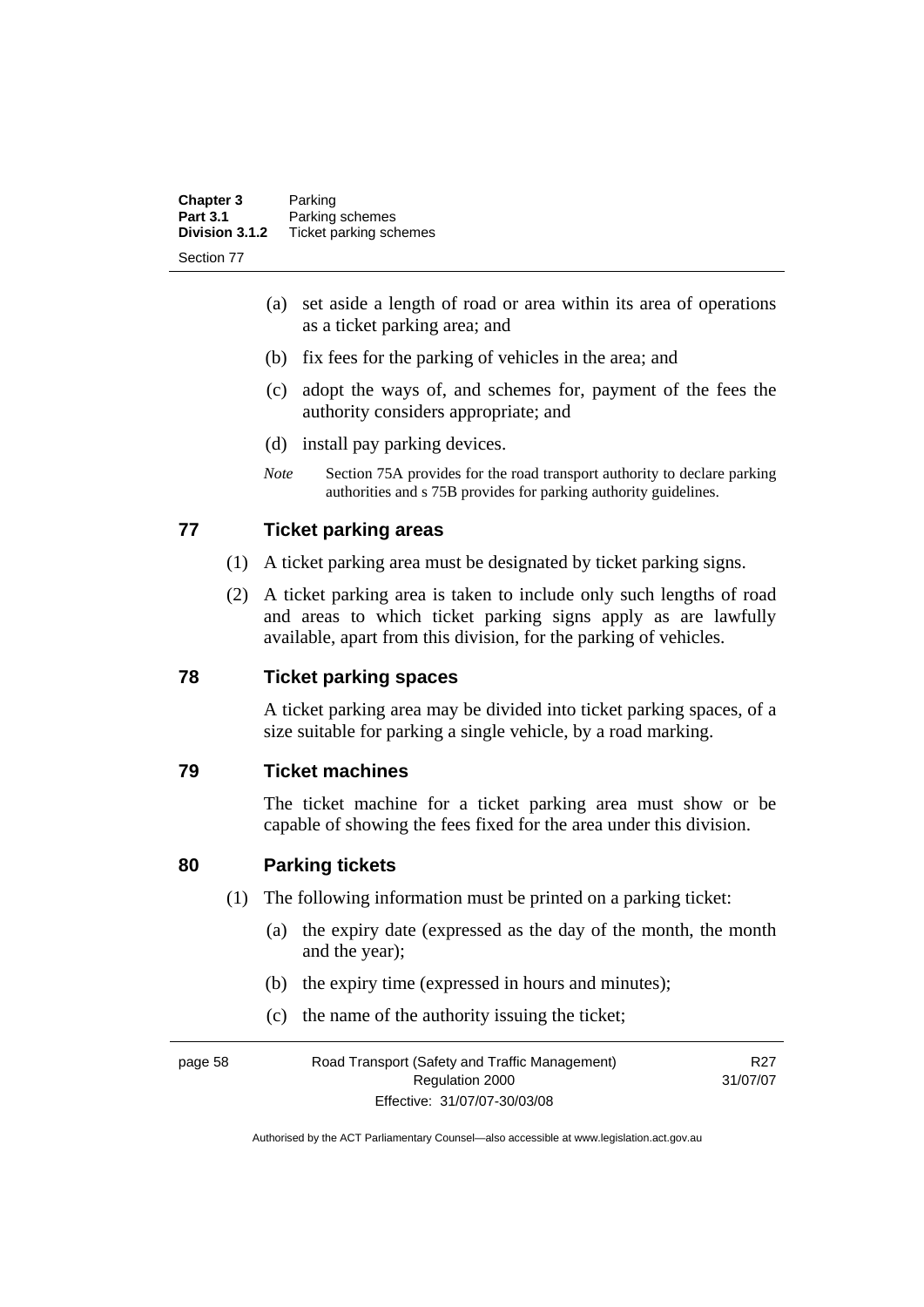| <b>Chapter 3</b> | Parking                |
|------------------|------------------------|
| <b>Part 3.1</b>  | Parking schemes        |
| Division 3.1.2   | Ticket parking schemes |
| Section 77       |                        |

- (a) set aside a length of road or area within its area of operations as a ticket parking area; and
- (b) fix fees for the parking of vehicles in the area; and
- (c) adopt the ways of, and schemes for, payment of the fees the authority considers appropriate; and
- (d) install pay parking devices.
- *Note* Section 75A provides for the road transport authority to declare parking authorities and s 75B provides for parking authority guidelines.

#### **77 Ticket parking areas**

- (1) A ticket parking area must be designated by ticket parking signs.
- (2) A ticket parking area is taken to include only such lengths of road and areas to which ticket parking signs apply as are lawfully available, apart from this division, for the parking of vehicles.

#### **78 Ticket parking spaces**

A ticket parking area may be divided into ticket parking spaces, of a size suitable for parking a single vehicle, by a road marking.

#### **79 Ticket machines**

The ticket machine for a ticket parking area must show or be capable of showing the fees fixed for the area under this division.

#### **80 Parking tickets**

- (1) The following information must be printed on a parking ticket:
	- (a) the expiry date (expressed as the day of the month, the month and the year);
	- (b) the expiry time (expressed in hours and minutes);
	- (c) the name of the authority issuing the ticket;

page 58 Road Transport (Safety and Traffic Management) Regulation 2000 Effective: 31/07/07-30/03/08 R27 31/07/07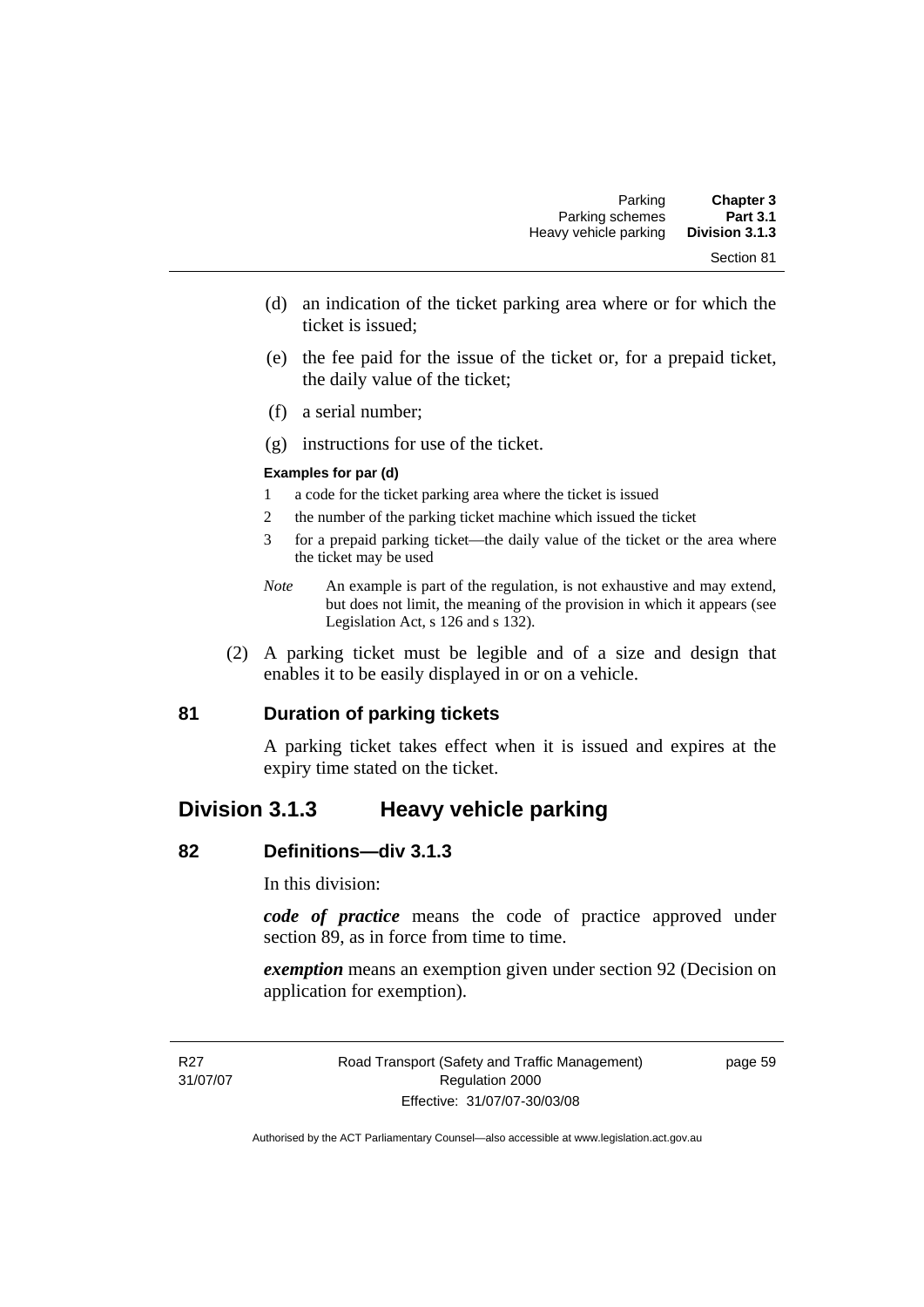- (d) an indication of the ticket parking area where or for which the ticket is issued;
- (e) the fee paid for the issue of the ticket or, for a prepaid ticket, the daily value of the ticket;
- (f) a serial number;
- (g) instructions for use of the ticket.

#### **Examples for par (d)**

- 1 a code for the ticket parking area where the ticket is issued
- 2 the number of the parking ticket machine which issued the ticket
- 3 for a prepaid parking ticket—the daily value of the ticket or the area where the ticket may be used
- *Note* An example is part of the regulation, is not exhaustive and may extend, but does not limit, the meaning of the provision in which it appears (see Legislation Act, s 126 and s 132).
- (2) A parking ticket must be legible and of a size and design that enables it to be easily displayed in or on a vehicle.

### **81 Duration of parking tickets**

A parking ticket takes effect when it is issued and expires at the expiry time stated on the ticket.

# **Division 3.1.3 Heavy vehicle parking**

#### **82 Definitions—div 3.1.3**

In this division:

*code of practice* means the code of practice approved under section 89, as in force from time to time.

*exemption* means an exemption given under section 92 (Decision on application for exemption).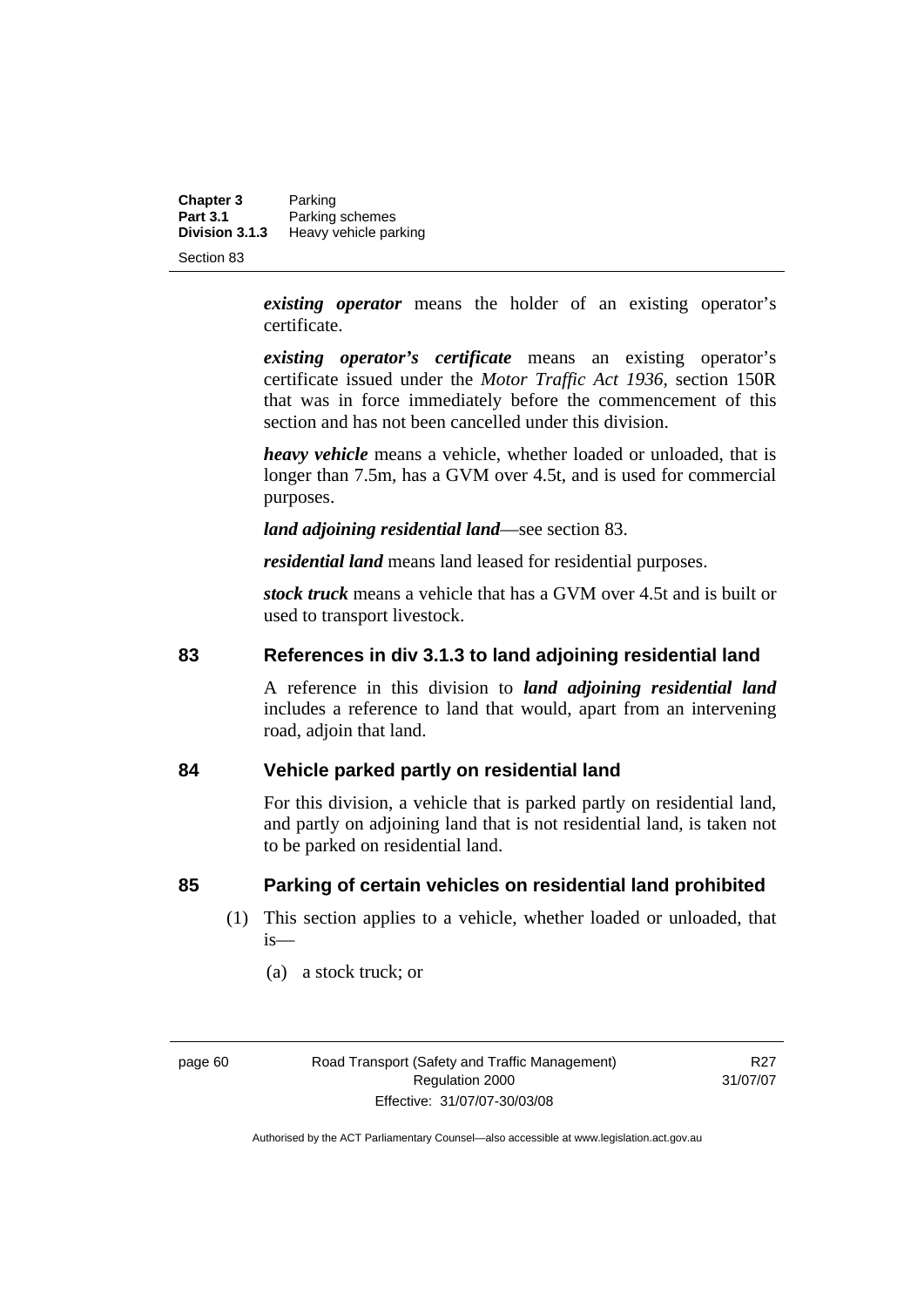**Chapter 3** Parking<br>**Part 3.1** Parking **Part 3.1 Parking schemes**<br>**Division 3.1.3 Heavy vehicle pay Division 3.1.3** Heavy vehicle parking

Section 83

*existing operator* means the holder of an existing operator's certificate.

*existing operator's certificate* means an existing operator's certificate issued under the *Motor Traffic Act 1936,* section 150R that was in force immediately before the commencement of this section and has not been cancelled under this division.

*heavy vehicle* means a vehicle, whether loaded or unloaded, that is longer than 7.5m, has a GVM over 4.5t, and is used for commercial purposes.

*land adjoining residential land*—see section 83.

*residential land* means land leased for residential purposes.

*stock truck* means a vehicle that has a GVM over 4.5t and is built or used to transport livestock.

#### **83 References in div 3.1.3 to land adjoining residential land**

A reference in this division to *land adjoining residential land* includes a reference to land that would, apart from an intervening road, adjoin that land.

#### **84 Vehicle parked partly on residential land**

For this division, a vehicle that is parked partly on residential land, and partly on adjoining land that is not residential land, is taken not to be parked on residential land.

#### **85 Parking of certain vehicles on residential land prohibited**

- (1) This section applies to a vehicle, whether loaded or unloaded, that is—
	- (a) a stock truck; or

R<sub>27</sub> 31/07/07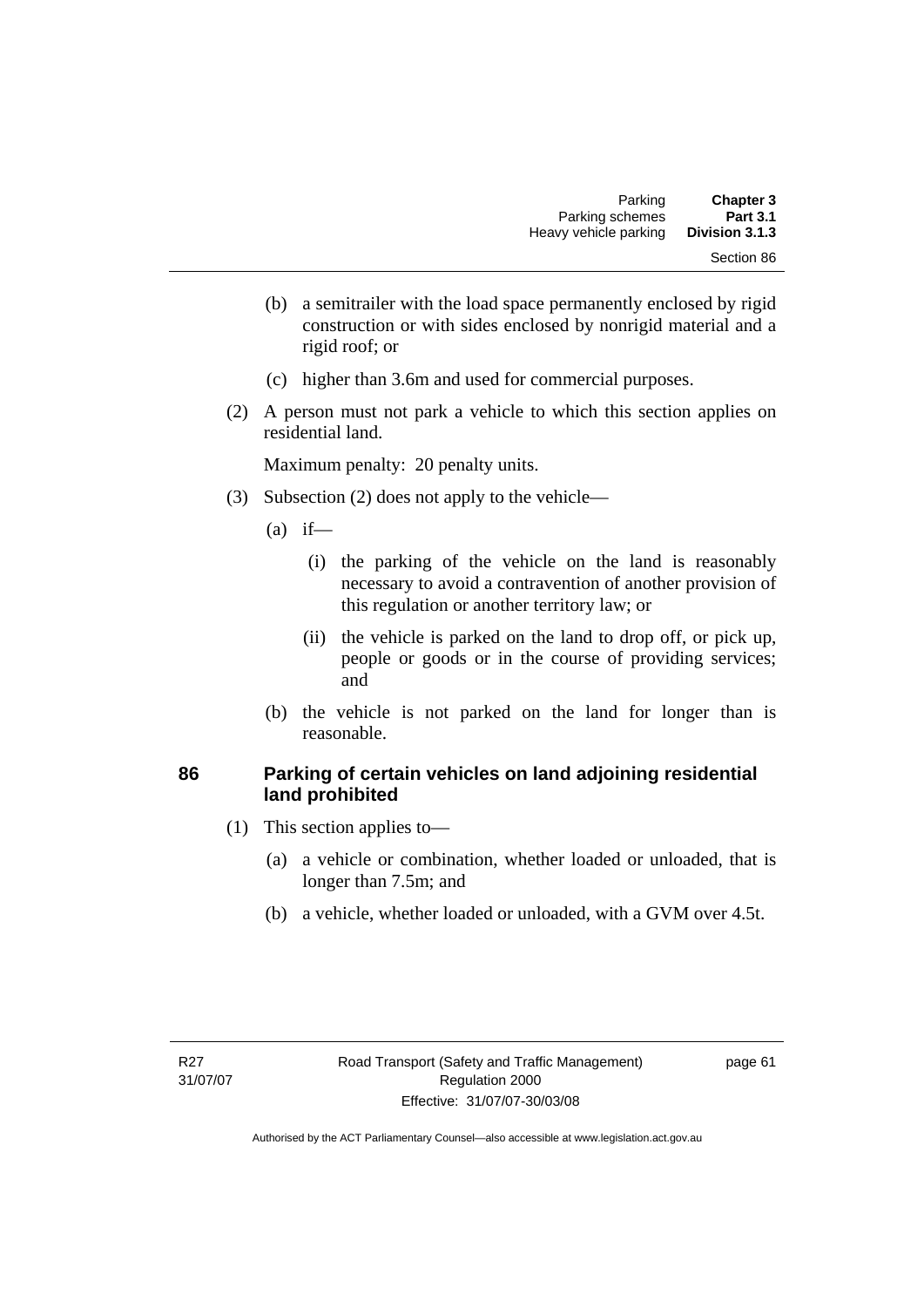- (b) a semitrailer with the load space permanently enclosed by rigid construction or with sides enclosed by nonrigid material and a rigid roof; or
- (c) higher than 3.6m and used for commercial purposes.
- (2) A person must not park a vehicle to which this section applies on residential land.

- (3) Subsection (2) does not apply to the vehicle—
	- $(a)$  if—
		- (i) the parking of the vehicle on the land is reasonably necessary to avoid a contravention of another provision of this regulation or another territory law; or
		- (ii) the vehicle is parked on the land to drop off, or pick up, people or goods or in the course of providing services; and
	- (b) the vehicle is not parked on the land for longer than is reasonable.

### **86 Parking of certain vehicles on land adjoining residential land prohibited**

- (1) This section applies to—
	- (a) a vehicle or combination, whether loaded or unloaded, that is longer than 7.5m; and
	- (b) a vehicle, whether loaded or unloaded, with a GVM over 4.5t.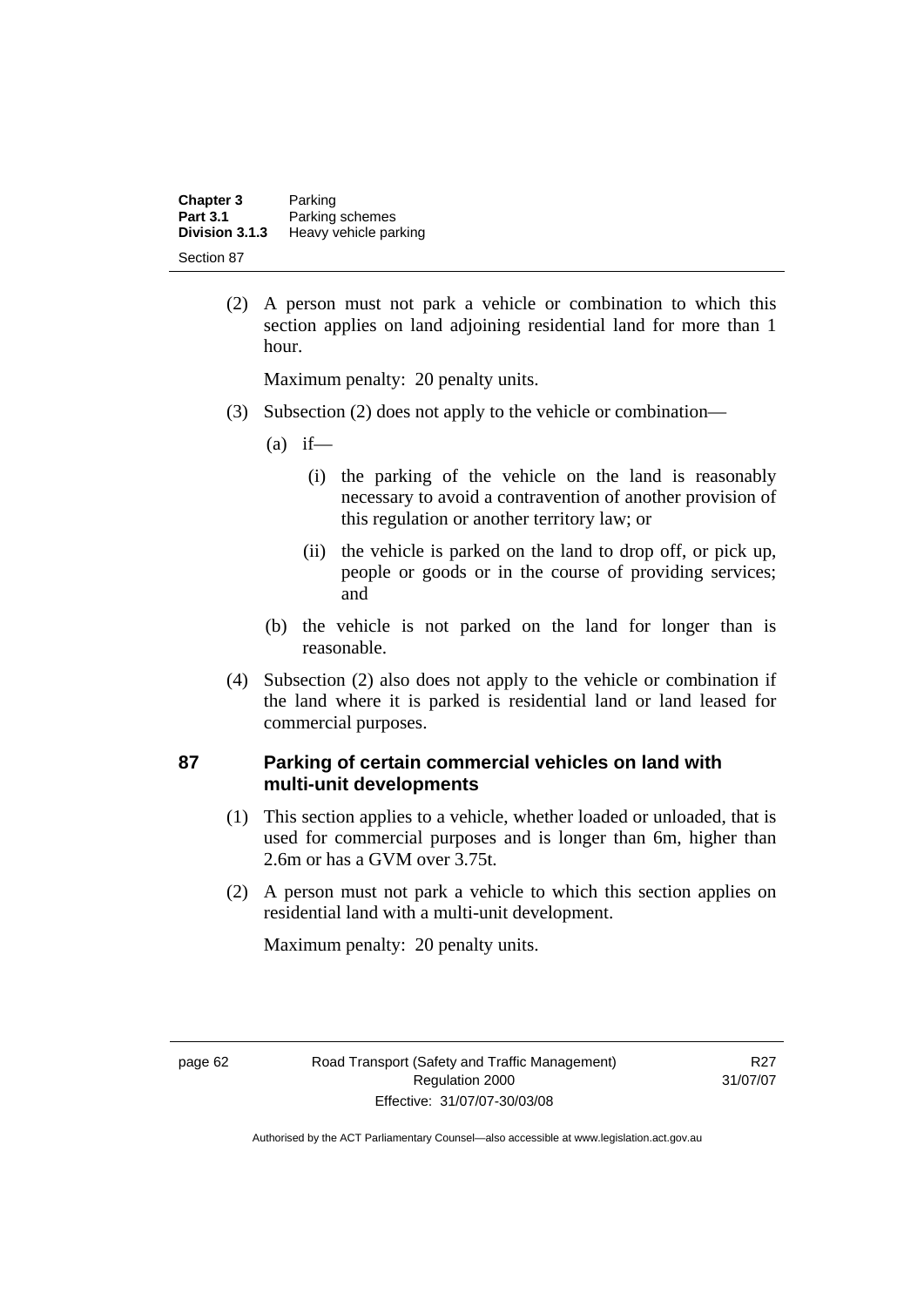| <b>Chapter 3</b><br><b>Part 3.1</b> | Parking<br>Parking schemes |
|-------------------------------------|----------------------------|
| Division 3.1.3                      | Heavy vehicle parking      |
| Section 87                          |                            |

 (2) A person must not park a vehicle or combination to which this section applies on land adjoining residential land for more than 1 hour.

Maximum penalty: 20 penalty units.

- (3) Subsection (2) does not apply to the vehicle or combination—
	- $(a)$  if—
		- (i) the parking of the vehicle on the land is reasonably necessary to avoid a contravention of another provision of this regulation or another territory law; or
		- (ii) the vehicle is parked on the land to drop off, or pick up, people or goods or in the course of providing services; and
	- (b) the vehicle is not parked on the land for longer than is reasonable.
- (4) Subsection (2) also does not apply to the vehicle or combination if the land where it is parked is residential land or land leased for commercial purposes.

#### **87 Parking of certain commercial vehicles on land with multi-unit developments**

- (1) This section applies to a vehicle, whether loaded or unloaded, that is used for commercial purposes and is longer than 6m, higher than 2.6m or has a GVM over 3.75t.
- (2) A person must not park a vehicle to which this section applies on residential land with a multi-unit development.

Maximum penalty: 20 penalty units.

R27 31/07/07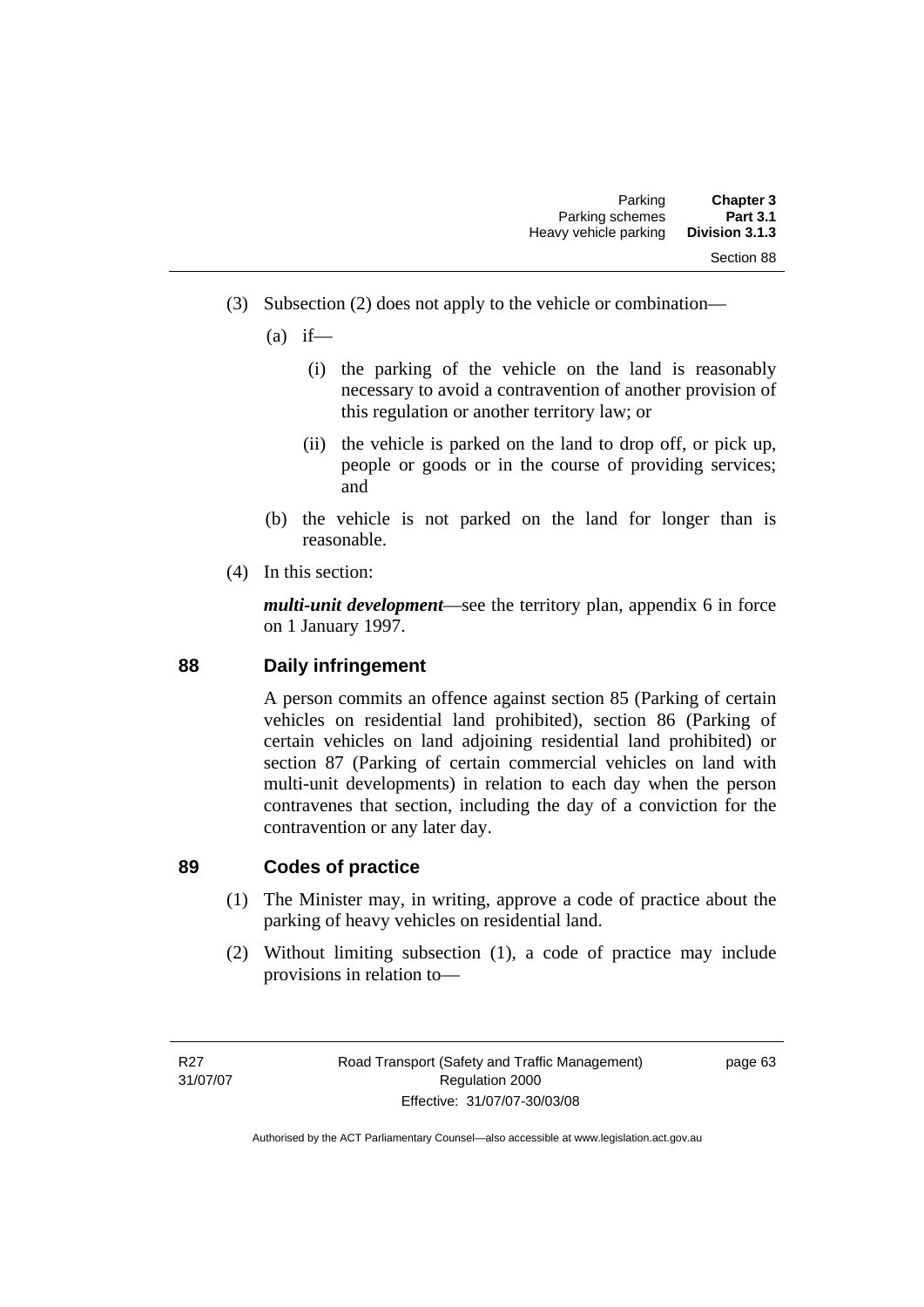(3) Subsection (2) does not apply to the vehicle or combination—

 $(a)$  if—

- (i) the parking of the vehicle on the land is reasonably necessary to avoid a contravention of another provision of this regulation or another territory law; or
- (ii) the vehicle is parked on the land to drop off, or pick up, people or goods or in the course of providing services; and
- (b) the vehicle is not parked on the land for longer than is reasonable.
- (4) In this section:

*multi-unit development*—see the territory plan, appendix 6 in force on 1 January 1997.

# **88 Daily infringement**

A person commits an offence against section 85 (Parking of certain vehicles on residential land prohibited), section 86 (Parking of certain vehicles on land adjoining residential land prohibited) or section 87 (Parking of certain commercial vehicles on land with multi-unit developments) in relation to each day when the person contravenes that section, including the day of a conviction for the contravention or any later day.

# **89 Codes of practice**

- (1) The Minister may, in writing, approve a code of practice about the parking of heavy vehicles on residential land.
- (2) Without limiting subsection (1), a code of practice may include provisions in relation to—

page 63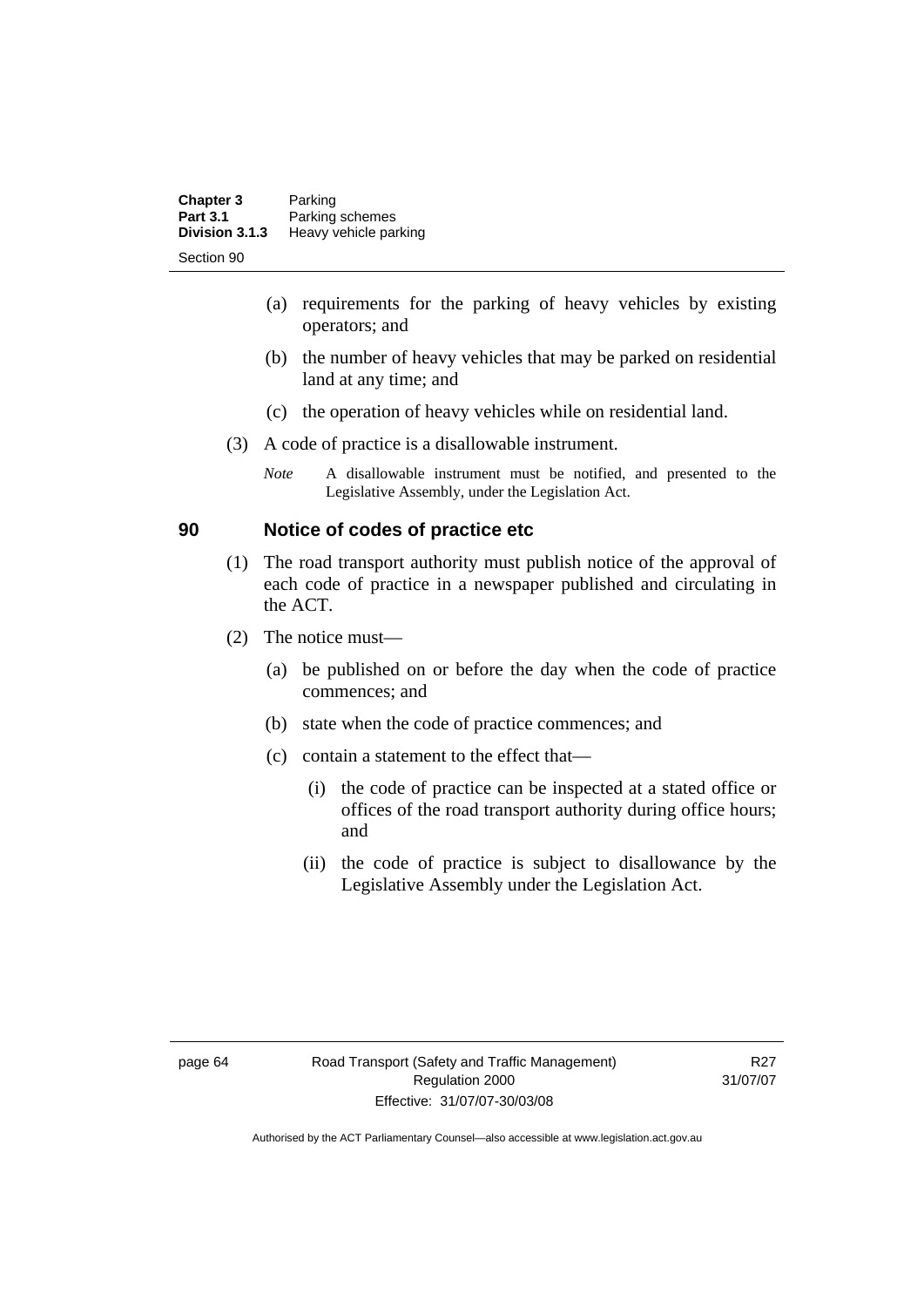| <b>Chapter 3</b> | Parking               |
|------------------|-----------------------|
| <b>Part 3.1</b>  | Parking schemes       |
| Division 3.1.3   | Heavy vehicle parking |
| Section 90       |                       |

- (a) requirements for the parking of heavy vehicles by existing operators; and
- (b) the number of heavy vehicles that may be parked on residential land at any time; and
- (c) the operation of heavy vehicles while on residential land.
- (3) A code of practice is a disallowable instrument.
	- *Note* A disallowable instrument must be notified, and presented to the Legislative Assembly, under the Legislation Act.

# **90 Notice of codes of practice etc**

- (1) The road transport authority must publish notice of the approval of each code of practice in a newspaper published and circulating in the ACT.
- (2) The notice must—
	- (a) be published on or before the day when the code of practice commences; and
	- (b) state when the code of practice commences; and
	- (c) contain a statement to the effect that—
		- (i) the code of practice can be inspected at a stated office or offices of the road transport authority during office hours; and
		- (ii) the code of practice is subject to disallowance by the Legislative Assembly under the Legislation Act.

R27 31/07/07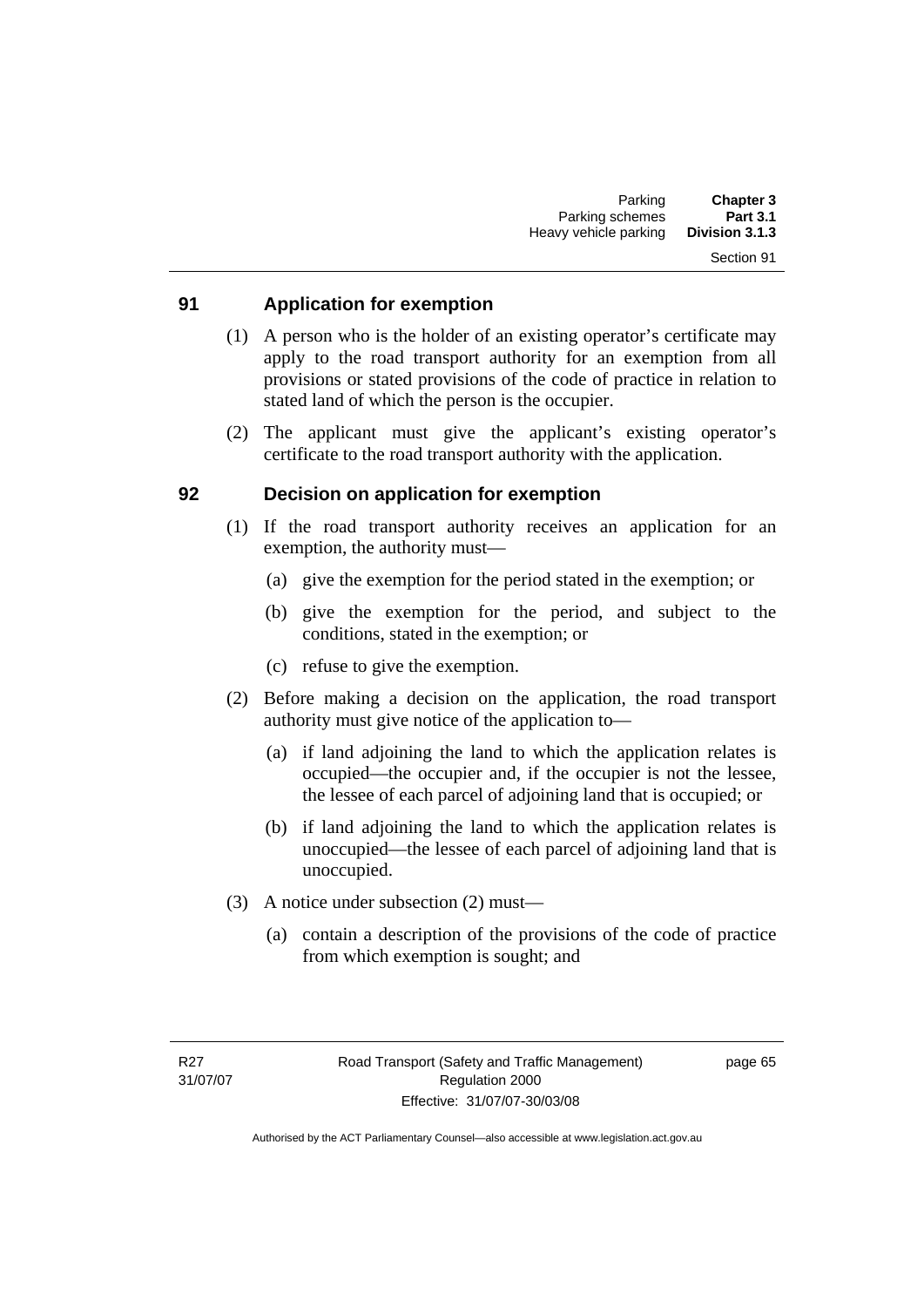### Section 91

# **91 Application for exemption**

- (1) A person who is the holder of an existing operator's certificate may apply to the road transport authority for an exemption from all provisions or stated provisions of the code of practice in relation to stated land of which the person is the occupier.
- (2) The applicant must give the applicant's existing operator's certificate to the road transport authority with the application.

### **92 Decision on application for exemption**

- (1) If the road transport authority receives an application for an exemption, the authority must—
	- (a) give the exemption for the period stated in the exemption; or
	- (b) give the exemption for the period, and subject to the conditions, stated in the exemption; or
	- (c) refuse to give the exemption.
- (2) Before making a decision on the application, the road transport authority must give notice of the application to—
	- (a) if land adjoining the land to which the application relates is occupied—the occupier and, if the occupier is not the lessee, the lessee of each parcel of adjoining land that is occupied; or
	- (b) if land adjoining the land to which the application relates is unoccupied—the lessee of each parcel of adjoining land that is unoccupied.
- (3) A notice under subsection (2) must—
	- (a) contain a description of the provisions of the code of practice from which exemption is sought; and

page 65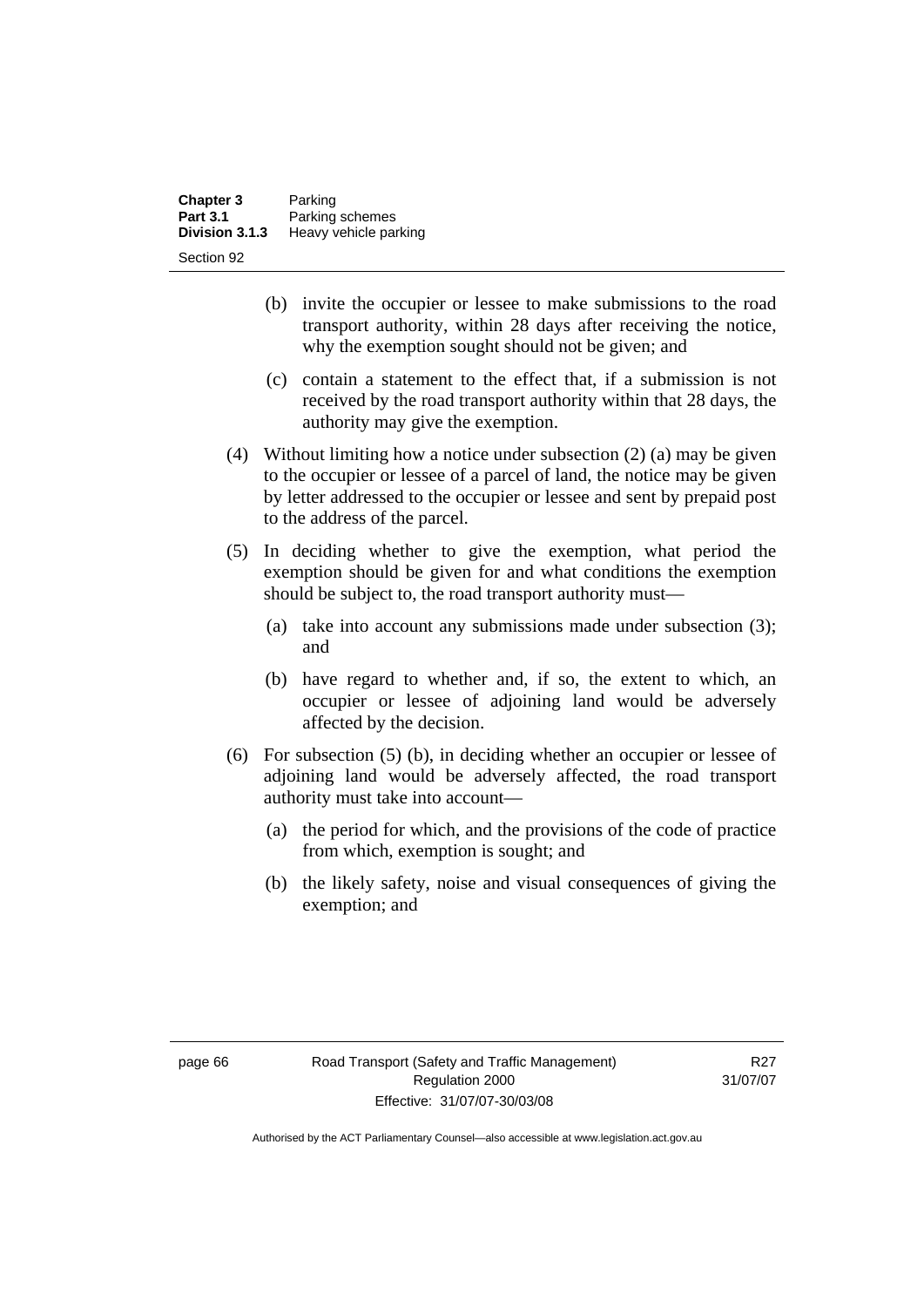| <b>Chapter 3</b> | Parking               |
|------------------|-----------------------|
| <b>Part 3.1</b>  | Parking schemes       |
| Division 3.1.3   | Heavy vehicle parking |
| Section 92       |                       |

- (b) invite the occupier or lessee to make submissions to the road transport authority, within 28 days after receiving the notice, why the exemption sought should not be given; and
- (c) contain a statement to the effect that, if a submission is not received by the road transport authority within that 28 days, the authority may give the exemption.
- (4) Without limiting how a notice under subsection (2) (a) may be given to the occupier or lessee of a parcel of land, the notice may be given by letter addressed to the occupier or lessee and sent by prepaid post to the address of the parcel.
- (5) In deciding whether to give the exemption, what period the exemption should be given for and what conditions the exemption should be subject to, the road transport authority must—
	- (a) take into account any submissions made under subsection (3); and
	- (b) have regard to whether and, if so, the extent to which, an occupier or lessee of adjoining land would be adversely affected by the decision.
- (6) For subsection (5) (b), in deciding whether an occupier or lessee of adjoining land would be adversely affected, the road transport authority must take into account—
	- (a) the period for which, and the provisions of the code of practice from which, exemption is sought; and
	- (b) the likely safety, noise and visual consequences of giving the exemption; and

R27 31/07/07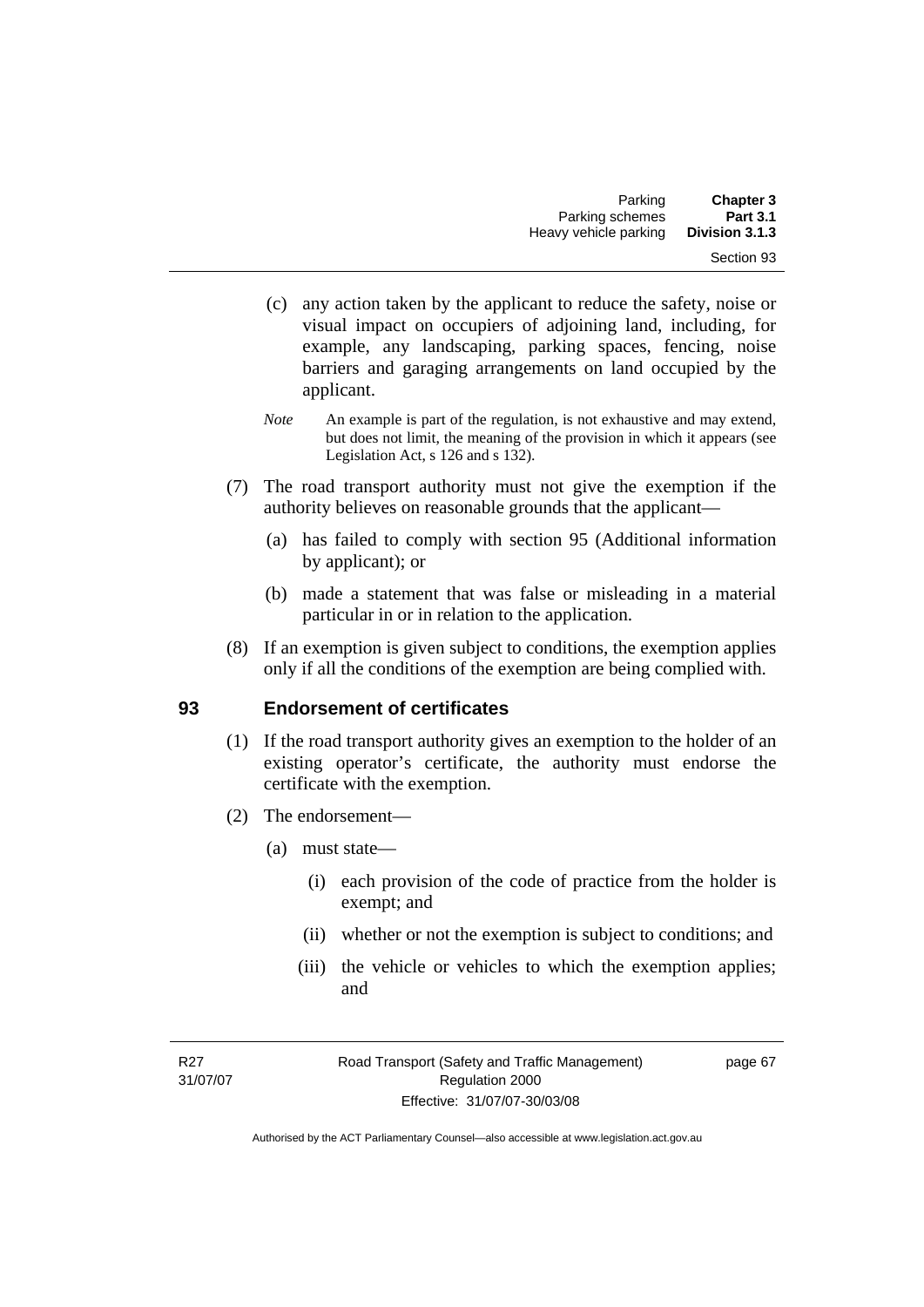- (c) any action taken by the applicant to reduce the safety, noise or visual impact on occupiers of adjoining land, including, for example, any landscaping, parking spaces, fencing, noise barriers and garaging arrangements on land occupied by the applicant.
- *Note* An example is part of the regulation, is not exhaustive and may extend, but does not limit, the meaning of the provision in which it appears (see Legislation Act, s 126 and s 132).
- (7) The road transport authority must not give the exemption if the authority believes on reasonable grounds that the applicant—
	- (a) has failed to comply with section 95 (Additional information by applicant); or
	- (b) made a statement that was false or misleading in a material particular in or in relation to the application.
- (8) If an exemption is given subject to conditions, the exemption applies only if all the conditions of the exemption are being complied with.

# **93 Endorsement of certificates**

- (1) If the road transport authority gives an exemption to the holder of an existing operator's certificate, the authority must endorse the certificate with the exemption.
- (2) The endorsement—
	- (a) must state—
		- (i) each provision of the code of practice from the holder is exempt; and
		- (ii) whether or not the exemption is subject to conditions; and
		- (iii) the vehicle or vehicles to which the exemption applies; and

page 67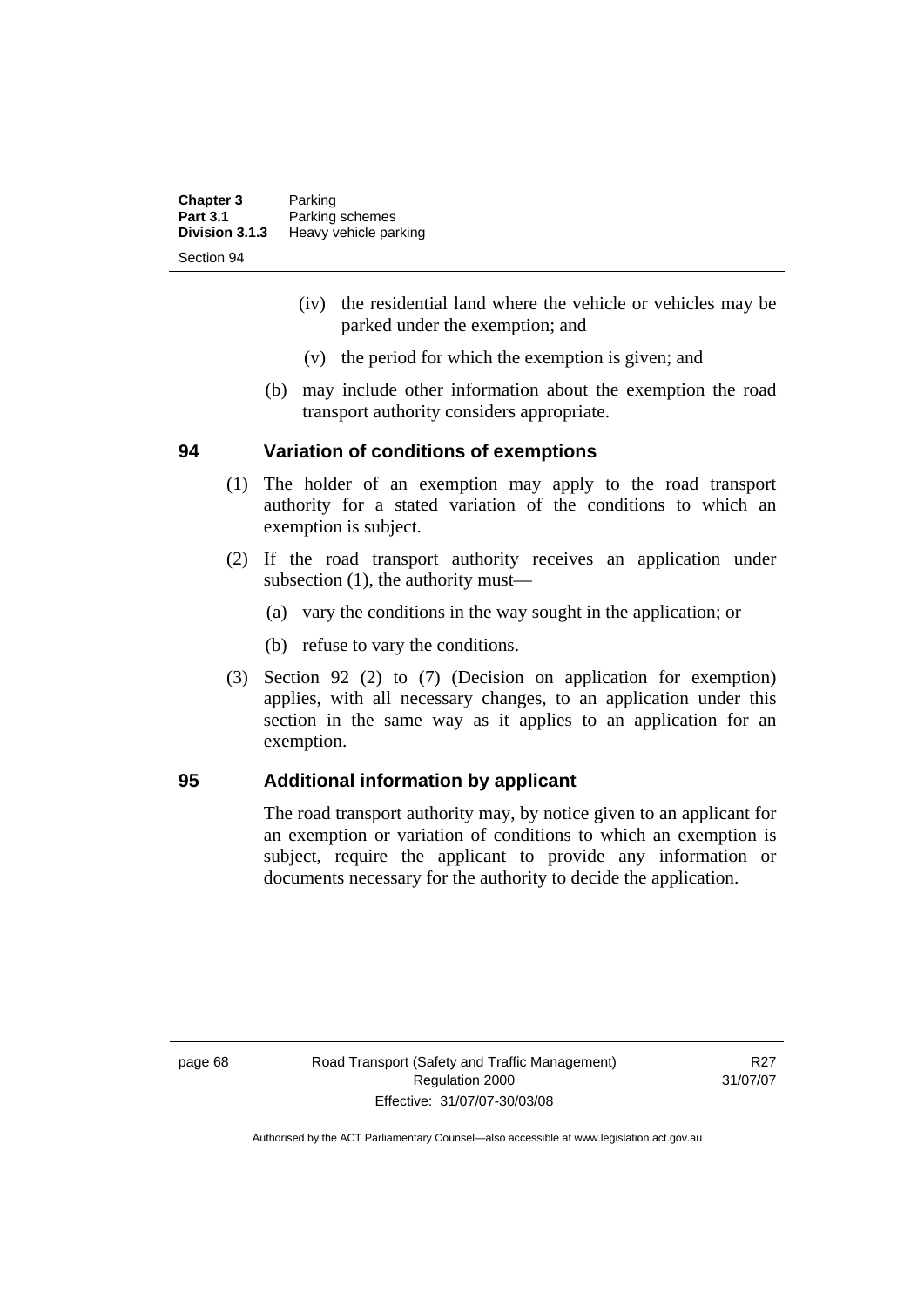| <b>Chapter 3</b> | Parking               |
|------------------|-----------------------|
| <b>Part 3.1</b>  | Parking schemes       |
| Division 3.1.3   | Heavy vehicle parking |
| Section 94       |                       |

- (iv) the residential land where the vehicle or vehicles may be parked under the exemption; and
- (v) the period for which the exemption is given; and
- (b) may include other information about the exemption the road transport authority considers appropriate.

### **94 Variation of conditions of exemptions**

- (1) The holder of an exemption may apply to the road transport authority for a stated variation of the conditions to which an exemption is subject.
- (2) If the road transport authority receives an application under subsection (1), the authority must—
	- (a) vary the conditions in the way sought in the application; or
	- (b) refuse to vary the conditions.
- (3) Section 92 (2) to (7) (Decision on application for exemption) applies, with all necessary changes, to an application under this section in the same way as it applies to an application for an exemption.

# **95 Additional information by applicant**

The road transport authority may, by notice given to an applicant for an exemption or variation of conditions to which an exemption is subject, require the applicant to provide any information or documents necessary for the authority to decide the application.

R<sub>27</sub> 31/07/07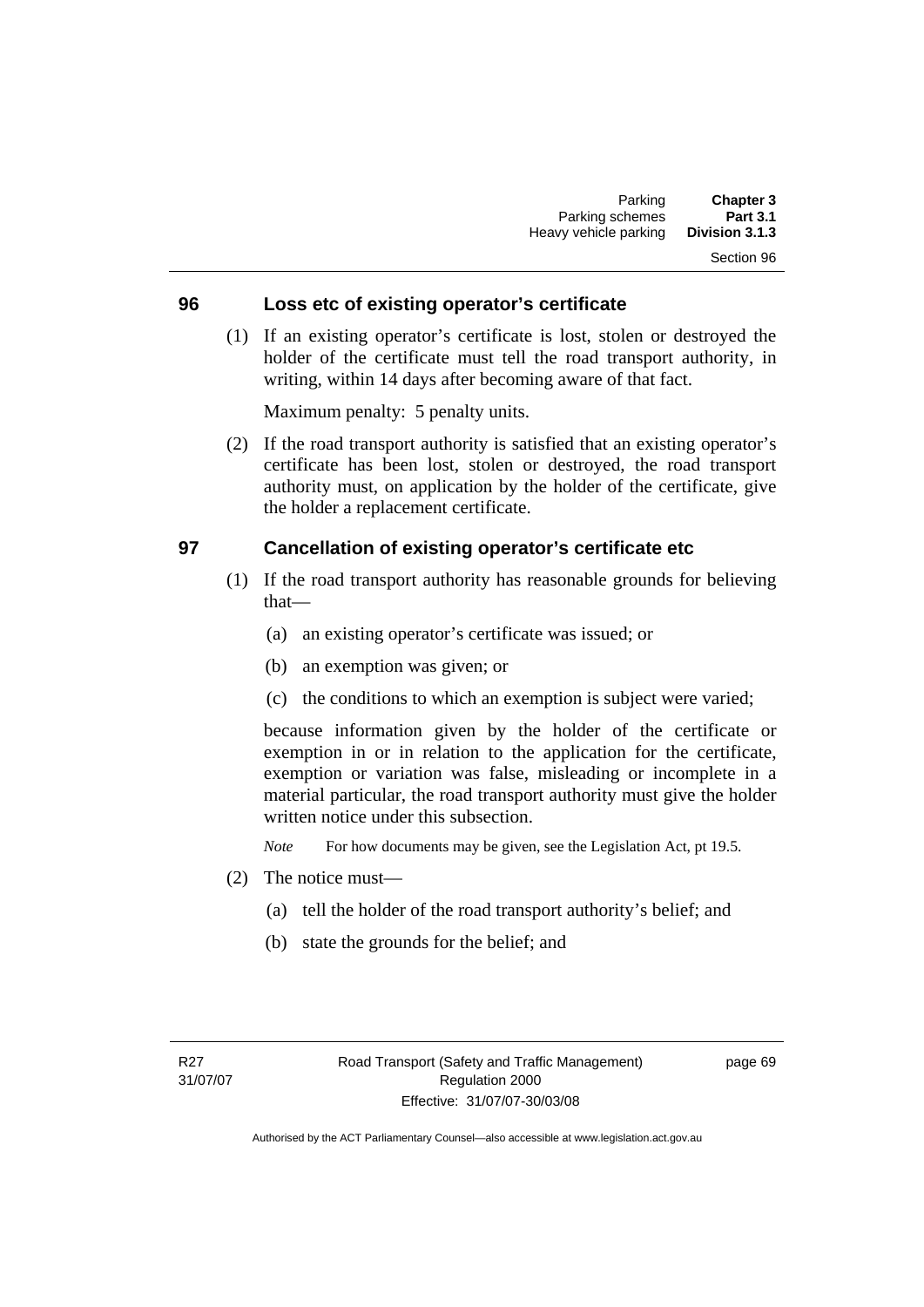# Section 96

### **96 Loss etc of existing operator's certificate**

 (1) If an existing operator's certificate is lost, stolen or destroyed the holder of the certificate must tell the road transport authority, in writing, within 14 days after becoming aware of that fact.

Maximum penalty: 5 penalty units.

 (2) If the road transport authority is satisfied that an existing operator's certificate has been lost, stolen or destroyed, the road transport authority must, on application by the holder of the certificate, give the holder a replacement certificate.

### **97 Cancellation of existing operator's certificate etc**

- (1) If the road transport authority has reasonable grounds for believing that—
	- (a) an existing operator's certificate was issued; or
	- (b) an exemption was given; or
	- (c) the conditions to which an exemption is subject were varied;

because information given by the holder of the certificate or exemption in or in relation to the application for the certificate, exemption or variation was false, misleading or incomplete in a material particular, the road transport authority must give the holder written notice under this subsection.

*Note* For how documents may be given, see the Legislation Act, pt 19.5.

- (2) The notice must—
	- (a) tell the holder of the road transport authority's belief; and
	- (b) state the grounds for the belief; and

page 69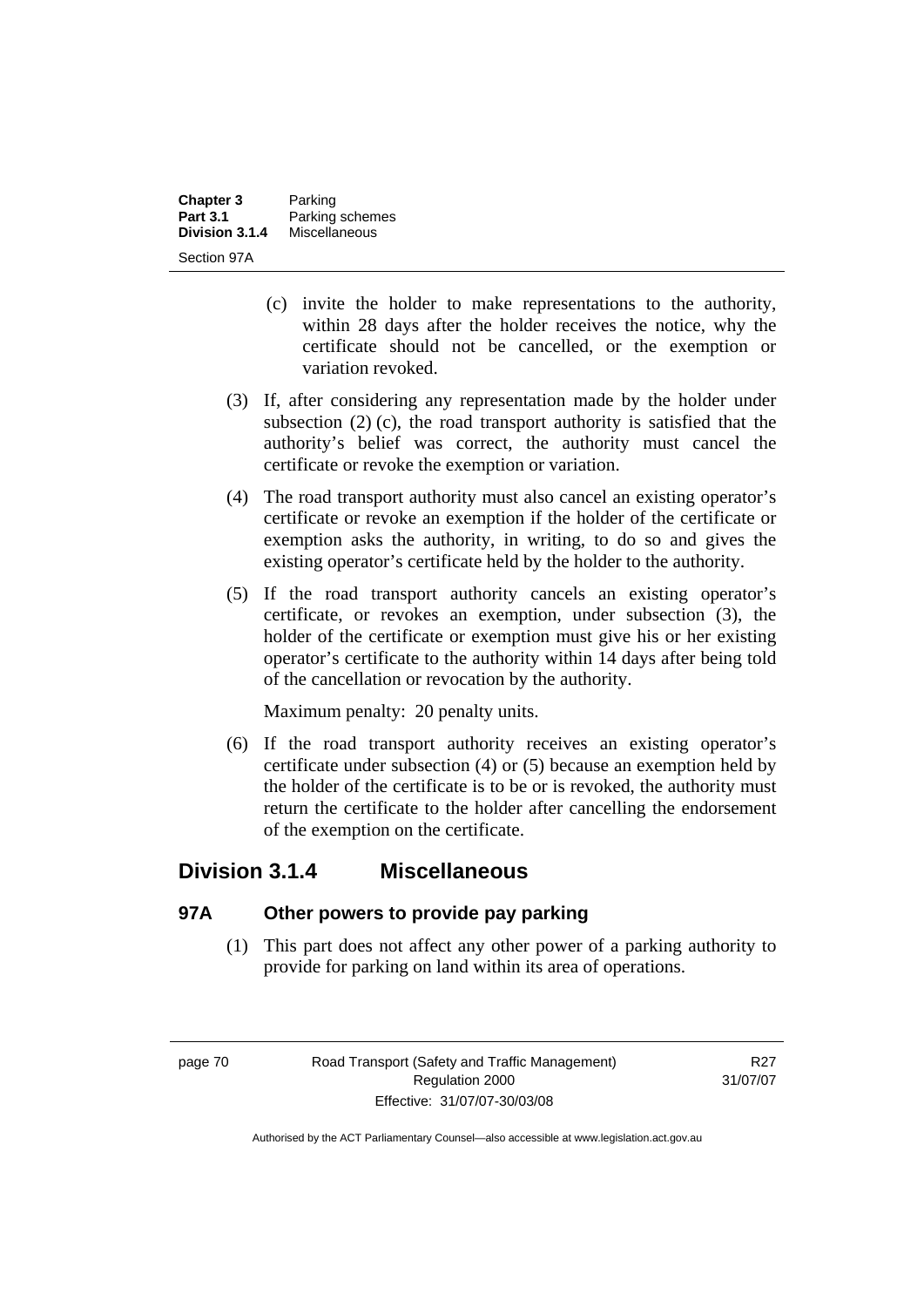| <b>Chapter 3</b> | Parking         |
|------------------|-----------------|
| <b>Part 3.1</b>  | Parking schemes |
| Division 3.1.4   | Miscellaneous   |
| Section 97A      |                 |

- (c) invite the holder to make representations to the authority, within 28 days after the holder receives the notice, why the certificate should not be cancelled, or the exemption or variation revoked.
- (3) If, after considering any representation made by the holder under subsection (2) (c), the road transport authority is satisfied that the authority's belief was correct, the authority must cancel the certificate or revoke the exemption or variation.
- (4) The road transport authority must also cancel an existing operator's certificate or revoke an exemption if the holder of the certificate or exemption asks the authority, in writing, to do so and gives the existing operator's certificate held by the holder to the authority.
- (5) If the road transport authority cancels an existing operator's certificate, or revokes an exemption, under subsection (3), the holder of the certificate or exemption must give his or her existing operator's certificate to the authority within 14 days after being told of the cancellation or revocation by the authority.

Maximum penalty: 20 penalty units.

 (6) If the road transport authority receives an existing operator's certificate under subsection (4) or (5) because an exemption held by the holder of the certificate is to be or is revoked, the authority must return the certificate to the holder after cancelling the endorsement of the exemption on the certificate.

# **Division 3.1.4 Miscellaneous**

# **97A Other powers to provide pay parking**

 (1) This part does not affect any other power of a parking authority to provide for parking on land within its area of operations.

R<sub>27</sub> 31/07/07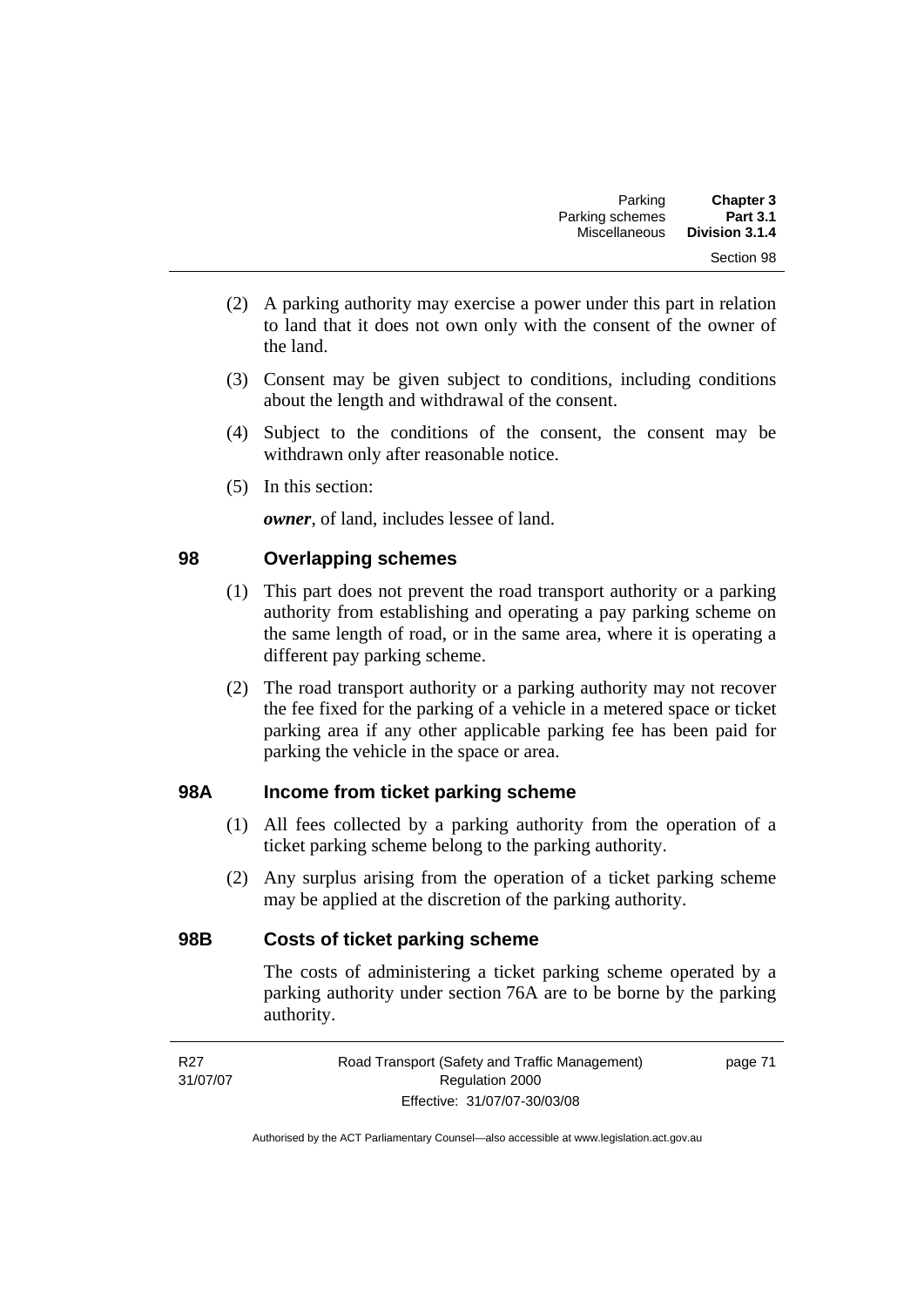- (2) A parking authority may exercise a power under this part in relation to land that it does not own only with the consent of the owner of the land.
- (3) Consent may be given subject to conditions, including conditions about the length and withdrawal of the consent.
- (4) Subject to the conditions of the consent, the consent may be withdrawn only after reasonable notice.
- (5) In this section:

*owner*, of land, includes lessee of land.

# **98 Overlapping schemes**

- (1) This part does not prevent the road transport authority or a parking authority from establishing and operating a pay parking scheme on the same length of road, or in the same area, where it is operating a different pay parking scheme.
- (2) The road transport authority or a parking authority may not recover the fee fixed for the parking of a vehicle in a metered space or ticket parking area if any other applicable parking fee has been paid for parking the vehicle in the space or area.

# **98A Income from ticket parking scheme**

- (1) All fees collected by a parking authority from the operation of a ticket parking scheme belong to the parking authority.
- (2) Any surplus arising from the operation of a ticket parking scheme may be applied at the discretion of the parking authority.

# **98B Costs of ticket parking scheme**

The costs of administering a ticket parking scheme operated by a parking authority under section 76A are to be borne by the parking authority.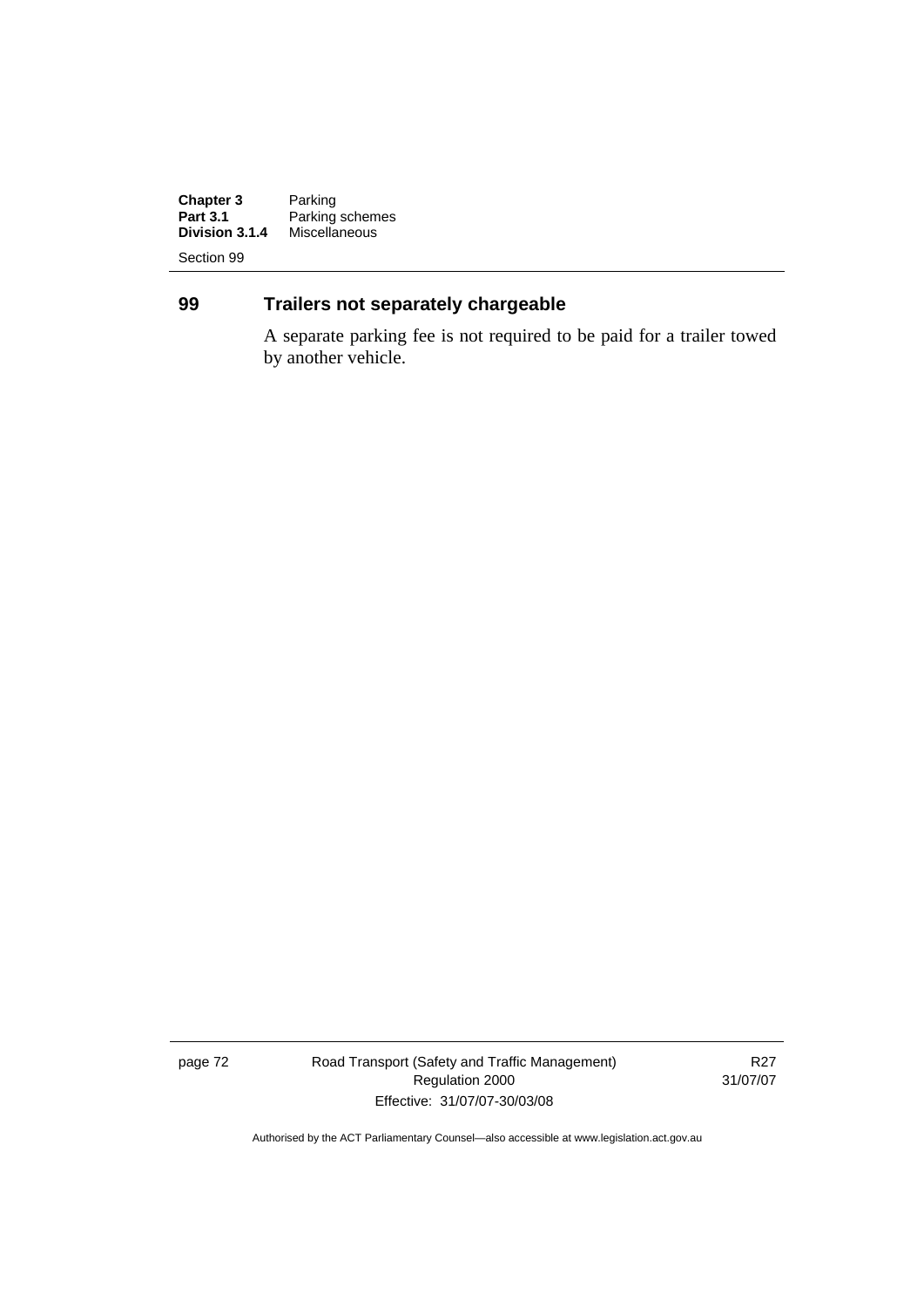**Chapter 3**<br>Part 3.1 **Chapter 3** Parking<br> **Part 3.1** Parking schemes<br> **Division 3.1.4** Miscellaneous **Division 3.1.4** Miscellaneous

Section 99

# **99 Trailers not separately chargeable**

A separate parking fee is not required to be paid for a trailer towed by another vehicle.

page 72 Road Transport (Safety and Traffic Management) Regulation 2000 Effective: 31/07/07-30/03/08

R27 31/07/07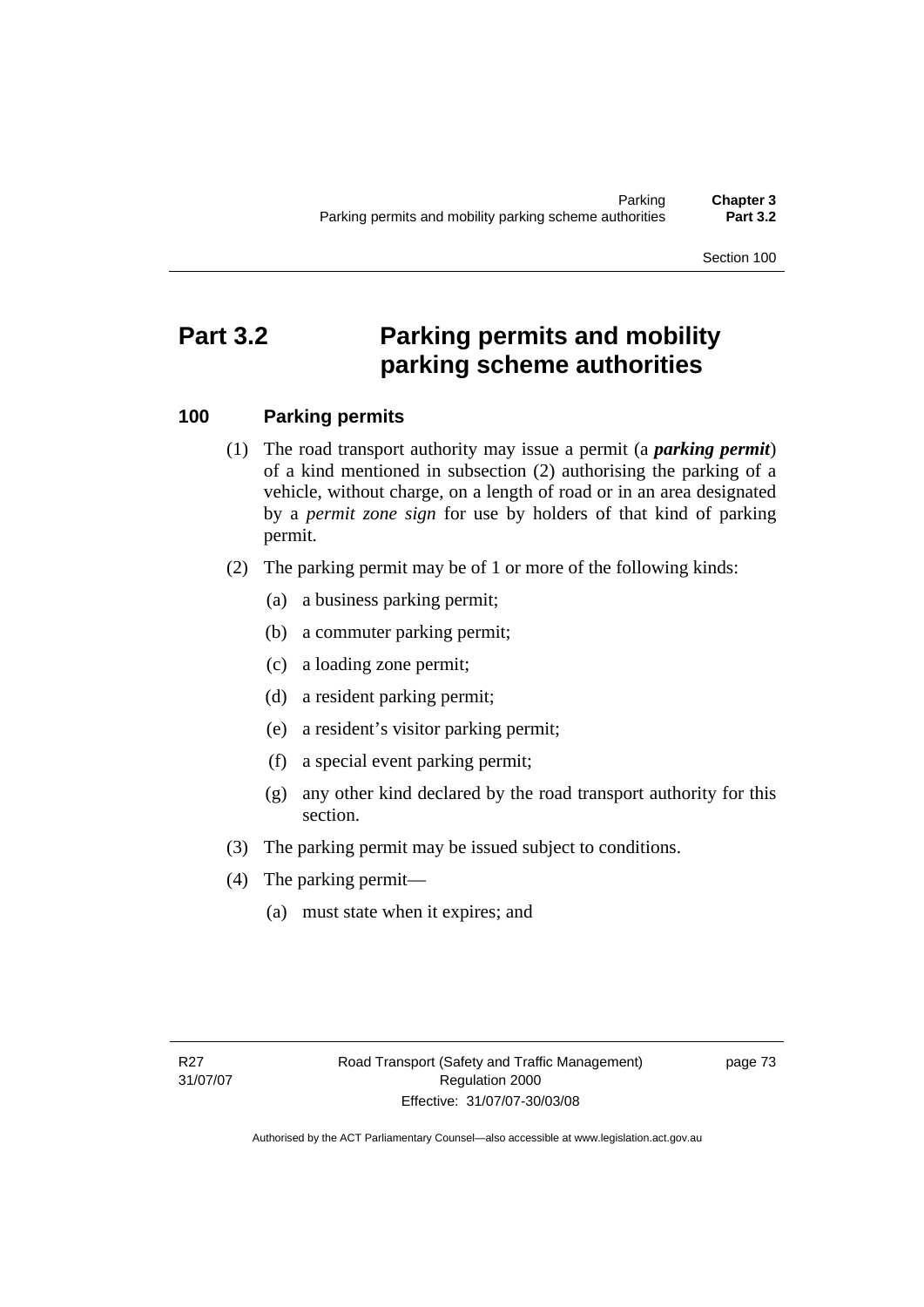Section 100

# **Part 3.2 Parking permits and mobility parking scheme authorities**

# **100 Parking permits**

- (1) The road transport authority may issue a permit (a *parking permit*) of a kind mentioned in subsection (2) authorising the parking of a vehicle, without charge, on a length of road or in an area designated by a *permit zone sign* for use by holders of that kind of parking permit.
- (2) The parking permit may be of 1 or more of the following kinds:
	- (a) a business parking permit;
	- (b) a commuter parking permit;
	- (c) a loading zone permit;
	- (d) a resident parking permit;
	- (e) a resident's visitor parking permit;
	- (f) a special event parking permit;
	- (g) any other kind declared by the road transport authority for this section.
- (3) The parking permit may be issued subject to conditions.
- (4) The parking permit—
	- (a) must state when it expires; and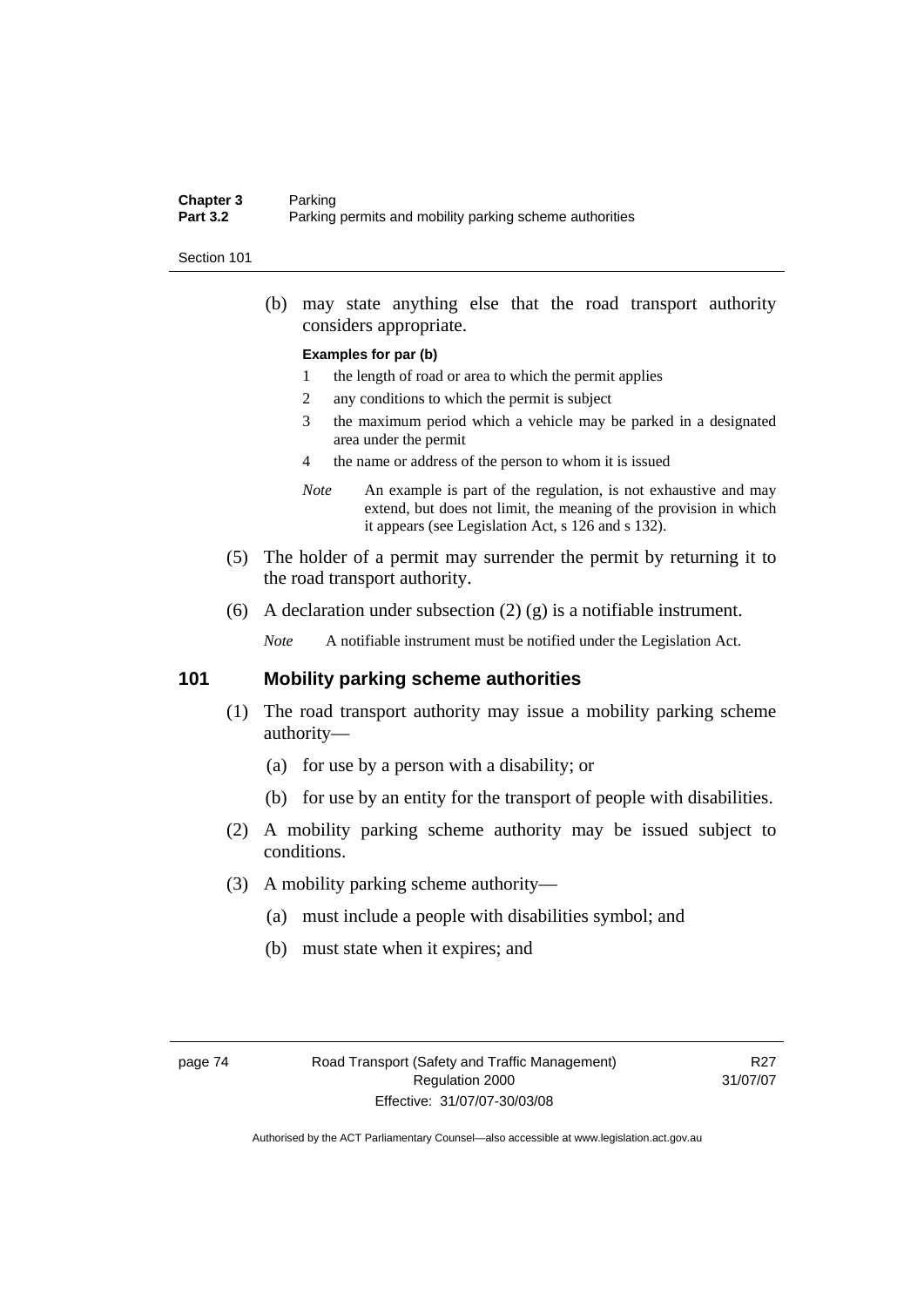### **Chapter 3** Parking<br>**Part 3.2** Parking Parking permits and mobility parking scheme authorities

#### Section 101

 (b) may state anything else that the road transport authority considers appropriate.

#### **Examples for par (b)**

- 1 the length of road or area to which the permit applies
- 2 any conditions to which the permit is subject
- 3 the maximum period which a vehicle may be parked in a designated area under the permit
- 4 the name or address of the person to whom it is issued
- *Note* An example is part of the regulation, is not exhaustive and may extend, but does not limit, the meaning of the provision in which it appears (see Legislation Act, s 126 and s 132).
- (5) The holder of a permit may surrender the permit by returning it to the road transport authority.
- (6) A declaration under subsection (2) (g) is a notifiable instrument.

*Note* A notifiable instrument must be notified under the Legislation Act.

### **101 Mobility parking scheme authorities**

- (1) The road transport authority may issue a mobility parking scheme authority—
	- (a) for use by a person with a disability; or
	- (b) for use by an entity for the transport of people with disabilities.
- (2) A mobility parking scheme authority may be issued subject to conditions.
- (3) A mobility parking scheme authority—
	- (a) must include a people with disabilities symbol; and
	- (b) must state when it expires; and

R27 31/07/07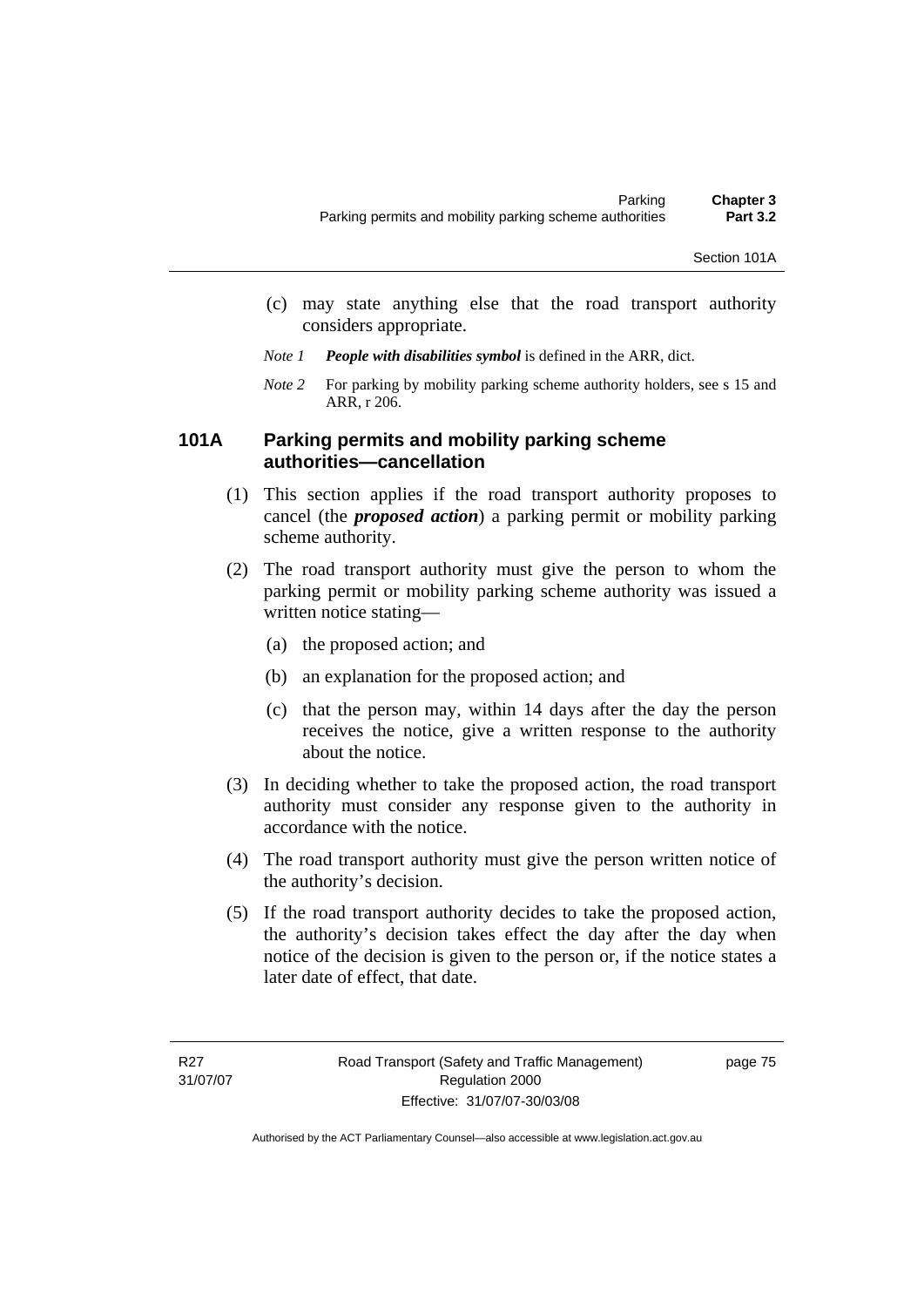- (c) may state anything else that the road transport authority considers appropriate.
- *Note 1 People with disabilities symbol* is defined in the ARR, dict.
- *Note 2* For parking by mobility parking scheme authority holders, see s 15 and ARR, r 206.

### **101A Parking permits and mobility parking scheme authorities—cancellation**

- (1) This section applies if the road transport authority proposes to cancel (the *proposed action*) a parking permit or mobility parking scheme authority.
- (2) The road transport authority must give the person to whom the parking permit or mobility parking scheme authority was issued a written notice stating—
	- (a) the proposed action; and
	- (b) an explanation for the proposed action; and
	- (c) that the person may, within 14 days after the day the person receives the notice, give a written response to the authority about the notice.
- (3) In deciding whether to take the proposed action, the road transport authority must consider any response given to the authority in accordance with the notice.
- (4) The road transport authority must give the person written notice of the authority's decision.
- (5) If the road transport authority decides to take the proposed action, the authority's decision takes effect the day after the day when notice of the decision is given to the person or, if the notice states a later date of effect, that date.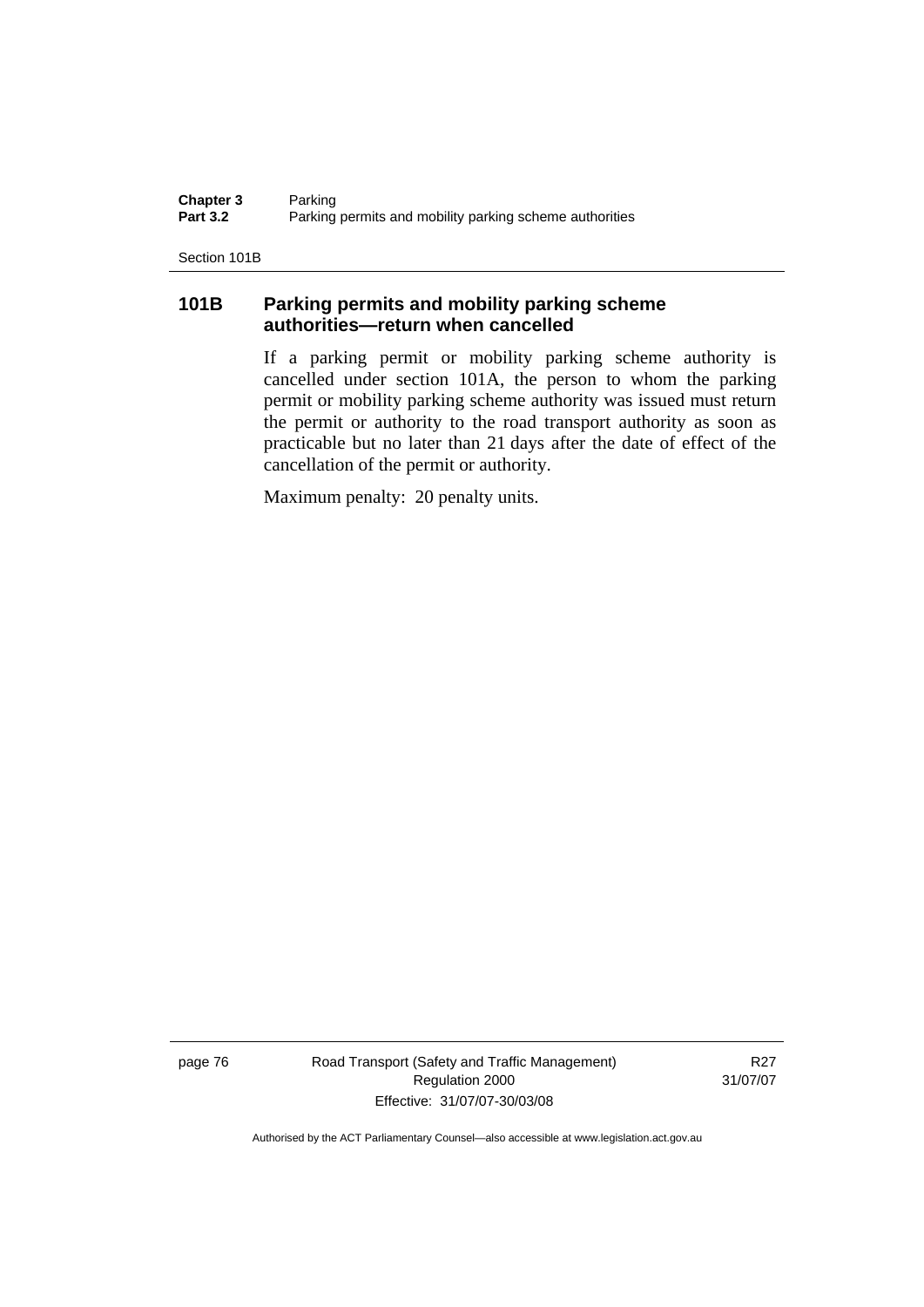**Chapter 3** Parking<br>**Part 3.2** Parking Parking permits and mobility parking scheme authorities

Section 101B

# **101B Parking permits and mobility parking scheme authorities—return when cancelled**

If a parking permit or mobility parking scheme authority is cancelled under section 101A, the person to whom the parking permit or mobility parking scheme authority was issued must return the permit or authority to the road transport authority as soon as practicable but no later than 21 days after the date of effect of the cancellation of the permit or authority.

Maximum penalty: 20 penalty units.

page 76 Road Transport (Safety and Traffic Management) Regulation 2000 Effective: 31/07/07-30/03/08

R27 31/07/07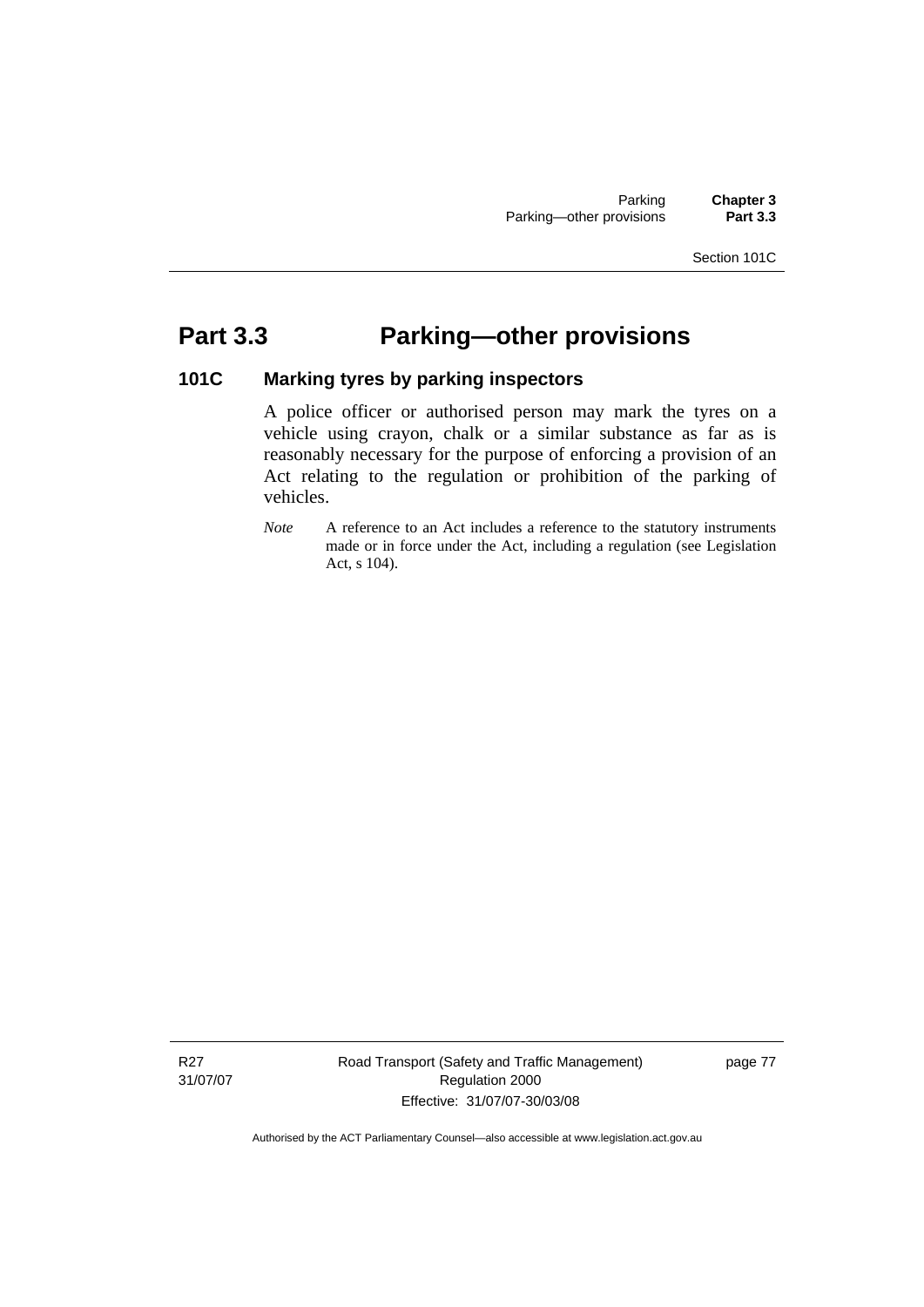### Section 101C

# **Part 3.3 Parking—other provisions**

### **101C Marking tyres by parking inspectors**

A police officer or authorised person may mark the tyres on a vehicle using crayon, chalk or a similar substance as far as is reasonably necessary for the purpose of enforcing a provision of an Act relating to the regulation or prohibition of the parking of vehicles.

*Note* A reference to an Act includes a reference to the statutory instruments made or in force under the Act, including a regulation (see Legislation Act, s 104).

Road Transport (Safety and Traffic Management) Regulation 2000 Effective: 31/07/07-30/03/08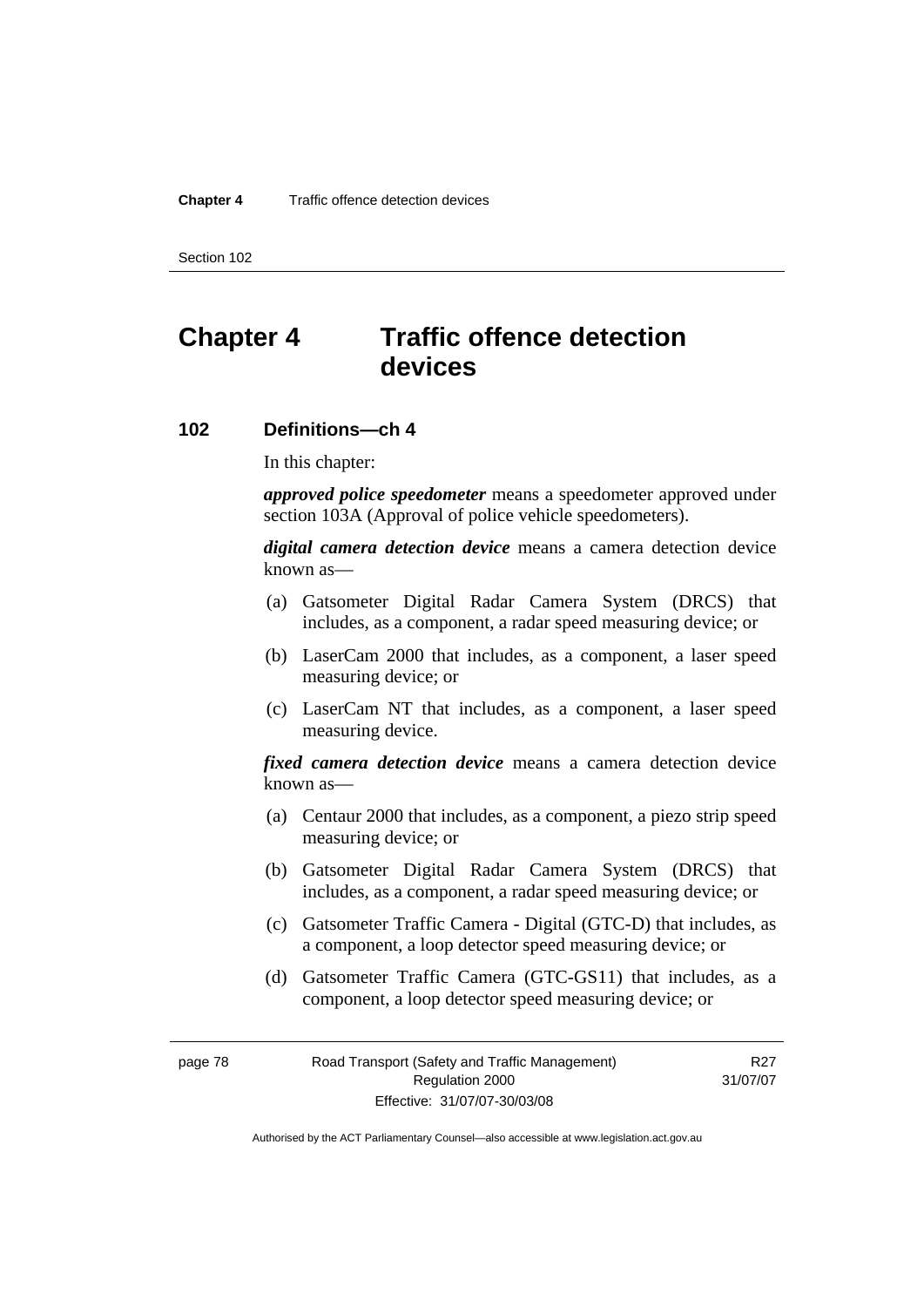Section 102

# **Chapter 4 Traffic offence detection devices**

# **102 Definitions—ch 4**

In this chapter:

*approved police speedometer* means a speedometer approved under section 103A (Approval of police vehicle speedometers).

*digital camera detection device* means a camera detection device known as—

- (a) Gatsometer Digital Radar Camera System (DRCS) that includes, as a component, a radar speed measuring device; or
- (b) LaserCam 2000 that includes, as a component, a laser speed measuring device; or
- (c) LaserCam NT that includes, as a component, a laser speed measuring device.

*fixed camera detection device* means a camera detection device known as—

- (a) Centaur 2000 that includes, as a component, a piezo strip speed measuring device; or
- (b) Gatsometer Digital Radar Camera System (DRCS) that includes, as a component, a radar speed measuring device; or
- (c) Gatsometer Traffic Camera Digital (GTC-D) that includes, as a component, a loop detector speed measuring device; or
- (d) Gatsometer Traffic Camera (GTC-GS11) that includes, as a component, a loop detector speed measuring device; or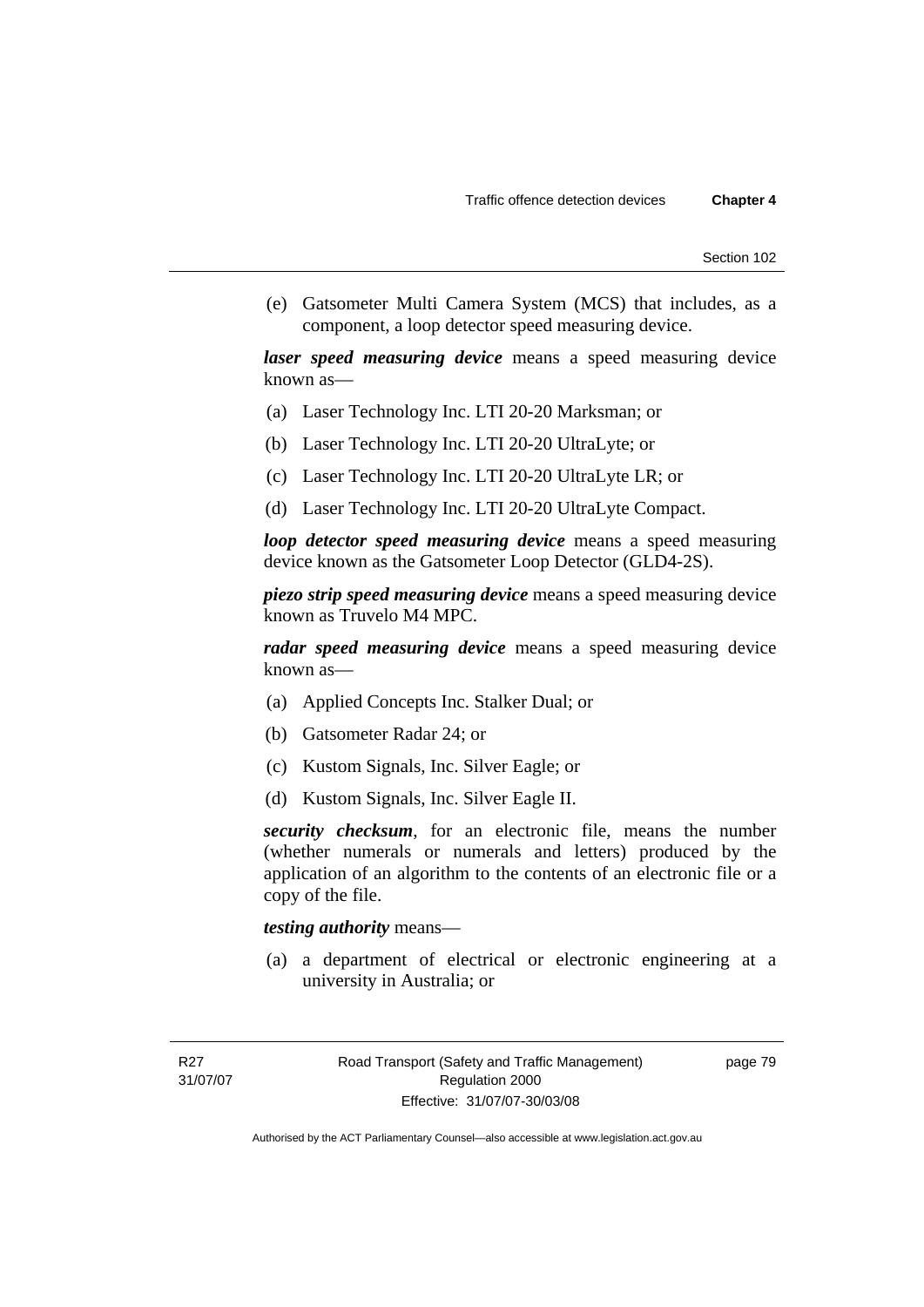(e) Gatsometer Multi Camera System (MCS) that includes, as a component, a loop detector speed measuring device.

*laser speed measuring device* means a speed measuring device known as—

- (a) Laser Technology Inc. LTI 20-20 Marksman; or
- (b) Laser Technology Inc. LTI 20-20 UltraLyte; or
- (c) Laser Technology Inc. LTI 20-20 UltraLyte LR; or
- (d) Laser Technology Inc. LTI 20-20 UltraLyte Compact.

*loop detector speed measuring device* means a speed measuring device known as the Gatsometer Loop Detector (GLD4-2S).

*piezo strip speed measuring device* means a speed measuring device known as Truvelo M4 MPC.

*radar speed measuring device* means a speed measuring device known as—

- (a) Applied Concepts Inc. Stalker Dual; or
- (b) Gatsometer Radar 24; or
- (c) Kustom Signals, Inc. Silver Eagle; or
- (d) Kustom Signals, Inc. Silver Eagle II.

*security checksum*, for an electronic file, means the number (whether numerals or numerals and letters) produced by the application of an algorithm to the contents of an electronic file or a copy of the file.

### *testing authority* means—

 (a) a department of electrical or electronic engineering at a university in Australia; or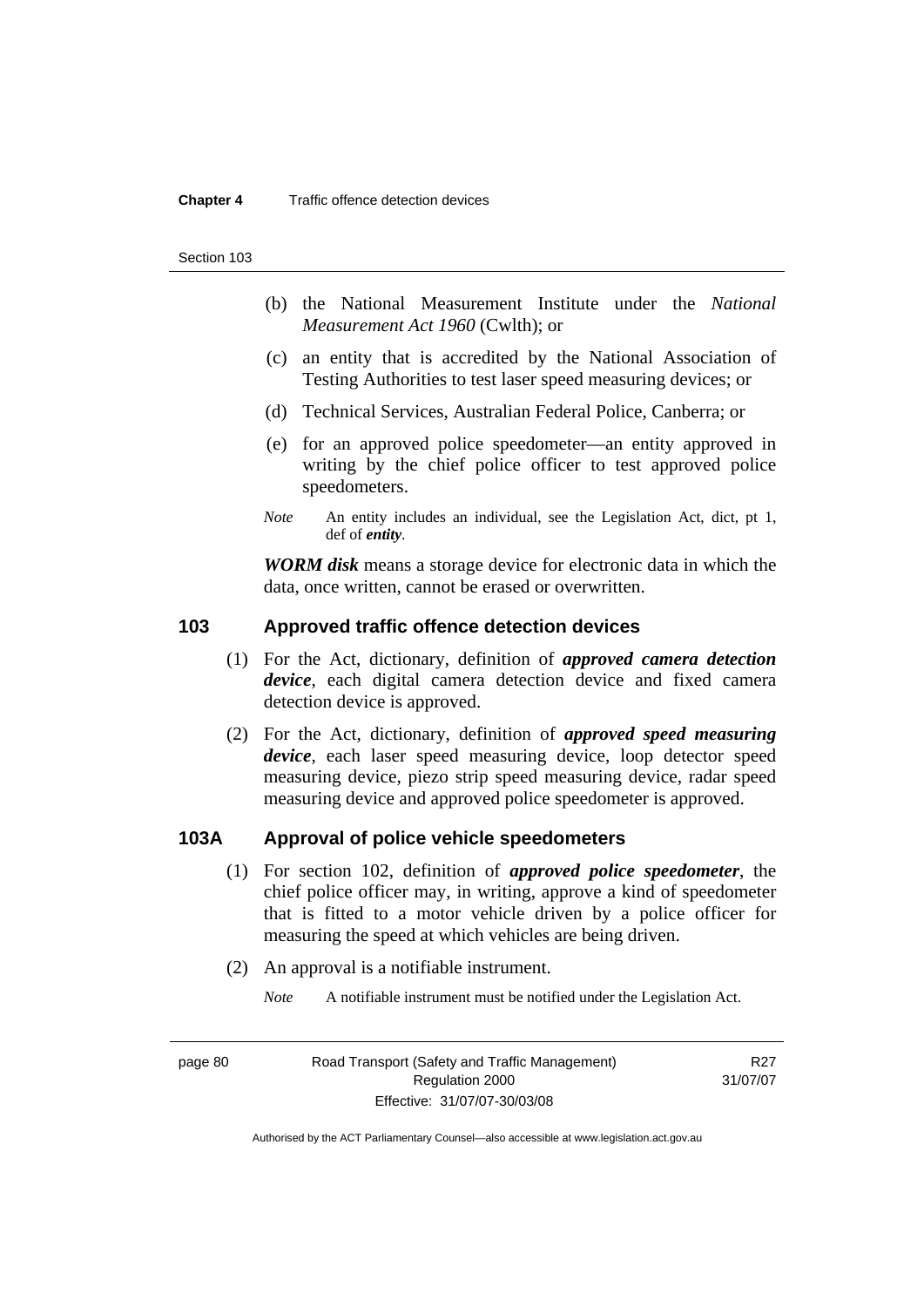Section 103

- (b) the National Measurement Institute under the *National Measurement Act 1960* (Cwlth); or
- (c) an entity that is accredited by the National Association of Testing Authorities to test laser speed measuring devices; or
- (d) Technical Services, Australian Federal Police, Canberra; or
- (e) for an approved police speedometer—an entity approved in writing by the chief police officer to test approved police speedometers.
- *Note* An entity includes an individual, see the Legislation Act, dict, pt 1, def of *entity*.

*WORM disk* means a storage device for electronic data in which the data, once written, cannot be erased or overwritten.

### **103 Approved traffic offence detection devices**

- (1) For the Act, dictionary, definition of *approved camera detection device*, each digital camera detection device and fixed camera detection device is approved.
- (2) For the Act, dictionary, definition of *approved speed measuring device*, each laser speed measuring device, loop detector speed measuring device, piezo strip speed measuring device, radar speed measuring device and approved police speedometer is approved.

### **103A Approval of police vehicle speedometers**

- (1) For section 102, definition of *approved police speedometer*, the chief police officer may, in writing, approve a kind of speedometer that is fitted to a motor vehicle driven by a police officer for measuring the speed at which vehicles are being driven.
- (2) An approval is a notifiable instrument.

*Note* A notifiable instrument must be notified under the Legislation Act.

page 80 Road Transport (Safety and Traffic Management) Regulation 2000 Effective: 31/07/07-30/03/08

R<sub>27</sub> 31/07/07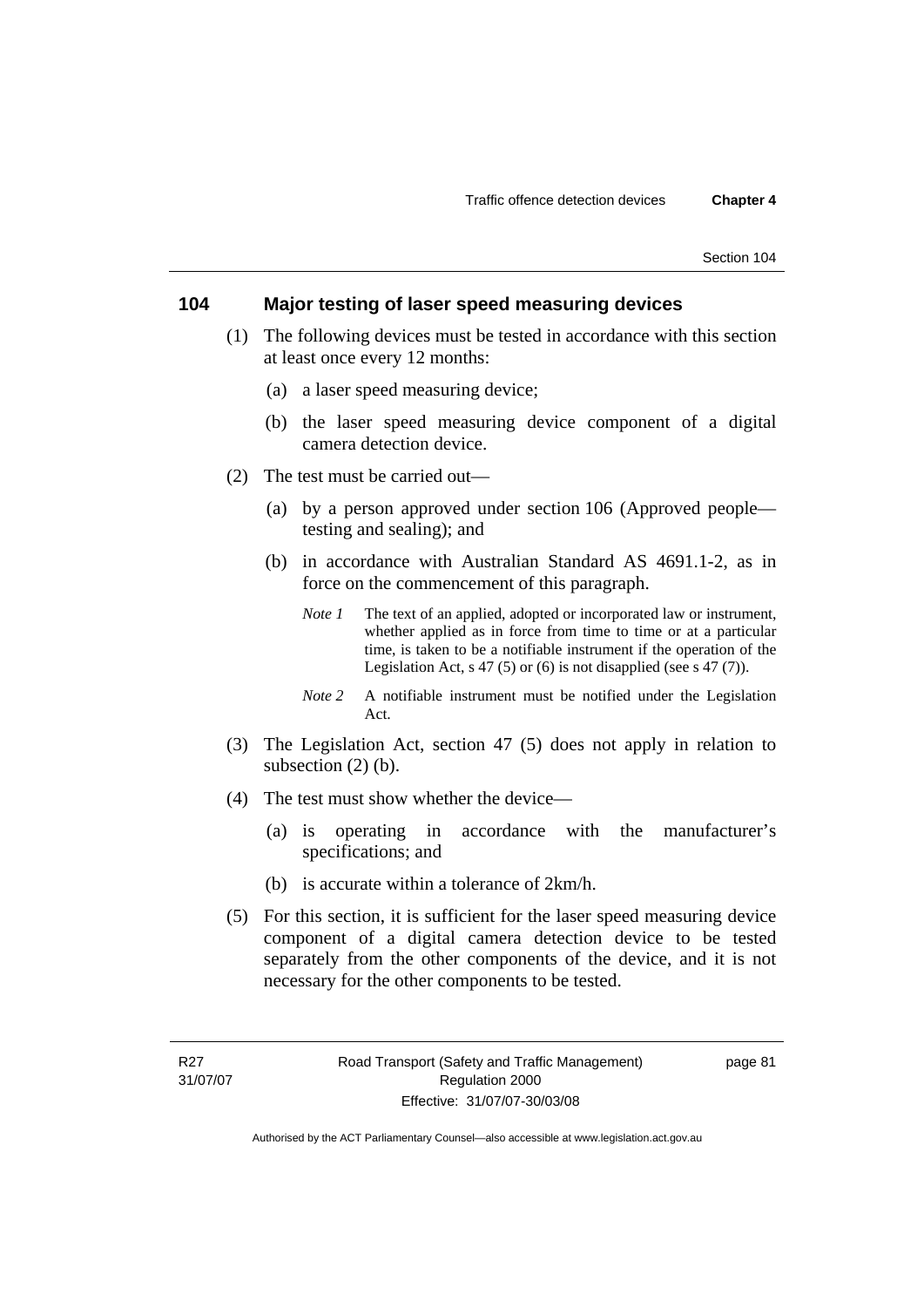### **104 Major testing of laser speed measuring devices**

- (1) The following devices must be tested in accordance with this section at least once every 12 months:
	- (a) a laser speed measuring device;
	- (b) the laser speed measuring device component of a digital camera detection device.
- (2) The test must be carried out—
	- (a) by a person approved under section 106 (Approved people testing and sealing); and
	- (b) in accordance with Australian Standard AS 4691.1-2, as in force on the commencement of this paragraph.
		- *Note 1* The text of an applied, adopted or incorporated law or instrument, whether applied as in force from time to time or at a particular time, is taken to be a notifiable instrument if the operation of the Legislation Act, s 47 (5) or (6) is not disapplied (see s 47 (7)).
		- *Note 2* A notifiable instrument must be notified under the Legislation Act.
- (3) The Legislation Act, section 47 (5) does not apply in relation to subsection (2) (b).
- (4) The test must show whether the device—
	- (a) is operating in accordance with the manufacturer's specifications; and
	- (b) is accurate within a tolerance of 2km/h.
- (5) For this section, it is sufficient for the laser speed measuring device component of a digital camera detection device to be tested separately from the other components of the device, and it is not necessary for the other components to be tested.

page 81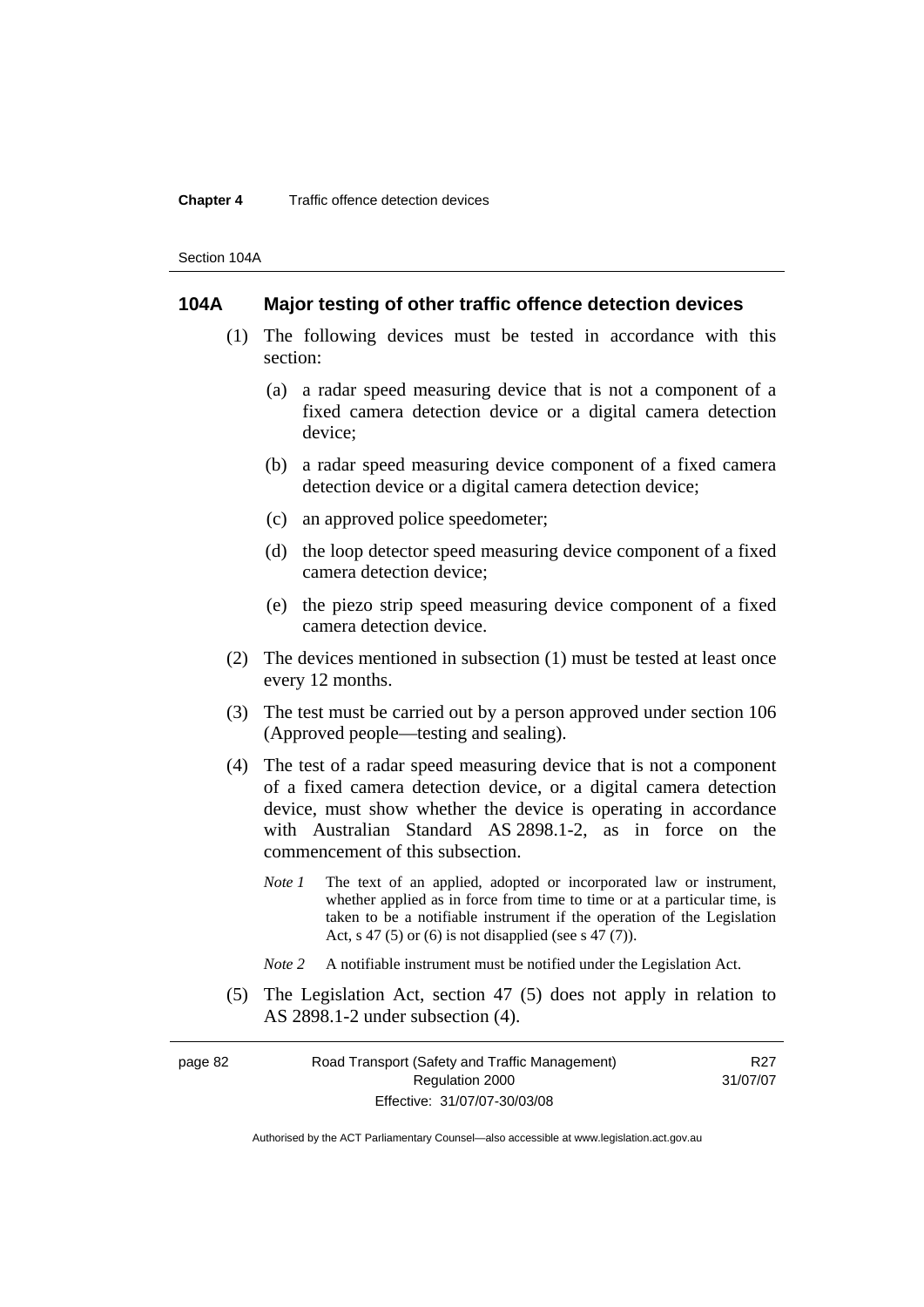Section 104A

### **104A Major testing of other traffic offence detection devices**

- (1) The following devices must be tested in accordance with this section:
	- (a) a radar speed measuring device that is not a component of a fixed camera detection device or a digital camera detection device;
	- (b) a radar speed measuring device component of a fixed camera detection device or a digital camera detection device;
	- (c) an approved police speedometer;
	- (d) the loop detector speed measuring device component of a fixed camera detection device;
	- (e) the piezo strip speed measuring device component of a fixed camera detection device.
- (2) The devices mentioned in subsection (1) must be tested at least once every 12 months.
- (3) The test must be carried out by a person approved under section 106 (Approved people—testing and sealing).
- (4) The test of a radar speed measuring device that is not a component of a fixed camera detection device, or a digital camera detection device, must show whether the device is operating in accordance with Australian Standard AS 2898.1-2, as in force on the commencement of this subsection.
	- *Note 1* The text of an applied, adopted or incorporated law or instrument, whether applied as in force from time to time or at a particular time, is taken to be a notifiable instrument if the operation of the Legislation Act, s 47 (5) or (6) is not disapplied (see s 47 (7)).
	- *Note 2* A notifiable instrument must be notified under the Legislation Act.
- (5) The Legislation Act, section 47 (5) does not apply in relation to AS 2898.1-2 under subsection (4).

page 82 Road Transport (Safety and Traffic Management) Regulation 2000 Effective: 31/07/07-30/03/08

R<sub>27</sub> 31/07/07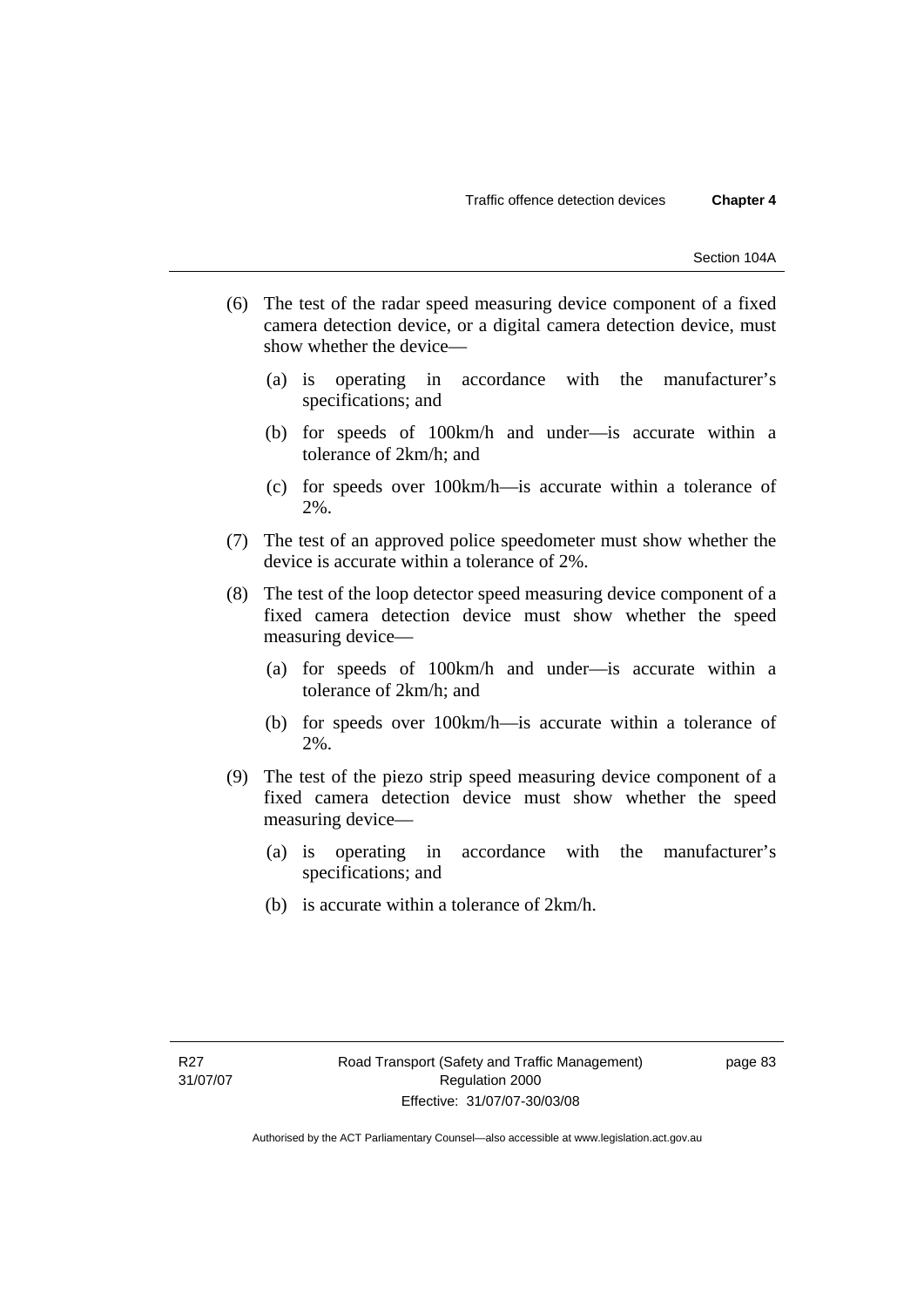- (6) The test of the radar speed measuring device component of a fixed camera detection device, or a digital camera detection device, must show whether the device—
	- (a) is operating in accordance with the manufacturer's specifications; and
	- (b) for speeds of 100km/h and under—is accurate within a tolerance of 2km/h; and
	- (c) for speeds over 100km/h—is accurate within a tolerance of 2%.
- (7) The test of an approved police speedometer must show whether the device is accurate within a tolerance of 2%.
- (8) The test of the loop detector speed measuring device component of a fixed camera detection device must show whether the speed measuring device—
	- (a) for speeds of 100km/h and under—is accurate within a tolerance of 2km/h; and
	- (b) for speeds over 100km/h—is accurate within a tolerance of 2%.
- (9) The test of the piezo strip speed measuring device component of a fixed camera detection device must show whether the speed measuring device—
	- (a) is operating in accordance with the manufacturer's specifications; and
	- (b) is accurate within a tolerance of 2km/h.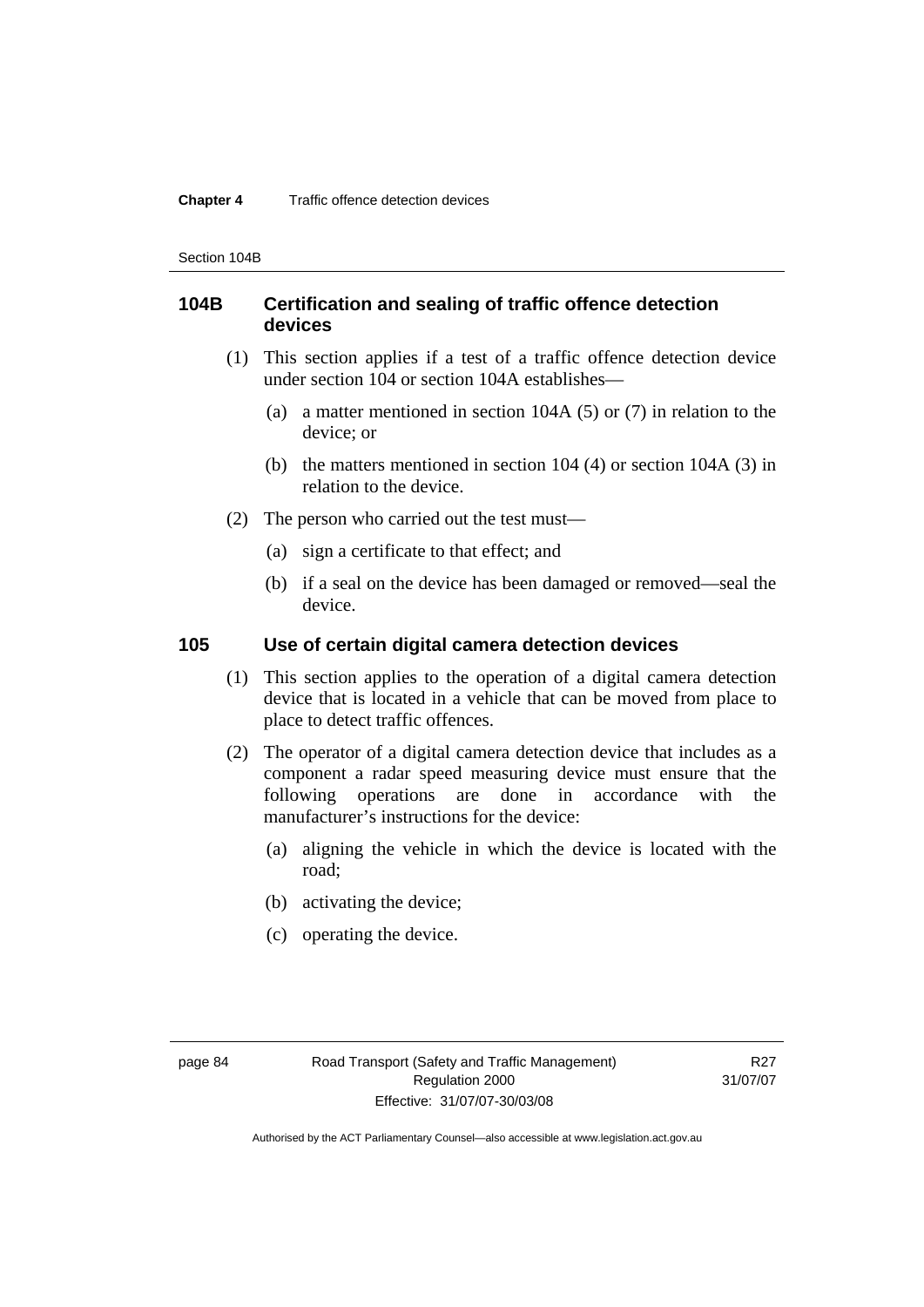Section 104B

# **104B Certification and sealing of traffic offence detection devices**

- (1) This section applies if a test of a traffic offence detection device under section 104 or section 104A establishes—
	- (a) a matter mentioned in section 104A (5) or (7) in relation to the device; or
	- (b) the matters mentioned in section 104 (4) or section 104A (3) in relation to the device.
- (2) The person who carried out the test must—
	- (a) sign a certificate to that effect; and
	- (b) if a seal on the device has been damaged or removed—seal the device.

# **105 Use of certain digital camera detection devices**

- (1) This section applies to the operation of a digital camera detection device that is located in a vehicle that can be moved from place to place to detect traffic offences.
- (2) The operator of a digital camera detection device that includes as a component a radar speed measuring device must ensure that the following operations are done in accordance with the manufacturer's instructions for the device:
	- (a) aligning the vehicle in which the device is located with the road;
	- (b) activating the device;
	- (c) operating the device.

R27 31/07/07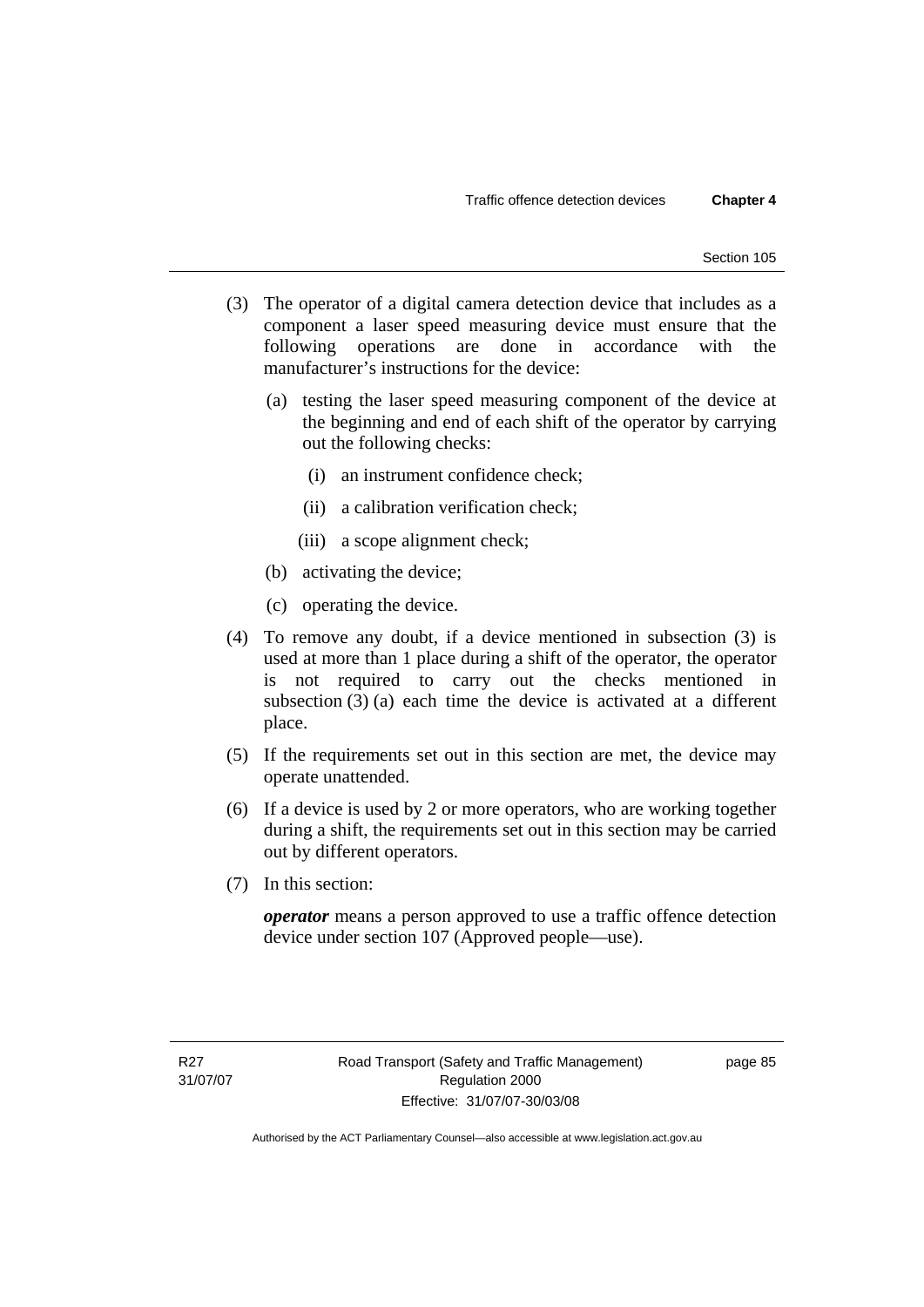- (3) The operator of a digital camera detection device that includes as a component a laser speed measuring device must ensure that the following operations are done in accordance with the manufacturer's instructions for the device:
	- (a) testing the laser speed measuring component of the device at the beginning and end of each shift of the operator by carrying out the following checks:
		- (i) an instrument confidence check;
		- (ii) a calibration verification check;
		- (iii) a scope alignment check;
	- (b) activating the device;
	- (c) operating the device.
- (4) To remove any doubt, if a device mentioned in subsection (3) is used at more than 1 place during a shift of the operator, the operator is not required to carry out the checks mentioned in subsection (3) (a) each time the device is activated at a different place.
- (5) If the requirements set out in this section are met, the device may operate unattended.
- (6) If a device is used by 2 or more operators, who are working together during a shift, the requirements set out in this section may be carried out by different operators.
- (7) In this section:

*operator* means a person approved to use a traffic offence detection device under section 107 (Approved people—use).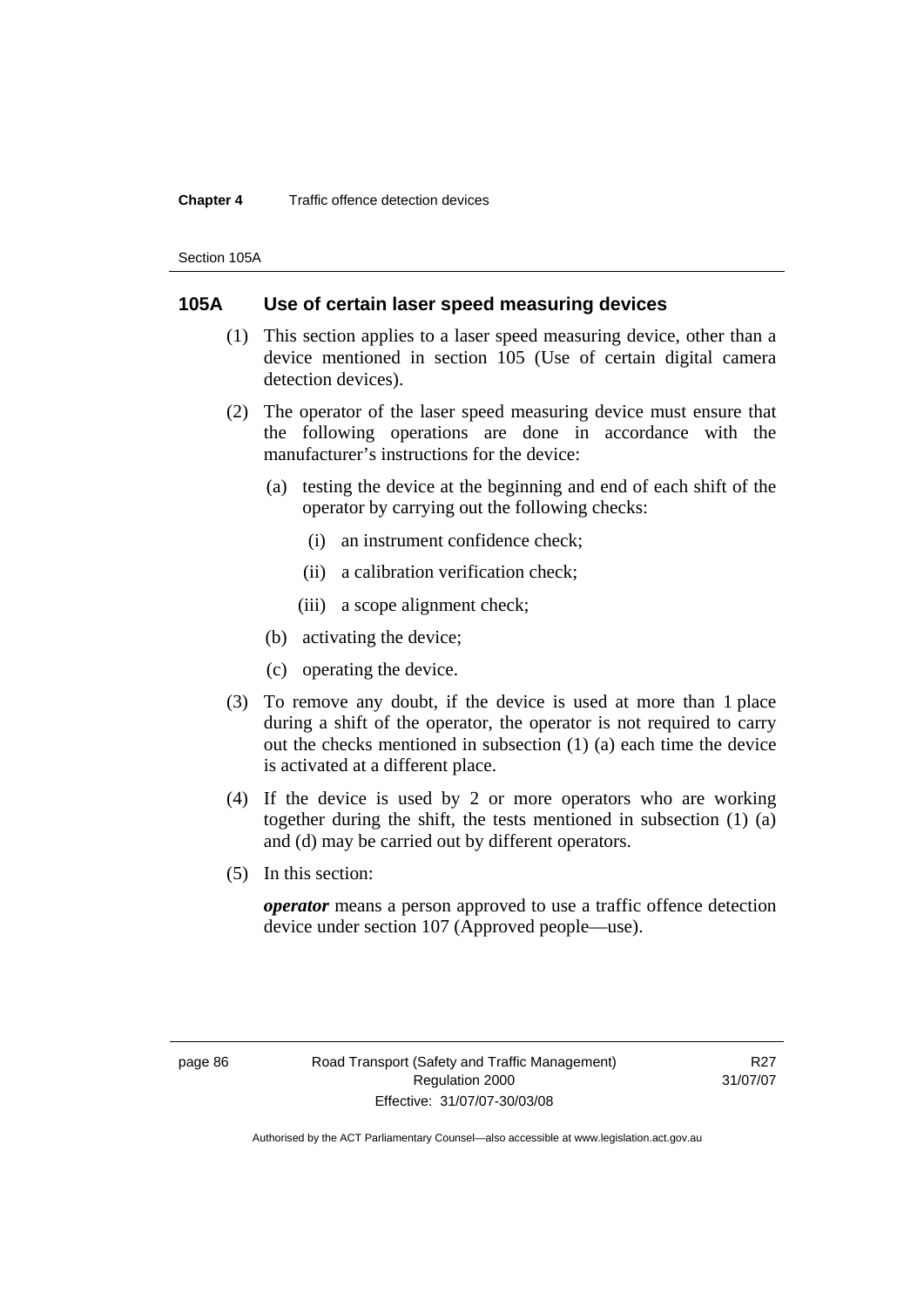Section 105A

# **105A Use of certain laser speed measuring devices**

- (1) This section applies to a laser speed measuring device, other than a device mentioned in section 105 (Use of certain digital camera detection devices).
- (2) The operator of the laser speed measuring device must ensure that the following operations are done in accordance with the manufacturer's instructions for the device:
	- (a) testing the device at the beginning and end of each shift of the operator by carrying out the following checks:
		- (i) an instrument confidence check;
		- (ii) a calibration verification check;
		- (iii) a scope alignment check;
	- (b) activating the device;
	- (c) operating the device.
- (3) To remove any doubt, if the device is used at more than 1 place during a shift of the operator, the operator is not required to carry out the checks mentioned in subsection (1) (a) each time the device is activated at a different place.
- (4) If the device is used by 2 or more operators who are working together during the shift, the tests mentioned in subsection (1) (a) and (d) may be carried out by different operators.
- (5) In this section:

*operator* means a person approved to use a traffic offence detection device under section 107 (Approved people—use).

R<sub>27</sub> 31/07/07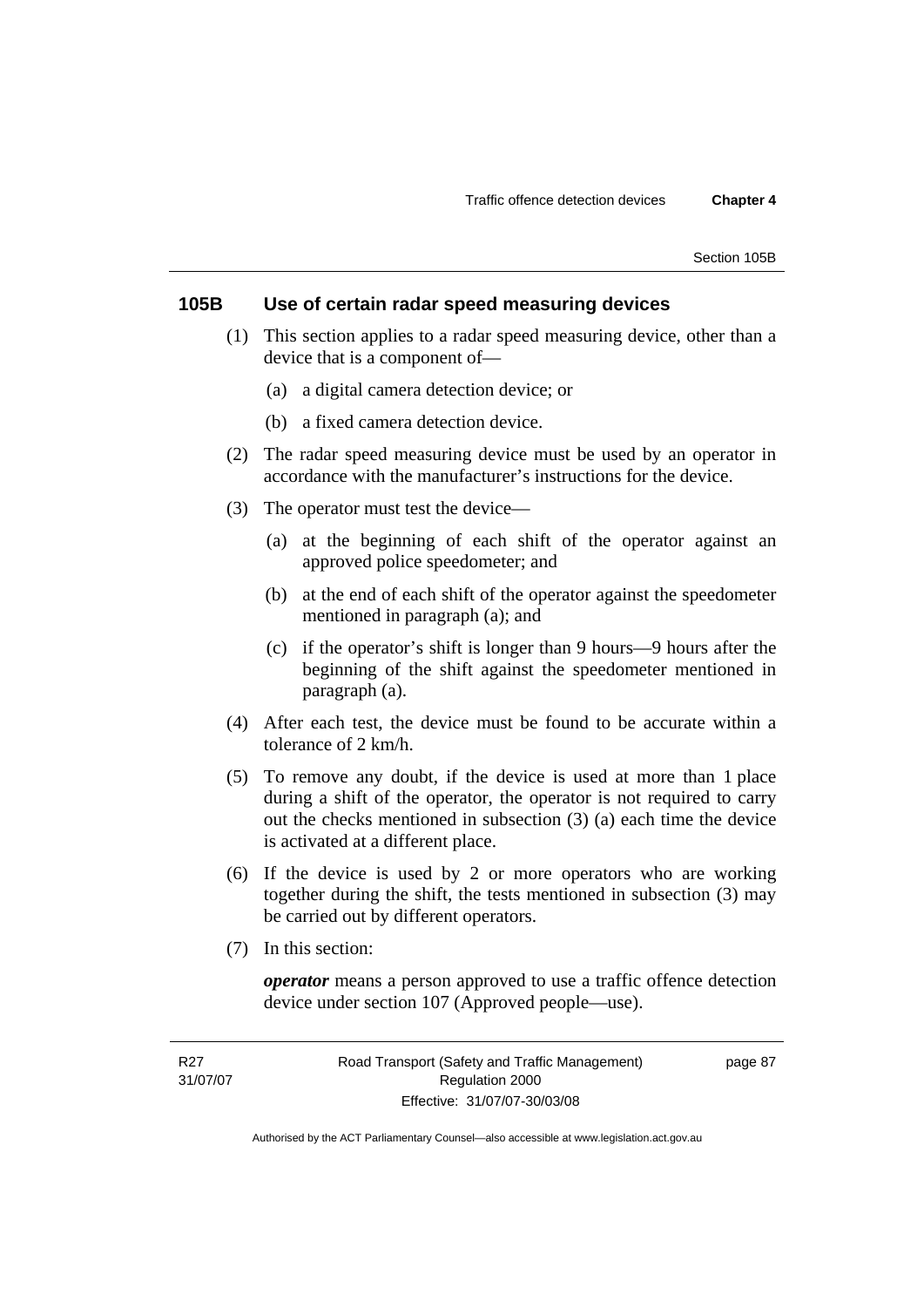# **105B Use of certain radar speed measuring devices**

- (1) This section applies to a radar speed measuring device, other than a device that is a component of—
	- (a) a digital camera detection device; or
	- (b) a fixed camera detection device.
- (2) The radar speed measuring device must be used by an operator in accordance with the manufacturer's instructions for the device.
- (3) The operator must test the device—
	- (a) at the beginning of each shift of the operator against an approved police speedometer; and
	- (b) at the end of each shift of the operator against the speedometer mentioned in paragraph (a); and
	- (c) if the operator's shift is longer than 9 hours—9 hours after the beginning of the shift against the speedometer mentioned in paragraph (a).
- (4) After each test, the device must be found to be accurate within a tolerance of 2 km/h.
- (5) To remove any doubt, if the device is used at more than 1 place during a shift of the operator, the operator is not required to carry out the checks mentioned in subsection (3) (a) each time the device is activated at a different place.
- (6) If the device is used by 2 or more operators who are working together during the shift, the tests mentioned in subsection (3) may be carried out by different operators.
- (7) In this section:

*operator* means a person approved to use a traffic offence detection device under section 107 (Approved people—use).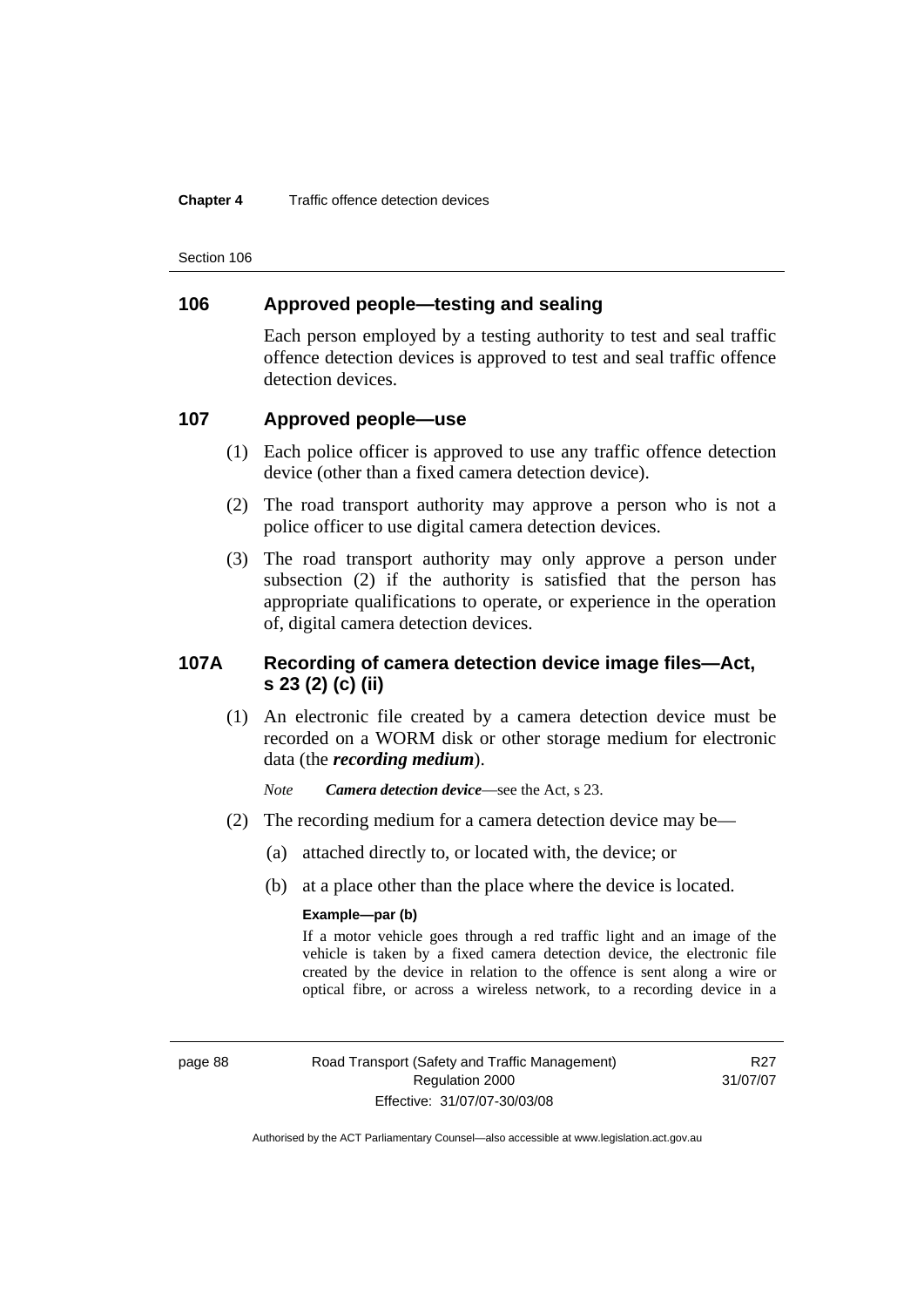Section 106

# **106 Approved people—testing and sealing**

Each person employed by a testing authority to test and seal traffic offence detection devices is approved to test and seal traffic offence detection devices.

# **107 Approved people—use**

- (1) Each police officer is approved to use any traffic offence detection device (other than a fixed camera detection device).
- (2) The road transport authority may approve a person who is not a police officer to use digital camera detection devices.
- (3) The road transport authority may only approve a person under subsection (2) if the authority is satisfied that the person has appropriate qualifications to operate, or experience in the operation of, digital camera detection devices.

# **107A Recording of camera detection device image files—Act, s 23 (2) (c) (ii)**

 (1) An electronic file created by a camera detection device must be recorded on a WORM disk or other storage medium for electronic data (the *recording medium*).

*Note Camera detection device*—see the Act, s 23.

- (2) The recording medium for a camera detection device may be—
	- (a) attached directly to, or located with, the device; or
	- (b) at a place other than the place where the device is located.

### **Example—par (b)**

If a motor vehicle goes through a red traffic light and an image of the vehicle is taken by a fixed camera detection device, the electronic file created by the device in relation to the offence is sent along a wire or optical fibre, or across a wireless network, to a recording device in a

page 88 Road Transport (Safety and Traffic Management) Regulation 2000 Effective: 31/07/07-30/03/08

R27 31/07/07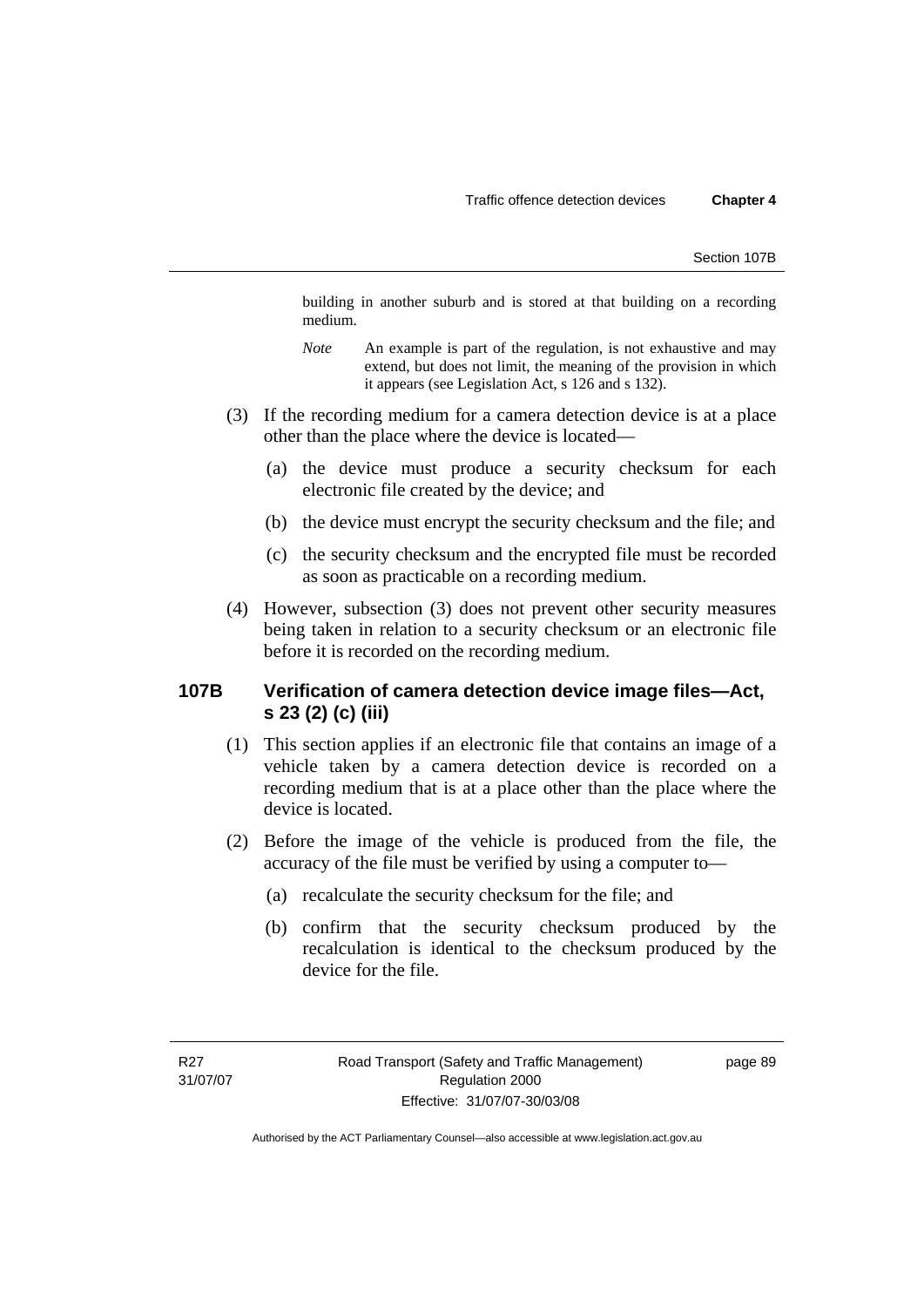building in another suburb and is stored at that building on a recording medium.

- *Note* An example is part of the regulation, is not exhaustive and may extend, but does not limit, the meaning of the provision in which it appears (see Legislation Act, s 126 and s 132).
- (3) If the recording medium for a camera detection device is at a place other than the place where the device is located—
	- (a) the device must produce a security checksum for each electronic file created by the device; and
	- (b) the device must encrypt the security checksum and the file; and
	- (c) the security checksum and the encrypted file must be recorded as soon as practicable on a recording medium.
- (4) However, subsection (3) does not prevent other security measures being taken in relation to a security checksum or an electronic file before it is recorded on the recording medium.

# **107B Verification of camera detection device image files—Act, s 23 (2) (c) (iii)**

- (1) This section applies if an electronic file that contains an image of a vehicle taken by a camera detection device is recorded on a recording medium that is at a place other than the place where the device is located.
- (2) Before the image of the vehicle is produced from the file, the accuracy of the file must be verified by using a computer to—
	- (a) recalculate the security checksum for the file; and
	- (b) confirm that the security checksum produced by the recalculation is identical to the checksum produced by the device for the file.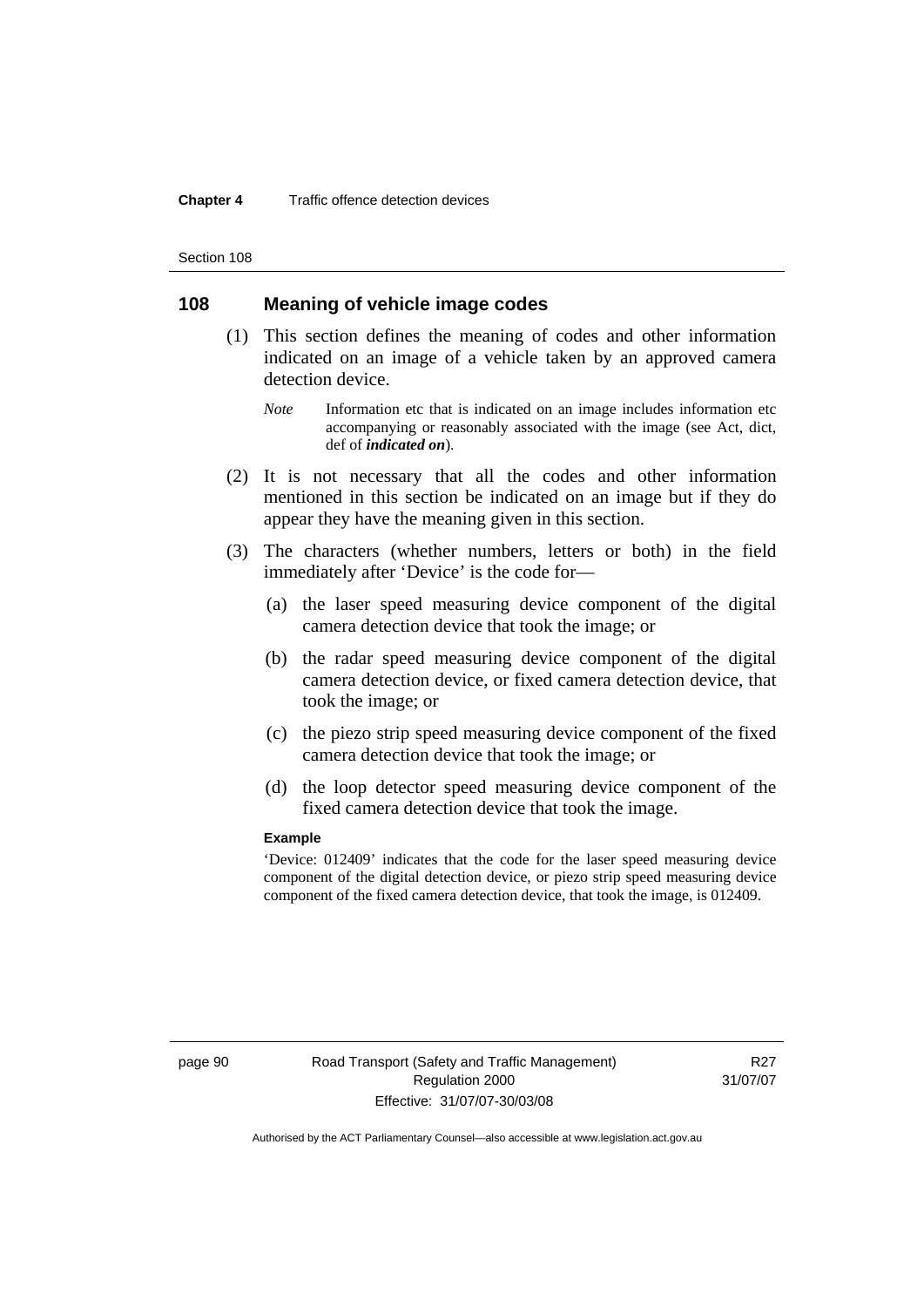Section 108

# **108 Meaning of vehicle image codes**

- (1) This section defines the meaning of codes and other information indicated on an image of a vehicle taken by an approved camera detection device.
	- *Note* Information etc that is indicated on an image includes information etc accompanying or reasonably associated with the image (see Act, dict, def of *indicated on*).
- (2) It is not necessary that all the codes and other information mentioned in this section be indicated on an image but if they do appear they have the meaning given in this section.
- (3) The characters (whether numbers, letters or both) in the field immediately after 'Device' is the code for—
	- (a) the laser speed measuring device component of the digital camera detection device that took the image; or
	- (b) the radar speed measuring device component of the digital camera detection device, or fixed camera detection device, that took the image; or
	- (c) the piezo strip speed measuring device component of the fixed camera detection device that took the image; or
	- (d) the loop detector speed measuring device component of the fixed camera detection device that took the image.

#### **Example**

'Device: 012409' indicates that the code for the laser speed measuring device component of the digital detection device, or piezo strip speed measuring device component of the fixed camera detection device, that took the image, is 012409.

R<sub>27</sub> 31/07/07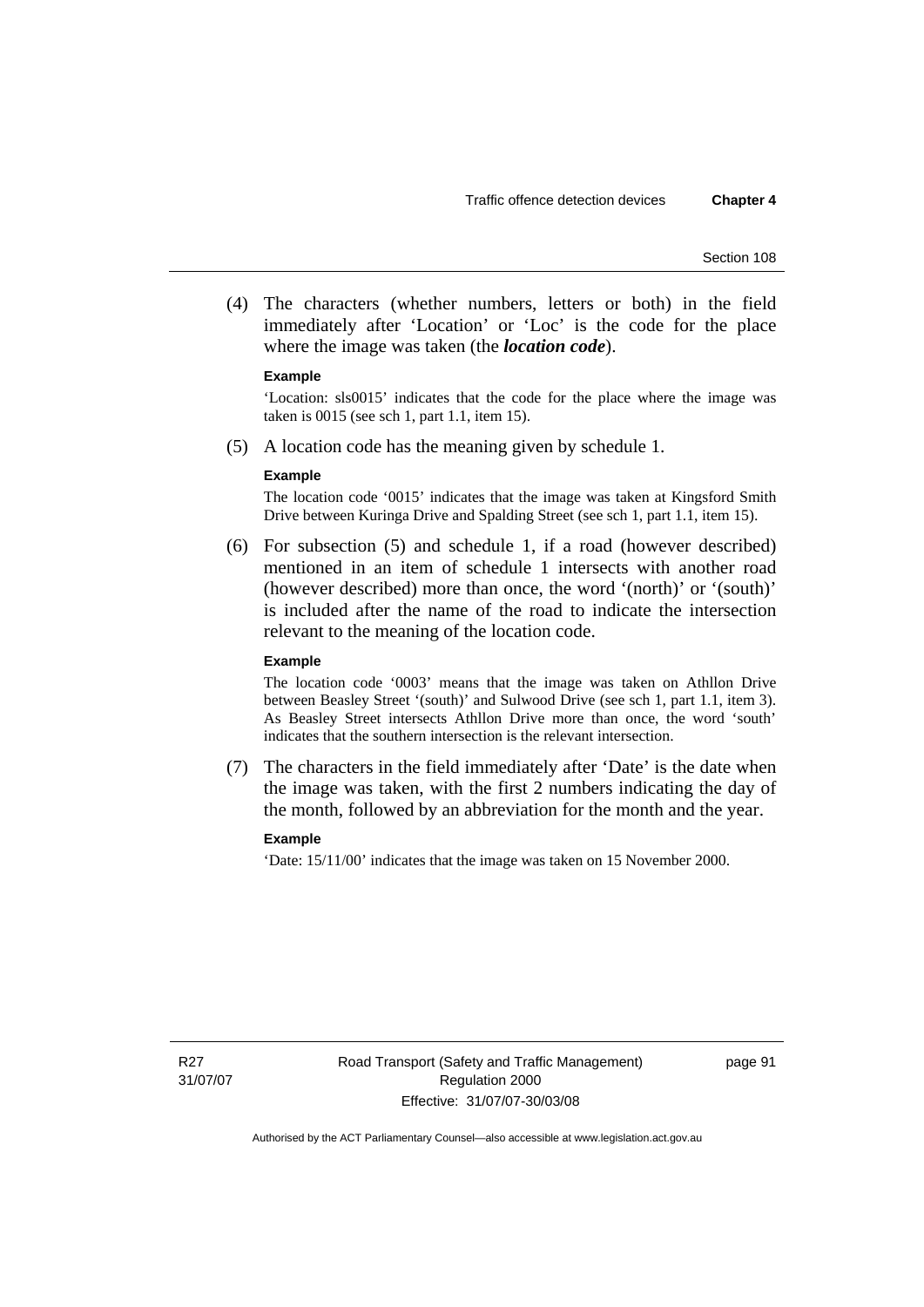(4) The characters (whether numbers, letters or both) in the field immediately after 'Location' or 'Loc' is the code for the place where the image was taken (the *location code*).

#### **Example**

'Location: sls0015' indicates that the code for the place where the image was taken is 0015 (see sch 1, part 1.1, item 15).

(5) A location code has the meaning given by schedule 1.

#### **Example**

The location code '0015' indicates that the image was taken at Kingsford Smith Drive between Kuringa Drive and Spalding Street (see sch 1, part 1.1, item 15).

 (6) For subsection (5) and schedule 1, if a road (however described) mentioned in an item of schedule 1 intersects with another road (however described) more than once, the word '(north)' or '(south)' is included after the name of the road to indicate the intersection relevant to the meaning of the location code.

#### **Example**

The location code '0003' means that the image was taken on Athllon Drive between Beasley Street '(south)' and Sulwood Drive (see sch 1, part 1.1, item 3). As Beasley Street intersects Athllon Drive more than once, the word 'south' indicates that the southern intersection is the relevant intersection.

 (7) The characters in the field immediately after 'Date' is the date when the image was taken, with the first 2 numbers indicating the day of the month, followed by an abbreviation for the month and the year.

### **Example**

'Date: 15/11/00' indicates that the image was taken on 15 November 2000.

page 91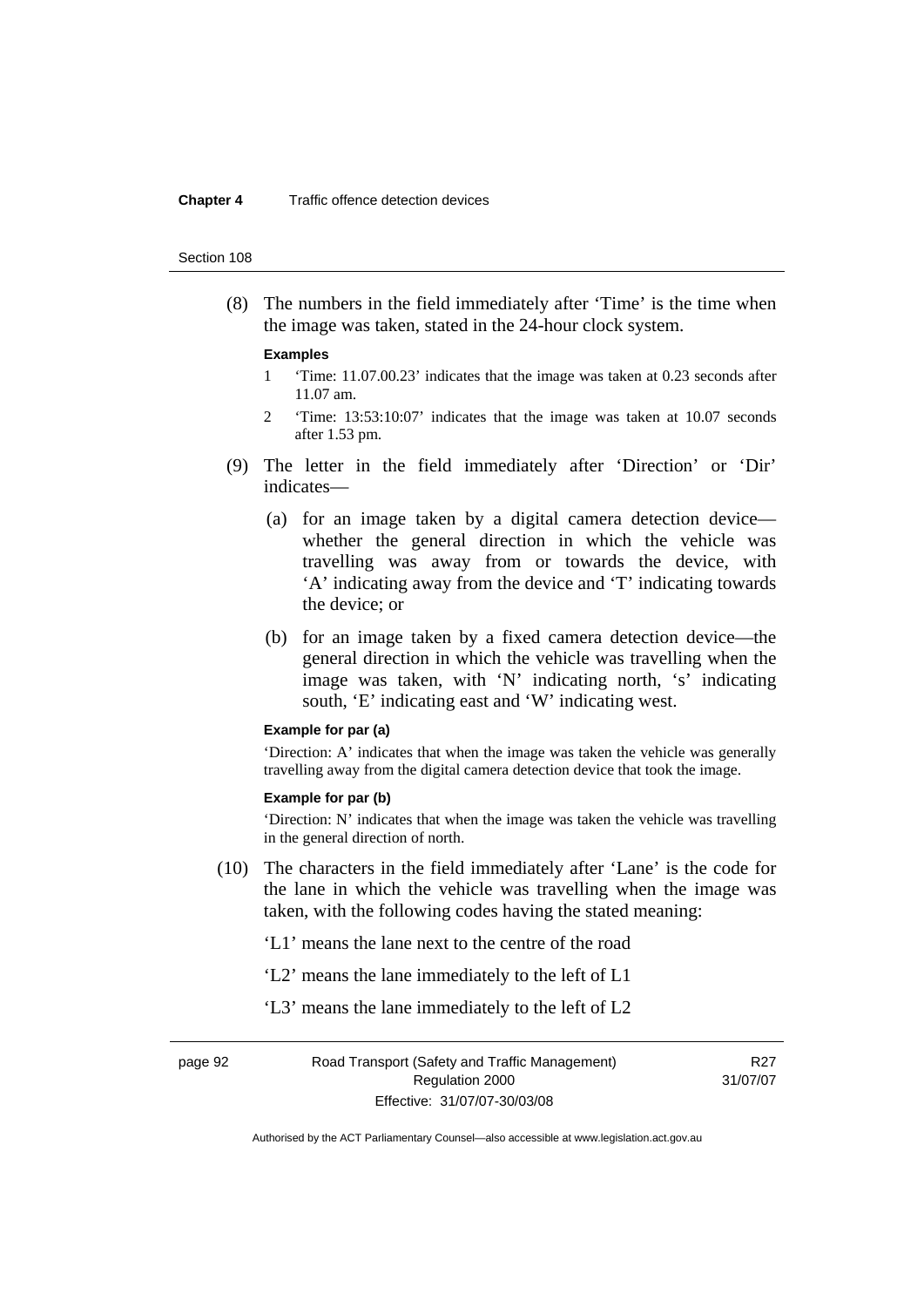#### Section 108

 (8) The numbers in the field immediately after 'Time' is the time when the image was taken, stated in the 24-hour clock system.

#### **Examples**

- 1 'Time: 11.07.00.23' indicates that the image was taken at 0.23 seconds after 11.07 am.
- 2 'Time: 13:53:10:07' indicates that the image was taken at 10.07 seconds after 1.53 pm.
- (9) The letter in the field immediately after 'Direction' or 'Dir' indicates—
	- (a) for an image taken by a digital camera detection device whether the general direction in which the vehicle was travelling was away from or towards the device, with 'A' indicating away from the device and 'T' indicating towards the device; or
	- (b) for an image taken by a fixed camera detection device—the general direction in which the vehicle was travelling when the image was taken, with 'N' indicating north, 's' indicating south, 'E' indicating east and 'W' indicating west.

### **Example for par (a)**

'Direction: A' indicates that when the image was taken the vehicle was generally travelling away from the digital camera detection device that took the image.

### **Example for par (b)**

'Direction: N' indicates that when the image was taken the vehicle was travelling in the general direction of north.

 (10) The characters in the field immediately after 'Lane' is the code for the lane in which the vehicle was travelling when the image was taken, with the following codes having the stated meaning:

'L1' means the lane next to the centre of the road

- 'L2' means the lane immediately to the left of L1
- 'L3' means the lane immediately to the left of L2

R<sub>27</sub> 31/07/07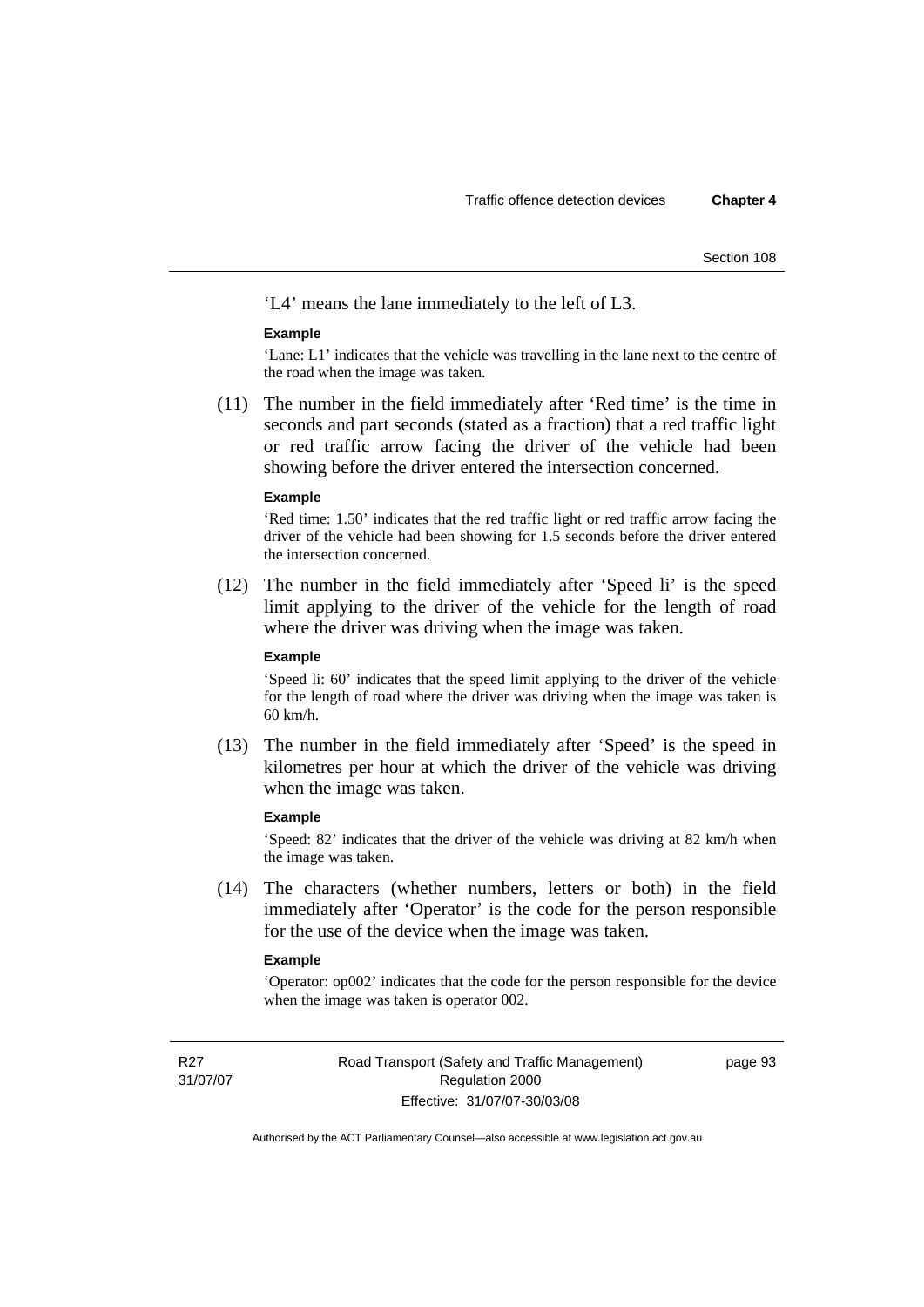Section 108

'L4' means the lane immediately to the left of L3.

### **Example**

'Lane: L1' indicates that the vehicle was travelling in the lane next to the centre of the road when the image was taken.

 (11) The number in the field immediately after 'Red time' is the time in seconds and part seconds (stated as a fraction) that a red traffic light or red traffic arrow facing the driver of the vehicle had been showing before the driver entered the intersection concerned.

#### **Example**

'Red time: 1.50' indicates that the red traffic light or red traffic arrow facing the driver of the vehicle had been showing for 1.5 seconds before the driver entered the intersection concerned.

 (12) The number in the field immediately after 'Speed li' is the speed limit applying to the driver of the vehicle for the length of road where the driver was driving when the image was taken.

### **Example**

'Speed li: 60' indicates that the speed limit applying to the driver of the vehicle for the length of road where the driver was driving when the image was taken is 60 km/h.

 (13) The number in the field immediately after 'Speed' is the speed in kilometres per hour at which the driver of the vehicle was driving when the image was taken.

### **Example**

'Speed: 82' indicates that the driver of the vehicle was driving at 82 km/h when the image was taken.

 (14) The characters (whether numbers, letters or both) in the field immediately after 'Operator' is the code for the person responsible for the use of the device when the image was taken.

### **Example**

'Operator: op002' indicates that the code for the person responsible for the device when the image was taken is operator 002.

R<sub>27</sub> 31/07/07 page 93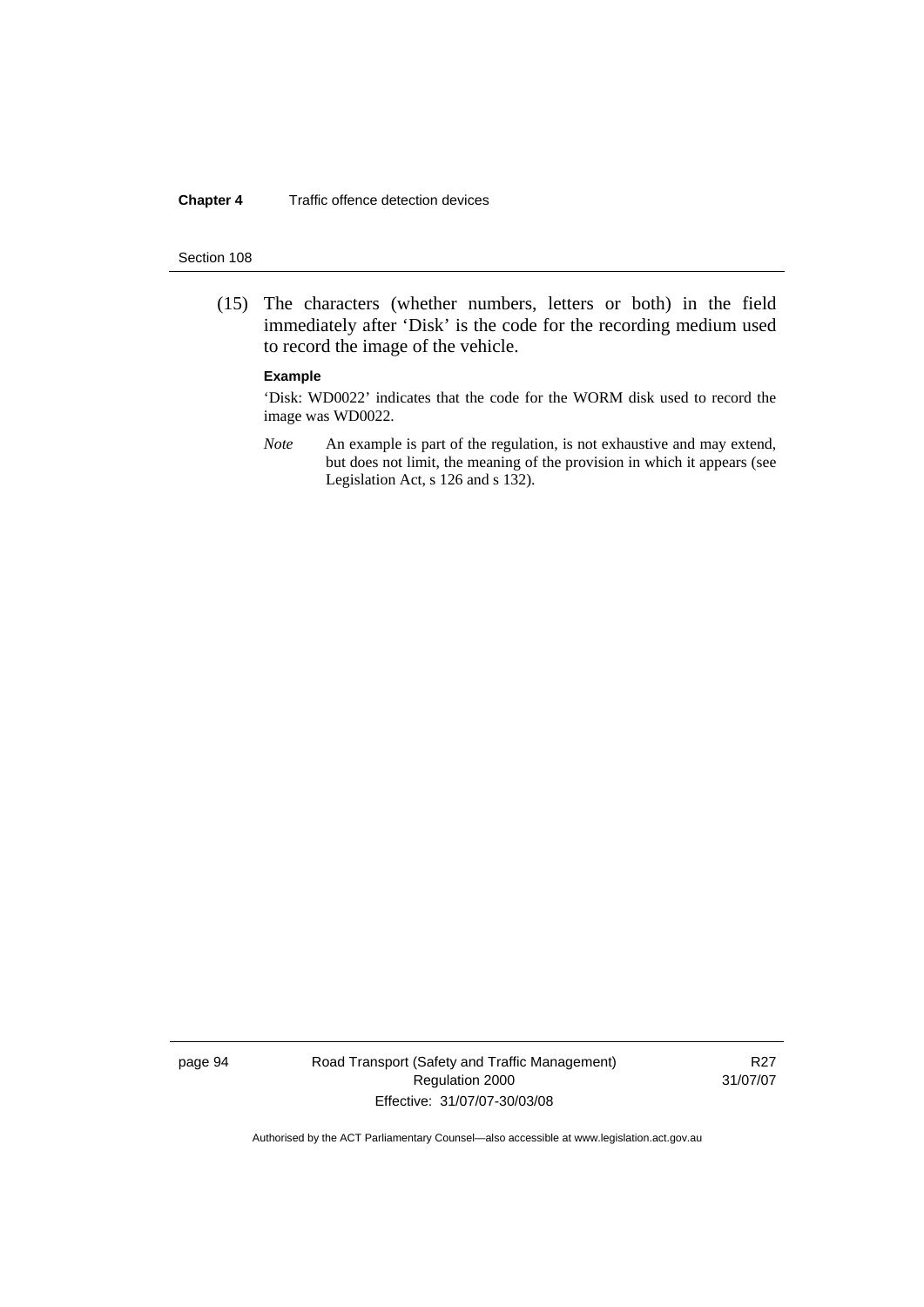### Section 108

 (15) The characters (whether numbers, letters or both) in the field immediately after 'Disk' is the code for the recording medium used to record the image of the vehicle.

### **Example**

'Disk: WD0022' indicates that the code for the WORM disk used to record the image was WD0022.

*Note* An example is part of the regulation, is not exhaustive and may extend, but does not limit, the meaning of the provision in which it appears (see Legislation Act, s 126 and s 132).

page 94 Road Transport (Safety and Traffic Management) Regulation 2000 Effective: 31/07/07-30/03/08

R27 31/07/07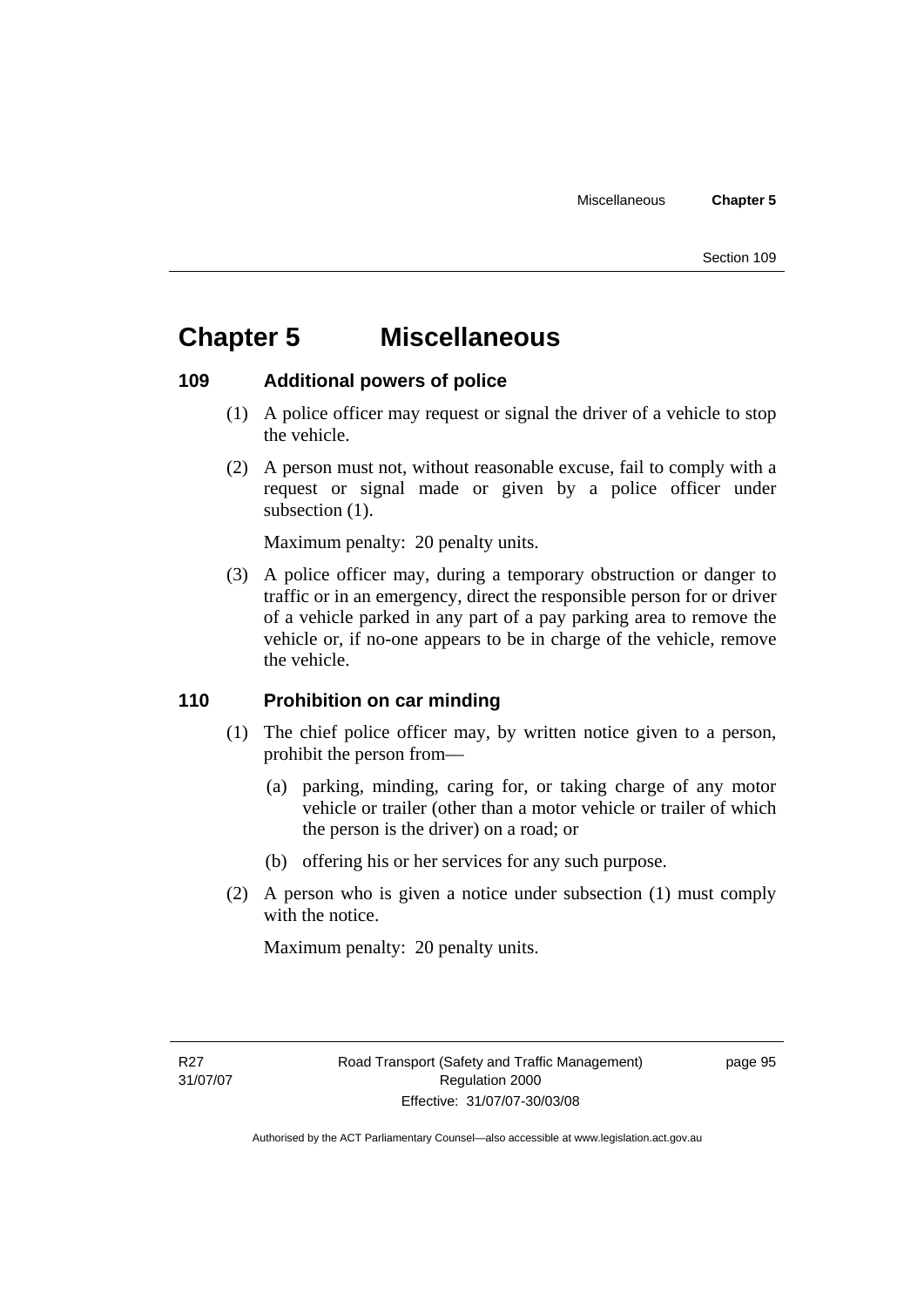# **Chapter 5 Miscellaneous**

# **109 Additional powers of police**

- (1) A police officer may request or signal the driver of a vehicle to stop the vehicle.
- (2) A person must not, without reasonable excuse, fail to comply with a request or signal made or given by a police officer under subsection  $(1)$ .

Maximum penalty: 20 penalty units.

 (3) A police officer may, during a temporary obstruction or danger to traffic or in an emergency, direct the responsible person for or driver of a vehicle parked in any part of a pay parking area to remove the vehicle or, if no-one appears to be in charge of the vehicle, remove the vehicle.

# **110 Prohibition on car minding**

- (1) The chief police officer may, by written notice given to a person, prohibit the person from—
	- (a) parking, minding, caring for, or taking charge of any motor vehicle or trailer (other than a motor vehicle or trailer of which the person is the driver) on a road; or
	- (b) offering his or her services for any such purpose.
- (2) A person who is given a notice under subsection (1) must comply with the notice.

Maximum penalty: 20 penalty units.

page 95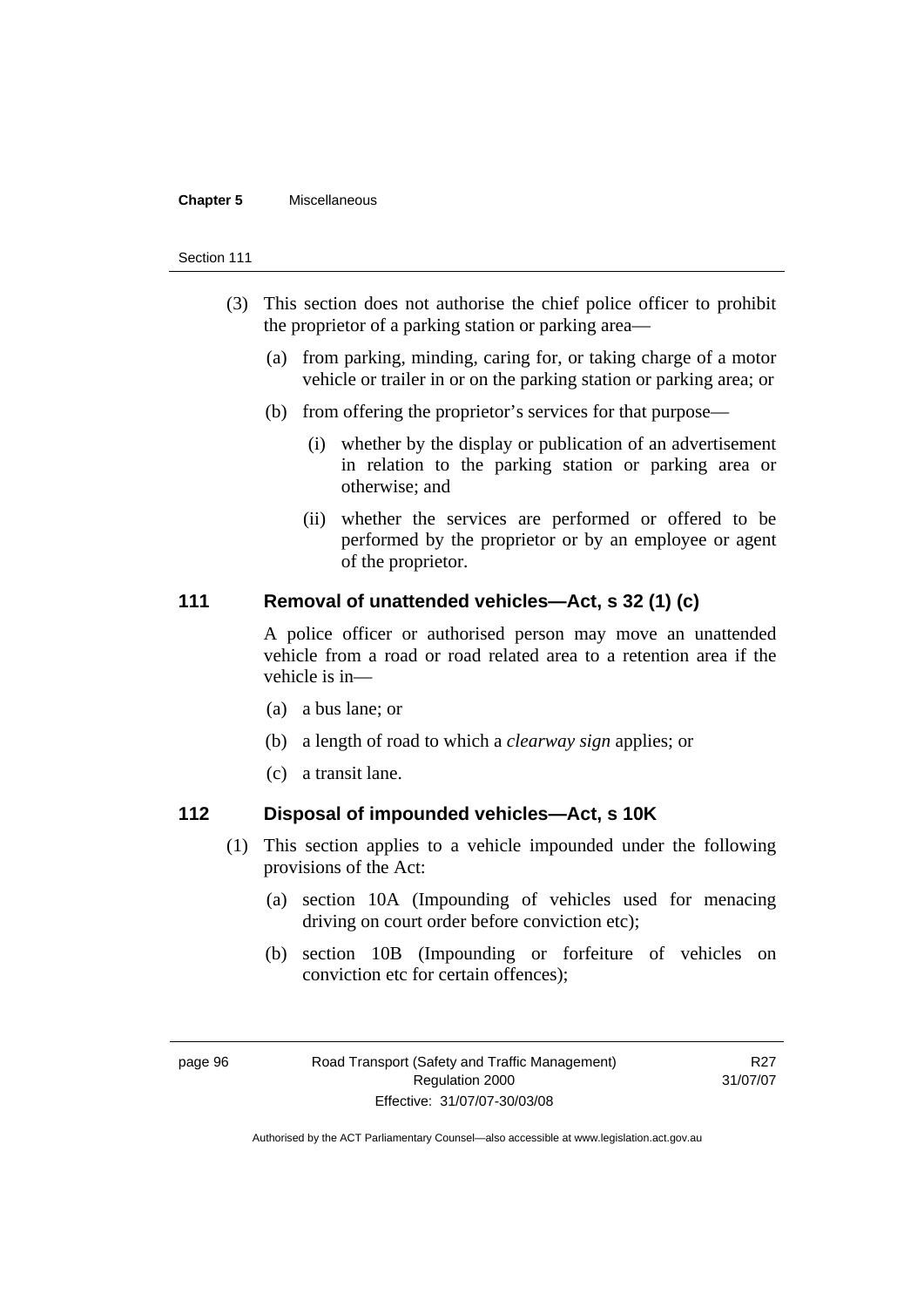### **Chapter 5** Miscellaneous

#### Section 111

- (3) This section does not authorise the chief police officer to prohibit the proprietor of a parking station or parking area—
	- (a) from parking, minding, caring for, or taking charge of a motor vehicle or trailer in or on the parking station or parking area; or
	- (b) from offering the proprietor's services for that purpose—
		- (i) whether by the display or publication of an advertisement in relation to the parking station or parking area or otherwise; and
		- (ii) whether the services are performed or offered to be performed by the proprietor or by an employee or agent of the proprietor.

### **111 Removal of unattended vehicles—Act, s 32 (1) (c)**

A police officer or authorised person may move an unattended vehicle from a road or road related area to a retention area if the vehicle is in—

- (a) a bus lane; or
- (b) a length of road to which a *clearway sign* applies; or
- (c) a transit lane.

## **112 Disposal of impounded vehicles—Act, s 10K**

- (1) This section applies to a vehicle impounded under the following provisions of the Act:
	- (a) section 10A (Impounding of vehicles used for menacing driving on court order before conviction etc);
	- (b) section 10B (Impounding or forfeiture of vehicles on conviction etc for certain offences);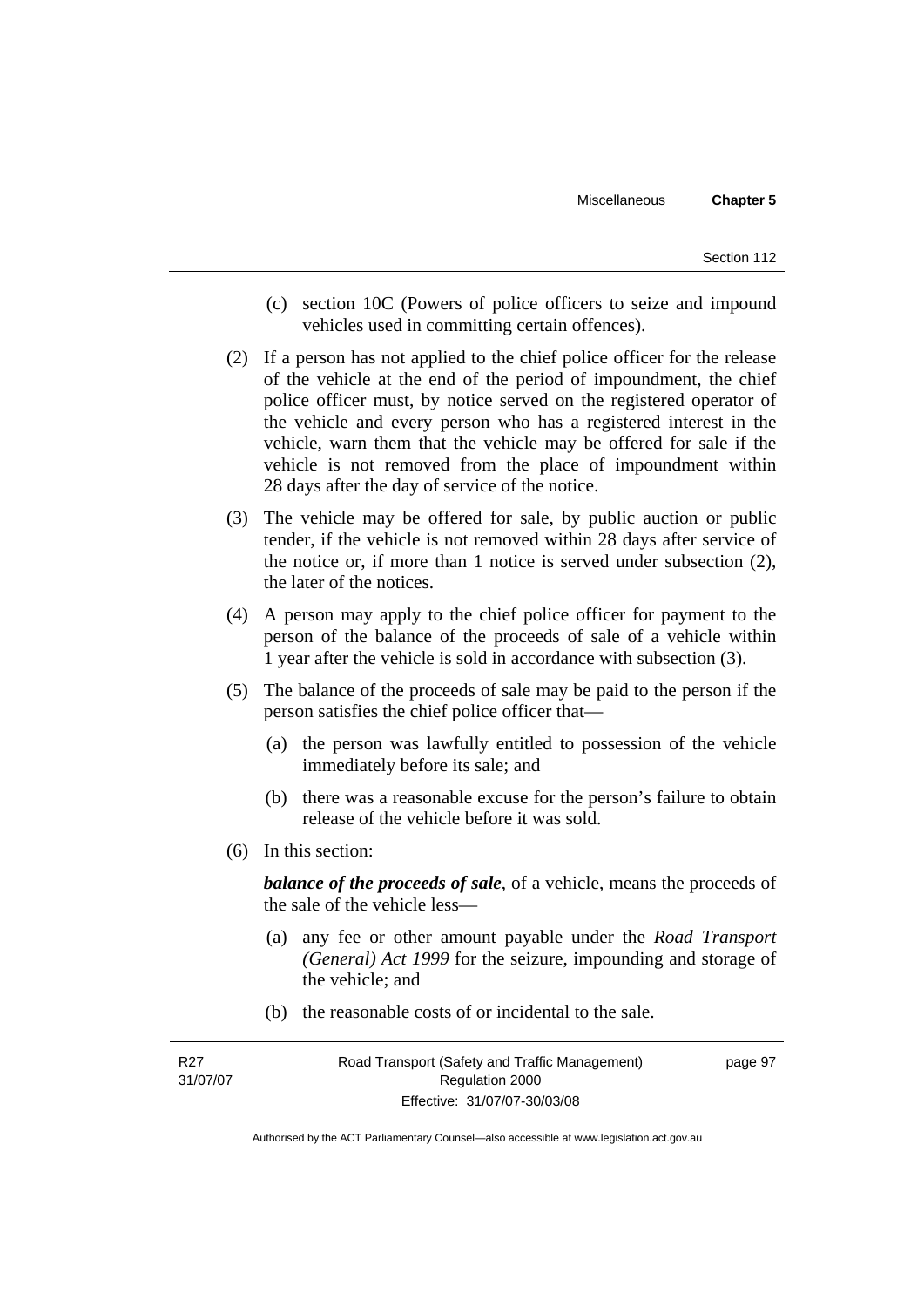Section 112

- (c) section 10C (Powers of police officers to seize and impound vehicles used in committing certain offences).
- (2) If a person has not applied to the chief police officer for the release of the vehicle at the end of the period of impoundment, the chief police officer must, by notice served on the registered operator of the vehicle and every person who has a registered interest in the vehicle, warn them that the vehicle may be offered for sale if the vehicle is not removed from the place of impoundment within 28 days after the day of service of the notice.
- (3) The vehicle may be offered for sale, by public auction or public tender, if the vehicle is not removed within 28 days after service of the notice or, if more than 1 notice is served under subsection (2), the later of the notices.
- (4) A person may apply to the chief police officer for payment to the person of the balance of the proceeds of sale of a vehicle within 1 year after the vehicle is sold in accordance with subsection (3).
- (5) The balance of the proceeds of sale may be paid to the person if the person satisfies the chief police officer that—
	- (a) the person was lawfully entitled to possession of the vehicle immediately before its sale; and
	- (b) there was a reasonable excuse for the person's failure to obtain release of the vehicle before it was sold.
- (6) In this section:

*balance of the proceeds of sale*, of a vehicle, means the proceeds of the sale of the vehicle less—

- (a) any fee or other amount payable under the *Road Transport (General) Act 1999* for the seizure, impounding and storage of the vehicle; and
- (b) the reasonable costs of or incidental to the sale.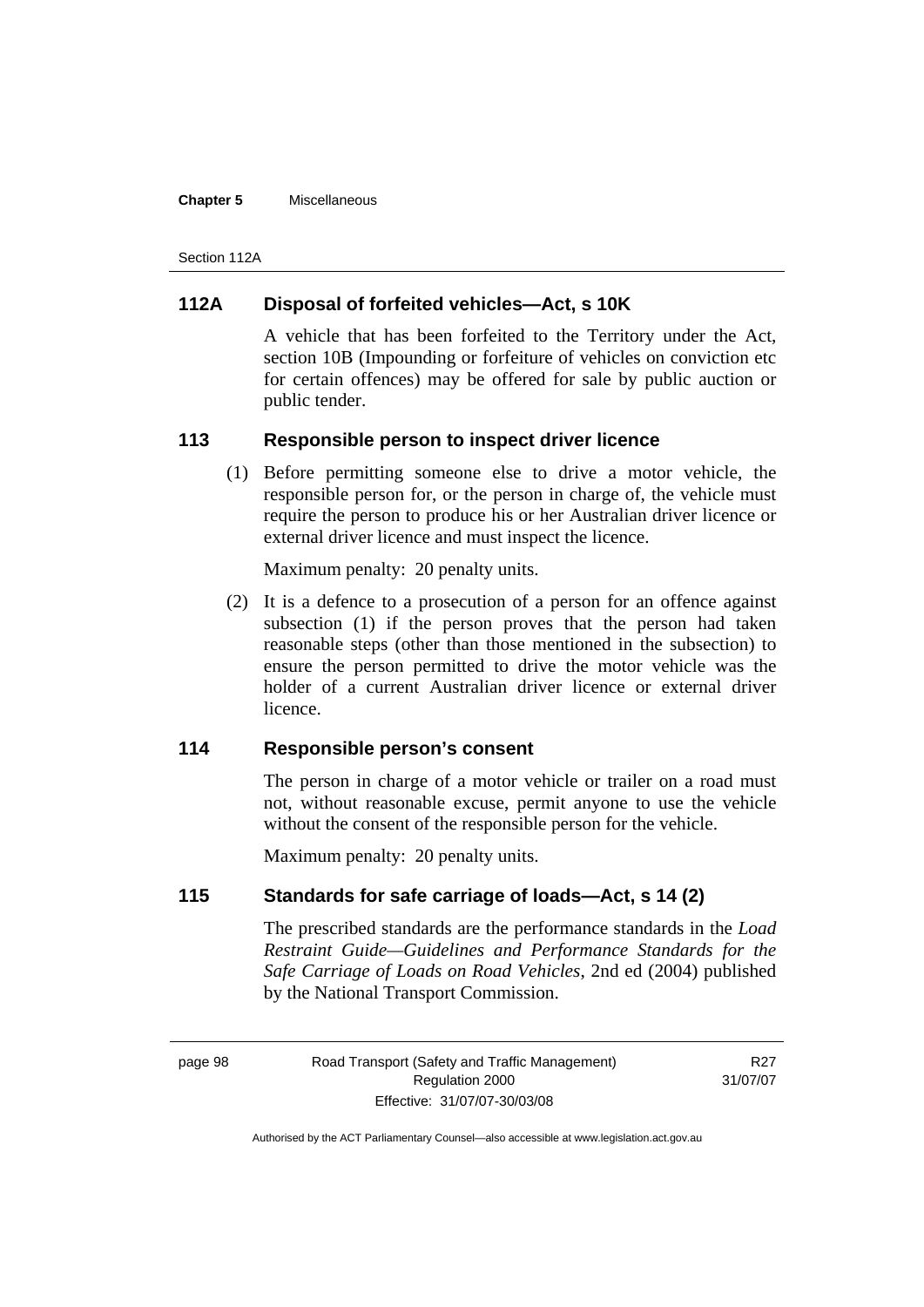### **Chapter 5** Miscellaneous

Section 112A

# **112A Disposal of forfeited vehicles—Act, s 10K**

A vehicle that has been forfeited to the Territory under the Act, section 10B (Impounding or forfeiture of vehicles on conviction etc for certain offences) may be offered for sale by public auction or public tender.

# **113 Responsible person to inspect driver licence**

 (1) Before permitting someone else to drive a motor vehicle, the responsible person for, or the person in charge of, the vehicle must require the person to produce his or her Australian driver licence or external driver licence and must inspect the licence.

Maximum penalty: 20 penalty units.

 (2) It is a defence to a prosecution of a person for an offence against subsection (1) if the person proves that the person had taken reasonable steps (other than those mentioned in the subsection) to ensure the person permitted to drive the motor vehicle was the holder of a current Australian driver licence or external driver licence.

# **114 Responsible person's consent**

The person in charge of a motor vehicle or trailer on a road must not, without reasonable excuse, permit anyone to use the vehicle without the consent of the responsible person for the vehicle.

Maximum penalty: 20 penalty units.

# **115 Standards for safe carriage of loads—Act, s 14 (2)**

The prescribed standards are the performance standards in the *Load Restraint Guide—Guidelines and Performance Standards for the Safe Carriage of Loads on Road Vehicles*, 2nd ed (2004) published by the National Transport Commission.

R<sub>27</sub> 31/07/07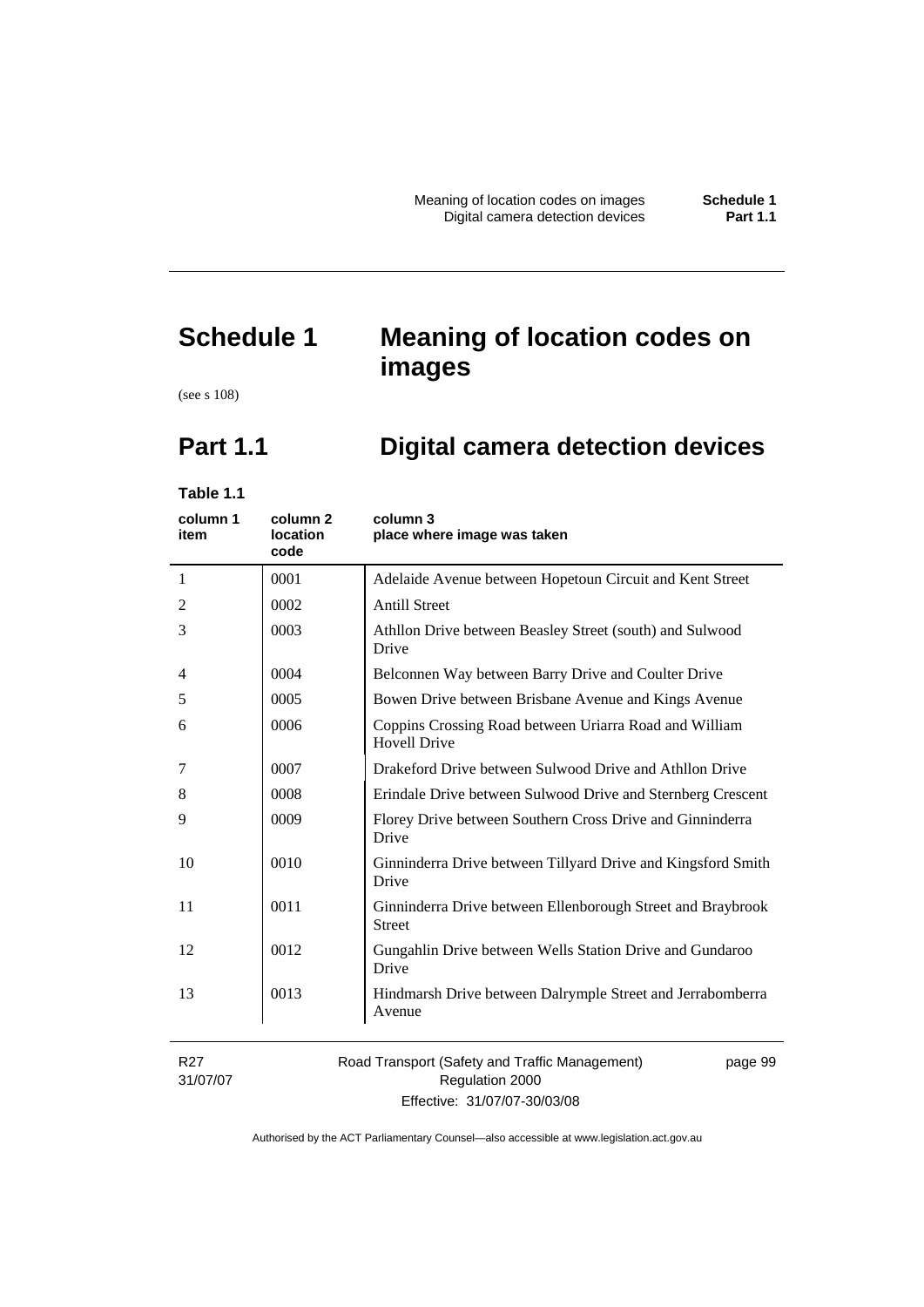# **Schedule 1 Meaning of location codes on images**

(see s 108)

# **Part 1.1 Digital camera detection devices**

**Table 1.1** 

| column 1<br>item            | column 2<br>location<br>code | column 3<br>place where image was taken                                       |
|-----------------------------|------------------------------|-------------------------------------------------------------------------------|
| $\mathbf{1}$                | 0001                         | Adelaide Avenue between Hopetoun Circuit and Kent Street                      |
| $\overline{2}$              | 0002                         | <b>Antill Street</b>                                                          |
| 3                           | 0003                         | Athllon Drive between Beasley Street (south) and Sulwood<br>Drive             |
| 4                           | 0004                         | Belconnen Way between Barry Drive and Coulter Drive                           |
| 5                           | 0005                         | Bowen Drive between Brisbane Avenue and Kings Avenue                          |
| 6                           | 0006                         | Coppins Crossing Road between Uriarra Road and William<br><b>Hovell Drive</b> |
| 7                           | 0007                         | Drakeford Drive between Sulwood Drive and Athllon Drive                       |
| 8                           | 0008                         | Erindale Drive between Sulwood Drive and Sternberg Crescent                   |
| 9                           | 0009                         | Florey Drive between Southern Cross Drive and Ginninderra<br>Drive            |
| 10                          | 0010                         | Ginninderra Drive between Tillyard Drive and Kingsford Smith<br>Drive         |
| 11                          | 0011                         | Ginninderra Drive between Ellenborough Street and Braybrook<br><b>Street</b>  |
| 12                          | 0012                         | Gungahlin Drive between Wells Station Drive and Gundaroo<br>Drive             |
| 13                          | 0013                         | Hindmarsh Drive between Dalrymple Street and Jerrabomberra<br>Avenue          |
| R <sub>27</sub><br>31/07/07 |                              | Road Transport (Safety and Traffic Management)<br>page 99<br>Regulation 2000  |

Effective: 31/07/07-30/03/08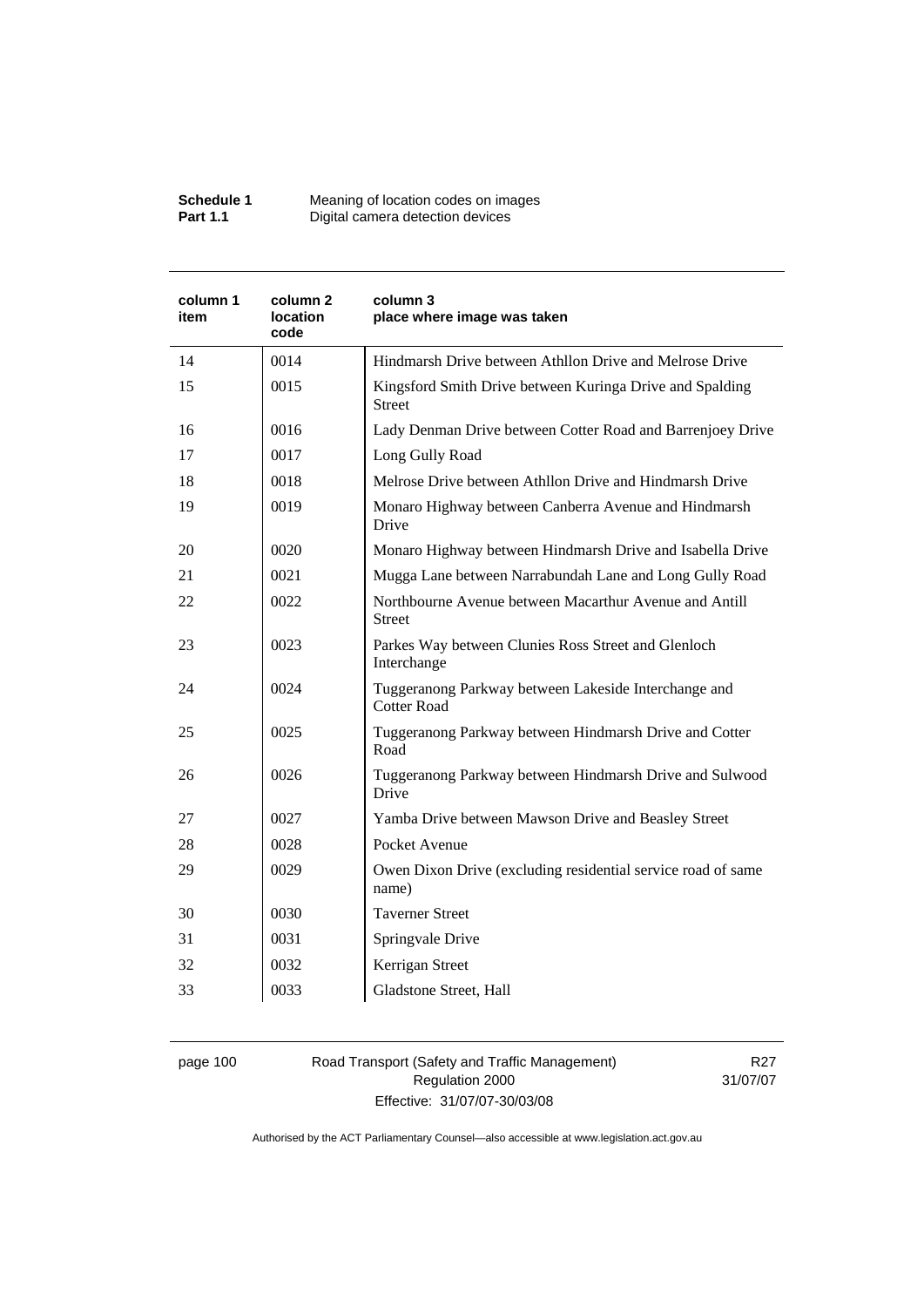| Schedule 1      | Meaning of location codes on images |
|-----------------|-------------------------------------|
| <b>Part 1.1</b> | Digital camera detection devices    |

| column 1<br>item | column 2<br><b>location</b><br>code | column 3<br>place where image was taken                                    |
|------------------|-------------------------------------|----------------------------------------------------------------------------|
| 14               | 0014                                | Hindmarsh Drive between Athllon Drive and Melrose Drive                    |
| 15               | 0015                                | Kingsford Smith Drive between Kuringa Drive and Spalding<br>Street         |
| 16               | 0016                                | Lady Denman Drive between Cotter Road and Barrenjoey Drive                 |
| 17               | 0017                                | Long Gully Road                                                            |
| 18               | 0018                                | Melrose Drive between Athllon Drive and Hindmarsh Drive                    |
| 19               | 0019                                | Monaro Highway between Canberra Avenue and Hindmarsh<br>Drive              |
| 20               | 0020                                | Monaro Highway between Hindmarsh Drive and Isabella Drive                  |
| 21               | 0021                                | Mugga Lane between Narrabundah Lane and Long Gully Road                    |
| 22               | 0022                                | Northbourne Avenue between Macarthur Avenue and Antill<br><b>Street</b>    |
| 23               | 0023                                | Parkes Way between Clunies Ross Street and Glenloch<br>Interchange         |
| 24               | 0024                                | Tuggeranong Parkway between Lakeside Interchange and<br><b>Cotter Road</b> |
| 25               | 0025                                | Tuggeranong Parkway between Hindmarsh Drive and Cotter<br>Road             |
| 26               | 0026                                | Tuggeranong Parkway between Hindmarsh Drive and Sulwood<br>Drive           |
| 27               | 0027                                | Yamba Drive between Mawson Drive and Beasley Street                        |
| 28               | 0028                                | Pocket Avenue                                                              |
| 29               | 0029                                | Owen Dixon Drive (excluding residential service road of same<br>name)      |
| 30               | 0030                                | <b>Taverner Street</b>                                                     |
| 31               | 0031                                | Springvale Drive                                                           |
| 32               | 0032                                | Kerrigan Street                                                            |
| 33               | 0033                                | Gladstone Street, Hall                                                     |

page 100 Road Transport (Safety and Traffic Management) Regulation 2000 Effective: 31/07/07-30/03/08

R27 31/07/07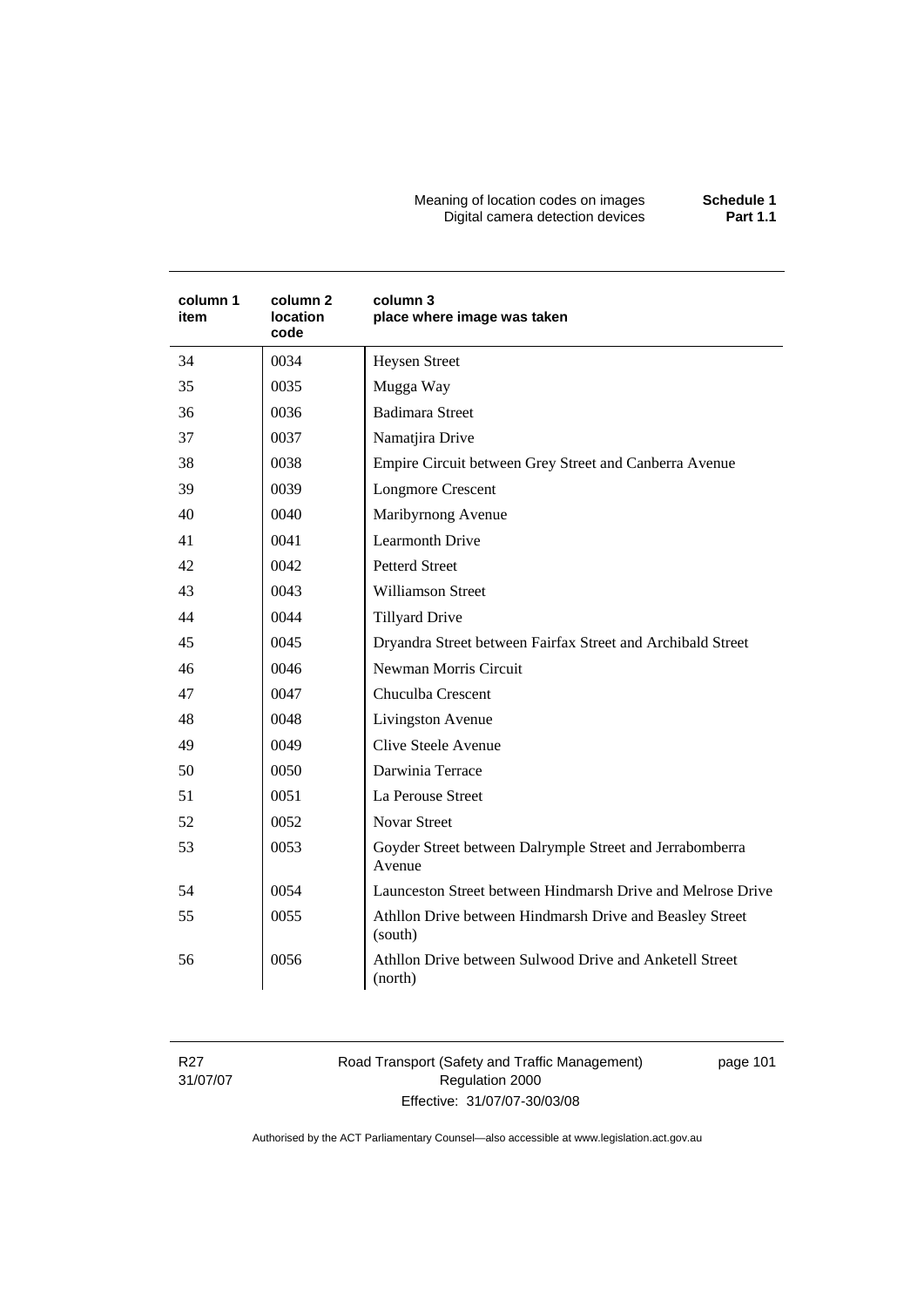Meaning of location codes on images **Schedule 1**  Digital camera detection devices **Part 1.1** 

| column 1<br>item | column 2<br>location<br>code | column 3<br>place where image was taken                             |
|------------------|------------------------------|---------------------------------------------------------------------|
| 34               | 0034                         | <b>Heysen Street</b>                                                |
| 35               | 0035                         | Mugga Way                                                           |
| 36               | 0036                         | <b>Badimara Street</b>                                              |
| 37               | 0037                         | Namatjira Drive                                                     |
| 38               | 0038                         | Empire Circuit between Grey Street and Canberra Avenue              |
| 39               | 0039                         | <b>Longmore Crescent</b>                                            |
| 40               | 0040                         | Maribyrnong Avenue                                                  |
| 41               | 0041                         | <b>Learmonth Drive</b>                                              |
| 42               | 0042                         | <b>Petterd Street</b>                                               |
| 43               | 0043                         | <b>Williamson Street</b>                                            |
| 44               | 0044                         | <b>Tillyard Drive</b>                                               |
| 45               | 0045                         | Dryandra Street between Fairfax Street and Archibald Street         |
| 46               | 0046                         | Newman Morris Circuit                                               |
| 47               | 0047                         | Chuculba Crescent                                                   |
| 48               | 0048                         | Livingston Avenue                                                   |
| 49               | 0049                         | Clive Steele Avenue                                                 |
| 50               | 0050                         | Darwinia Terrace                                                    |
| 51               | 0051                         | La Perouse Street                                                   |
| 52               | 0052                         | <b>Novar Street</b>                                                 |
| 53               | 0053                         | Goyder Street between Dalrymple Street and Jerrabomberra<br>Avenue  |
| 54               | 0054                         | Launceston Street between Hindmarsh Drive and Melrose Drive         |
| 55               | 0055                         | Athllon Drive between Hindmarsh Drive and Beasley Street<br>(south) |
| 56               | 0056                         | Athllon Drive between Sulwood Drive and Anketell Street<br>(north)  |

R27 31/07/07 Road Transport (Safety and Traffic Management) Regulation 2000 Effective: 31/07/07-30/03/08

page 101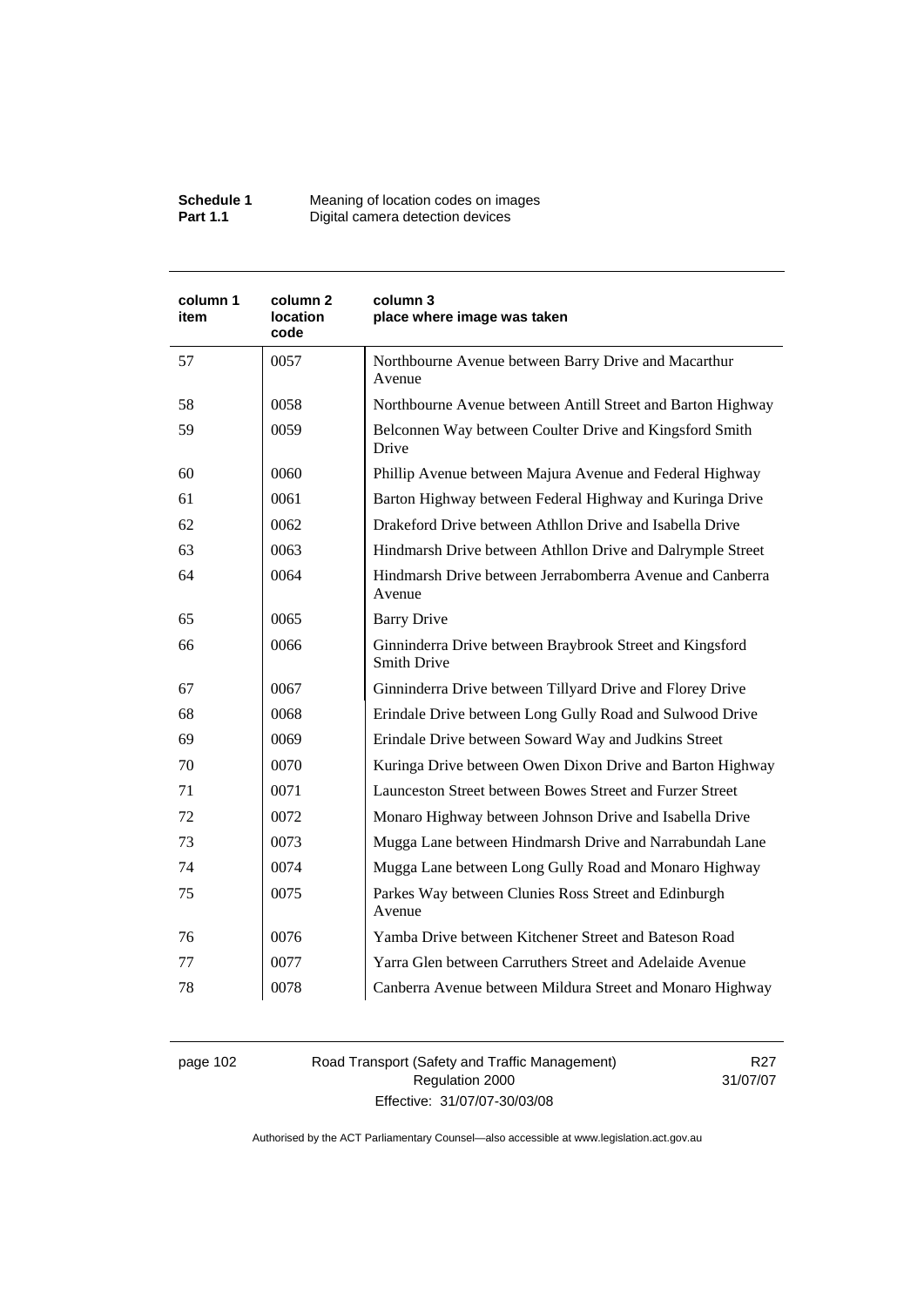| Schedule 1      | Meaning of location codes on images |
|-----------------|-------------------------------------|
| <b>Part 1.1</b> | Digital camera detection devices    |

| column 1<br>item | column <sub>2</sub><br><b>location</b><br>code | column 3<br>place where image was taken                                        |
|------------------|------------------------------------------------|--------------------------------------------------------------------------------|
| 57               | 0057                                           | Northbourne Avenue between Barry Drive and Macarthur<br>Avenue                 |
| 58               | 0058                                           | Northbourne Avenue between Antill Street and Barton Highway                    |
| 59               | 0059                                           | Belconnen Way between Coulter Drive and Kingsford Smith<br>Drive               |
| 60               | 0060                                           | Phillip Avenue between Majura Avenue and Federal Highway                       |
| 61               | 0061                                           | Barton Highway between Federal Highway and Kuringa Drive                       |
| 62               | 0062                                           | Drakeford Drive between Athllon Drive and Isabella Drive                       |
| 63               | 0063                                           | Hindmarsh Drive between Athllon Drive and Dalrymple Street                     |
| 64               | 0064                                           | Hindmarsh Drive between Jerrabomberra Avenue and Canberra<br>Avenue            |
| 65               | 0065                                           | <b>Barry Drive</b>                                                             |
| 66               | 0066                                           | Ginninderra Drive between Braybrook Street and Kingsford<br><b>Smith Drive</b> |
| 67               | 0067                                           | Ginninderra Drive between Tillyard Drive and Florey Drive                      |
| 68               | 0068                                           | Erindale Drive between Long Gully Road and Sulwood Drive                       |
| 69               | 0069                                           | Erindale Drive between Soward Way and Judkins Street                           |
| 70               | 0070                                           | Kuringa Drive between Owen Dixon Drive and Barton Highway                      |
| 71               | 0071                                           | Launceston Street between Bowes Street and Furzer Street                       |
| 72               | 0072                                           | Monaro Highway between Johnson Drive and Isabella Drive                        |
| 73               | 0073                                           | Mugga Lane between Hindmarsh Drive and Narrabundah Lane                        |
| 74               | 0074                                           | Mugga Lane between Long Gully Road and Monaro Highway                          |
| 75               | 0075                                           | Parkes Way between Clunies Ross Street and Edinburgh<br>Avenue                 |
| 76               | 0076                                           | Yamba Drive between Kitchener Street and Bateson Road                          |
| 77               | 0077                                           | Yarra Glen between Carruthers Street and Adelaide Avenue                       |
| 78               | 0078                                           | Canberra Avenue between Mildura Street and Monaro Highway                      |

page 102 Road Transport (Safety and Traffic Management) Regulation 2000 Effective: 31/07/07-30/03/08

R27 31/07/07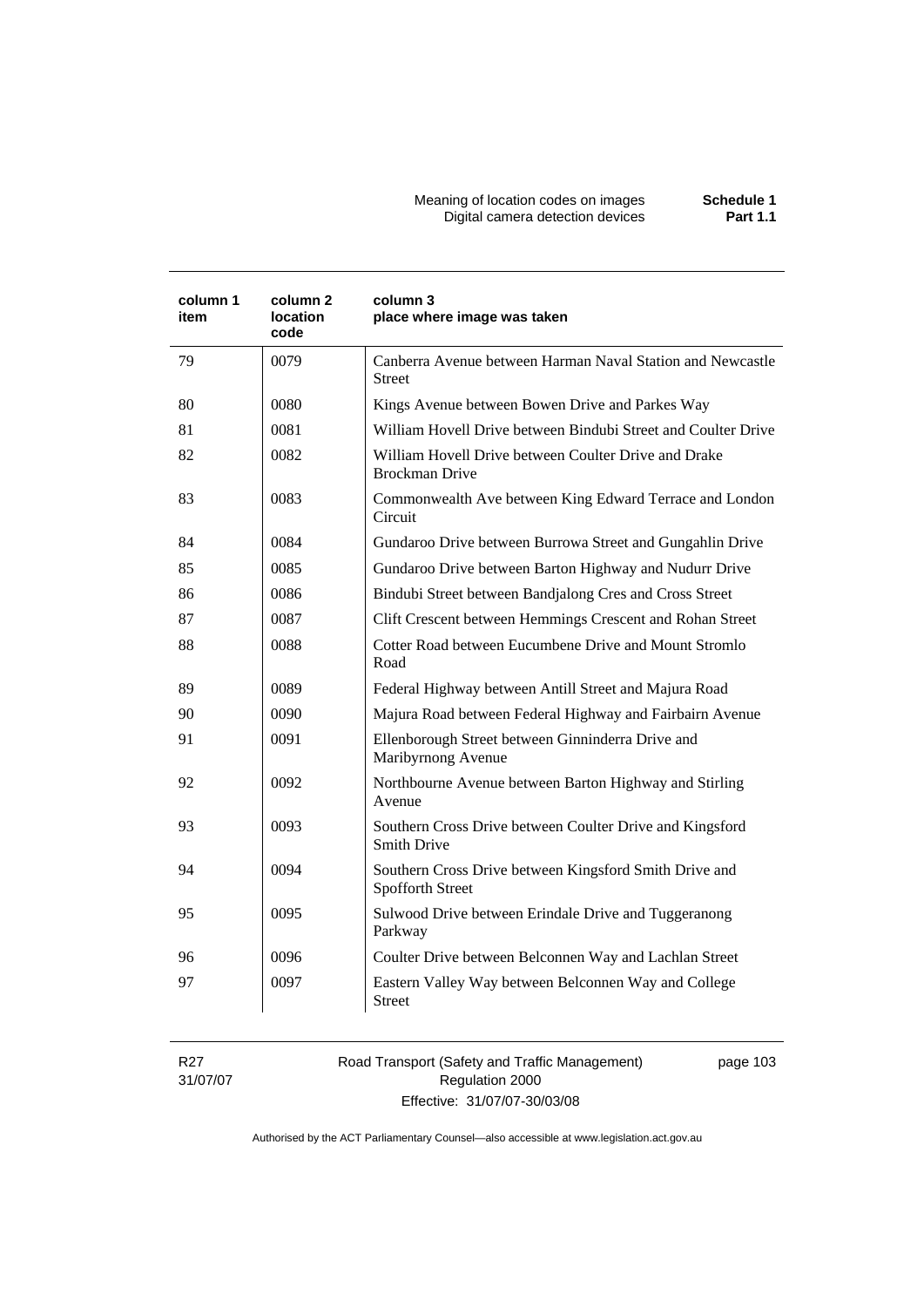#### Meaning of location codes on images **Schedule 1**  Digital camera detection devices **Part 1.1**

| 0079<br>Canberra Avenue between Harman Naval Station and Newcastle<br>79<br>Street<br>80<br>0080<br>Kings Avenue between Bowen Drive and Parkes Way<br>81<br>0081<br>William Hovell Drive between Bindubi Street and Coulter Drive<br>82<br>0082<br>William Hovell Drive between Coulter Drive and Drake<br><b>Brockman Drive</b><br>83<br>0083<br>Commonwealth Ave between King Edward Terrace and London<br>Circuit<br>0084<br>84<br>Gundaroo Drive between Burrowa Street and Gungahlin Drive<br>85<br>0085<br>Gundaroo Drive between Barton Highway and Nudurr Drive |  |
|--------------------------------------------------------------------------------------------------------------------------------------------------------------------------------------------------------------------------------------------------------------------------------------------------------------------------------------------------------------------------------------------------------------------------------------------------------------------------------------------------------------------------------------------------------------------------|--|
|                                                                                                                                                                                                                                                                                                                                                                                                                                                                                                                                                                          |  |
|                                                                                                                                                                                                                                                                                                                                                                                                                                                                                                                                                                          |  |
|                                                                                                                                                                                                                                                                                                                                                                                                                                                                                                                                                                          |  |
|                                                                                                                                                                                                                                                                                                                                                                                                                                                                                                                                                                          |  |
|                                                                                                                                                                                                                                                                                                                                                                                                                                                                                                                                                                          |  |
|                                                                                                                                                                                                                                                                                                                                                                                                                                                                                                                                                                          |  |
|                                                                                                                                                                                                                                                                                                                                                                                                                                                                                                                                                                          |  |
| 0086<br>Bindubi Street between Bandjalong Cres and Cross Street<br>86                                                                                                                                                                                                                                                                                                                                                                                                                                                                                                    |  |
| 87<br>0087<br>Clift Crescent between Hemmings Crescent and Rohan Street                                                                                                                                                                                                                                                                                                                                                                                                                                                                                                  |  |
| 0088<br>Cotter Road between Eucumbene Drive and Mount Stromlo<br>88<br>Road                                                                                                                                                                                                                                                                                                                                                                                                                                                                                              |  |
| 0089<br>89<br>Federal Highway between Antill Street and Majura Road                                                                                                                                                                                                                                                                                                                                                                                                                                                                                                      |  |
| 90<br>0090<br>Majura Road between Federal Highway and Fairbairn Avenue                                                                                                                                                                                                                                                                                                                                                                                                                                                                                                   |  |
| 91<br>0091<br>Ellenborough Street between Ginninderra Drive and<br>Maribyrnong Avenue                                                                                                                                                                                                                                                                                                                                                                                                                                                                                    |  |
| 0092<br>Northbourne Avenue between Barton Highway and Stirling<br>92<br>Avenue                                                                                                                                                                                                                                                                                                                                                                                                                                                                                           |  |
| 0093<br>Southern Cross Drive between Coulter Drive and Kingsford<br>93<br><b>Smith Drive</b>                                                                                                                                                                                                                                                                                                                                                                                                                                                                             |  |
| 0094<br>94<br>Southern Cross Drive between Kingsford Smith Drive and<br><b>Spofforth Street</b>                                                                                                                                                                                                                                                                                                                                                                                                                                                                          |  |
| 95<br>0095<br>Sulwood Drive between Erindale Drive and Tuggeranong<br>Parkway                                                                                                                                                                                                                                                                                                                                                                                                                                                                                            |  |
| 0096<br>Coulter Drive between Belconnen Way and Lachlan Street<br>96                                                                                                                                                                                                                                                                                                                                                                                                                                                                                                     |  |
| 0097<br>97<br>Eastern Valley Way between Belconnen Way and College<br>Street                                                                                                                                                                                                                                                                                                                                                                                                                                                                                             |  |

R27 31/07/07 Road Transport (Safety and Traffic Management) Regulation 2000 Effective: 31/07/07-30/03/08

page 103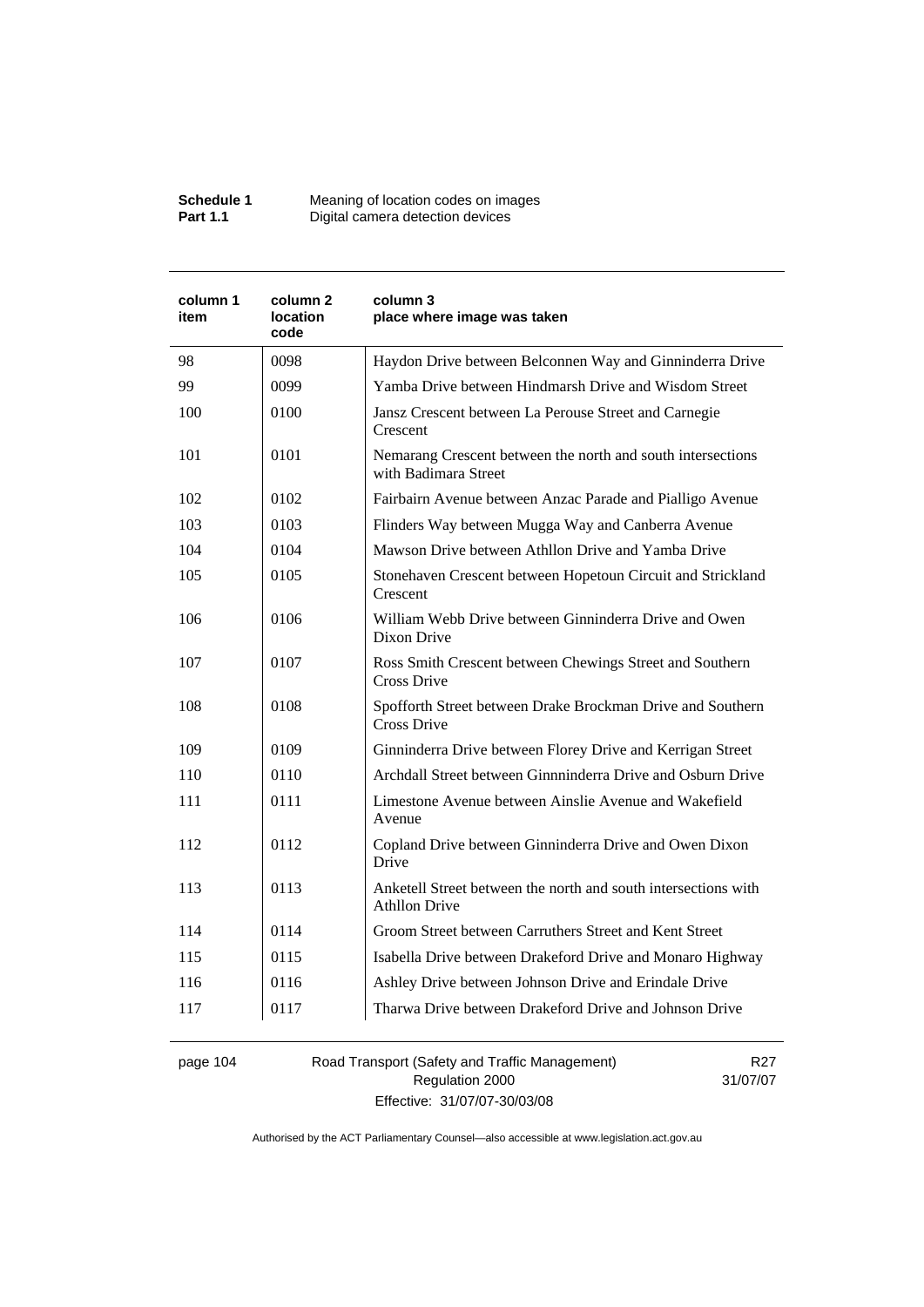| Schedule 1      | Meaning of location codes on images |
|-----------------|-------------------------------------|
| <b>Part 1.1</b> | Digital camera detection devices    |

| column 1<br>item | column <sub>2</sub><br>location<br>code | column 3<br>place where image was taken                                                |
|------------------|-----------------------------------------|----------------------------------------------------------------------------------------|
| 98               | 0098                                    | Haydon Drive between Belconnen Way and Ginninderra Drive                               |
| 99               | 0099                                    | Yamba Drive between Hindmarsh Drive and Wisdom Street                                  |
| 100              | 0100                                    | Jansz Crescent between La Perouse Street and Carnegie<br>Crescent                      |
| 101              | 0101                                    | Nemarang Crescent between the north and south intersections<br>with Badimara Street    |
| 102              | 0102                                    | Fairbairn Avenue between Anzac Parade and Pialligo Avenue                              |
| 103              | 0103                                    | Flinders Way between Mugga Way and Canberra Avenue                                     |
| 104              | 0104                                    | Mawson Drive between Athllon Drive and Yamba Drive                                     |
| 105              | 0105                                    | Stonehaven Crescent between Hopetoun Circuit and Strickland<br>Crescent                |
| 106              | 0106                                    | William Webb Drive between Ginninderra Drive and Owen<br>Dixon Drive                   |
| 107              | 0107                                    | Ross Smith Crescent between Chewings Street and Southern<br>Cross Drive                |
| 108              | 0108                                    | Spofforth Street between Drake Brockman Drive and Southern<br>Cross Drive              |
| 109              | 0109                                    | Ginninderra Drive between Florey Drive and Kerrigan Street                             |
| 110              | 0110                                    | Archdall Street between Ginnninderra Drive and Osburn Drive                            |
| 111              | 0111                                    | Limestone Avenue between Ainslie Avenue and Wakefield<br>Avenue                        |
| 112              | 0112                                    | Copland Drive between Ginninderra Drive and Owen Dixon<br>Drive                        |
| 113              | 0113                                    | Anketell Street between the north and south intersections with<br><b>Athllon Drive</b> |
| 114              | 0114                                    | Groom Street between Carruthers Street and Kent Street                                 |
| 115              | 0115                                    | Isabella Drive between Drakeford Drive and Monaro Highway                              |
| 116              | 0116                                    | Ashley Drive between Johnson Drive and Erindale Drive                                  |
| 117              | 0117                                    | Tharwa Drive between Drakeford Drive and Johnson Drive                                 |

page 104 Road Transport (Safety and Traffic Management) Regulation 2000 Effective: 31/07/07-30/03/08

R27 31/07/07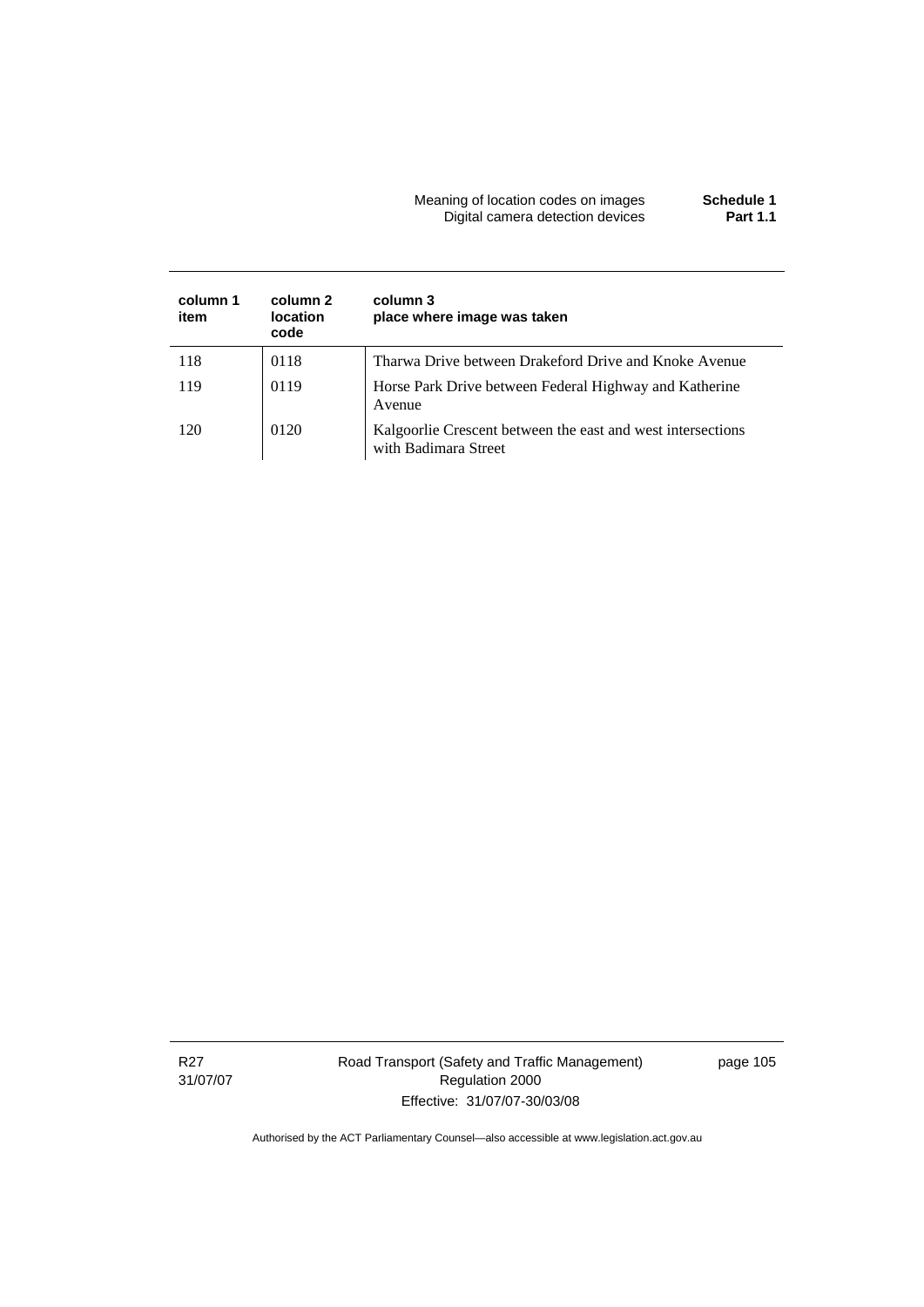### Meaning of location codes on images **Schedule 1**  Digital camera detection devices **Part 1.1**

| column 1<br>item | column 2<br>location<br>code | column 3<br>place where image was taken                                             |
|------------------|------------------------------|-------------------------------------------------------------------------------------|
| 118              | 0118                         | Tharwa Drive between Drakeford Drive and Knoke Avenue                               |
| 119              | 0119                         | Horse Park Drive between Federal Highway and Katherine<br>Avenue                    |
| 120              | 0120                         | Kalgoorlie Crescent between the east and west intersections<br>with Badimara Street |

Road Transport (Safety and Traffic Management) Regulation 2000 Effective: 31/07/07-30/03/08

page 105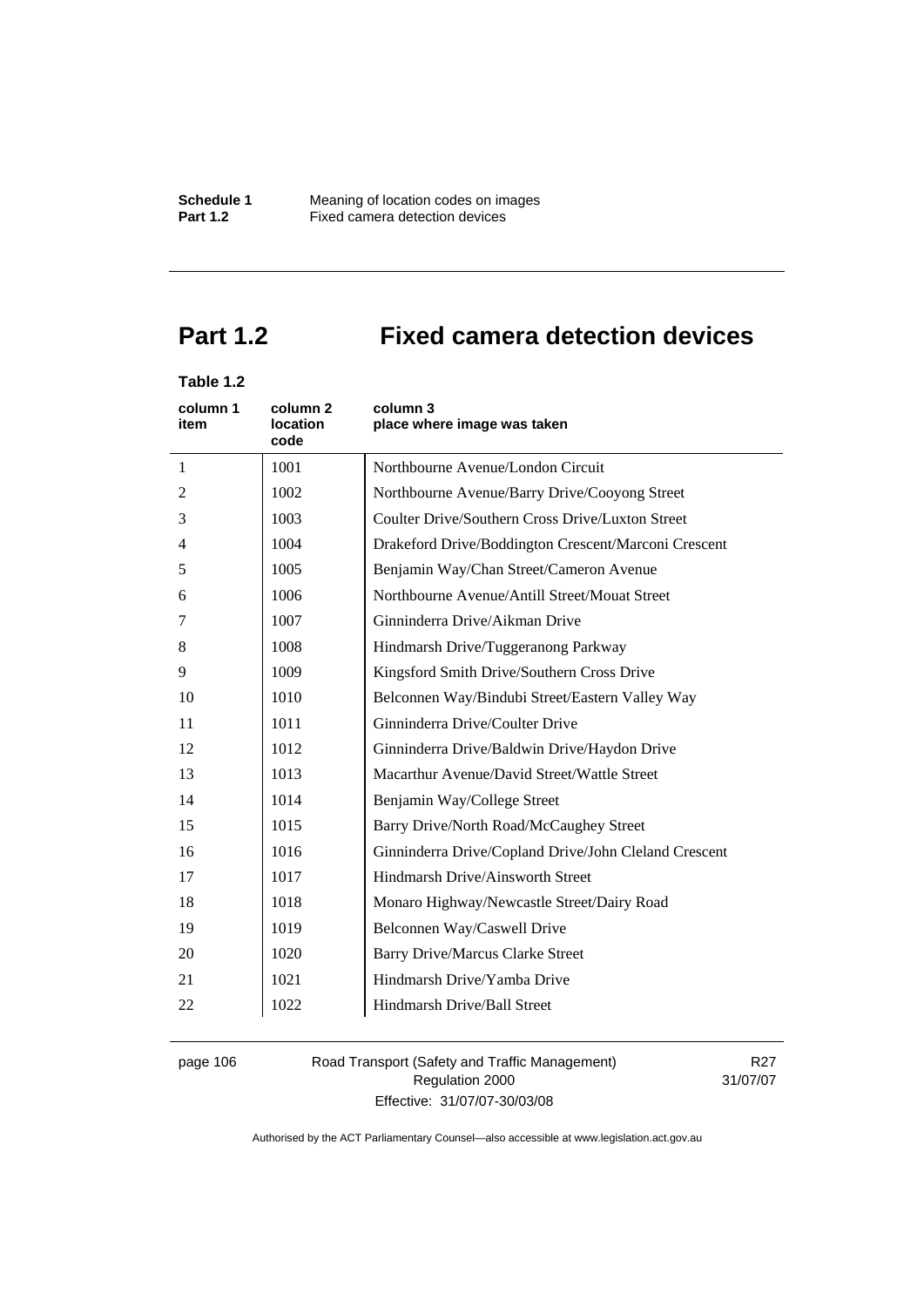**Schedule 1** Meaning of location codes on images **Part 1.2 Fixed camera detection devices** 

# **Part 1.2 Fixed camera detection devices**

# **Table 1.2**

| column 1<br>item | column 2<br>location<br>code | column 3<br>place where image was taken               |
|------------------|------------------------------|-------------------------------------------------------|
| 1                | 1001                         | Northbourne Avenue/London Circuit                     |
| 2                | 1002                         | Northbourne Avenue/Barry Drive/Cooyong Street         |
| 3                | 1003                         | Coulter Drive/Southern Cross Drive/Luxton Street      |
| 4                | 1004                         | Drakeford Drive/Boddington Crescent/Marconi Crescent  |
| 5                | 1005                         | Benjamin Way/Chan Street/Cameron Avenue               |
| 6                | 1006                         | Northbourne Avenue/Antill Street/Mouat Street         |
| 7                | 1007                         | Ginninderra Drive/Aikman Drive                        |
| 8                | 1008                         | Hindmarsh Drive/Tuggeranong Parkway                   |
| 9                | 1009                         | Kingsford Smith Drive/Southern Cross Drive            |
| 10               | 1010                         | Belconnen Way/Bindubi Street/Eastern Valley Way       |
| 11               | 1011                         | Ginninderra Drive/Coulter Drive                       |
| 12               | 1012                         | Ginninderra Drive/Baldwin Drive/Haydon Drive          |
| 13               | 1013                         | Macarthur Avenue/David Street/Wattle Street           |
| 14               | 1014                         | Benjamin Way/College Street                           |
| 15               | 1015                         | Barry Drive/North Road/McCaughey Street               |
| 16               | 1016                         | Ginninderra Drive/Copland Drive/John Cleland Crescent |
| 17               | 1017                         | Hindmarsh Drive/Ainsworth Street                      |
| 18               | 1018                         | Monaro Highway/Newcastle Street/Dairy Road            |
| 19               | 1019                         | Belconnen Way/Caswell Drive                           |
| 20               | 1020                         | <b>Barry Drive/Marcus Clarke Street</b>               |
| 21               | 1021                         | Hindmarsh Drive/Yamba Drive                           |
| 22               | 1022                         | Hindmarsh Drive/Ball Street                           |

page 106 Road Transport (Safety and Traffic Management) Regulation 2000 Effective: 31/07/07-30/03/08

R27 31/07/07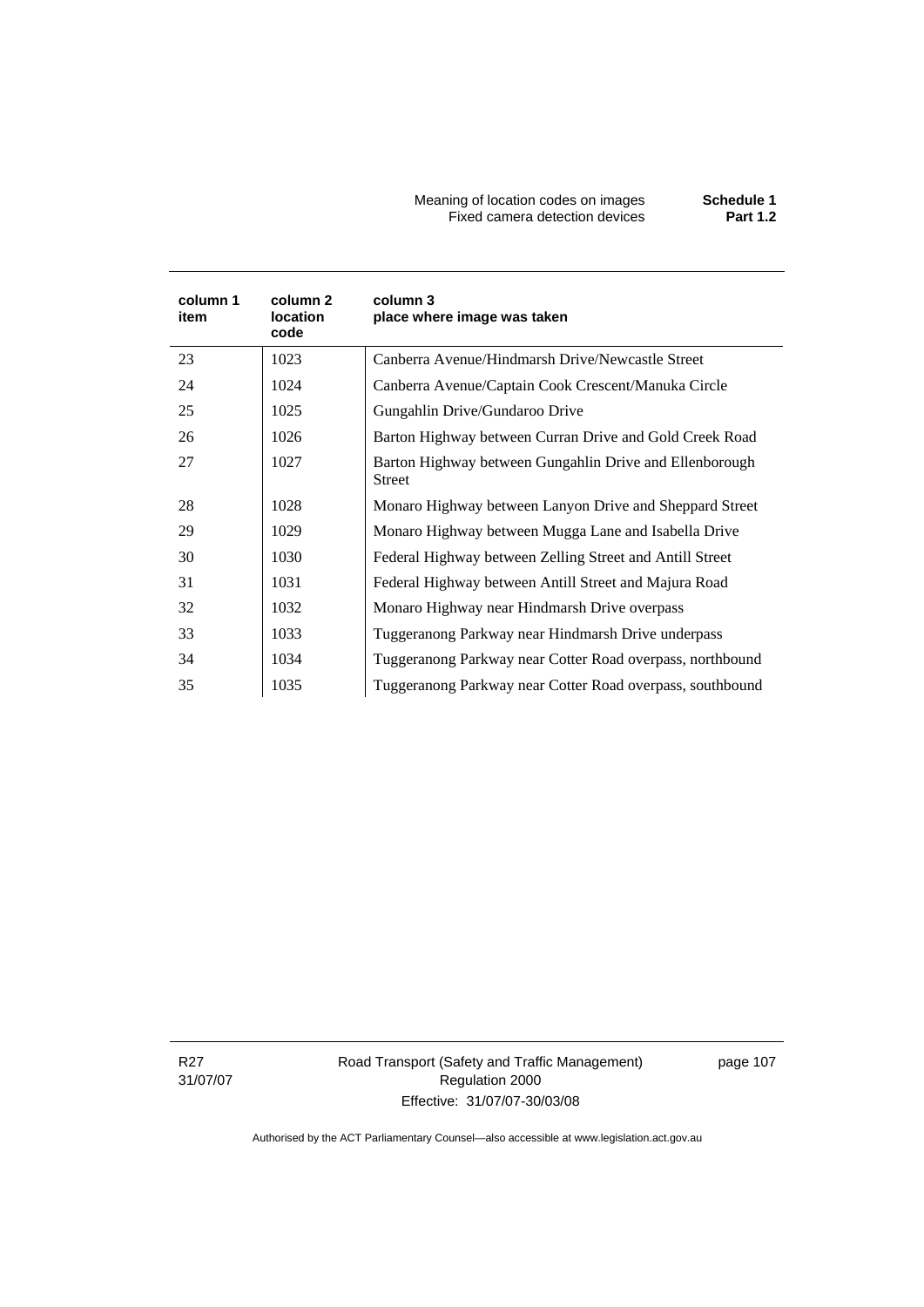Meaning of location codes on images **Schedule 1**  Fixed camera detection devices **Part 1.2** 

| column 1<br>item | column 2<br><b>location</b><br>code | column 3<br>place where image was taken                                  |
|------------------|-------------------------------------|--------------------------------------------------------------------------|
| 23               | 1023                                | Canberra Avenue/Hindmarsh Drive/Newcastle Street                         |
| 24               | 1024                                | Canberra Avenue/Captain Cook Crescent/Manuka Circle                      |
| 25               | 1025                                | Gungahlin Drive/Gundaroo Drive                                           |
| 26               | 1026                                | Barton Highway between Curran Drive and Gold Creek Road                  |
| 27               | 1027                                | Barton Highway between Gungahlin Drive and Ellenborough<br><b>Street</b> |
| 28               | 1028                                | Monaro Highway between Lanyon Drive and Sheppard Street                  |
| 29               | 1029                                | Monaro Highway between Mugga Lane and Isabella Drive                     |
| 30               | 1030                                | Federal Highway between Zelling Street and Antill Street                 |
| 31               | 1031                                | Federal Highway between Antill Street and Majura Road                    |
| 32               | 1032                                | Monaro Highway near Hindmarsh Drive overpass                             |
| 33               | 1033                                | Tuggeranong Parkway near Hindmarsh Drive underpass                       |
| 34               | 1034                                | Tuggeranong Parkway near Cotter Road overpass, northbound                |
| 35               | 1035                                | Tuggeranong Parkway near Cotter Road overpass, southbound                |

R27 31/07/07 Road Transport (Safety and Traffic Management) Regulation 2000 Effective: 31/07/07-30/03/08

page 107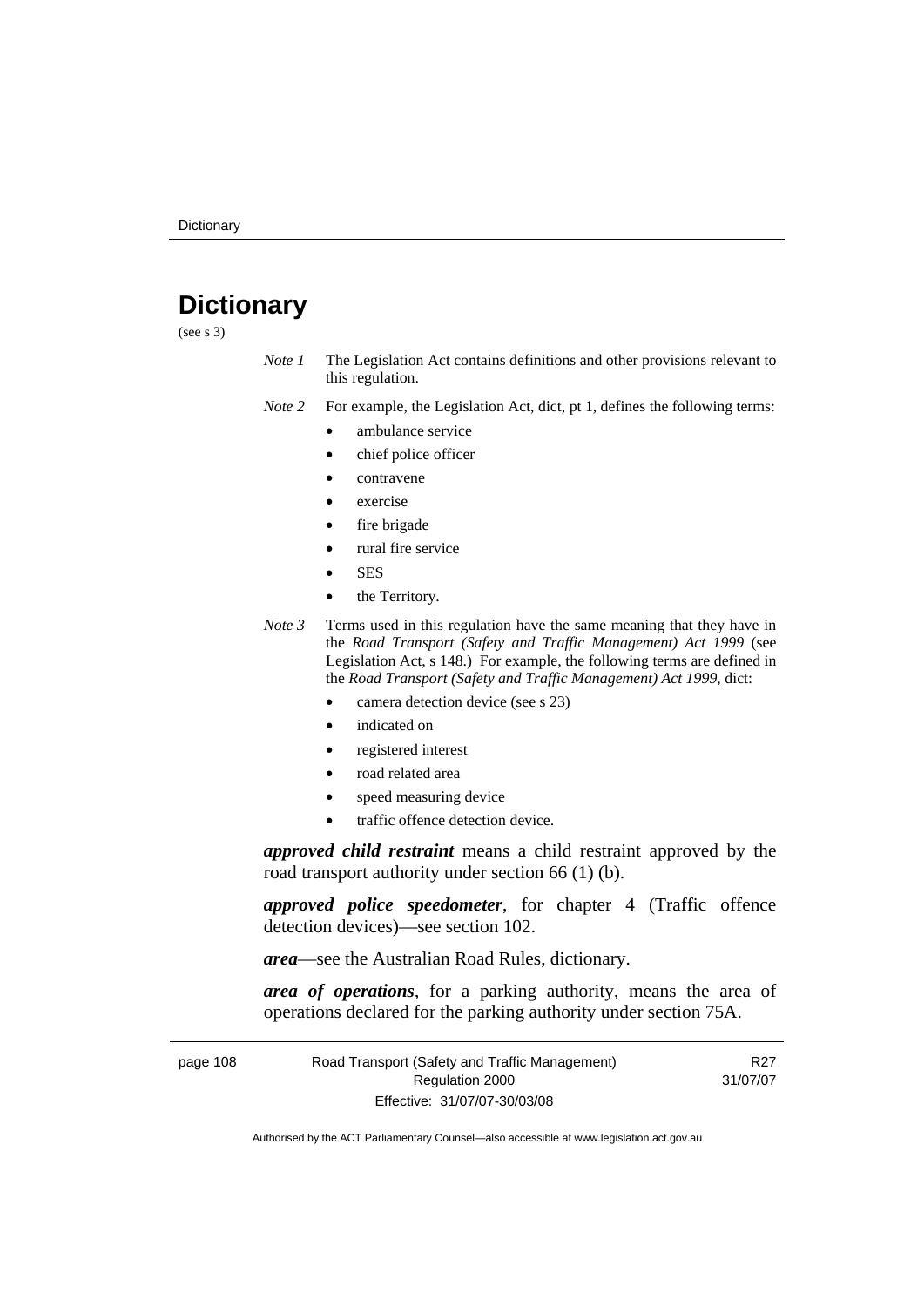# **Dictionary**

(see s 3)

*Note 1* The Legislation Act contains definitions and other provisions relevant to this regulation.

*Note 2* For example, the Legislation Act, dict, pt 1, defines the following terms:

- ambulance service
	- chief police officer
- contravene
- exercise
- fire brigade
- rural fire service
- SES
- the Territory.
- *Note 3* Terms used in this regulation have the same meaning that they have in the *Road Transport (Safety and Traffic Management) Act 1999* (see Legislation Act, s 148.) For example, the following terms are defined in the *Road Transport (Safety and Traffic Management) Act 1999*, dict:
	- camera detection device (see s 23)
	- indicated on
	- registered interest
	- road related area
	- speed measuring device
	- traffic offence detection device.

*approved child restraint* means a child restraint approved by the road transport authority under section 66 (1) (b).

*approved police speedometer*, for chapter 4 (Traffic offence detection devices)—see section 102.

*area*—see the Australian Road Rules, dictionary.

*area of operations*, for a parking authority, means the area of operations declared for the parking authority under section 75A.

| page 108 | Road Transport (Safety and Traffic Management) | R27      |
|----------|------------------------------------------------|----------|
|          | Regulation 2000                                | 31/07/07 |
|          | Effective: 31/07/07-30/03/08                   |          |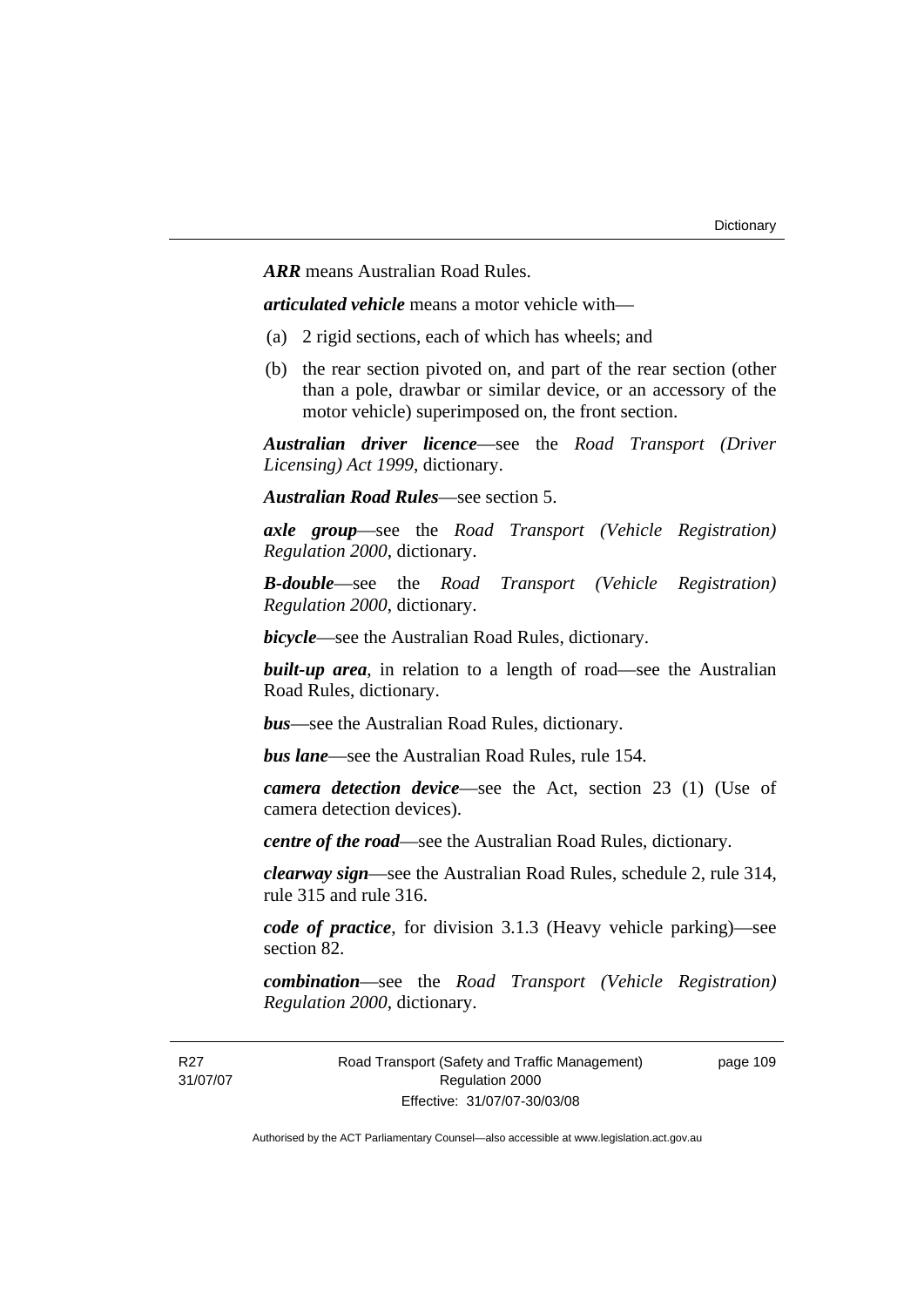*ARR* means Australian Road Rules.

*articulated vehicle* means a motor vehicle with—

- (a) 2 rigid sections, each of which has wheels; and
- (b) the rear section pivoted on, and part of the rear section (other than a pole, drawbar or similar device, or an accessory of the motor vehicle) superimposed on, the front section.

*Australian driver licence*—see the *Road Transport (Driver Licensing) Act 1999*, dictionary.

*Australian Road Rules*—see section 5.

*axle group*—see the *Road Transport (Vehicle Registration) Regulation 2000*, dictionary.

*B-double*—see the *Road Transport (Vehicle Registration) Regulation 2000*, dictionary.

*bicycle*—see the Australian Road Rules, dictionary.

**built-up area**, in relation to a length of road—see the Australian Road Rules, dictionary.

*bus*—see the Australian Road Rules, dictionary.

*bus lane*—see the Australian Road Rules, rule 154.

*camera detection device*—see the Act, section 23 (1) (Use of camera detection devices).

*centre of the road*—see the Australian Road Rules, dictionary.

*clearway sign*—see the Australian Road Rules, schedule 2, rule 314, rule 315 and rule 316.

*code of practice*, for division 3.1.3 (Heavy vehicle parking)—see section 82.

*combination*—see the *Road Transport (Vehicle Registration) Regulation 2000*, dictionary.

R<sub>27</sub> 31/07/07 Road Transport (Safety and Traffic Management) Regulation 2000 Effective: 31/07/07-30/03/08

page 109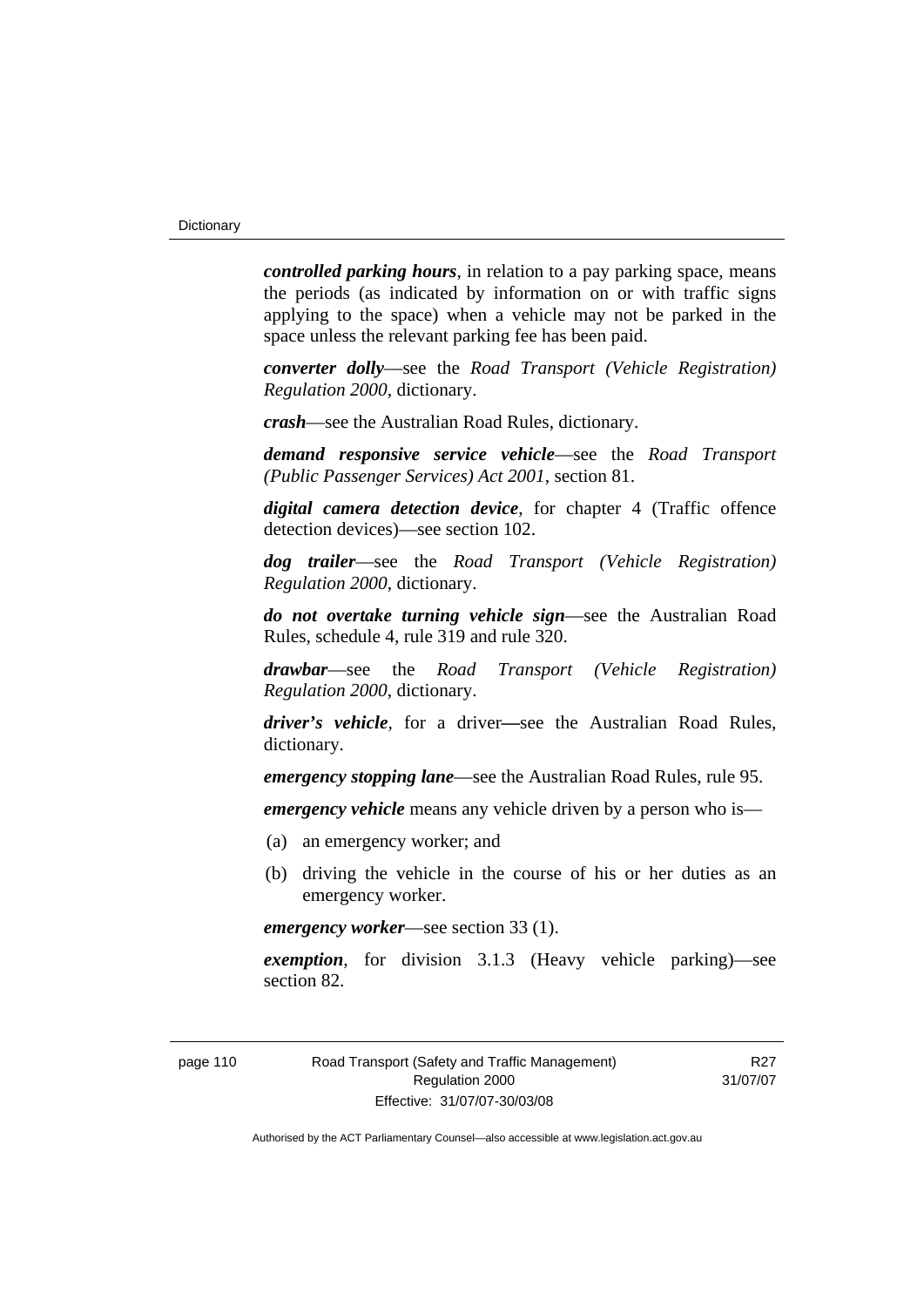*controlled parking hours*, in relation to a pay parking space, means the periods (as indicated by information on or with traffic signs applying to the space) when a vehicle may not be parked in the space unless the relevant parking fee has been paid.

*converter dolly*—see the *Road Transport (Vehicle Registration) Regulation 2000*, dictionary.

*crash*—see the Australian Road Rules, dictionary.

*demand responsive service vehicle*—see the *Road Transport (Public Passenger Services) Act 2001*, section 81.

*digital camera detection device*, for chapter 4 (Traffic offence detection devices)—see section 102.

*dog trailer*—see the *Road Transport (Vehicle Registration) Regulation 2000*, dictionary.

*do not overtake turning vehicle sign*—see the Australian Road Rules, schedule 4, rule 319 and rule 320.

*drawbar*—see the *Road Transport (Vehicle Registration) Regulation 2000*, dictionary.

*driver's vehicle*, for a driver*—*see the Australian Road Rules, dictionary.

*emergency stopping lane*—see the Australian Road Rules, rule 95.

*emergency vehicle* means any vehicle driven by a person who is—

- (a) an emergency worker; and
- (b) driving the vehicle in the course of his or her duties as an emergency worker.

*emergency worker*—see section 33 (1).

*exemption*, for division 3.1.3 (Heavy vehicle parking)—see section 82.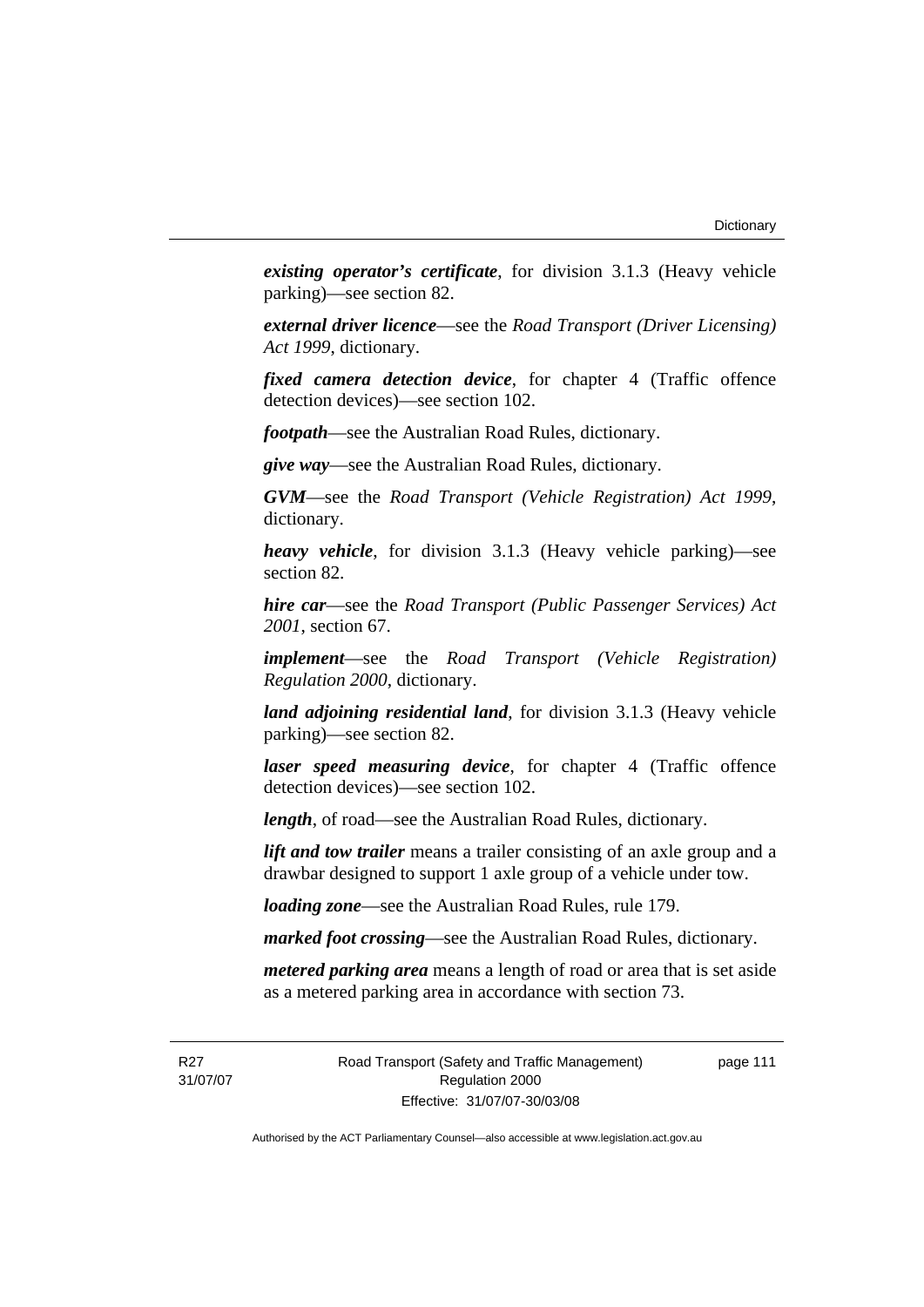*existing operator's certificate*, for division 3.1.3 (Heavy vehicle parking)—see section 82.

*external driver licence*—see the *Road Transport (Driver Licensing) Act 1999*, dictionary.

*fixed camera detection device*, for chapter 4 (Traffic offence detection devices)—see section 102.

*footpath*—see the Australian Road Rules, dictionary.

*give way*—see the Australian Road Rules, dictionary.

*GVM*—see the *Road Transport (Vehicle Registration) Act 1999*, dictionary.

*heavy vehicle*, for division 3.1.3 (Heavy vehicle parking)—see section 82.

*hire car*—see the *Road Transport (Public Passenger Services) Act 2001*, section 67.

*implement*—see the *Road Transport (Vehicle Registration) Regulation 2000*, dictionary.

*land adjoining residential land*, for division 3.1.3 (Heavy vehicle parking)—see section 82.

*laser speed measuring device*, for chapter 4 (Traffic offence detection devices)—see section 102.

*length*, of road—see the Australian Road Rules, dictionary.

*lift and tow trailer* means a trailer consisting of an axle group and a drawbar designed to support 1 axle group of a vehicle under tow.

*loading zone*—see the Australian Road Rules, rule 179.

*marked foot crossing*—see the Australian Road Rules, dictionary.

*metered parking area* means a length of road or area that is set aside as a metered parking area in accordance with section 73.

R<sub>27</sub> 31/07/07 page 111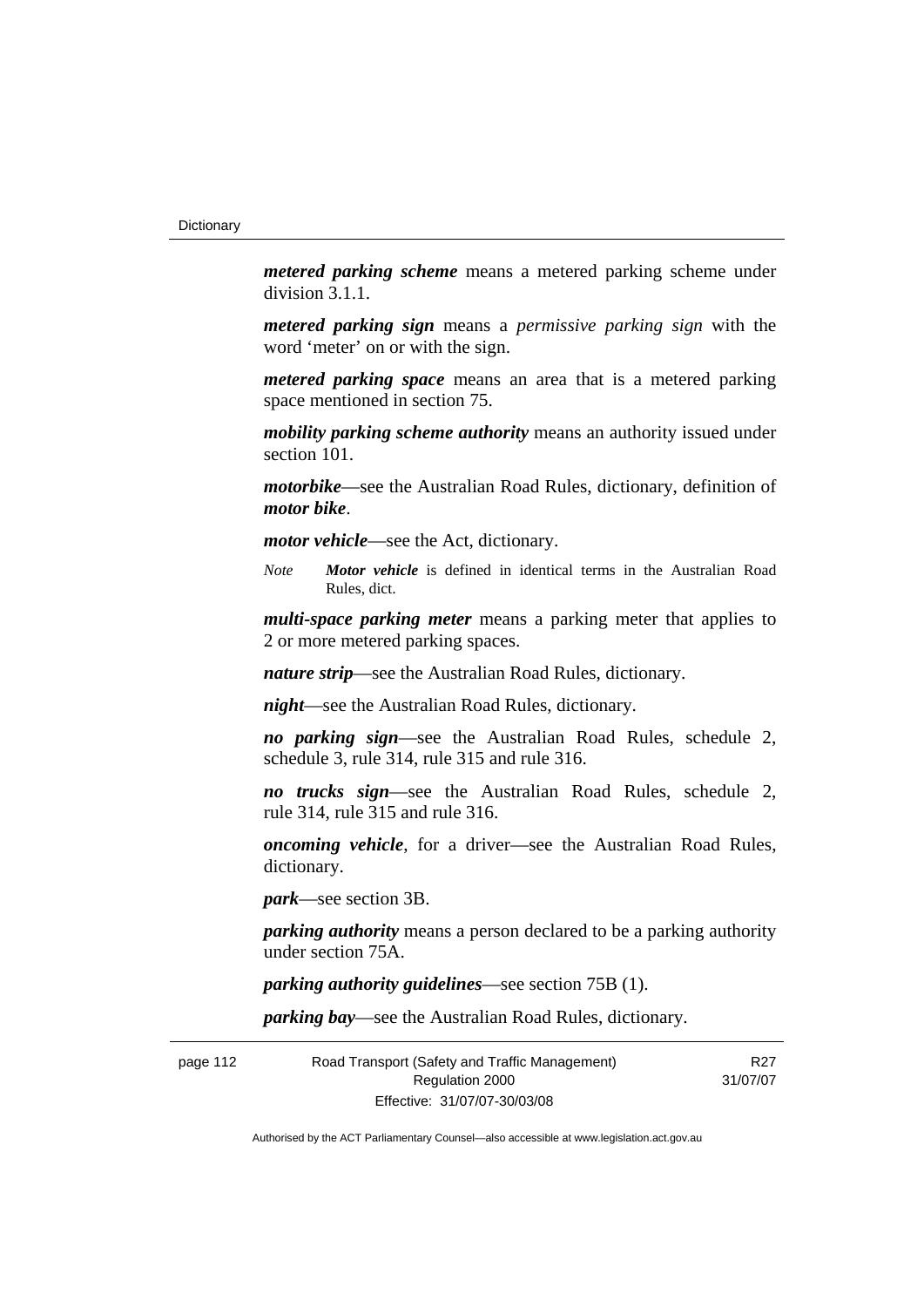*metered parking scheme* means a metered parking scheme under division 3.1.1.

*metered parking sign* means a *permissive parking sign* with the word 'meter' on or with the sign.

*metered parking space* means an area that is a metered parking space mentioned in section 75.

*mobility parking scheme authority* means an authority issued under section 101.

*motorbike*—see the Australian Road Rules, dictionary, definition of *motor bike*.

*motor vehicle*—see the Act, dictionary.

*Note Motor vehicle* is defined in identical terms in the Australian Road Rules, dict.

*multi-space parking meter* means a parking meter that applies to 2 or more metered parking spaces.

*nature strip*—see the Australian Road Rules, dictionary.

*night*—see the Australian Road Rules, dictionary.

*no parking sign*—see the Australian Road Rules, schedule 2, schedule 3, rule 314, rule 315 and rule 316.

*no trucks sign*—see the Australian Road Rules, schedule 2, rule 314, rule 315 and rule 316.

*oncoming vehicle*, for a driver—see the Australian Road Rules, dictionary.

*park*—see section 3B.

*parking authority* means a person declared to be a parking authority under section 75A.

*parking authority guidelines*—see section 75B (1).

*parking bay*—see the Australian Road Rules, dictionary.

page 112 Road Transport (Safety and Traffic Management) Regulation 2000 Effective: 31/07/07-30/03/08 R<sub>27</sub> 31/07/07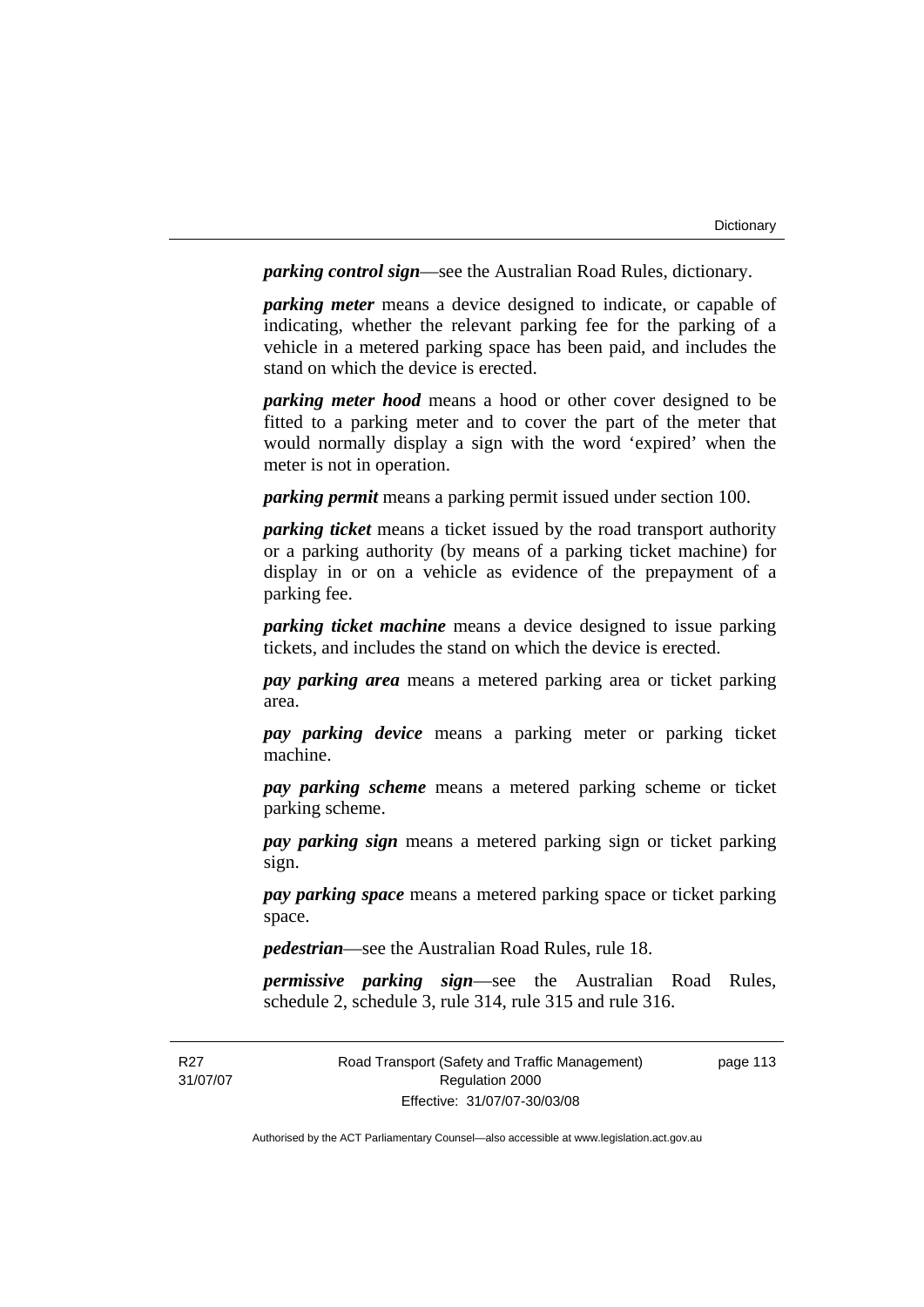*parking control sign*—see the Australian Road Rules, dictionary.

*parking meter* means a device designed to indicate, or capable of indicating, whether the relevant parking fee for the parking of a vehicle in a metered parking space has been paid, and includes the stand on which the device is erected.

*parking meter hood* means a hood or other cover designed to be fitted to a parking meter and to cover the part of the meter that would normally display a sign with the word 'expired' when the meter is not in operation.

*parking permit* means a parking permit issued under section 100.

*parking ticket* means a ticket issued by the road transport authority or a parking authority (by means of a parking ticket machine) for display in or on a vehicle as evidence of the prepayment of a parking fee.

*parking ticket machine* means a device designed to issue parking tickets, and includes the stand on which the device is erected.

*pay parking area* means a metered parking area or ticket parking area.

*pay parking device* means a parking meter or parking ticket machine.

*pay parking scheme* means a metered parking scheme or ticket parking scheme.

*pay parking sign* means a metered parking sign or ticket parking sign.

*pay parking space* means a metered parking space or ticket parking space.

*pedestrian*—see the Australian Road Rules, rule 18.

*permissive parking sign*—see the Australian Road Rules, schedule 2, schedule 3, rule 314, rule 315 and rule 316.

R<sub>27</sub> 31/07/07 Road Transport (Safety and Traffic Management) Regulation 2000 Effective: 31/07/07-30/03/08

page 113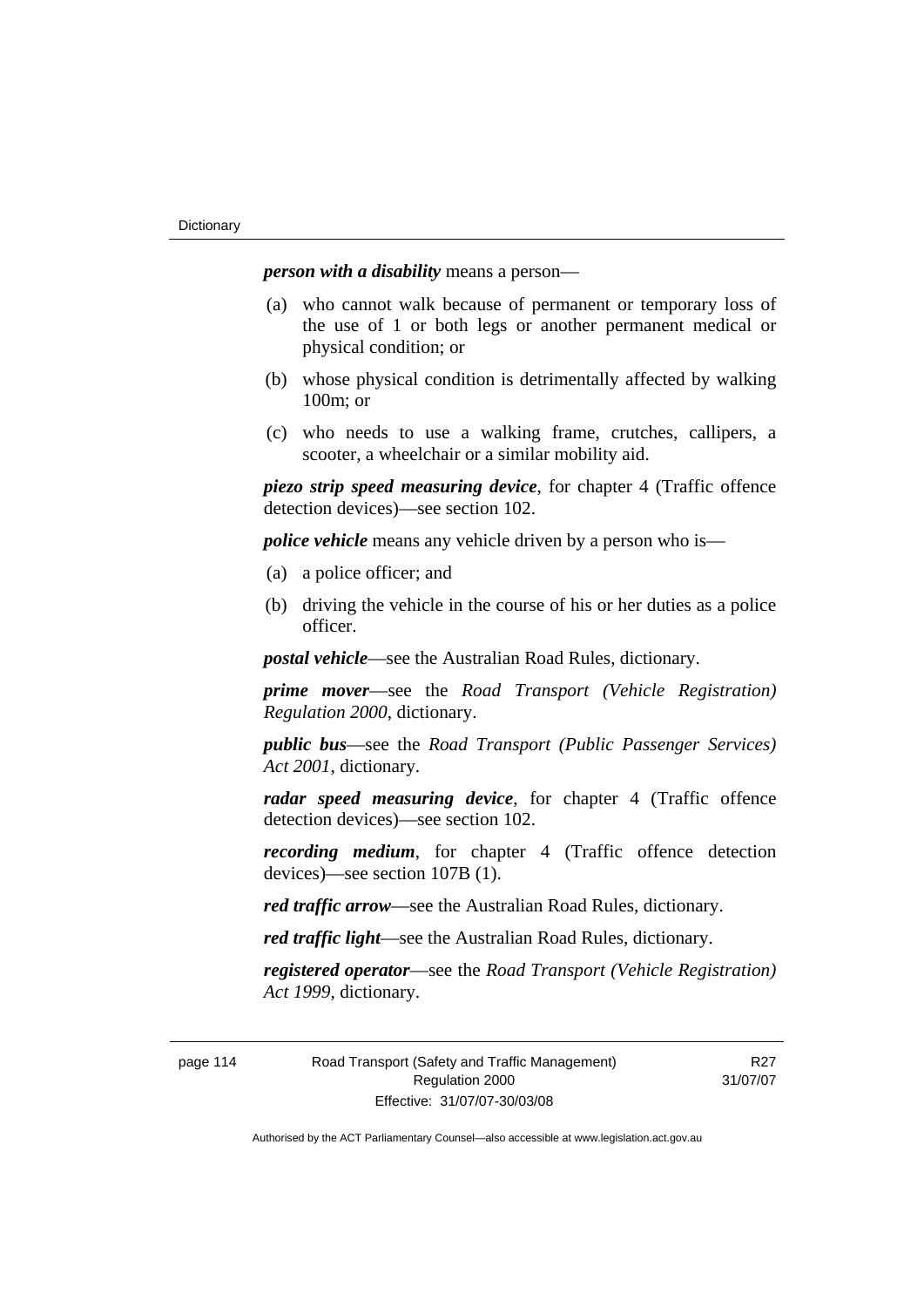*person with a disability* means a person—

- (a) who cannot walk because of permanent or temporary loss of the use of 1 or both legs or another permanent medical or physical condition; or
- (b) whose physical condition is detrimentally affected by walking 100m; or
- (c) who needs to use a walking frame, crutches, callipers, a scooter, a wheelchair or a similar mobility aid.

*piezo strip speed measuring device*, for chapter 4 (Traffic offence detection devices)—see section 102.

*police vehicle* means any vehicle driven by a person who is—

- (a) a police officer; and
- (b) driving the vehicle in the course of his or her duties as a police officer.

*postal vehicle*—see the Australian Road Rules, dictionary.

*prime mover*—see the *Road Transport (Vehicle Registration) Regulation 2000*, dictionary.

*public bus*—see the *Road Transport (Public Passenger Services) Act 2001*, dictionary.

*radar speed measuring device*, for chapter 4 (Traffic offence detection devices)—see section 102.

*recording medium*, for chapter 4 (Traffic offence detection devices)—see section 107B (1).

*red traffic arrow*—see the Australian Road Rules, dictionary.

*red traffic light*—see the Australian Road Rules, dictionary.

*registered operator*—see the *Road Transport (Vehicle Registration) Act 1999*, dictionary.

page 114 Road Transport (Safety and Traffic Management) Regulation 2000 Effective: 31/07/07-30/03/08

R27 31/07/07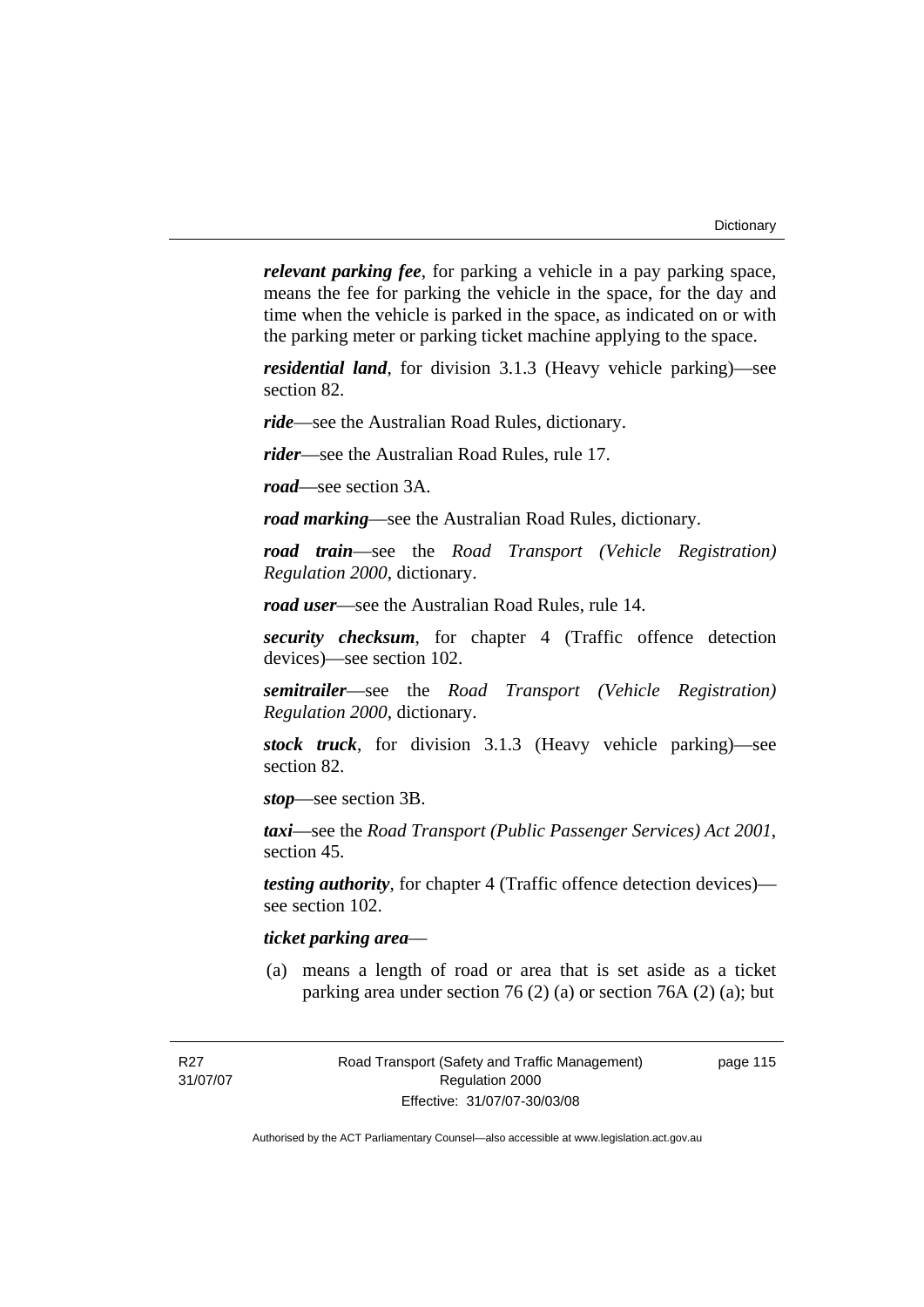*relevant parking fee*, for parking a vehicle in a pay parking space, means the fee for parking the vehicle in the space, for the day and time when the vehicle is parked in the space, as indicated on or with the parking meter or parking ticket machine applying to the space.

*residential land*, for division 3.1.3 (Heavy vehicle parking)—see section 82.

*ride*—see the Australian Road Rules, dictionary.

*rider*—see the Australian Road Rules, rule 17.

*road*—see section 3A.

*road marking*—see the Australian Road Rules, dictionary.

*road train*—see the *Road Transport (Vehicle Registration) Regulation 2000*, dictionary.

*road user*—see the Australian Road Rules, rule 14.

*security checksum*, for chapter 4 (Traffic offence detection devices)—see section 102.

*semitrailer*—see the *Road Transport (Vehicle Registration) Regulation 2000*, dictionary.

*stock truck*, for division 3.1.3 (Heavy vehicle parking)—see section 82.

*stop*—see section 3B.

*taxi*—see the *Road Transport (Public Passenger Services) Act 2001*, section 45.

*testing authority*, for chapter 4 (Traffic offence detection devices) see section 102.

# *ticket parking area*—

 (a) means a length of road or area that is set aside as a ticket parking area under section 76 (2) (a) or section 76A (2) (a); but

R<sub>27</sub> 31/07/07 page 115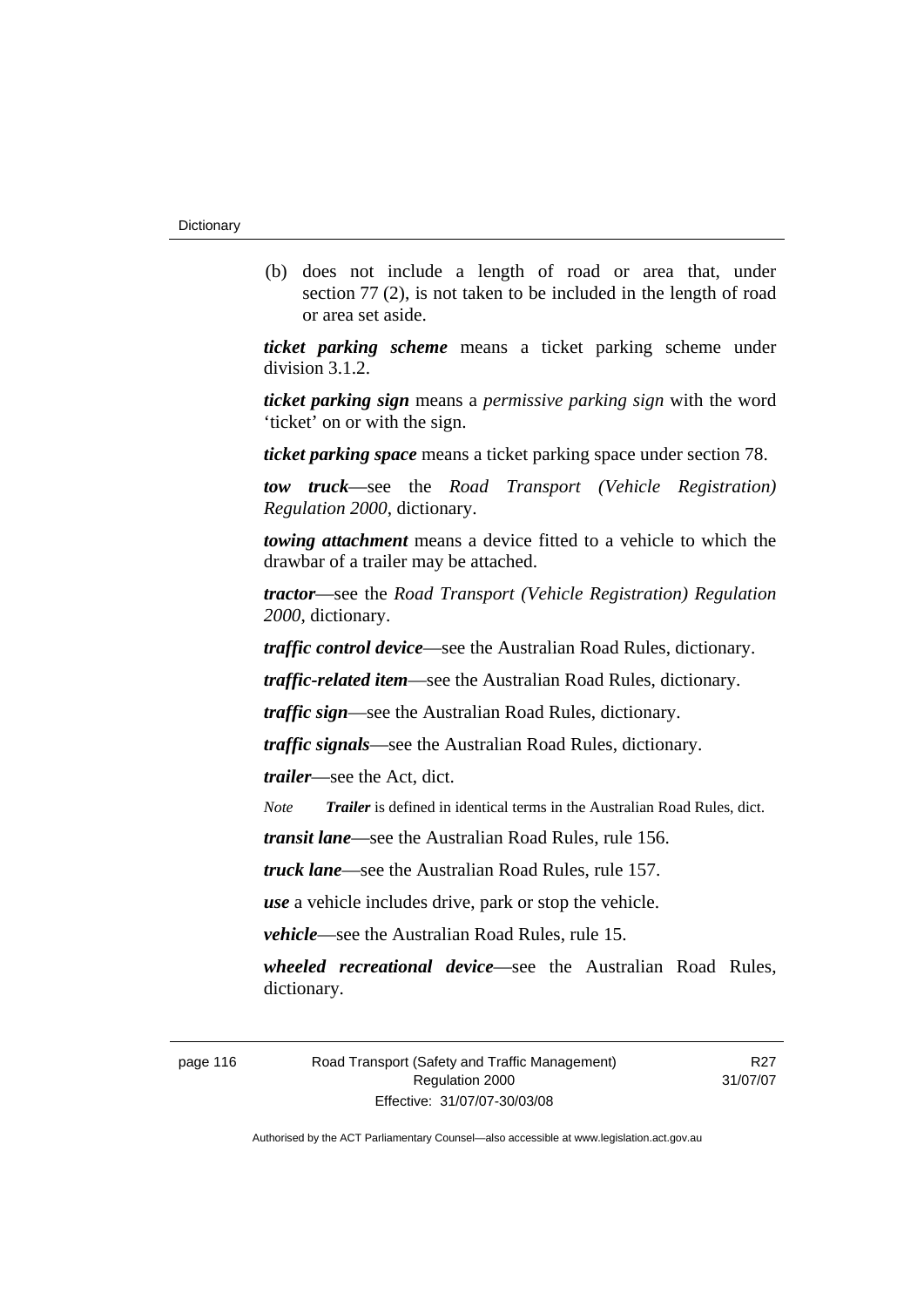(b) does not include a length of road or area that, under section 77 (2), is not taken to be included in the length of road or area set aside.

*ticket parking scheme* means a ticket parking scheme under division 3.1.2.

*ticket parking sign* means a *permissive parking sign* with the word 'ticket' on or with the sign.

*ticket parking space* means a ticket parking space under section 78.

*tow truck*—see the *Road Transport (Vehicle Registration) Regulation 2000*, dictionary.

*towing attachment* means a device fitted to a vehicle to which the drawbar of a trailer may be attached.

*tractor*—see the *Road Transport (Vehicle Registration) Regulation 2000*, dictionary.

*traffic control device*—see the Australian Road Rules, dictionary.

*traffic-related item*—see the Australian Road Rules, dictionary.

*traffic sign*—see the Australian Road Rules, dictionary.

*traffic signals*—see the Australian Road Rules, dictionary.

*trailer*—see the Act, dict.

*Note Trailer* is defined in identical terms in the Australian Road Rules, dict.

*transit lane*—see the Australian Road Rules, rule 156.

*truck lane*—see the Australian Road Rules, rule 157.

*use* a vehicle includes drive, park or stop the vehicle.

*vehicle*—see the Australian Road Rules, rule 15.

*wheeled recreational device*—see the Australian Road Rules, dictionary.

page 116 Road Transport (Safety and Traffic Management) Regulation 2000 Effective: 31/07/07-30/03/08

R27 31/07/07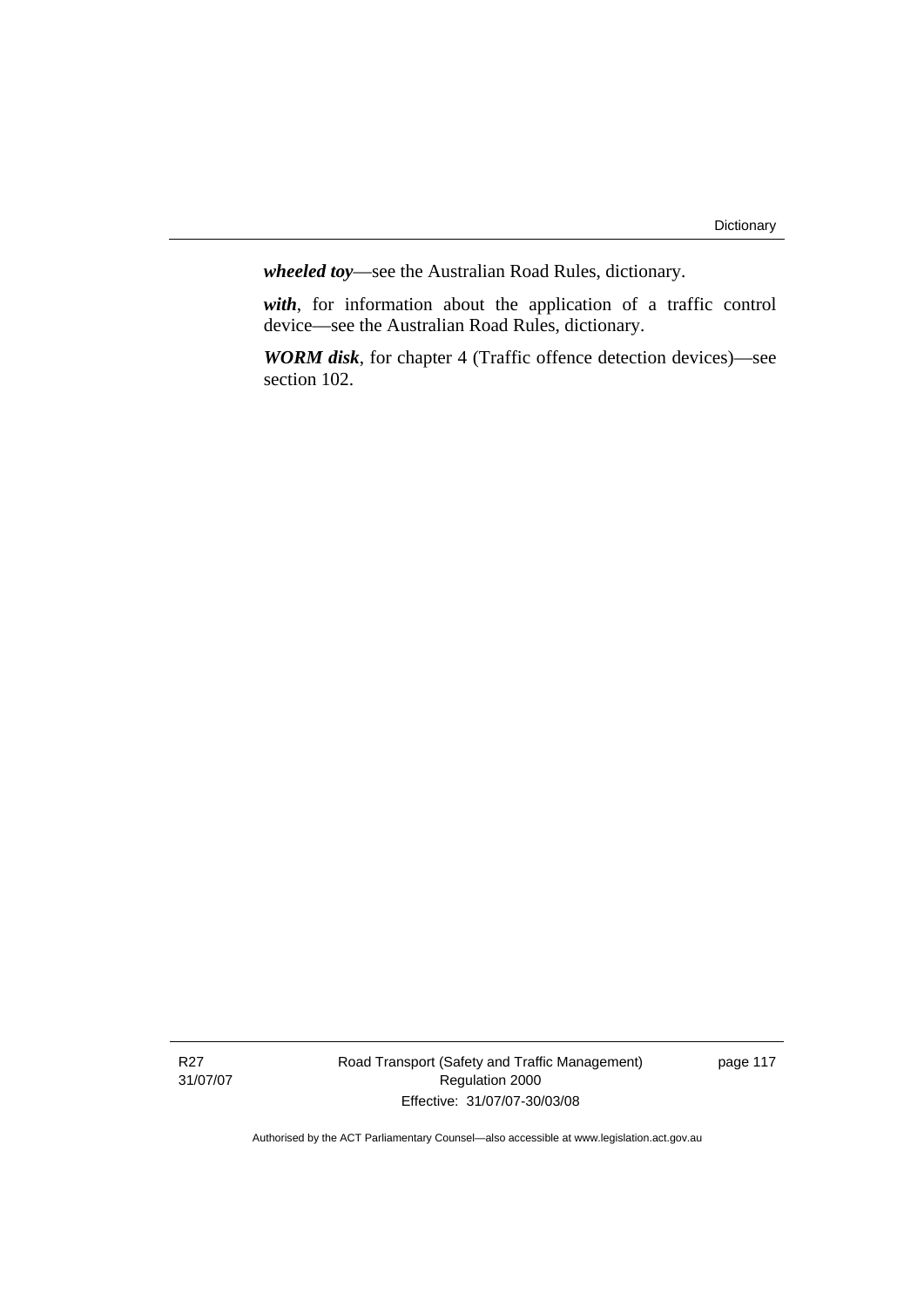*wheeled toy*—see the Australian Road Rules, dictionary.

*with*, for information about the application of a traffic control device—see the Australian Road Rules, dictionary.

*WORM disk*, for chapter 4 (Traffic offence detection devices)—see section 102.

Road Transport (Safety and Traffic Management) Regulation 2000 Effective: 31/07/07-30/03/08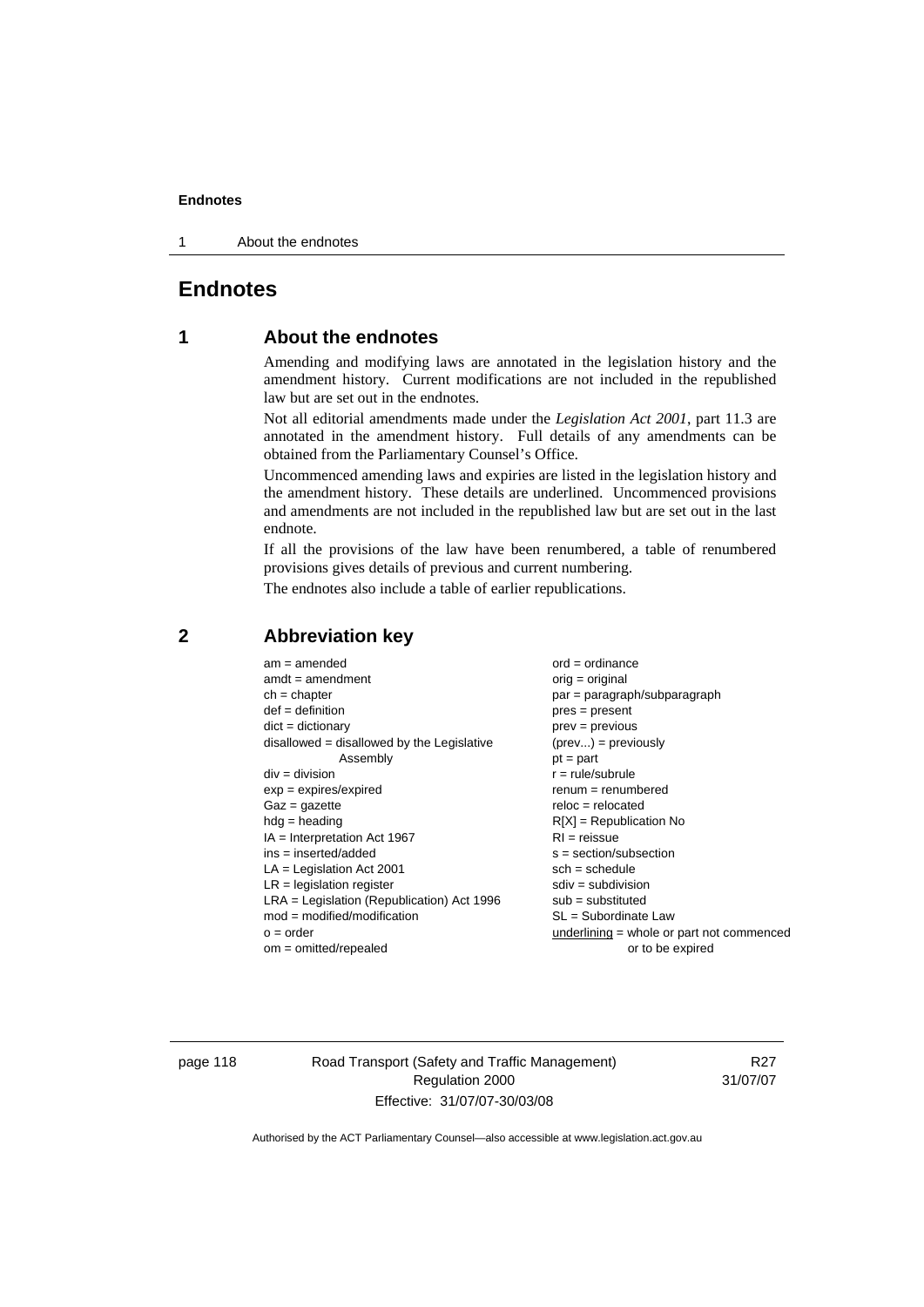1 About the endnotes

# **Endnotes**

# **1 About the endnotes**

Amending and modifying laws are annotated in the legislation history and the amendment history. Current modifications are not included in the republished law but are set out in the endnotes.

Not all editorial amendments made under the *Legislation Act 2001*, part 11.3 are annotated in the amendment history. Full details of any amendments can be obtained from the Parliamentary Counsel's Office.

Uncommenced amending laws and expiries are listed in the legislation history and the amendment history. These details are underlined. Uncommenced provisions and amendments are not included in the republished law but are set out in the last endnote.

If all the provisions of the law have been renumbered, a table of renumbered provisions gives details of previous and current numbering.

The endnotes also include a table of earlier republications.

| $am = amended$                               | $ord = ordinance$                         |
|----------------------------------------------|-------------------------------------------|
| $amdt = amendment$                           | $orig = original$                         |
| $ch = chapter$                               | par = paragraph/subparagraph              |
| $def = definition$                           | $pres = present$                          |
| $dict = dictionary$                          | $prev = previous$                         |
| $disallowed = disallowed by the Legislative$ | $(\text{prev}) = \text{previously}$       |
| Assembly                                     | $pt = part$                               |
| $div = division$                             | $r = rule/subrule$                        |
| $exp = expires/expired$                      | $renum = renumbered$                      |
| $Gaz = gazette$                              | $reloc = relocated$                       |
| $hdg =$ heading                              | $R[X]$ = Republication No                 |
| $IA = Interpretation Act 1967$               | $RI = reissue$                            |
| $ins = inserted/added$                       | $s = section/subsection$                  |
| $LA =$ Legislation Act 2001                  | $sch = schedule$                          |
| $LR =$ legislation register                  | $sdiv = subdivision$                      |
| $LRA =$ Legislation (Republication) Act 1996 | $sub = substituted$                       |
| $mod = modified/modification$                | $SL = Subordinate$ Law                    |
| $o = order$                                  | underlining = whole or part not commenced |
| $om = omitted/repealed$                      | or to be expired                          |
|                                              |                                           |

# **2 Abbreviation key**

page 118 Road Transport (Safety and Traffic Management) Regulation 2000 Effective: 31/07/07-30/03/08

R27 31/07/07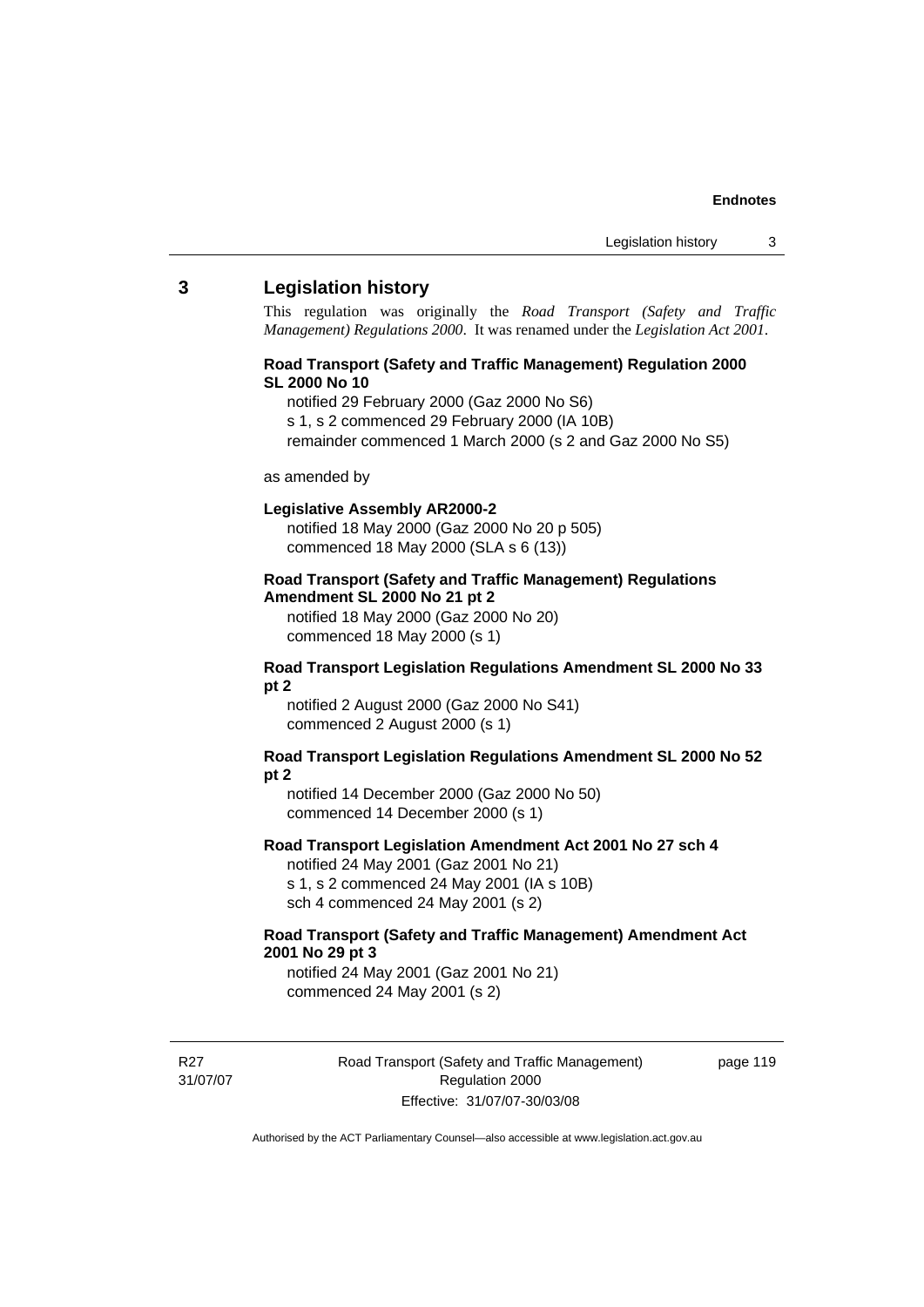# **3 Legislation history**

This regulation was originally the *Road Transport (Safety and Traffic Management) Regulations 2000*. It was renamed under the *Legislation Act 2001*.

# **Road Transport (Safety and Traffic Management) Regulation 2000 SL 2000 No 10**

- notified 29 February 2000 (Gaz 2000 No S6)
- s 1, s 2 commenced 29 February 2000 (IA 10B)
- remainder commenced 1 March 2000 (s 2 and Gaz 2000 No S5)

#### as amended by

#### **Legislative Assembly AR2000-2**

notified 18 May 2000 (Gaz 2000 No 20 p 505) commenced 18 May 2000 (SLA s 6 (13))

# **Road Transport (Safety and Traffic Management) Regulations Amendment SL 2000 No 21 pt 2**

notified 18 May 2000 (Gaz 2000 No 20) commenced 18 May 2000 (s 1)

### **Road Transport Legislation Regulations Amendment SL 2000 No 33 pt 2**

notified 2 August 2000 (Gaz 2000 No S41) commenced 2 August 2000 (s 1)

### **Road Transport Legislation Regulations Amendment SL 2000 No 52 pt 2**

notified 14 December 2000 (Gaz 2000 No 50) commenced 14 December 2000 (s 1)

#### **Road Transport Legislation Amendment Act 2001 No 27 sch 4**

notified 24 May 2001 (Gaz 2001 No 21) s 1, s 2 commenced 24 May 2001 (IA s 10B) sch 4 commenced 24 May 2001 (s 2)

# **Road Transport (Safety and Traffic Management) Amendment Act 2001 No 29 pt 3**

notified 24 May 2001 (Gaz 2001 No 21) commenced 24 May 2001 (s 2)

R<sub>27</sub> 31/07/07 Road Transport (Safety and Traffic Management) Regulation 2000 Effective: 31/07/07-30/03/08

page 119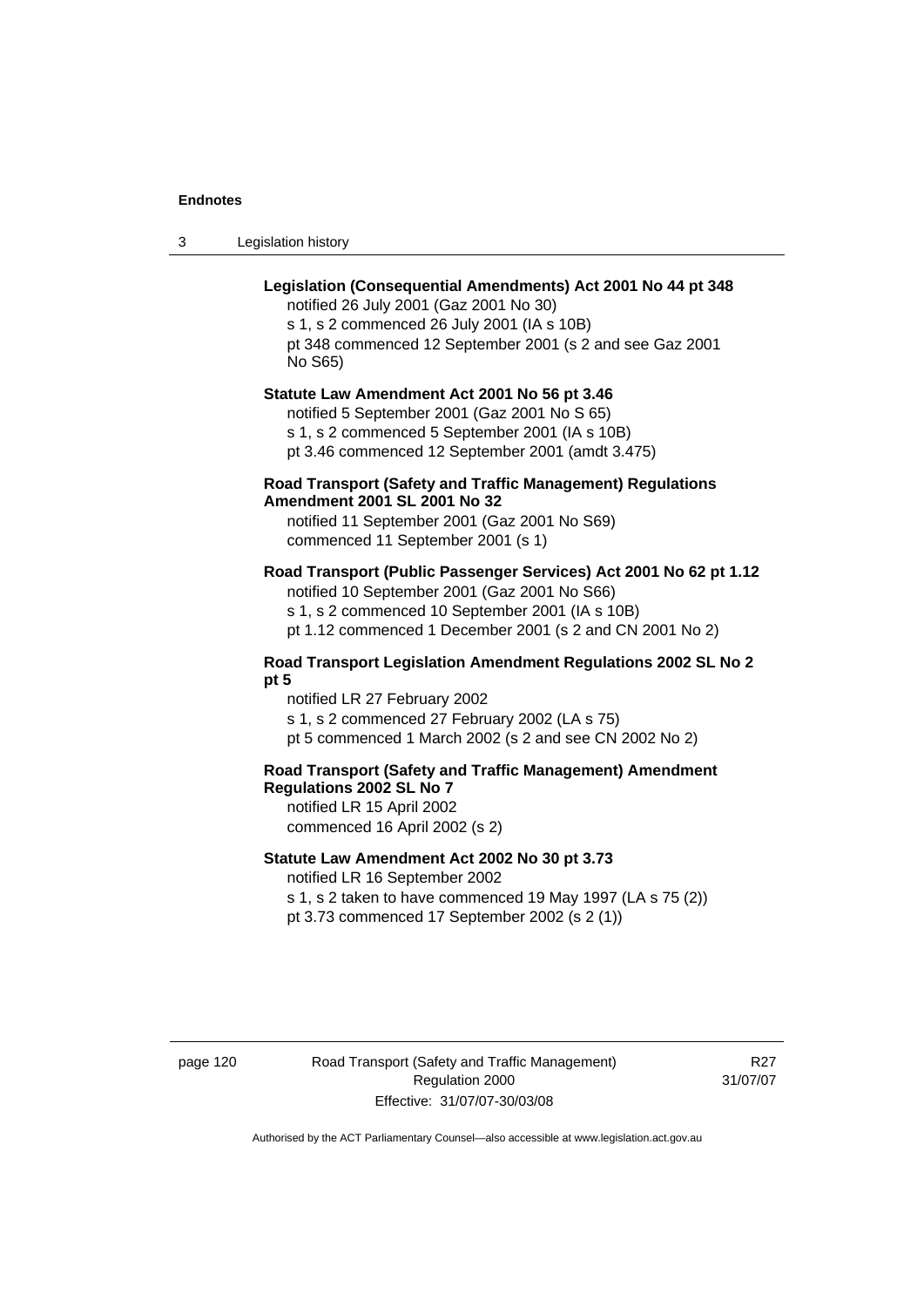3 Legislation history

# **Legislation (Consequential Amendments) Act 2001 No 44 pt 348**

notified 26 July 2001 (Gaz 2001 No 30) s 1, s 2 commenced 26 July 2001 (IA s 10B) pt 348 commenced 12 September 2001 (s 2 and see Gaz 2001 No S65)

# **Statute Law Amendment Act 2001 No 56 pt 3.46**

notified 5 September 2001 (Gaz 2001 No S 65) s 1, s 2 commenced 5 September 2001 (IA s 10B) pt 3.46 commenced 12 September 2001 (amdt 3.475)

# **Road Transport (Safety and Traffic Management) Regulations Amendment 2001 SL 2001 No 32**

notified 11 September 2001 (Gaz 2001 No S69) commenced 11 September 2001 (s 1)

# **Road Transport (Public Passenger Services) Act 2001 No 62 pt 1.12**

notified 10 September 2001 (Gaz 2001 No S66) s 1, s 2 commenced 10 September 2001 (IA s 10B)

pt 1.12 commenced 1 December 2001 (s 2 and CN 2001 No 2)

# **Road Transport Legislation Amendment Regulations 2002 SL No 2 pt 5**

notified LR 27 February 2002 s 1, s 2 commenced 27 February 2002 (LA s 75) pt 5 commenced 1 March 2002 (s 2 and see CN 2002 No 2)

# **Road Transport (Safety and Traffic Management) Amendment Regulations 2002 SL No 7**

notified LR 15 April 2002 commenced 16 April 2002 (s 2)

# **Statute Law Amendment Act 2002 No 30 pt 3.73**

notified LR 16 September 2002

s 1, s 2 taken to have commenced 19 May 1997 (LA s 75 (2)) pt 3.73 commenced 17 September 2002 (s 2 (1))

page 120 Road Transport (Safety and Traffic Management) Regulation 2000 Effective: 31/07/07-30/03/08

R27 31/07/07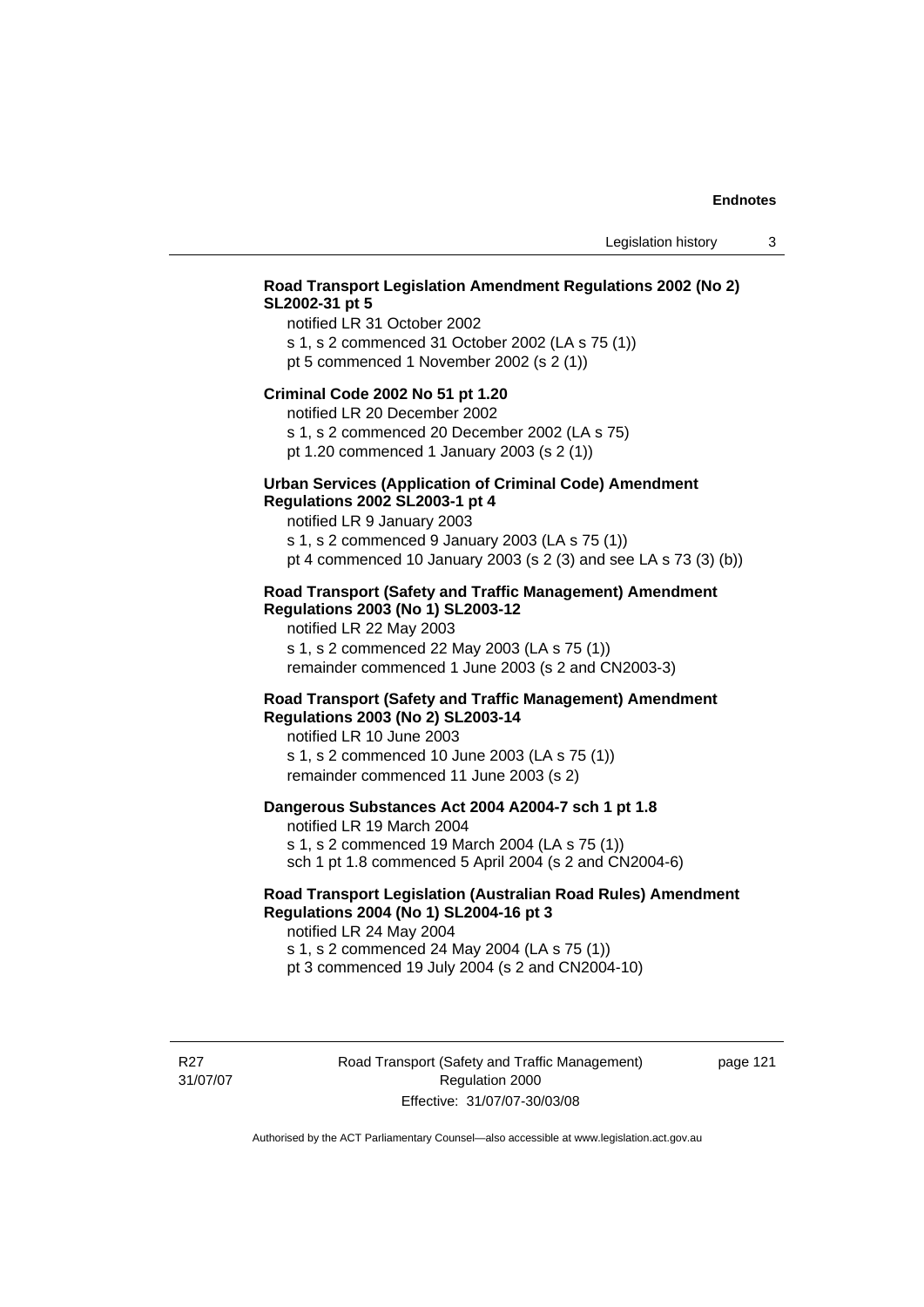# **Road Transport Legislation Amendment Regulations 2002 (No 2) SL2002-31 pt 5**

notified LR 31 October 2002 s 1, s 2 commenced 31 October 2002 (LA s 75 (1)) pt 5 commenced 1 November 2002 (s 2 (1))

#### **Criminal Code 2002 No 51 pt 1.20**

notified LR 20 December 2002

s 1, s 2 commenced 20 December 2002 (LA s 75) pt 1.20 commenced 1 January 2003 (s 2 (1))

# **Urban Services (Application of Criminal Code) Amendment**

#### **Regulations 2002 SL2003-1 pt 4**

notified LR 9 January 2003 s 1, s 2 commenced 9 January 2003 (LA s 75 (1))

pt 4 commenced 10 January 2003 (s 2 (3) and see LA s 73 (3) (b))

# **Road Transport (Safety and Traffic Management) Amendment Regulations 2003 (No 1) SL2003-12**

notified LR 22 May 2003 s 1, s 2 commenced 22 May 2003 (LA s 75 (1)) remainder commenced 1 June 2003 (s 2 and CN2003-3)

# **Road Transport (Safety and Traffic Management) Amendment Regulations 2003 (No 2) SL2003-14**

notified LR 10 June 2003 s 1, s 2 commenced 10 June 2003 (LA s 75 (1)) remainder commenced 11 June 2003 (s 2)

# **Dangerous Substances Act 2004 A2004-7 sch 1 pt 1.8**

notified LR 19 March 2004 s 1, s 2 commenced 19 March 2004 (LA s 75 (1)) sch 1 pt 1.8 commenced 5 April 2004 (s 2 and CN2004-6)

# **Road Transport Legislation (Australian Road Rules) Amendment Regulations 2004 (No 1) SL2004-16 pt 3**

notified LR 24 May 2004 s 1, s 2 commenced 24 May 2004 (LA s 75 (1)) pt 3 commenced 19 July 2004 (s 2 and CN2004-10)

R<sub>27</sub> 31/07/07 Road Transport (Safety and Traffic Management) Regulation 2000 Effective: 31/07/07-30/03/08

page 121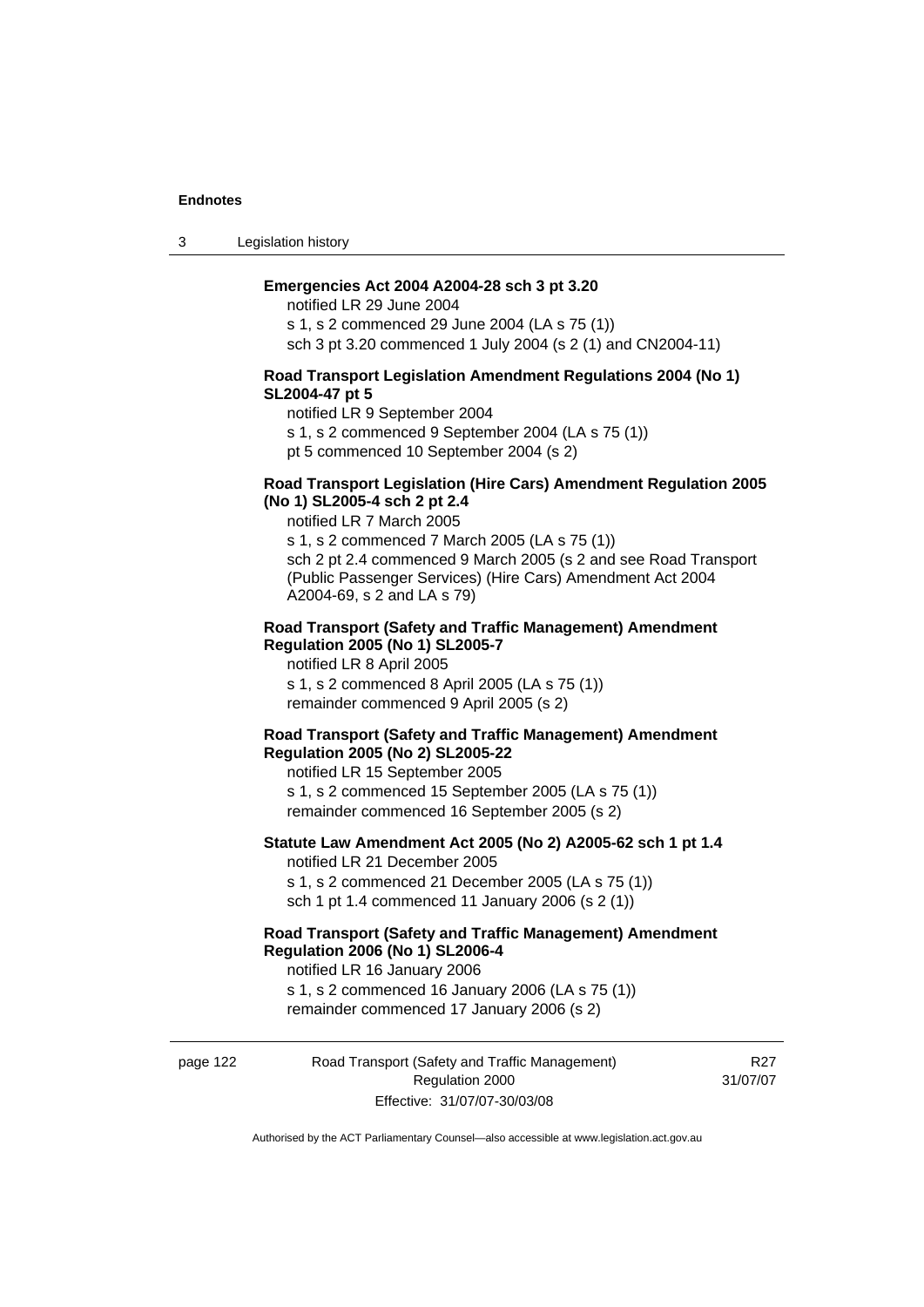3 Legislation history

# **Emergencies Act 2004 A2004-28 sch 3 pt 3.20**

notified LR 29 June 2004 s 1, s 2 commenced 29 June 2004 (LA s 75 (1)) sch 3 pt 3.20 commenced 1 July 2004 (s 2 (1) and CN2004-11)

### **Road Transport Legislation Amendment Regulations 2004 (No 1) SL2004-47 pt 5**

notified LR 9 September 2004

s 1, s 2 commenced 9 September 2004 (LA s 75 (1))

pt 5 commenced 10 September 2004 (s 2)

# **Road Transport Legislation (Hire Cars) Amendment Regulation 2005 (No 1) SL2005-4 sch 2 pt 2.4**

notified LR 7 March 2005

s 1, s 2 commenced 7 March 2005 (LA s 75 (1)) sch 2 pt 2.4 commenced 9 March 2005 (s 2 and see Road Transport (Public Passenger Services) (Hire Cars) Amendment Act 2004 A2004-69, s 2 and LA s 79)

#### **Road Transport (Safety and Traffic Management) Amendment Regulation 2005 (No 1) SL2005-7**

notified LR 8 April 2005 s 1, s 2 commenced 8 April 2005 (LA s 75 (1)) remainder commenced 9 April 2005 (s 2)

### **Road Transport (Safety and Traffic Management) Amendment Regulation 2005 (No 2) SL2005-22**

notified LR 15 September 2005 s 1, s 2 commenced 15 September 2005 (LA s 75 (1)) remainder commenced 16 September 2005 (s 2)

# **Statute Law Amendment Act 2005 (No 2) A2005-62 sch 1 pt 1.4**  notified LR 21 December 2005

s 1, s 2 commenced 21 December 2005 (LA s 75 (1)) sch 1 pt 1.4 commenced 11 January 2006 (s 2 (1))

# **Road Transport (Safety and Traffic Management) Amendment Regulation 2006 (No 1) SL2006-4**

notified LR 16 January 2006 s 1, s 2 commenced 16 January 2006 (LA s 75 (1)) remainder commenced 17 January 2006 (s 2)

# page 122 Road Transport (Safety and Traffic Management) Regulation 2000 Effective: 31/07/07-30/03/08

R27 31/07/07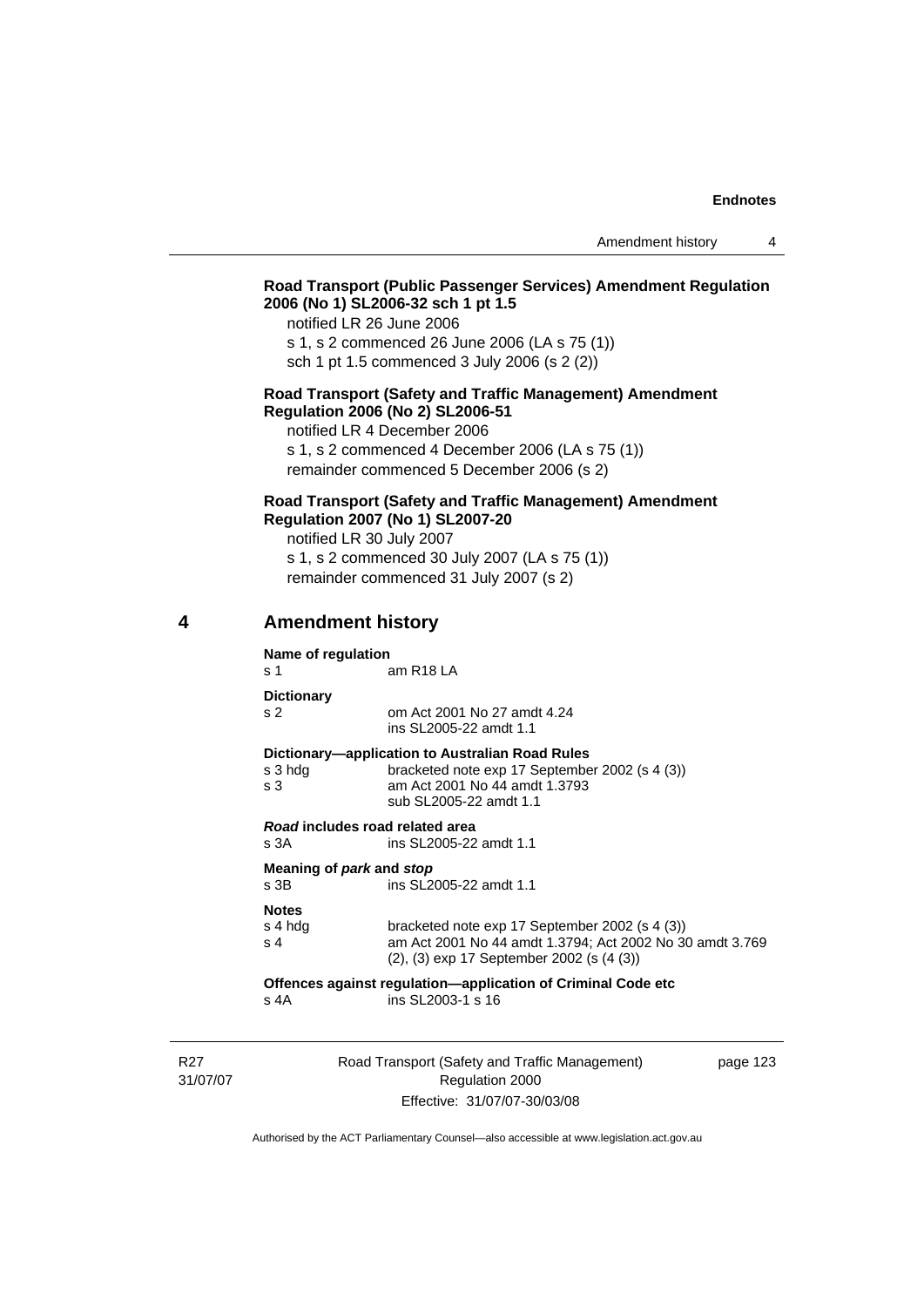# **Road Transport (Public Passenger Services) Amendment Regulation 2006 (No 1) SL2006-32 sch 1 pt 1.5**

notified LR 26 June 2006 s 1, s 2 commenced 26 June 2006 (LA s 75 (1)) sch 1 pt 1.5 commenced 3 July 2006 (s 2 (2))

### **Road Transport (Safety and Traffic Management) Amendment Regulation 2006 (No 2) SL2006-51**

notified LR 4 December 2006

s 1, s 2 commenced 4 December 2006 (LA s 75 (1)) remainder commenced 5 December 2006 (s 2)

# **Road Transport (Safety and Traffic Management) Amendment Regulation 2007 (No 1) SL2007-20**

notified LR 30 July 2007 s 1, s 2 commenced 30 July 2007 (LA s 75 (1)) remainder commenced 31 July 2007 (s 2)

# **4 Amendment history**

**Name of regulation** 

s 1 am R18 LA

**Dictionary** 

s 2 om Act 2001 No 27 amdt 4.24 ins SL2005-22 amdt 1.1

#### **Dictionary—application to Australian Road Rules**

| s 3 hda | bracketed note exp 17 September 2002 (s 4 (3)) |
|---------|------------------------------------------------|
| s 3     | am Act 2001 No 44 amdt 1.3793                  |
|         | sub SL2005-22 amdt 1.1                         |

*Road* **includes road related area**  s 3A ins SL2005-22 amdt 1.1

**Meaning of** *park* **and** *stop* s 3B ins SL2005-22 amdt 1.1

#### **Notes**

| s 4 hda | bracketed note exp 17 September 2002 (s 4 (3))           |
|---------|----------------------------------------------------------|
| s 4     | am Act 2001 No 44 amdt 1.3794; Act 2002 No 30 amdt 3.769 |
|         | $(2)$ , $(3)$ exp 17 September 2002 (s $(4 \, (3))$      |

**Offences against regulation—application of Criminal Code etc**  $s$  4A  $\qquad$  ins SI 2003-1 s 16  $ins$  SL 2003-1 s 16

R<sub>27</sub> 31/07/07 Road Transport (Safety and Traffic Management) Regulation 2000 Effective: 31/07/07-30/03/08

page 123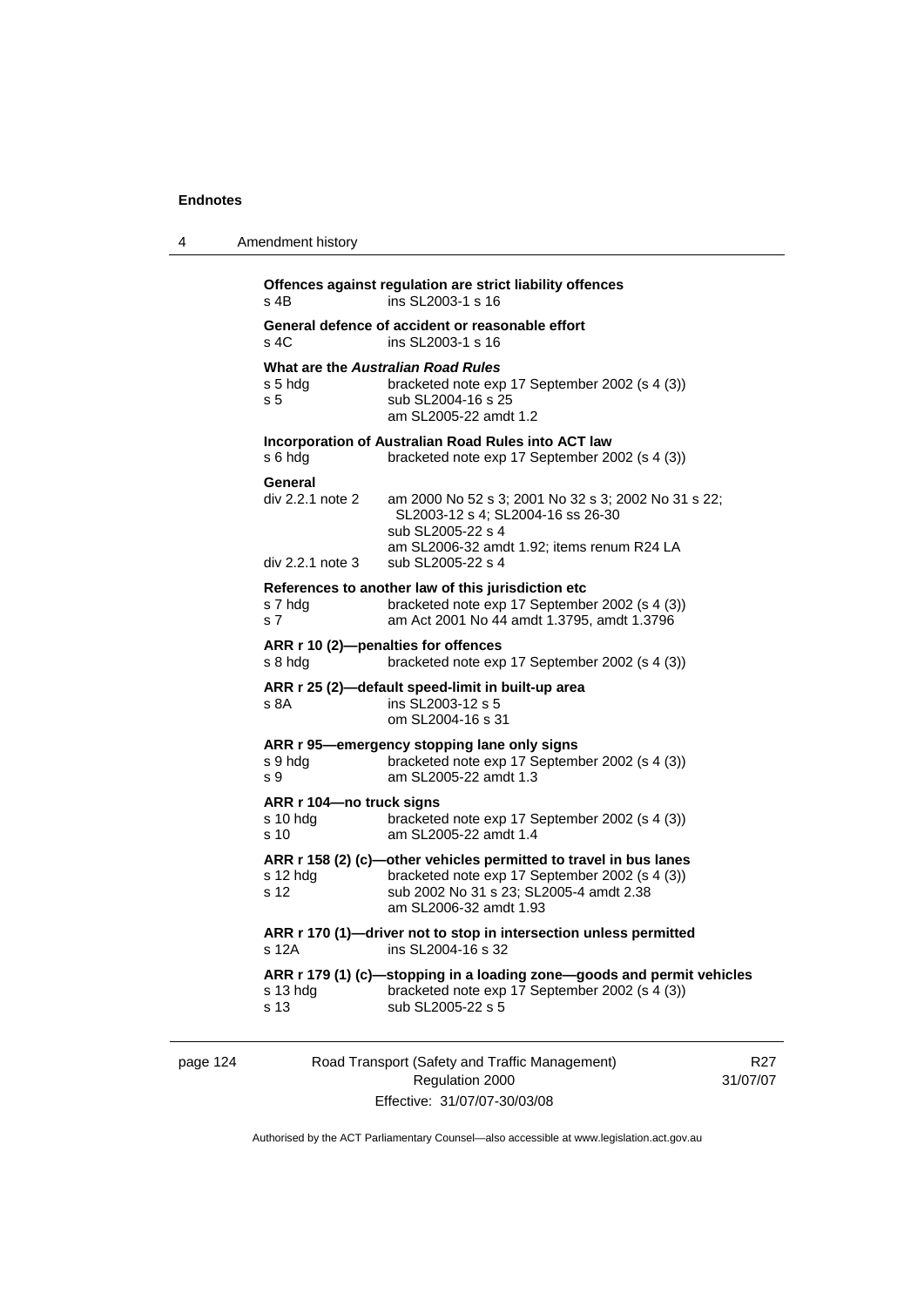| 4 | Amendment history                                                                                                                                                                                                                   |
|---|-------------------------------------------------------------------------------------------------------------------------------------------------------------------------------------------------------------------------------------|
|   | Offences against regulation are strict liability offences<br>ins SL2003-1 s 16<br>s 4B                                                                                                                                              |
|   | General defence of accident or reasonable effort<br>s 4C<br>ins SL2003-1 s 16                                                                                                                                                       |
|   | <b>What are the Australian Road Rules</b><br>s 5 hdg<br>bracketed note exp 17 September 2002 (s 4 (3))<br>s 5<br>sub SL2004-16 s 25<br>am SL2005-22 amdt 1.2                                                                        |
|   | Incorporation of Australian Road Rules into ACT law<br>s 6 hdg<br>bracketed note exp 17 September 2002 (s 4 (3))                                                                                                                    |
|   | General<br>div 2.2.1 note 2<br>am 2000 No 52 s 3; 2001 No 32 s 3; 2002 No 31 s 22;<br>SL2003-12 s 4; SL2004-16 ss 26-30<br>sub SL2005-22 s 4<br>am SL2006-32 amdt 1.92; items renum R24 LA<br>div 2.2.1 note 3<br>sub SL2005-22 s 4 |
|   | References to another law of this jurisdiction etc<br>bracketed note exp 17 September 2002 (s 4 (3))<br>s 7 hdg<br>s <sub>7</sub><br>am Act 2001 No 44 amdt 1.3795, amdt 1.3796                                                     |
|   | ARR r 10 (2)-penalties for offences<br>s 8 hdg<br>bracketed note exp 17 September 2002 (s 4 (3))                                                                                                                                    |
|   | ARR r 25 (2)-default speed-limit in built-up area<br>s 8A<br>ins SL2003-12 s 5<br>om SL2004-16 s 31                                                                                                                                 |
|   | ARR r 95-emergency stopping lane only signs<br>bracketed note exp 17 September 2002 (s 4 (3))<br>s 9 hdg<br>am SL2005-22 amdt 1.3<br>s 9                                                                                            |
|   | ARR r 104-no truck signs<br>bracketed note exp 17 September 2002 (s 4 (3))<br>s 10 hdg<br>s 10<br>am SL2005-22 amdt 1.4                                                                                                             |
|   | ARR r 158 (2) (c)-other vehicles permitted to travel in bus lanes<br>$s$ 12 hdg<br>bracketed note exp 17 September 2002 (s 4 (3))<br>sub 2002 No 31 s 23; SL2005-4 amdt 2.38<br>s 12<br>am SL2006-32 amdt 1.93                      |
|   | ARR r 170 (1)-driver not to stop in intersection unless permitted<br>ins SL2004-16 s 32<br>s 12A                                                                                                                                    |
|   | ARR r 179 (1) (c)-stopping in a loading zone-goods and permit vehicles<br>bracketed note exp 17 September 2002 (s 4 (3))<br>$s$ 13 hdg<br>s 13<br>sub SL2005-22 s 5                                                                 |
|   |                                                                                                                                                                                                                                     |

page 124 Road Transport (Safety and Traffic Management) Regulation 2000 Effective: 31/07/07-30/03/08

R27 31/07/07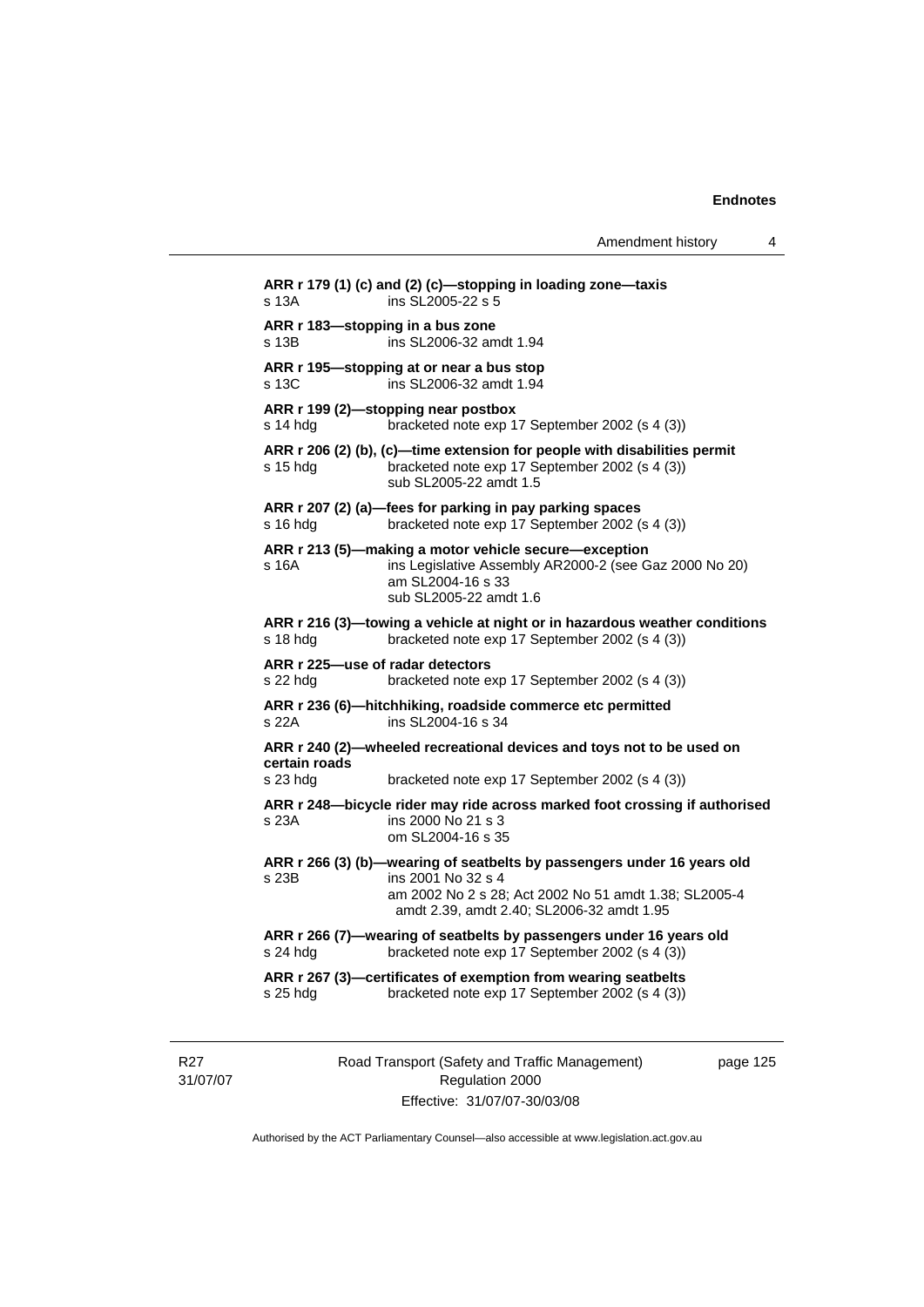Amendment history 4

```
ARR r 179 (1) (c) and (2) (c)—stopping in loading zone—taxis 
s 13A ins SL2005-22 s 5
ARR r 183—stopping in a bus zone 
s 13B ins SL2006-32 amdt 1.94
ARR r 195—stopping at or near a bus stop 
s 13C ins SL2006-32 amdt 1.94 
ARR r 199 (2)—stopping near postbox 
s 14 hdg bracketed note exp 17 September 2002 (s 4 (3))
ARR r 206 (2) (b), (c)—time extension for people with disabilities permit 
s 15 hdg bracketed note exp 17 September 2002 (s 4 (3))
                  sub SL2005-22 amdt 1.5 
ARR r 207 (2) (a)—fees for parking in pay parking spaces 
s 16 hdg bracketed note exp 17 September 2002 (s 4 (3)) 
ARR r 213 (5)—making a motor vehicle secure—exception 
s 16A ins Legislative Assembly AR2000-2 (see Gaz 2000 No 20) 
                  am SL2004-16 s 33 
                  sub SL2005-22 amdt 1.6 
ARR r 216 (3)—towing a vehicle at night or in hazardous weather conditions 
s 18 hdg bracketed note exp 17 September 2002 (s 4 (3)) 
ARR r 225—use of radar detectors 
s 22 hdg bracketed note exp 17 September 2002 (s 4 (3)) 
ARR r 236 (6)—hitchhiking, roadside commerce etc permitted 
s 22A ins SL2004-16 s 34 
ARR r 240 (2)—wheeled recreational devices and toys not to be used on 
certain roads 
s 23 hdg bracketed note exp 17 September 2002 (s 4 (3)) 
ARR r 248—bicycle rider may ride across marked foot crossing if authorised 
s 23A ins 2000 No 21 s 3 
                  om SL2004-16 s 35 
ARR r 266 (3) (b)—wearing of seatbelts by passengers under 16 years old 
s 23B ins 2001 No 32 s 4 
                  am 2002 No 2 s 28; Act 2002 No 51 amdt 1.38; SL2005-4 
                  amdt 2.39, amdt 2.40; SL2006-32 amdt 1.95 
ARR r 266 (7)—wearing of seatbelts by passengers under 16 years old 
s 24 hdg bracketed note exp 17 September 2002 (s 4 (3)) 
ARR r 267 (3)—certificates of exemption from wearing seatbelts 
s 25 hdg bracketed note exp 17 September 2002 (s 4 (3))
```
R27 31/07/07 Road Transport (Safety and Traffic Management) Regulation 2000 Effective: 31/07/07-30/03/08

page 125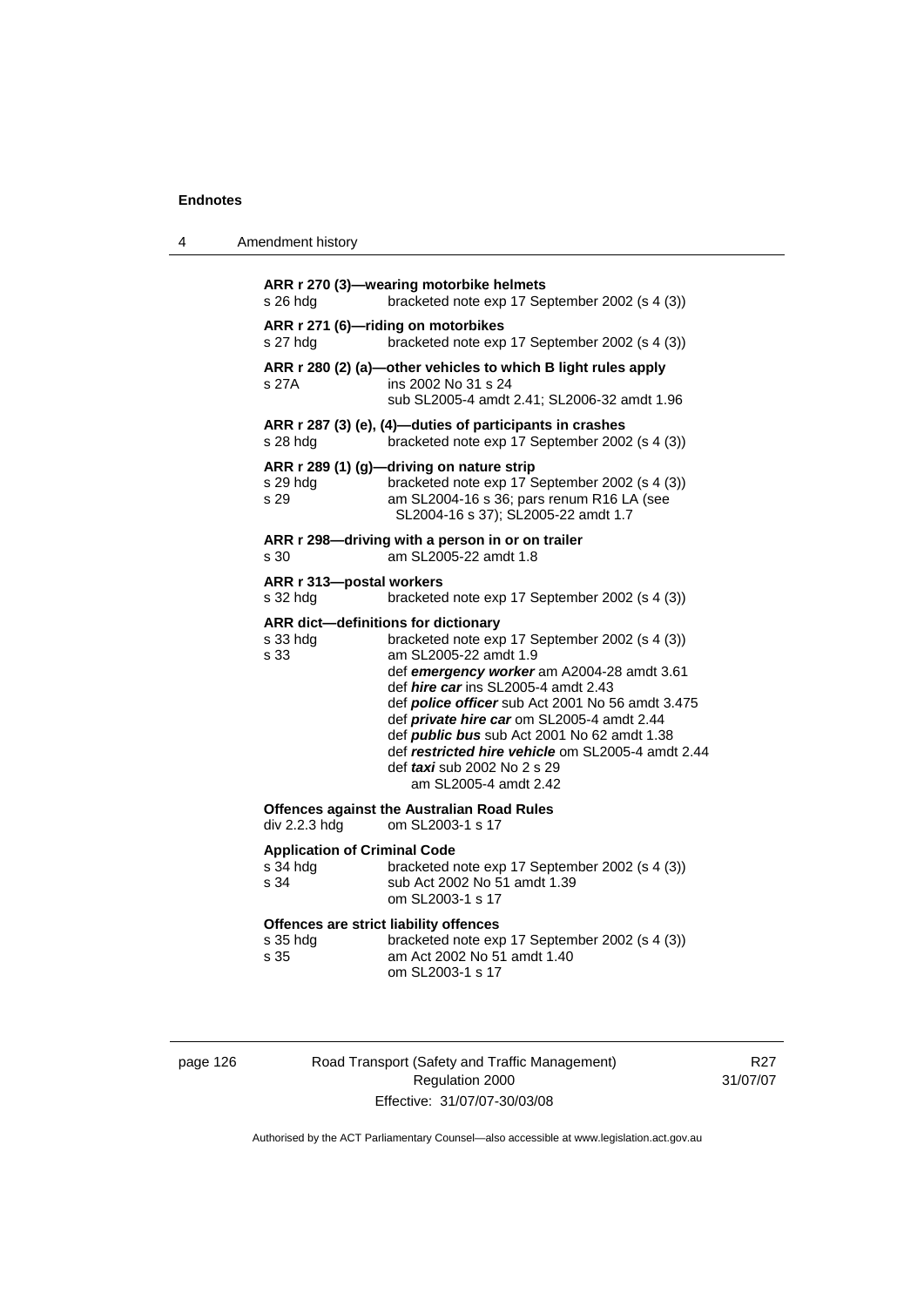4 Amendment history

| s 26 hdg                                                | ARR r 270 (3)-wearing motorbike helmets<br>bracketed note exp 17 September 2002 (s 4 (3))                                                                                                                                                                                                                                                                                                                                                                                       |
|---------------------------------------------------------|---------------------------------------------------------------------------------------------------------------------------------------------------------------------------------------------------------------------------------------------------------------------------------------------------------------------------------------------------------------------------------------------------------------------------------------------------------------------------------|
| s 27 hdg                                                | ARR r 271 (6)-riding on motorbikes<br>bracketed note exp 17 September 2002 (s 4 (3))                                                                                                                                                                                                                                                                                                                                                                                            |
| s 27A                                                   | ARR r 280 (2) (a)-other vehicles to which B light rules apply<br>ins 2002 No 31 s 24<br>sub SL2005-4 amdt 2.41; SL2006-32 amdt 1.96                                                                                                                                                                                                                                                                                                                                             |
| s 28 hdg                                                | ARR r 287 (3) (e), (4)-duties of participants in crashes<br>bracketed note exp 17 September 2002 (s 4 (3))                                                                                                                                                                                                                                                                                                                                                                      |
| s 29 hda<br>s 29                                        | ARR r 289 (1) (g)-driving on nature strip<br>bracketed note exp 17 September 2002 (s 4 (3))<br>am SL2004-16 s 36; pars renum R16 LA (see<br>SL2004-16 s 37); SL2005-22 amdt 1.7                                                                                                                                                                                                                                                                                                 |
| s 30                                                    | ARR r 298-driving with a person in or on trailer<br>am SL2005-22 amdt 1.8                                                                                                                                                                                                                                                                                                                                                                                                       |
| ARR r 313-postal workers<br>s 32 hdg                    | bracketed note exp 17 September 2002 (s 4 (3))                                                                                                                                                                                                                                                                                                                                                                                                                                  |
| s 33 hdg<br>s 33                                        | ARR dict-definitions for dictionary<br>bracketed note exp 17 September 2002 (s 4 (3))<br>am SL2005-22 amdt 1.9<br>def emergency worker am A2004-28 amdt 3.61<br>def hire car ins SL2005-4 amdt 2.43<br>def police officer sub Act 2001 No 56 amdt 3.475<br>def private hire car om SL2005-4 amdt 2.44<br>def <i>public bus</i> sub Act 2001 No 62 amdt 1.38<br>def restricted hire vehicle om SL2005-4 amdt 2.44<br>def <i>taxi</i> sub 2002 No 2 s 29<br>am SL2005-4 amdt 2.42 |
| div 2.2.3 hdg                                           | <b>Offences against the Australian Road Rules</b><br>om SL2003-1 s 17                                                                                                                                                                                                                                                                                                                                                                                                           |
| <b>Application of Criminal Code</b><br>s 34 hdg<br>s 34 | bracketed note exp 17 September 2002 (s 4 (3))<br>sub Act 2002 No 51 amdt 1.39<br>om SL2003-1 s 17                                                                                                                                                                                                                                                                                                                                                                              |
| s 35 hdg<br>s 35                                        | Offences are strict liability offences<br>bracketed note exp 17 September 2002 (s 4 (3))<br>am Act 2002 No 51 amdt 1.40<br>om SL2003-1 s 17                                                                                                                                                                                                                                                                                                                                     |

| page | 126 |
|------|-----|
|      |     |

Road Transport (Safety and Traffic Management) Regulation 2000 Effective: 31/07/07-30/03/08

R27 31/07/07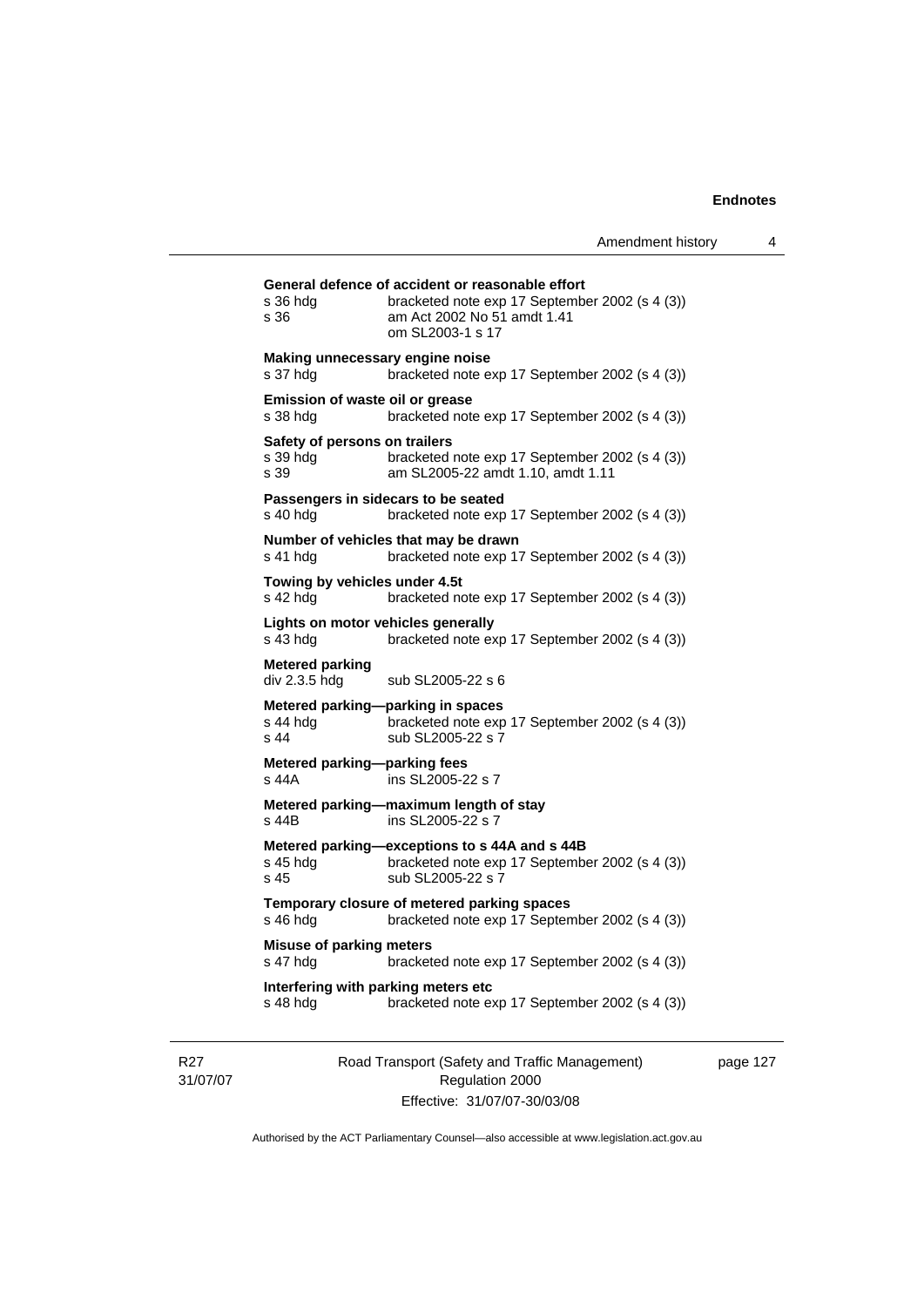| s 36 hdg<br>s 36                                  | bracketed note exp 17 September 2002 (s 4 (3))<br>am Act 2002 No 51 amdt 1.41<br>om SL2003-1 s 17                    |
|---------------------------------------------------|----------------------------------------------------------------------------------------------------------------------|
| s 37 hdg                                          | Making unnecessary engine noise<br>bracketed note exp 17 September 2002 (s 4 (3))                                    |
| Emission of waste oil or grease<br>s 38 hdg       | bracketed note exp 17 September 2002 (s 4 (3))                                                                       |
| Safety of persons on trailers<br>s 39 hdg<br>s 39 | bracketed note exp 17 September 2002 (s 4 (3))<br>am SL2005-22 amdt 1.10, amdt 1.11                                  |
| s 40 hda                                          | Passengers in sidecars to be seated<br>bracketed note exp 17 September 2002 (s 4 (3))                                |
| s 41 hda                                          | Number of vehicles that may be drawn<br>bracketed note exp 17 September 2002 (s 4 (3))                               |
| Towing by vehicles under 4.5t<br>s 42 hda         | bracketed note exp 17 September 2002 (s 4 (3))                                                                       |
| $s$ 43 hdg                                        | Lights on motor vehicles generally<br>bracketed note exp 17 September 2002 (s 4 (3))                                 |
| <b>Metered parking</b><br>div 2.3.5 hdg           | sub SL2005-22 s 6                                                                                                    |
| s 44 hdg<br>s 44                                  | Metered parking-parking in spaces<br>bracketed note exp 17 September 2002 (s 4 (3))<br>sub SL2005-22 s 7             |
| Metered parking-parking fees<br>s 44A             | ins SL2005-22 s 7                                                                                                    |
| s 44B                                             | Metered parking-maximum length of stay<br>ins SL2005-22 s 7                                                          |
| s 45 hda<br>s 45                                  | Metered parking-exceptions to s 44A and s 44B<br>bracketed note exp 17 September 2002 (s 4 (3))<br>sub SL2005-22 s 7 |
| s 46 hdg                                          | Temporary closure of metered parking spaces<br>bracketed note exp 17 September 2002 (s 4 (3))                        |
| <b>Misuse of parking meters</b><br>s 47 hdg       | bracketed note exp 17 September 2002 (s 4 (3))                                                                       |
|                                                   | Interfering with parking meters etc                                                                                  |

R27 31/07/07 Road Transport (Safety and Traffic Management) Regulation 2000 Effective: 31/07/07-30/03/08

page 127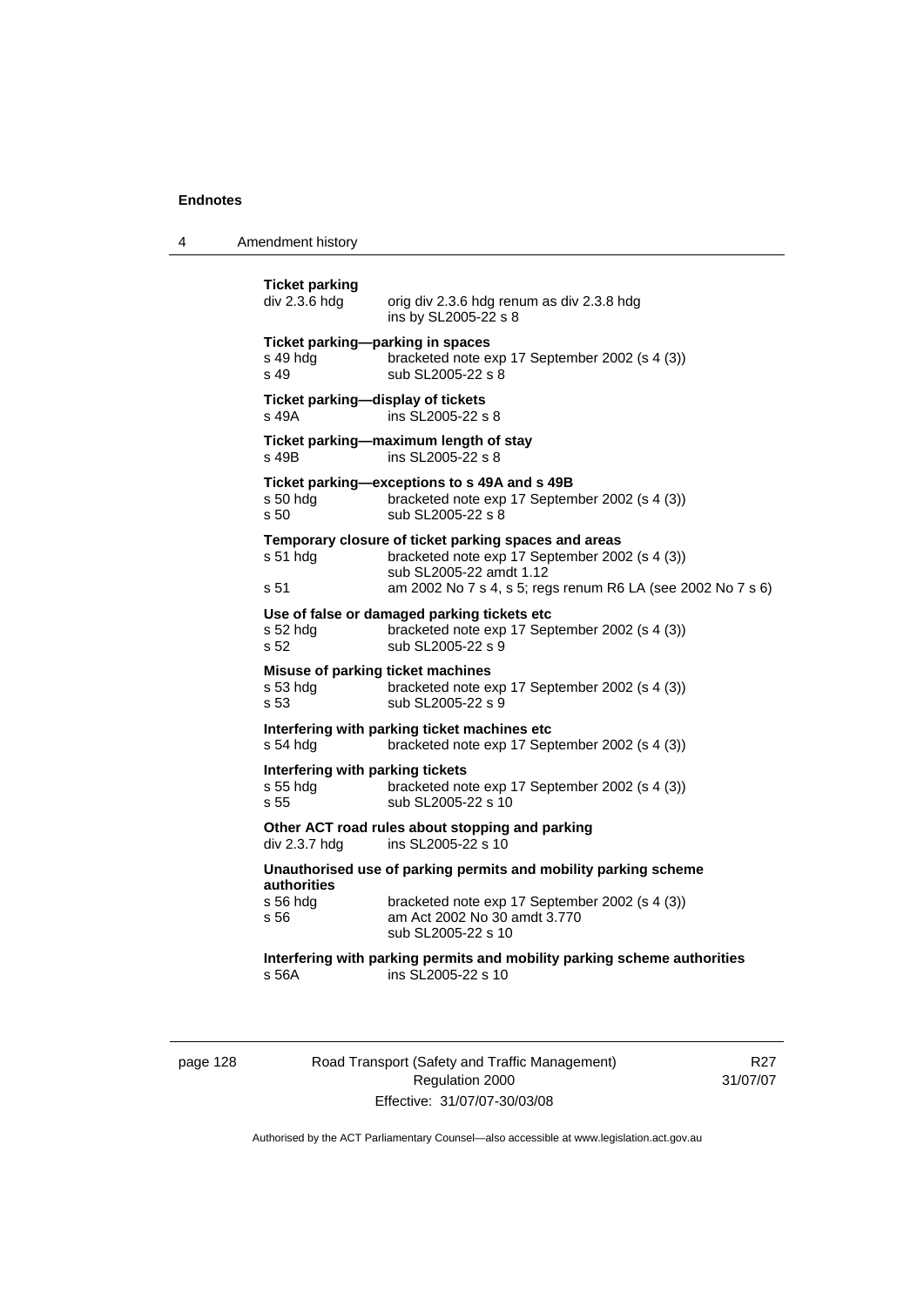4 Amendment history

```
Ticket parking 
                 orig div 2.3.6 hdg renum as div 2.3.8 hdg
                  ins by SL2005-22 s 8 
Ticket parking—parking in spaces 
s 49 hdg bracketed note exp 17 September 2002 (s 4 (3)) 
s 49 sub SL2005-22 s 8 
Ticket parking—display of tickets 
s 49A ins SL2005-22 s 8 
Ticket parking—maximum length of stay 
s 49B ins SL2005-22 s 8 
Ticket parking—exceptions to s 49A and s 49B 
s 50 hdg bracketed note exp 17 September 2002 (s 4 (3)) 
s 50 sub SL2005-22 s 8 
Temporary closure of ticket parking spaces and areas 
s 51 hdg bracketed note exp 17 September 2002 (s 4 (3)) 
                  sub SL2005-22 amdt 1.12 
s 51 am 2002 No 7 s 4, s 5; regs renum R6 LA (see 2002 No 7 s 6) 
Use of false or damaged parking tickets etc 
s 52 hdg bracketed note exp 17 September 2002 (s 4 (3)) 
s 52 sub SL2005-22 s 9
Misuse of parking ticket machines 
s 53 hdg bracketed note exp 17 September 2002 (s 4 (3))<br>s 53 sub SL2005-22 s 9
                 sub SL2005-22 s 9
Interfering with parking ticket machines etc 
s 54 hdg bracketed note exp 17 September 2002 (s 4 (3))
Interfering with parking tickets 
s 55 hdg bracketed note exp 17 September 2002 (s 4 (3)) 
s 55 sub SL2005-22 s 10
Other ACT road rules about stopping and parking 
div 2.3.7 hdg ins SL2005-22 s 10
Unauthorised use of parking permits and mobility parking scheme 
authorities 
s 56 hdg bracketed note exp 17 September 2002 (s 4 (3)) 
s 56 am Act 2002 No 30 amdt 3.770 
                  sub SL2005-22 s 10 
Interfering with parking permits and mobility parking scheme authorities 
s 56A ins SL2005-22 s 10
```
page 128 Road Transport (Safety and Traffic Management) Regulation 2000 Effective: 31/07/07-30/03/08

R27 31/07/07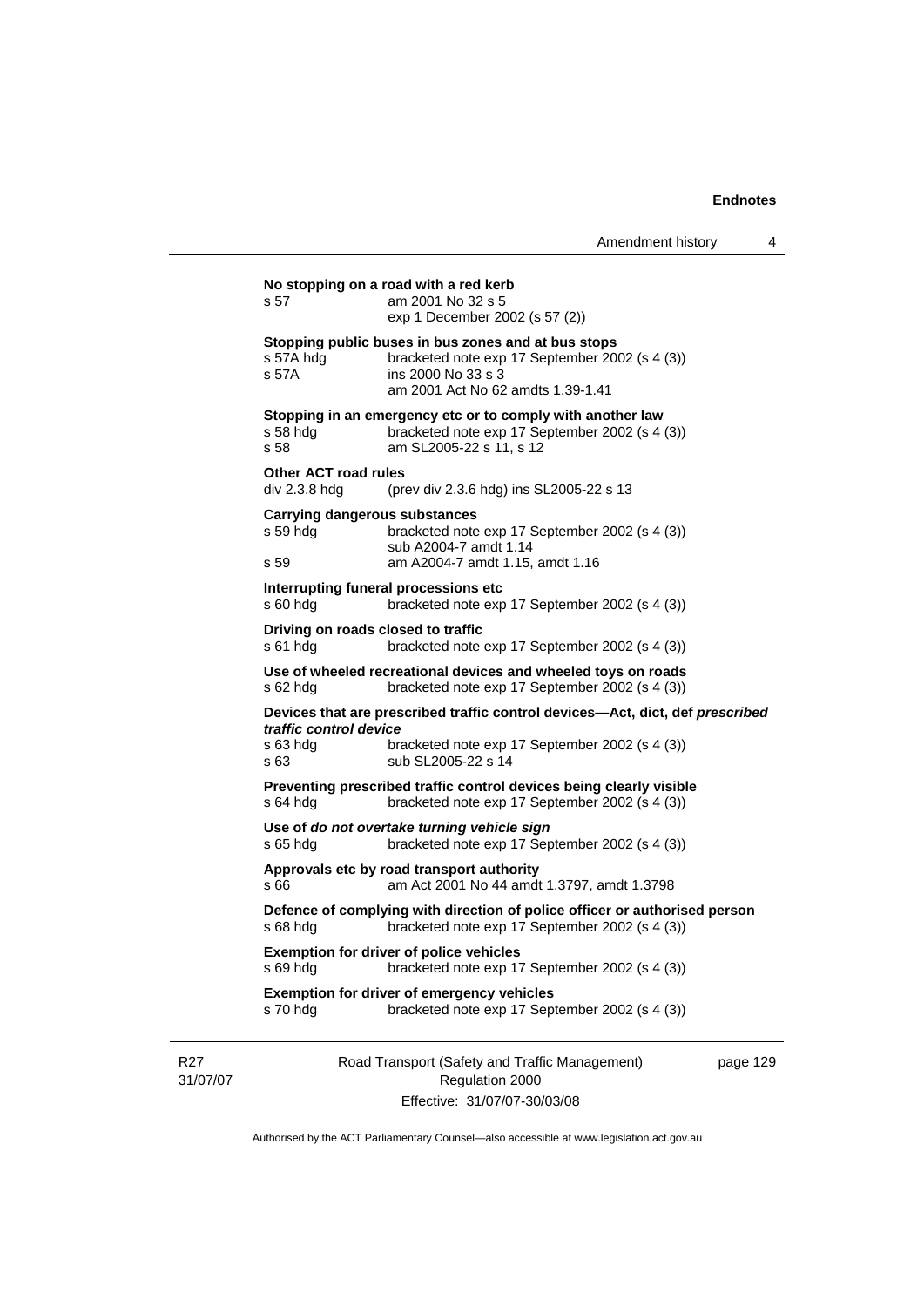|                             | s 57                                                     | No stopping on a road with a red kerb<br>am 2001 No 32 s 5<br>exp 1 December 2002 (s 57 (2))                                                                     |          |
|-----------------------------|----------------------------------------------------------|------------------------------------------------------------------------------------------------------------------------------------------------------------------|----------|
|                             | s 57A hdg<br>s 57A                                       | Stopping public buses in bus zones and at bus stops<br>bracketed note exp 17 September 2002 (s 4 (3))<br>ins 2000 No 33 s 3<br>am 2001 Act No 62 amdts 1.39-1.41 |          |
|                             | s 58 hda<br>s 58                                         | Stopping in an emergency etc or to comply with another law<br>bracketed note exp 17 September 2002 (s 4 (3))<br>am SL2005-22 s 11, s 12                          |          |
|                             | <b>Other ACT road rules</b><br>div 2.3.8 hdg             | (prev div 2.3.6 hdg) ins SL2005-22 s 13                                                                                                                          |          |
|                             | <b>Carrying dangerous substances</b><br>s 59 hdg<br>s 59 | bracketed note exp 17 September 2002 (s 4 (3))<br>sub A2004-7 amdt 1.14<br>am A2004-7 amdt 1.15, amdt 1.16                                                       |          |
|                             | $s$ 60 hdg                                               | Interrupting funeral processions etc<br>bracketed note exp 17 September 2002 (s 4 (3))                                                                           |          |
|                             | Driving on roads closed to traffic<br>$s61$ hdg          | bracketed note exp 17 September 2002 (s 4 (3))                                                                                                                   |          |
|                             | s 62 hdg                                                 | Use of wheeled recreational devices and wheeled toys on roads<br>bracketed note exp 17 September 2002 (s 4 (3))                                                  |          |
|                             | traffic control device<br>s 63 hdg<br>s 63               | Devices that are prescribed traffic control devices-Act, dict, def prescribed<br>bracketed note exp 17 September 2002 (s 4 (3))<br>sub SL2005-22 s 14            |          |
|                             | $s$ 64 hdg                                               | Preventing prescribed traffic control devices being clearly visible<br>bracketed note exp 17 September 2002 (s 4 (3))                                            |          |
|                             | $s$ 65 hdg                                               | Use of do not overtake turning vehicle sign<br>bracketed note exp 17 September 2002 (s 4 (3))                                                                    |          |
|                             | s 66                                                     | Approvals etc by road transport authority<br>am Act 2001 No 44 amdt 1.3797, amdt 1.3798                                                                          |          |
|                             | s 68 hdg                                                 | Defence of complying with direction of police officer or authorised person<br>bracketed note exp 17 September 2002 (s 4 (3))                                     |          |
|                             | s 69 hdg                                                 | <b>Exemption for driver of police vehicles</b><br>bracketed note exp 17 September 2002 (s 4 (3))                                                                 |          |
|                             | s 70 hdg                                                 | <b>Exemption for driver of emergency vehicles</b><br>bracketed note exp 17 September 2002 (s 4 (3))                                                              |          |
| R <sub>27</sub><br>31/07/07 |                                                          | Road Transport (Safety and Traffic Management)<br>Regulation 2000<br>Effective: 31/07/07-30/03/08                                                                | page 129 |

Authorised by the ACT Parliamentary Counsel—also accessible at www.legislation.act.gov.au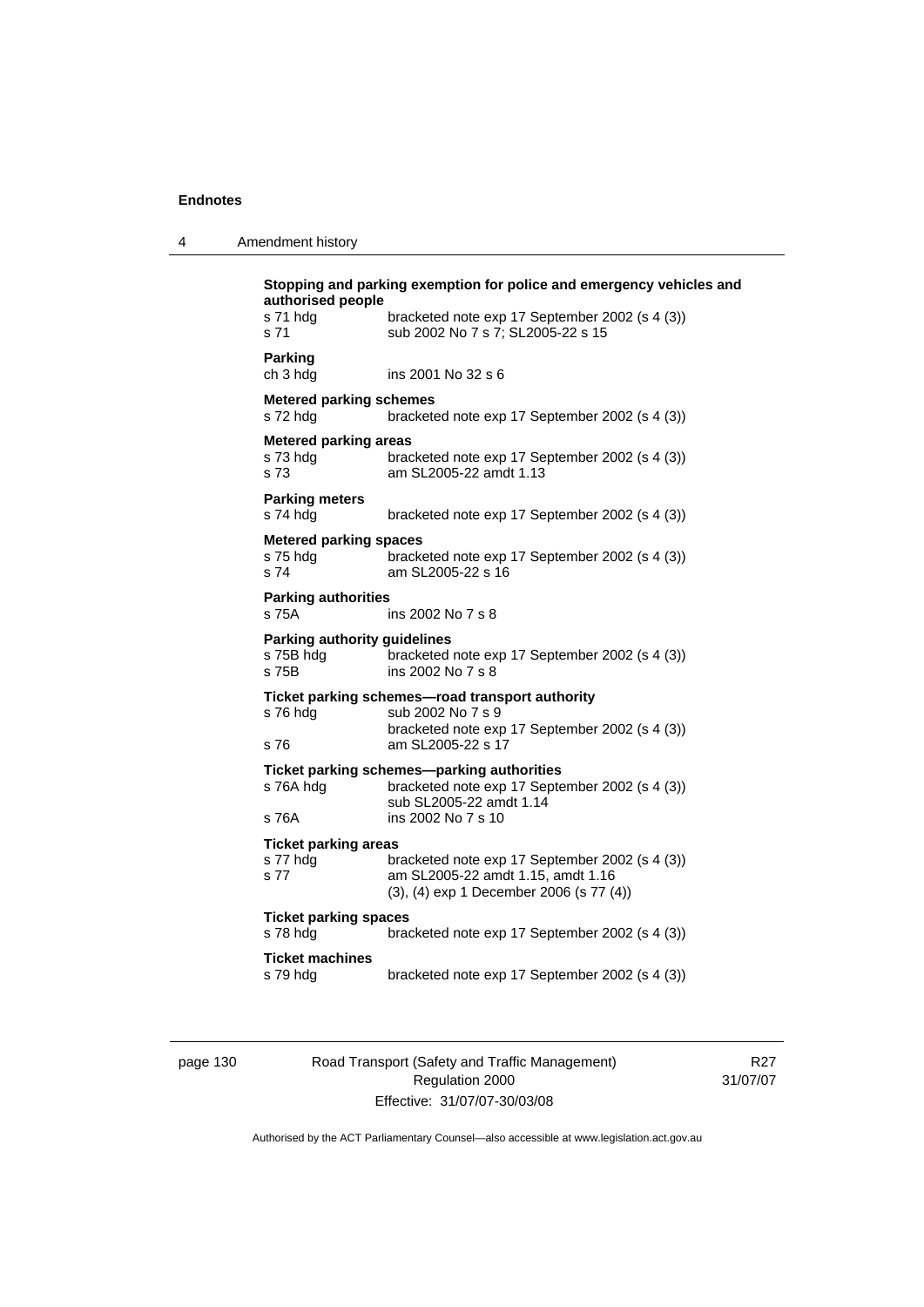4 Amendment history

| ins 2001 No 32 s 6<br><b>Metered parking schemes</b><br>bracketed note exp 17 September 2002 (s 4 (3))<br><b>Metered parking areas</b><br>bracketed note exp 17 September 2002 (s 4 (3))<br>am SL2005-22 amdt 1.13<br>bracketed note exp 17 September 2002 (s 4 (3))<br><b>Metered parking spaces</b><br>bracketed note exp 17 September 2002 (s 4 (3))<br>am SL2005-22 s 16<br><b>Parking authorities</b><br>ins 2002 No 7 s 8<br><b>Parking authority guidelines</b> |
|------------------------------------------------------------------------------------------------------------------------------------------------------------------------------------------------------------------------------------------------------------------------------------------------------------------------------------------------------------------------------------------------------------------------------------------------------------------------|
|                                                                                                                                                                                                                                                                                                                                                                                                                                                                        |
|                                                                                                                                                                                                                                                                                                                                                                                                                                                                        |
|                                                                                                                                                                                                                                                                                                                                                                                                                                                                        |
|                                                                                                                                                                                                                                                                                                                                                                                                                                                                        |
|                                                                                                                                                                                                                                                                                                                                                                                                                                                                        |
|                                                                                                                                                                                                                                                                                                                                                                                                                                                                        |
| bracketed note exp 17 September 2002 (s 4 (3))<br>ins 2002 No 7 s 8                                                                                                                                                                                                                                                                                                                                                                                                    |
| Ticket parking schemes-road transport authority<br>sub 2002 No 7 s 9<br>bracketed note exp 17 September 2002 (s 4 (3))<br>am SL2005-22 s 17                                                                                                                                                                                                                                                                                                                            |
| Ticket parking schemes-parking authorities<br>bracketed note exp 17 September 2002 (s 4 (3))<br>sub SL2005-22 amdt 1.14<br>ins 2002 No 7 s 10                                                                                                                                                                                                                                                                                                                          |
| <b>Ticket parking areas</b><br>bracketed note exp 17 September 2002 (s 4 (3))<br>am SL2005-22 amdt 1.15, amdt 1.16<br>(3), (4) exp 1 December 2006 (s 77 (4))                                                                                                                                                                                                                                                                                                          |
| <b>Ticket parking spaces</b><br>bracketed note exp 17 September 2002 (s 4 (3))                                                                                                                                                                                                                                                                                                                                                                                         |
| bracketed note exp 17 September 2002 (s 4 (3))                                                                                                                                                                                                                                                                                                                                                                                                                         |

page 130 Road Transport (Safety and Traffic Management) Regulation 2000 Effective: 31/07/07-30/03/08

R27 31/07/07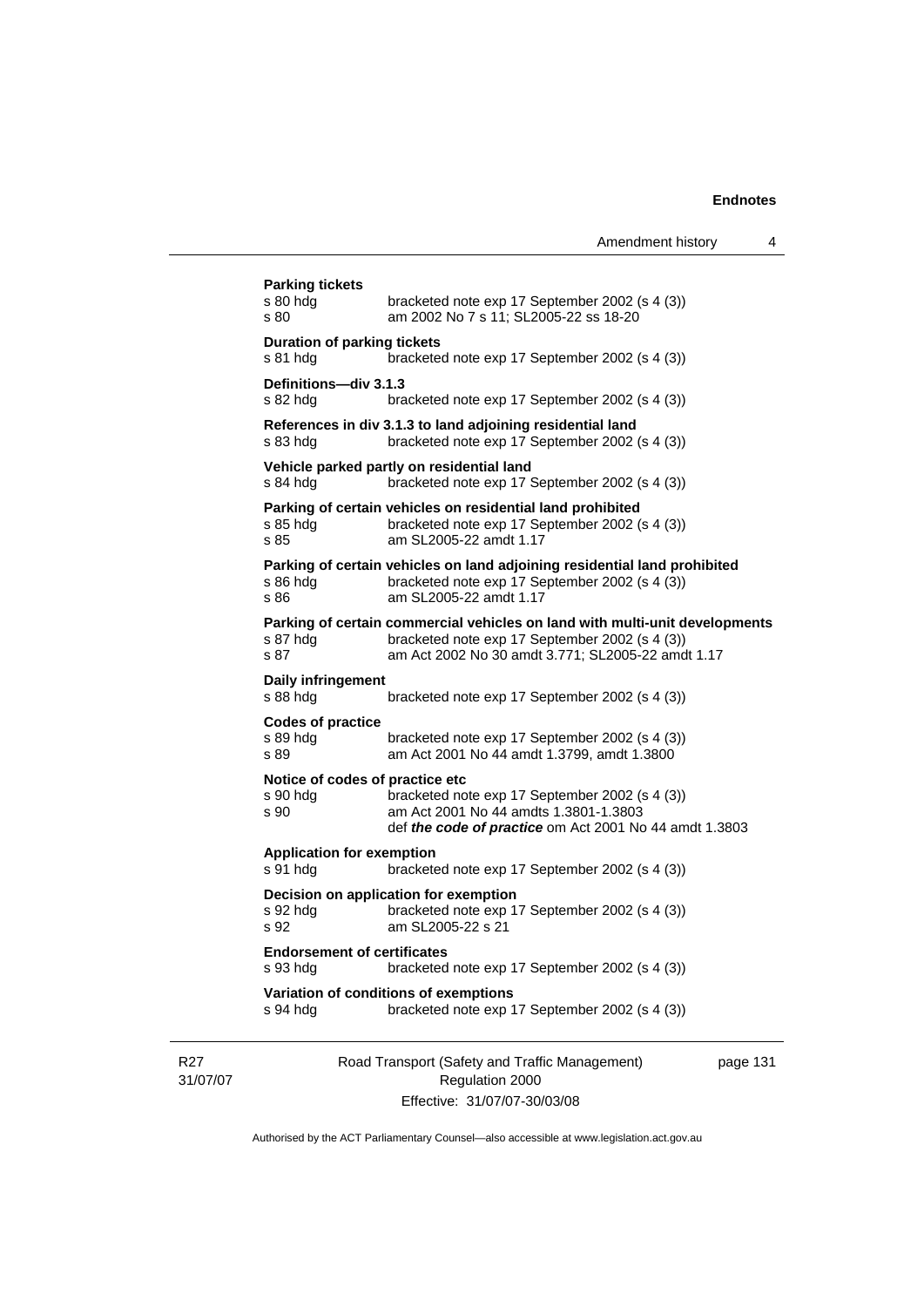|                             | <b>Parking tickets</b><br>s 80 hdg<br>s 80          | bracketed note exp 17 September 2002 (s 4 (3))<br>am 2002 No 7 s 11; SL2005-22 ss 18-20                                                                                            |          |
|-----------------------------|-----------------------------------------------------|------------------------------------------------------------------------------------------------------------------------------------------------------------------------------------|----------|
|                             | <b>Duration of parking tickets</b><br>s 81 hdg      | bracketed note exp 17 September 2002 (s 4 (3))                                                                                                                                     |          |
|                             | <b>Definitions—div 3.1.3</b><br>s 82 hdg            | bracketed note exp 17 September 2002 (s 4 (3))                                                                                                                                     |          |
|                             | s 83 hdg                                            | References in div 3.1.3 to land adjoining residential land<br>bracketed note exp 17 September 2002 (s 4 (3))                                                                       |          |
|                             | s 84 hdg                                            | Vehicle parked partly on residential land<br>bracketed note exp 17 September 2002 (s 4 (3))                                                                                        |          |
|                             | s 85 hdg<br>s 85                                    | Parking of certain vehicles on residential land prohibited<br>bracketed note exp 17 September 2002 (s 4 (3))<br>am SL2005-22 amdt 1.17                                             |          |
|                             | s 86 hdg<br>s 86                                    | Parking of certain vehicles on land adjoining residential land prohibited<br>bracketed note exp 17 September 2002 (s 4 (3))<br>am SL2005-22 amdt 1.17                              |          |
|                             | s 87 hdg<br>s 87                                    | Parking of certain commercial vehicles on land with multi-unit developments<br>bracketed note exp 17 September 2002 (s 4 (3))<br>am Act 2002 No 30 amdt 3.771; SL2005-22 amdt 1.17 |          |
|                             | Daily infringement<br>s 88 hdg                      | bracketed note exp 17 September 2002 (s 4 (3))                                                                                                                                     |          |
|                             | <b>Codes of practice</b><br>s 89 hdg<br>s 89        | bracketed note exp 17 September 2002 (s 4 (3))<br>am Act 2001 No 44 amdt 1.3799, amdt 1.3800                                                                                       |          |
|                             | Notice of codes of practice etc<br>s 90 hdg<br>s 90 | bracketed note exp 17 September 2002 (s 4 (3))<br>am Act 2001 No 44 amdts 1.3801-1.3803<br>def the code of practice om Act 2001 No 44 amdt 1.3803                                  |          |
|                             | <b>Application for exemption</b><br>s 91 hdg        | bracketed note exp 17 September 2002 (s 4 (3))                                                                                                                                     |          |
|                             | s 92 hdg<br>s 92                                    | Decision on application for exemption<br>bracketed note exp 17 September 2002 (s 4 (3))<br>am SL2005-22 s 21                                                                       |          |
|                             | <b>Endorsement of certificates</b><br>s 93 hdg      | bracketed note exp 17 September 2002 (s 4 (3))                                                                                                                                     |          |
|                             | s 94 hdg                                            | Variation of conditions of exemptions<br>bracketed note exp 17 September 2002 (s 4 (3))                                                                                            |          |
| R <sub>27</sub><br>31/07/07 |                                                     | Road Transport (Safety and Traffic Management)<br>Regulation 2000                                                                                                                  | page 131 |
|                             |                                                     | Effective: 31/07/07-30/03/08                                                                                                                                                       |          |

Authorised by the ACT Parliamentary Counsel—also accessible at www.legislation.act.gov.au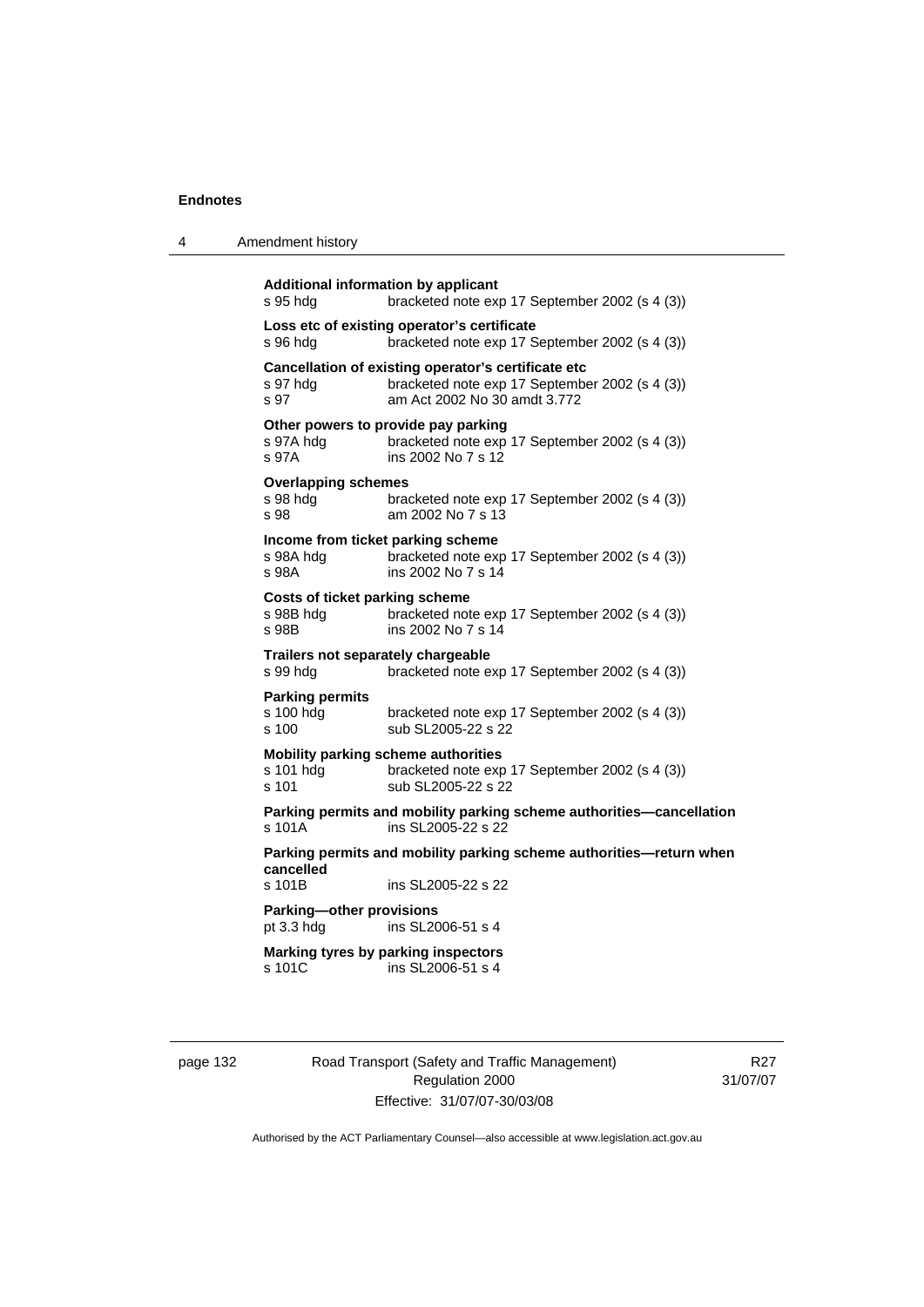| 4 | Amendment history |
|---|-------------------|
|---|-------------------|

```
Additional information by applicant 
s 95 hdg bracketed note exp 17 September 2002 (s 4 (3)) 
Loss etc of existing operator's certificate 
s 96 hdg bracketed note exp 17 September 2002 (s 4 (3)) 
Cancellation of existing operator's certificate etc 
s 97 hdg bracketed note exp 17 September 2002 (s 4 (3)) 
s 97 am Act 2002 No 30 amdt 3.772 
Other powers to provide pay parking 
s 97A hdg bracketed note exp 17 September 2002 (s 4 (3))
s 97A ins 2002 No 7 s 12 
Overlapping schemes 
s 98 hdg bracketed note exp 17 September 2002 (s 4 (3))
s 98 am 2002 No 7 s 13 
Income from ticket parking scheme 
s 98A hdg bracketed note exp 17 September 2002 (s 4 (3))<br>s 98A bracketed note exp 17 September 2002 (s 4 (3))
                 ins 2002 No 7 s 14
Costs of ticket parking scheme 
s 98B hdg bracketed note exp 17 September 2002 (s 4 (3)) 
s 98B ins 2002 No 7 s 14
Trailers not separately chargeable 
s 99 hdg bracketed note exp 17 September 2002 (s 4 (3)) 
Parking permits 
s 100 hdg bracketed note exp 17 September 2002 (s 4 (3)) 
s 100 sub SL 2005-22 s 22
Mobility parking scheme authorities 
s 101 hdg bracketed note exp 17 September 2002 (s 4 (3)) 
s 101 sub SL2005-22 s 22
Parking permits and mobility parking scheme authorities—cancellation 
s 101A ins SL2005-22 s 22
Parking permits and mobility parking scheme authorities—return when 
cancelled 
s 101B ins SL2005-22 s 22 
Parking—other provisions 
pt 3.3 hdg ins SL2006-51 s 4 
Marking tyres by parking inspectors 
s 101C ins SL2006-51 s 4
```
page 132 Road Transport (Safety and Traffic Management) Regulation 2000 Effective: 31/07/07-30/03/08

R27 31/07/07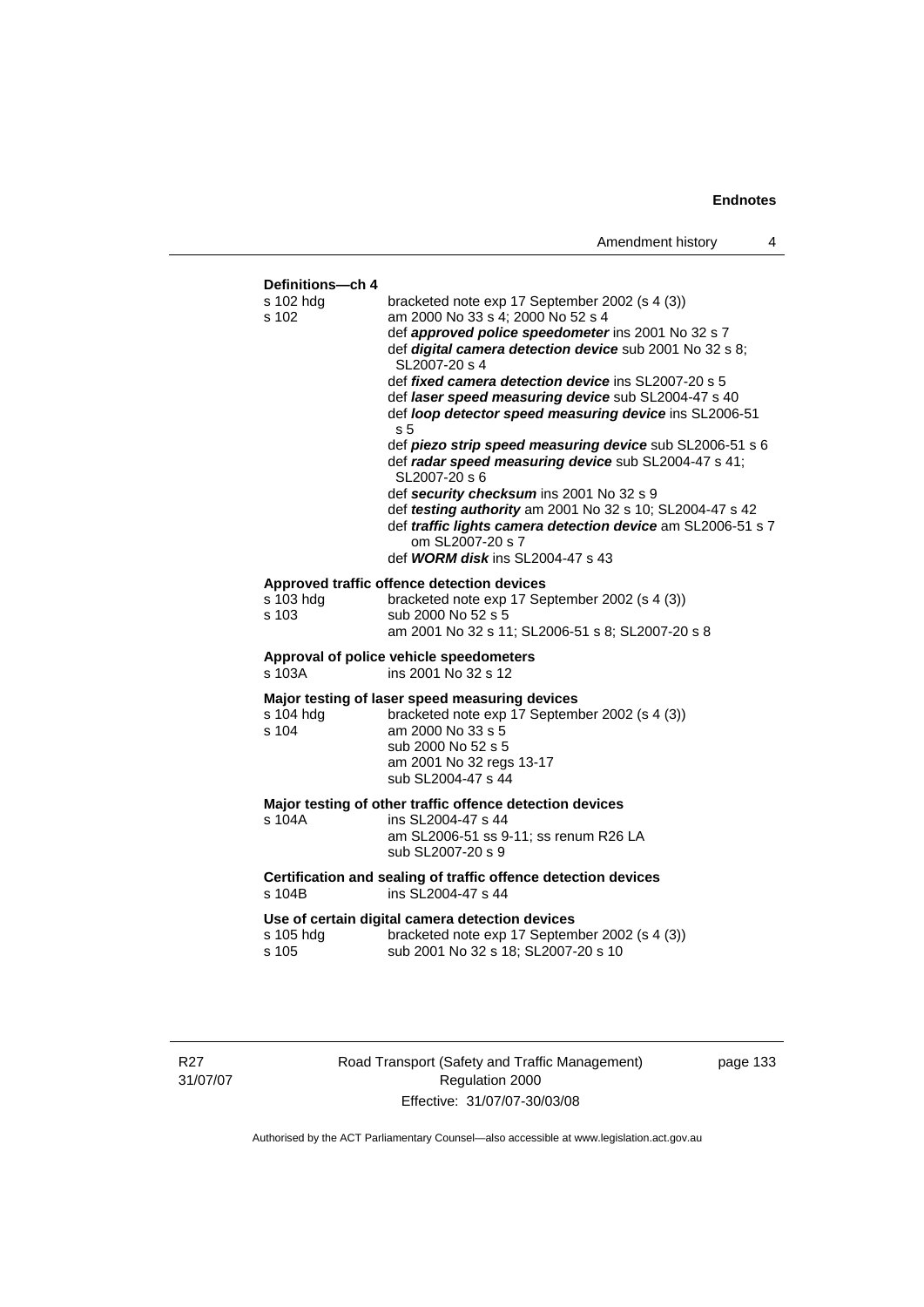|                                        | Amendment history<br>4                                                                                                                                                                                                                                                                                                                                                                                                                                                                                                                                                                                                                                                                                                                                                          |  |
|----------------------------------------|---------------------------------------------------------------------------------------------------------------------------------------------------------------------------------------------------------------------------------------------------------------------------------------------------------------------------------------------------------------------------------------------------------------------------------------------------------------------------------------------------------------------------------------------------------------------------------------------------------------------------------------------------------------------------------------------------------------------------------------------------------------------------------|--|
|                                        |                                                                                                                                                                                                                                                                                                                                                                                                                                                                                                                                                                                                                                                                                                                                                                                 |  |
| Definitions-ch 4<br>s 102 hdq<br>s 102 | bracketed note exp 17 September 2002 (s 4 (3))<br>am 2000 No 33 s 4; 2000 No 52 s 4<br>def approved police speedometer ins 2001 No 32 s 7<br>def digital camera detection device sub 2001 No 32 s 8;<br>SL2007-20 s 4<br>def fixed camera detection device ins SL2007-20 s 5<br>def laser speed measuring device sub SL2004-47 s 40<br>def loop detector speed measuring device ins SL2006-51<br>s 5<br>def piezo strip speed measuring device sub SL2006-51 s 6<br>def radar speed measuring device sub SL2004-47 s 41;<br>SL2007-20 s 6<br>def security checksum ins 2001 No 32 s 9<br>def testing authority am 2001 No 32 s 10; SL2004-47 s 42<br>def traffic lights camera detection device am SL2006-51 s 7<br>om SL2007-20 s 7<br>def <b>WORM disk</b> ins SL2004-47 s 43 |  |
| s 103 hdg<br>s 103                     | Approved traffic offence detection devices<br>bracketed note exp 17 September 2002 (s 4 (3))<br>sub 2000 No 52 s 5<br>am 2001 No 32 s 11; SL2006-51 s 8; SL2007-20 s 8                                                                                                                                                                                                                                                                                                                                                                                                                                                                                                                                                                                                          |  |
| s 103A                                 | Approval of police vehicle speedometers<br>ins 2001 No 32 s 12                                                                                                                                                                                                                                                                                                                                                                                                                                                                                                                                                                                                                                                                                                                  |  |
| s 104 hdg<br>s 104                     | Major testing of laser speed measuring devices<br>bracketed note exp 17 September 2002 (s 4 (3))<br>am 2000 No 33 s 5<br>sub 2000 No 52 s 5<br>am 2001 No 32 regs 13-17<br>sub SL2004-47 s 44                                                                                                                                                                                                                                                                                                                                                                                                                                                                                                                                                                                   |  |
| s 104A                                 | Major testing of other traffic offence detection devices<br>ins SL2004-47 s 44<br>am SL2006-51 ss 9-11; ss renum R26 LA<br>sub SL2007-20 s 9                                                                                                                                                                                                                                                                                                                                                                                                                                                                                                                                                                                                                                    |  |
| s 104B                                 | Certification and sealing of traffic offence detection devices<br>ins SL2004-47 s 44                                                                                                                                                                                                                                                                                                                                                                                                                                                                                                                                                                                                                                                                                            |  |
| s 105 hdg                              | Use of certain digital camera detection devices<br>bracketed note exp 17 September 2002 (s 4 (3))                                                                                                                                                                                                                                                                                                                                                                                                                                                                                                                                                                                                                                                                               |  |

s 105 sub 2001 No 32 s 18; SL2007-20 s 10

R27 31/07/07 Road Transport (Safety and Traffic Management) Regulation 2000 Effective: 31/07/07-30/03/08

page 133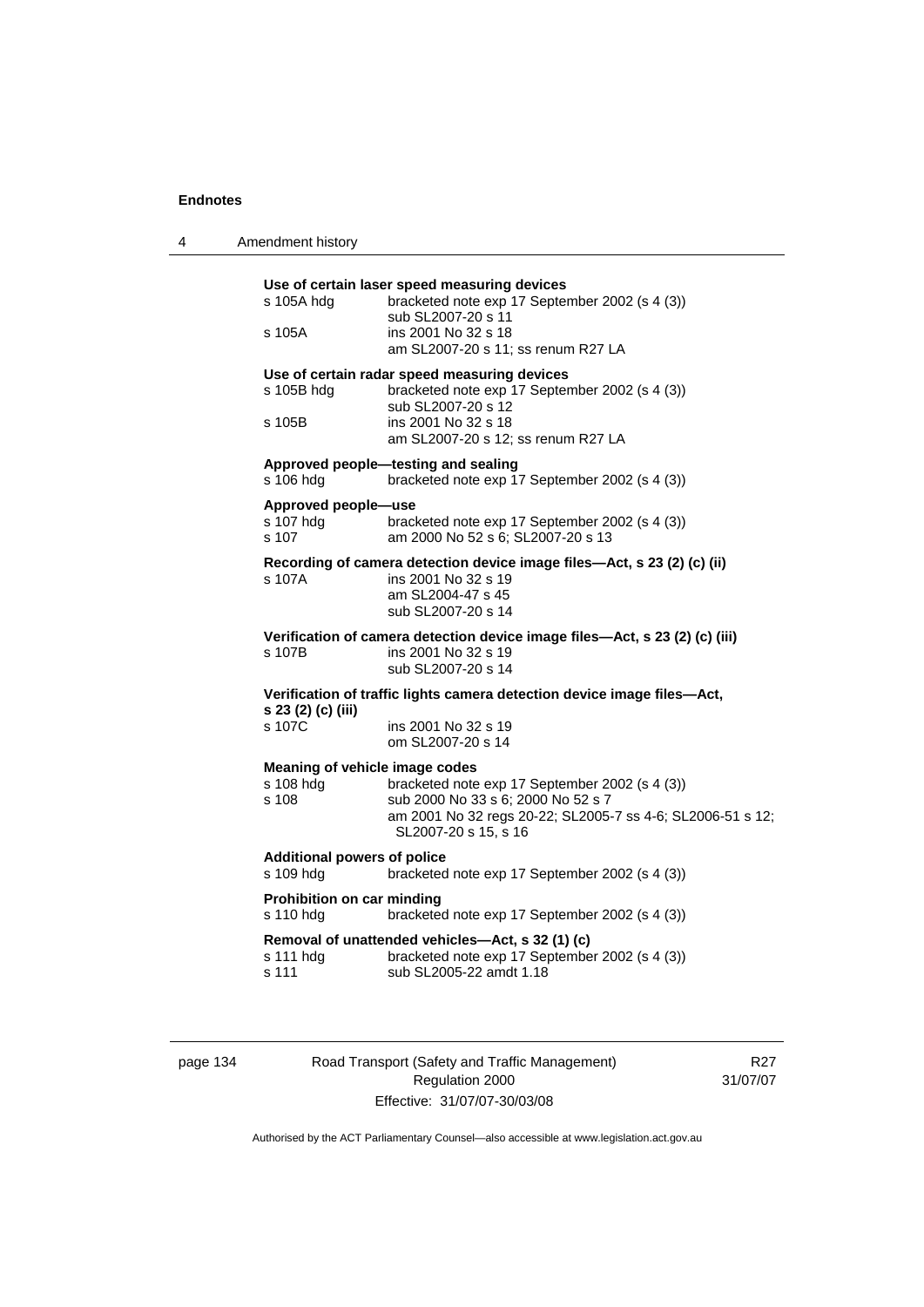| 4 | Amendment history                                    |                                                                                                                                                                                   |  |
|---|------------------------------------------------------|-----------------------------------------------------------------------------------------------------------------------------------------------------------------------------------|--|
|   | s 105A hdg<br>s 105A                                 | Use of certain laser speed measuring devices<br>bracketed note exp 17 September 2002 (s 4 (3))<br>sub SL2007-20 s 11<br>ins 2001 No 32 s 18<br>am SL2007-20 s 11; ss renum R27 LA |  |
|   | s 105B hdg<br>s 105B                                 | Use of certain radar speed measuring devices<br>bracketed note exp 17 September 2002 (s 4 (3))<br>sub SL2007-20 s 12<br>ins 2001 No 32 s 18<br>am SL2007-20 s 12; ss renum R27 LA |  |
|   | s 106 hdg                                            | Approved people-testing and sealing<br>bracketed note exp 17 September 2002 (s 4 (3))                                                                                             |  |
|   | Approved people-use<br>s 107 hdg<br>s 107            | bracketed note exp 17 September 2002 (s 4 (3))<br>am 2000 No 52 s 6; SL2007-20 s 13                                                                                               |  |
|   | s 107A                                               | Recording of camera detection device image files-Act, s 23 (2) (c) (ii)<br>ins 2001 No 32 s 19<br>am SL2004-47 s 45<br>sub SL2007-20 s 14                                         |  |
|   | s 107B                                               | Verification of camera detection device image files-Act, s 23 (2) (c) (iii)<br>ins 2001 No 32 s 19<br>sub SL2007-20 s 14                                                          |  |
|   | s 23 (2) (c) (iii)<br>s 107C                         | Verification of traffic lights camera detection device image files-Act,<br>ins 2001 No 32 s 19<br>om SL2007-20 s 14                                                               |  |
|   | Meaning of vehicle image codes<br>s 108 hdg<br>s 108 | bracketed note exp 17 September 2002 (s 4 (3))<br>sub 2000 No 33 s 6; 2000 No 52 s 7<br>am 2001 No 32 regs 20-22; SL2005-7 ss 4-6; SL2006-51 s 12;<br>SL2007-20 s 15, s 16        |  |
|   | <b>Additional powers of police</b><br>s 109 hdg      | bracketed note exp 17 September 2002 (s 4 (3))                                                                                                                                    |  |
|   | Prohibition on car minding<br>s 110 hdg              | bracketed note exp 17 September 2002 (s 4 (3))                                                                                                                                    |  |
|   | s 111 hdg<br>s 111                                   | Removal of unattended vehicles-Act, s 32 (1) (c)<br>bracketed note exp 17 September 2002 (s 4 (3))<br>sub SL2005-22 amdt 1.18                                                     |  |

page 134 Road Transport (Safety and Traffic Management) Regulation 2000 Effective: 31/07/07-30/03/08

R27 31/07/07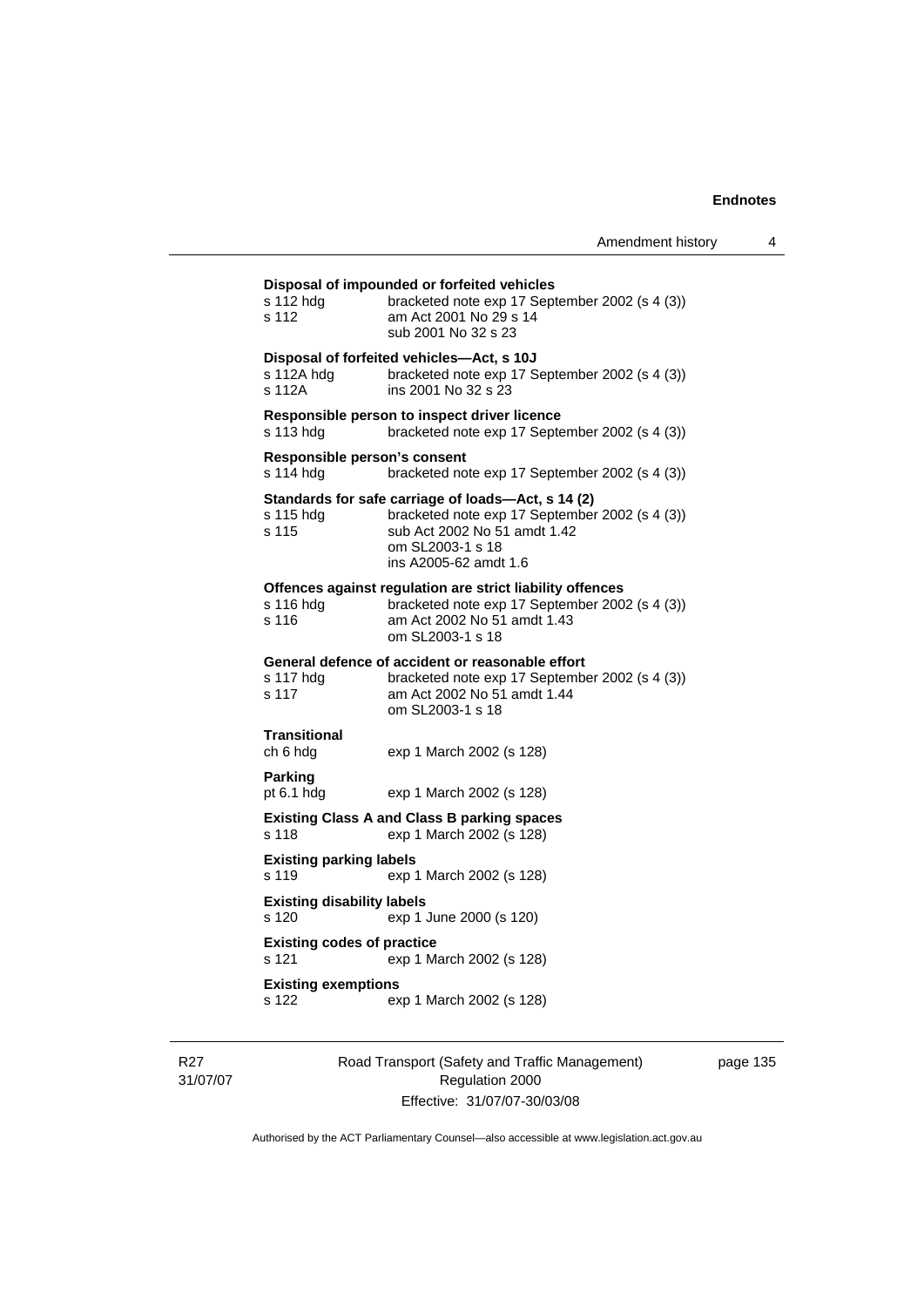# **Disposal of impounded or forfeited vehicles**  s 112 hdg bracketed note exp 17 September 2002 (s 4 (3)) s 112 am Act 2001 No 29 s 14 sub 2001 No 32 s 23 **Disposal of forfeited vehicles—Act, s 10J**  s 112A hdg bracketed note exp 17 September 2002 (s 4 (3)) s 112A ins 2001 No 32 s 23 **Responsible person to inspect driver licence**  s 113 hdg bracketed note exp 17 September 2002 (s 4 (3)) **Responsible person's consent**  s 114 hdg bracketed note exp 17 September 2002 (s 4 (3)) **Standards for safe carriage of loads—Act, s 14 (2)**  bracketed note exp 17 September 2002 (s 4 (3)) s 115 sub Act 2002 No 51 amdt 1.42 om SL2003-1 s 18 ins A2005-62 amdt 1.6 **Offences against regulation are strict liability offences**  s 116 hdg bracketed note exp 17 September 2002 (s 4 (3))<br>s 116 am Act 2002 No 51 amdt 1.43 am Act 2002 No 51 amdt 1.43 om SL2003-1 s 18 **General defence of accident or reasonable effort**  s 117 hdg bracketed note exp 17 September 2002 (s 4 (3)) s 117 am Act 2002 No 51 amdt 1.44 om SL2003-1 s 18 **Transitional**  ch 6 hdg exp 1 March 2002 (s 128) **Parking**  pt 6.1 hdg exp 1 March 2002 (s 128) **Existing Class A and Class B parking spaces**  s 118 exp 1 March 2002 (s 128) **Existing parking labels**  s 119 exp 1 March 2002 (s 128) **Existing disability labels**  s 120 exp 1 June 2000 (s 120) **Existing codes of practice**  s 121 exp 1 March 2002 (s 128) **Existing exemptions**  s 122 exp 1 March 2002 (s 128)

R<sub>27</sub> 31/07/07 Road Transport (Safety and Traffic Management) Regulation 2000 Effective: 31/07/07-30/03/08

page 135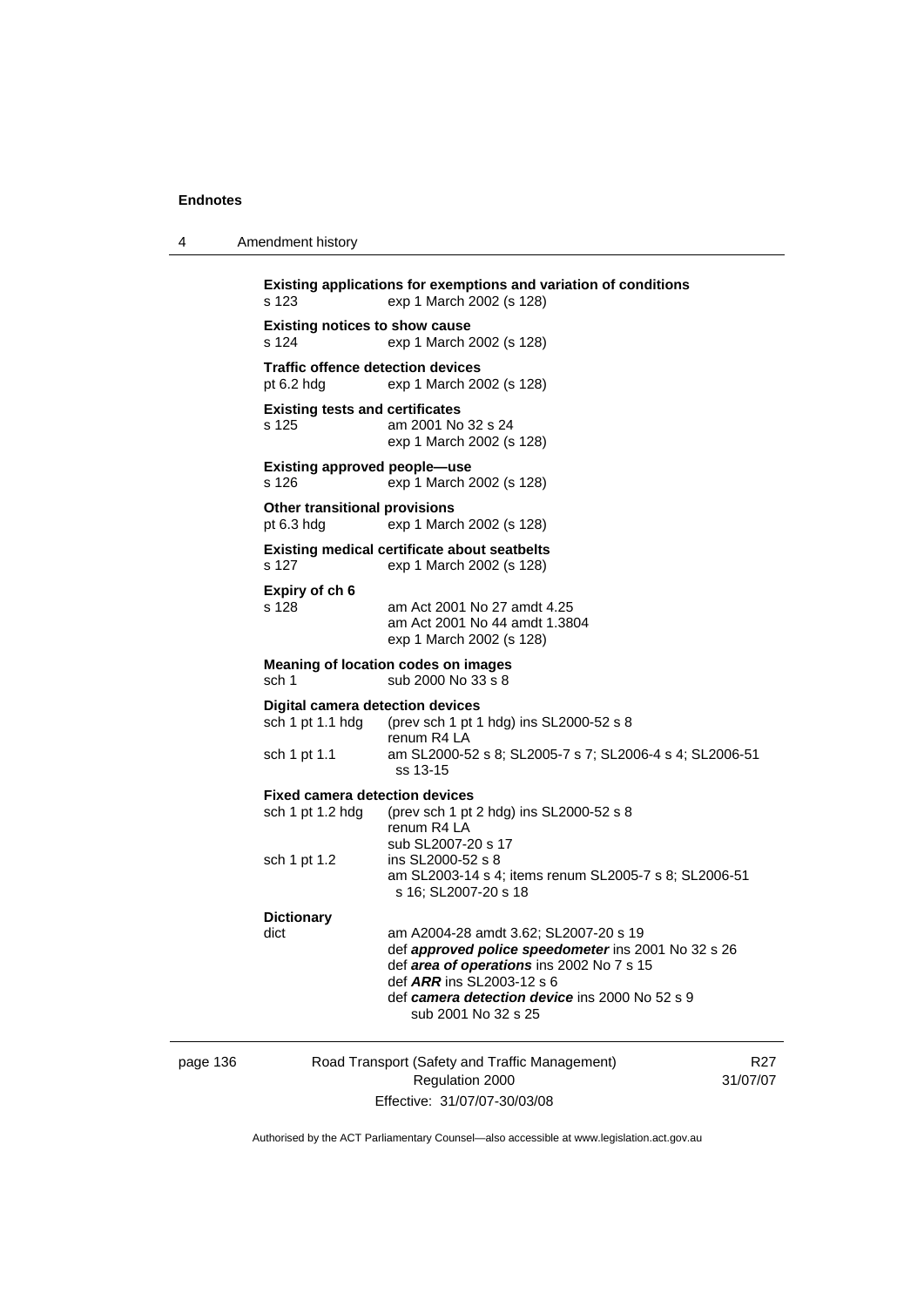| 4 | Amendment history |  |
|---|-------------------|--|
|   |                   |  |

```
Existing applications for exemptions and variation of conditions 
s 123 exp 1 March 2002 (s 128) 
Existing notices to show cause 
s 124 exp 1 March 2002 (s 128) 
Traffic offence detection devices 
pt 6.2 hdg exp 1 March 2002 (s 128) 
Existing tests and certificates 
s 125 am 2001 No 32 s 24 
                   exp 1 March 2002 (s 128) 
Existing approved people—use 
s 126 exp 1 March 2002 (s 128) 
Other transitional provisions 
pt 6.3 hdg exp 1 March 2002 (s 128) 
Existing medical certificate about seatbelts 
s 127 exp 1 March 2002 (s 128) 
Expiry of ch 6 
s 128 am Act 2001 No 27 amdt 4.25 
                   am Act 2001 No 44 amdt 1.3804 
                   exp 1 March 2002 (s 128) 
Meaning of location codes on images 
sch 1 sub 2000 No 33 s 8
Digital camera detection devices 
sch 1 pt 1.1 hdg (prev sch 1 pt 1 hdg) ins SL2000-52 s 8 
renum R4 LA<br>sch 1 pt 1.1 am SL2000-5
                  am SL2000-52 s 8; SL2005-7 s 7; SL2006-4 s 4; SL2006-51
                   ss 13-15 
Fixed camera detection devices 
sch 1 pt 1.2 hdg (prev sch 1 pt 2 hdg) ins SL2000-52 s 8 
                   renum R4 LA 
sub SL2007-20 s 17<br>sch 1 pt 1.2 ins SL2000-52 s 8
                  ins SL2000-52 s 8
                   am SL2003-14 s 4; items renum SL2005-7 s 8; SL2006-51 
                   s 16; SL2007-20 s 18 
Dictionary 
dict am A2004-28 amdt 3.62; SL2007-20 s 19 
                   def approved police speedometer ins 2001 No 32 s 26 
                   def area of operations ins 2002 No 7 s 15 
                   def ARR ins SL2003-12 s 6 
                   def camera detection device ins 2000 No 52 s 9 
                      sub 2001 No 32 s 25
```
page 136 Road Transport (Safety and Traffic Management) Regulation 2000 Effective: 31/07/07-30/03/08

R27 31/07/07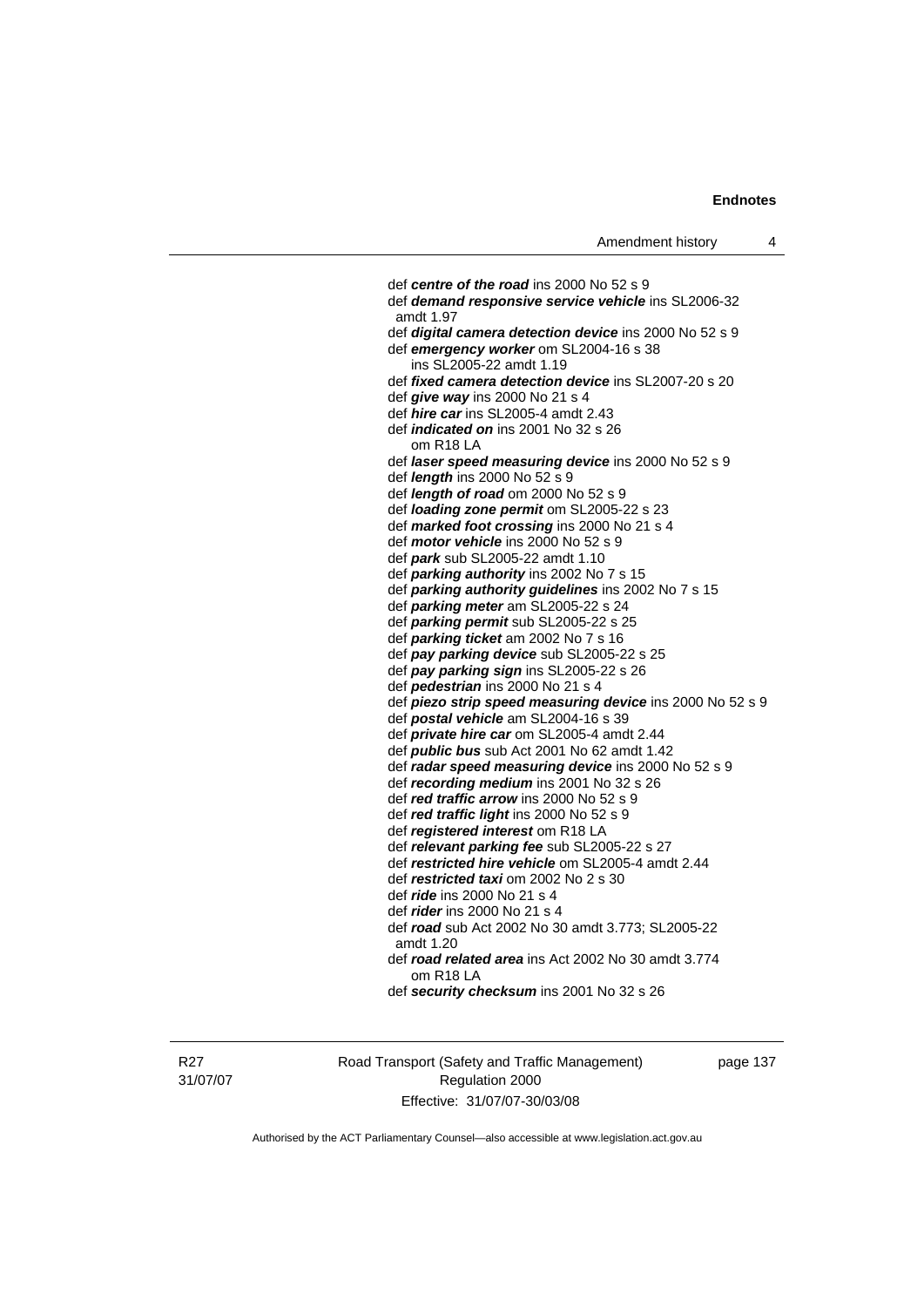def *centre of the road* ins 2000 No 52 s 9 def *demand responsive service vehicle* ins SL2006-32 amdt 1.97 def *digital camera detection device* ins 2000 No 52 s 9 def *emergency worker* om SL2004-16 s 38 ins SL2005-22 amdt 1.19 def *fixed camera detection device* ins SL2007-20 s 20 def *give way* ins 2000 No 21 s 4 def *hire car* ins SL2005-4 amdt 2.43 def *indicated on* ins 2001 No 32 s 26 om R18 LA def *laser speed measuring device* ins 2000 No 52 s 9 def *length* ins 2000 No 52 s 9 def *length of road* om 2000 No 52 s 9 def *loading zone permit* om SL2005-22 s 23 def *marked foot crossing* ins 2000 No 21 s 4 def *motor vehicle* ins 2000 No 52 s 9 def *park* sub SL2005-22 amdt 1.10 def *parking authority* ins 2002 No 7 s 15 def *parking authority guidelines* ins 2002 No 7 s 15 def *parking meter* am SL2005-22 s 24 def *parking permit* sub SL2005-22 s 25 def *parking ticket* am 2002 No 7 s 16 def *pay parking device* sub SL2005-22 s 25 def *pay parking sign* ins SL2005-22 s 26 def *pedestrian* ins 2000 No 21 s 4 def *piezo strip speed measuring device* ins 2000 No 52 s 9 def *postal vehicle* am SL2004-16 s 39 def *private hire car* om SL2005-4 amdt 2.44 def *public bus* sub Act 2001 No 62 amdt 1.42 def *radar speed measuring device* ins 2000 No 52 s 9 def *recording medium* ins 2001 No 32 s 26 def *red traffic arrow* ins 2000 No 52 s 9 def *red traffic light* ins 2000 No 52 s 9 def *registered interest* om R18 LA def *relevant parking fee* sub SL2005-22 s 27 def *restricted hire vehicle* om SL2005-4 amdt 2.44 def *restricted taxi* om 2002 No 2 s 30 def *ride* ins 2000 No 21 s 4 def *rider* ins 2000 No 21 s 4 def *road* sub Act 2002 No 30 amdt 3.773; SL2005-22 amdt 1.20 def *road related area* ins Act 2002 No 30 amdt 3.774 om R18 LA def *security checksum* ins 2001 No 32 s 26

R27 31/07/07 Road Transport (Safety and Traffic Management) Regulation 2000 Effective: 31/07/07-30/03/08

page 137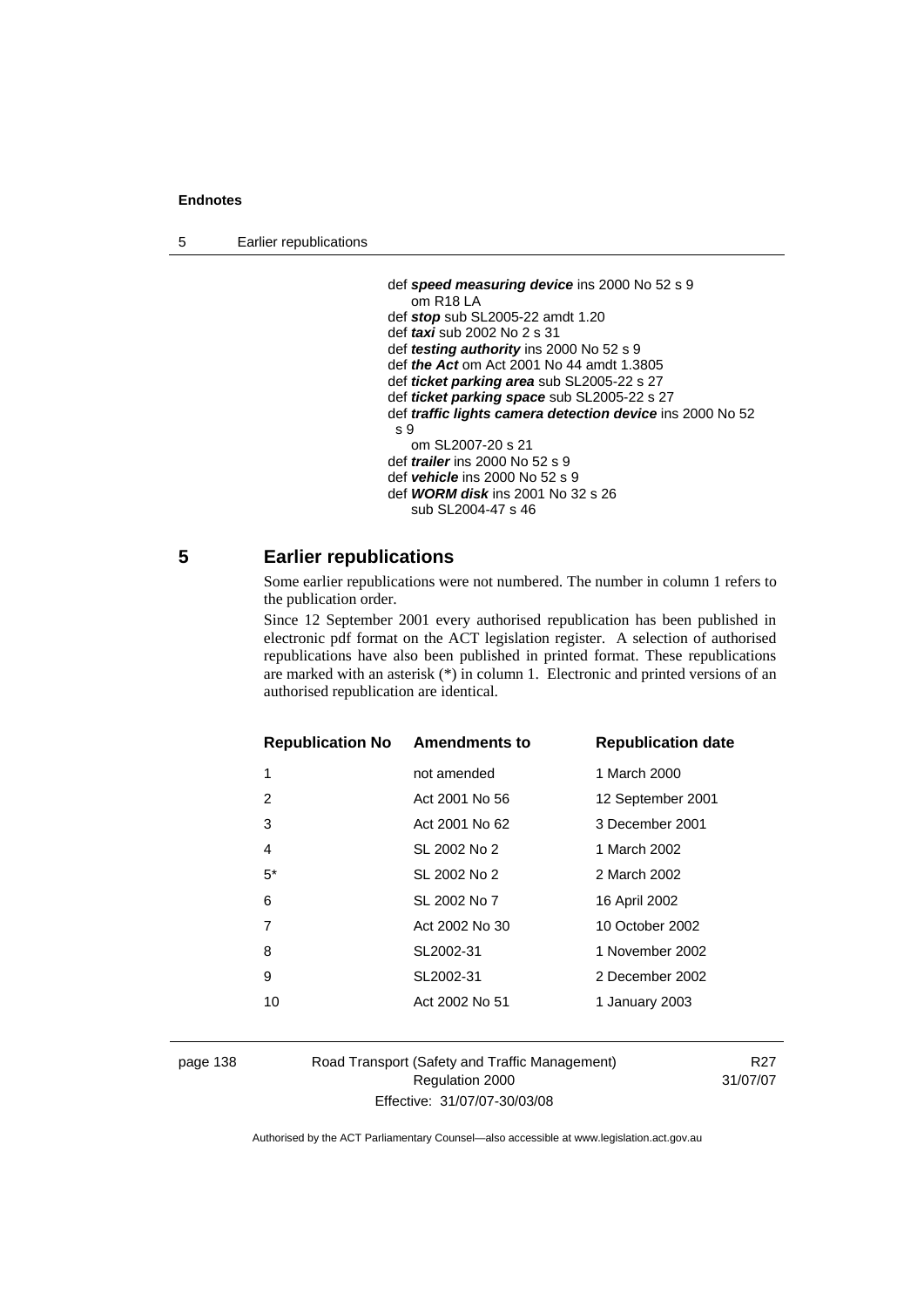```
5 Earlier republications
```

```
 def speed measuring device ins 2000 No 52 s 9 
    om R18 LA 
 def stop sub SL2005-22 amdt 1.20 
 def taxi sub 2002 No 2 s 31 
 def testing authority ins 2000 No 52 s 9 
 def the Act om Act 2001 No 44 amdt 1.3805 
 def ticket parking area sub SL2005-22 s 27 
 def ticket parking space sub SL2005-22 s 27 
 def traffic lights camera detection device ins 2000 No 52 
s 9 
    om SL2007-20 s 21 
 def trailer ins 2000 No 52 s 9 
 def vehicle ins 2000 No 52 s 9 
 def WORM disk ins 2001 No 32 s 26 
    sub SL2004-47 s 46
```
## **5 Earlier republications**

Some earlier republications were not numbered. The number in column 1 refers to the publication order.

Since 12 September 2001 every authorised republication has been published in electronic pdf format on the ACT legislation register. A selection of authorised republications have also been published in printed format. These republications are marked with an asterisk (\*) in column 1. Electronic and printed versions of an authorised republication are identical.

| <b>Republication No Amendments to</b> |                | <b>Republication date</b> |
|---------------------------------------|----------------|---------------------------|
| 1                                     | not amended    | 1 March 2000              |
| 2                                     | Act 2001 No 56 | 12 September 2001         |
| 3                                     | Act 2001 No 62 | 3 December 2001           |
| 4                                     | SL 2002 No 2   | 1 March 2002              |
| $5^*$                                 | SL 2002 No 2   | 2 March 2002              |
| 6                                     | SL 2002 No 7   | 16 April 2002             |
| 7                                     | Act 2002 No 30 | 10 October 2002           |
| 8                                     | SL2002-31      | 1 November 2002           |
| 9                                     | SL2002-31      | 2 December 2002           |
| 10                                    | Act 2002 No 51 | 1 January 2003            |

page 138 Road Transport (Safety and Traffic Management) Regulation 2000 Effective: 31/07/07-30/03/08

R27 31/07/07